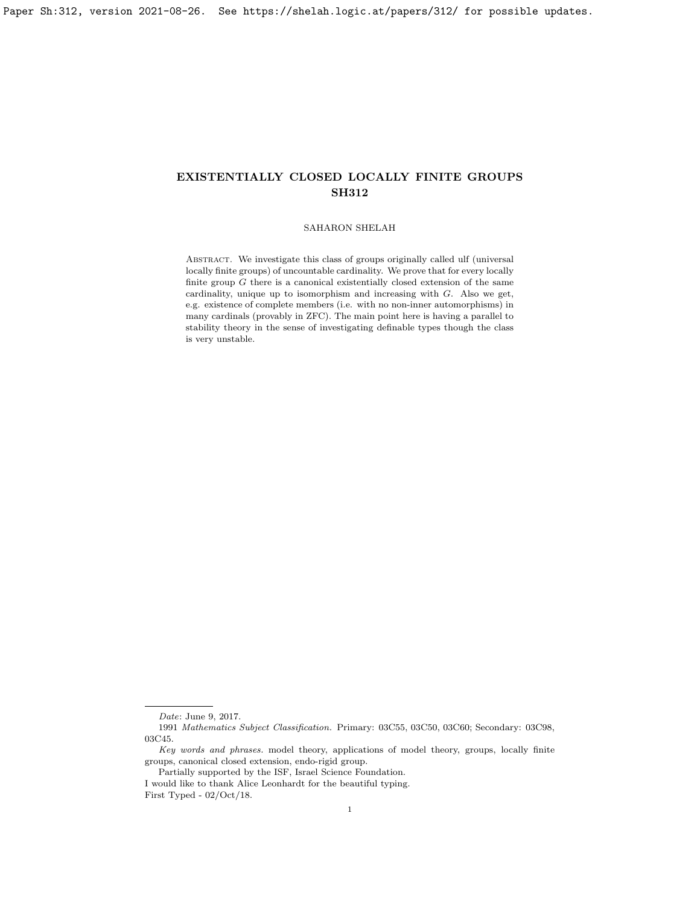## SAHARON SHELAH

Abstract. We investigate this class of groups originally called ulf (universal locally finite groups) of uncountable cardinality. We prove that for every locally finite group  $G$  there is a canonical existentially closed extension of the same cardinality, unique up to isomorphism and increasing with G. Also we get, e.g. existence of complete members (i.e. with no non-inner automorphisms) in many cardinals (provably in ZFC). The main point here is having a parallel to stability theory in the sense of investigating definable types though the class is very unstable.

Date: June 9, 2017.

<sup>1991</sup> Mathematics Subject Classification. Primary: 03C55, 03C50, 03C60; Secondary: 03C98, 03C45.

Key words and phrases. model theory, applications of model theory, groups, locally finite groups, canonical closed extension, endo-rigid group.

Partially supported by the ISF, Israel Science Foundation.

I would like to thank Alice Leonhardt for the beautiful typing. First Typed - 02/Oct/18.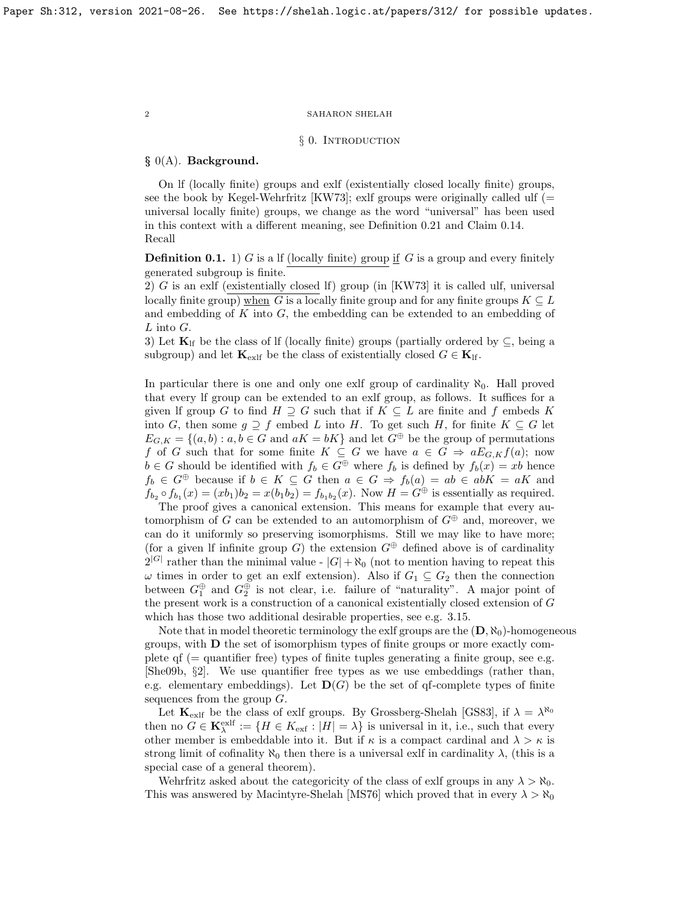## § 0. INTRODUCTION

# § 0(A). Background.

On lf (locally finite) groups and exlf (existentially closed locally finite) groups, see the book by Kegel-Wehrfritz [\[KW73\]](#page-63-0); exlf groups were originally called ulf ( $=$ universal locally finite) groups, we change as the word "universal" has been used in this context with a different meaning, see Definition [0.21](#page-9-0) and Claim [0.14.](#page-7-0) Recall

<span id="page-1-0"></span>**Definition 0.1.** 1) G is a lf (locally finite) group if G is a group and every finitely generated subgroup is finite.

2) G is an exlf (existentially closed lf) group (in [\[KW73\]](#page-63-0) it is called ulf, universal locally finite group) when G is a locally finite group and for any finite groups  $K \subseteq L$ and embedding of  $K$  into  $G$ , the embedding can be extended to an embedding of  $L$  into  $G.$ 

3) Let  $\mathbf{K}_{\text{lf}}$  be the class of If (locally finite) groups (partially ordered by  $\subseteq$ , being a subgroup) and let  $\mathbf{K}_{\text{exlf}}$  be the class of existentially closed  $G \in \mathbf{K}_{\text{lf}}$ .

In particular there is one and only one exlf group of cardinality  $\aleph_0$ . Hall proved that every lf group can be extended to an exlf group, as follows. It suffices for a given If group G to find  $H \supseteq G$  such that if  $K \subseteq L$  are finite and f embeds K into G, then some  $g \supseteq f$  embed L into H. To get such H, for finite  $K \subseteq G$  let  $E_{G,K} = \{(a, b) : a, b \in G \text{ and } aK = bK\}$  and let  $G^{\oplus}$  be the group of permutations f of G such that for some finite  $K \subseteq G$  we have  $a \in G \Rightarrow aE_{G,K}f(a);$  now  $b \in G$  should be identified with  $f_b \in G^{\oplus}$  where  $f_b$  is defined by  $f_b(x) = xb$  hence  $f_b \in G^{\oplus}$  because if  $b \in K \subseteq G$  then  $a \in G \Rightarrow f_b(a) = ab \in abK = aK$  and  $f_{b_2} \circ f_{b_1}(x) = (xb_1)b_2 = x(b_1b_2) = f_{b_1b_2}(x)$ . Now  $H = G^{\oplus}$  is essentially as required.

The proof gives a canonical extension. This means for example that every automorphism of G can be extended to an automorphism of  $G^{\oplus}$  and, moreover, we can do it uniformly so preserving isomorphisms. Still we may like to have more; (for a given If infinite group G) the extension  $G^{\oplus}$  defined above is of cardinality  $2^{|G|}$  rather than the minimal value -  $|G| + \aleph_0$  (not to mention having to repeat this  $\omega$  times in order to get an exlf extension). Also if  $G_1 \subseteq G_2$  then the connection between  $G_1^{\oplus}$  and  $G_2^{\oplus}$  is not clear, i.e. failure of "naturality". A major point of the present work is a construction of a canonical existentially closed extension of G which has those two additional desirable properties, see e.g. [3.15.](#page-40-0)

Note that in model theoretic terminology the exlf groups are the  $(D, \aleph_0)$ -homogeneous groups, with D the set of isomorphism types of finite groups or more exactly complete  $\mathbf{q}$  (= quantifier free) types of finite tuples generating a finite group, see e.g. [\[She09b,](#page-63-1) §2]. We use quantifier free types as we use embeddings (rather than, e.g. elementary embeddings). Let  $\mathbf{D}(G)$  be the set of qf-complete types of finite sequences from the group  $G$ .

Let  $\mathbf{K}_{\text{exlf}}$  be the class of exlf groups. By Grossberg-Shelah [\[GS83\]](#page-63-2), if  $\lambda = \lambda^{\aleph_0}$ then no  $G \in \mathbf{K}_{\lambda}^{\text{exlf}} := \{ H \in K_{\text{ext}} : |H| = \lambda \}$  is universal in it, i.e., such that every other member is embeddable into it. But if  $\kappa$  is a compact cardinal and  $\lambda > \kappa$  is strong limit of cofinality  $\aleph_0$  then there is a universal exlf in cardinality  $\lambda$ , (this is a special case of a general theorem).

Wehrfritz asked about the categoricity of the class of exlf groups in any  $\lambda > \aleph_0$ . This was answered by Macintyre-Shelah [\[MS76\]](#page-63-3) which proved that in every  $\lambda > \aleph_0$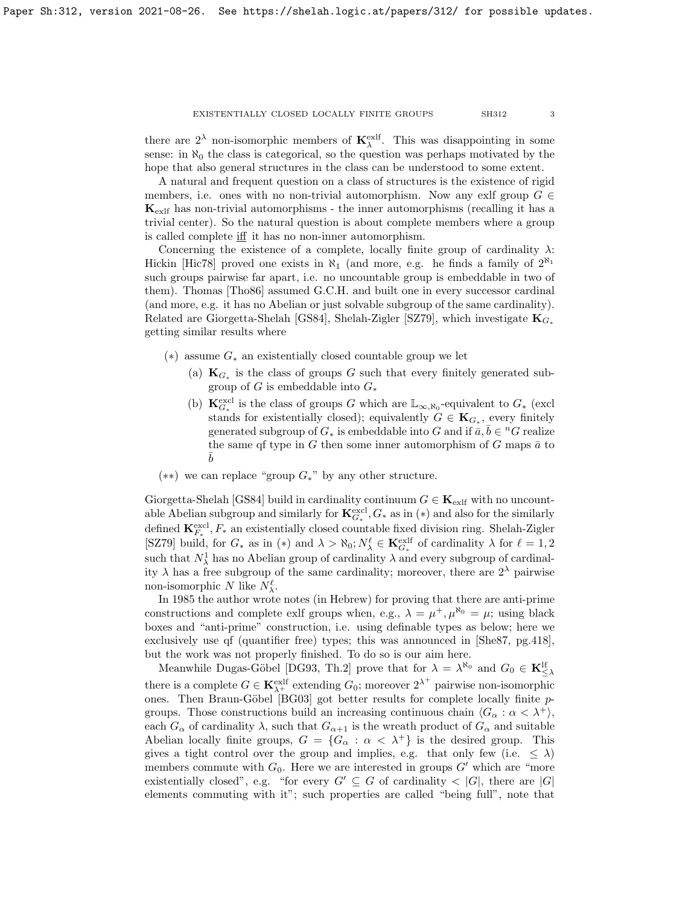there are  $2^{\lambda}$  non-isomorphic members of  $\mathbf{K}_{\lambda}^{\text{exlf}}$ . This was disappointing in some sense: in  $\aleph_0$  the class is categorical, so the question was perhaps motivated by the hope that also general structures in the class can be understood to some extent.

A natural and frequent question on a class of structures is the existence of rigid members, i.e. ones with no non-trivial automorphism. Now any exlf group  $G \in$  $\mathbf{K}_{\text{exlf}}$  has non-trivial automorphisms - the inner automorphisms (recalling it has a trivial center). So the natural question is about complete members where a group is called complete iff it has no non-inner automorphism.

Concerning the existence of a complete, locally finite group of cardinality  $\lambda$ : Hickin [\[Hic78\]](#page-63-4) proved one exists in  $\aleph_1$  (and more, e.g. he finds a family of  $2^{\aleph_1}$ such groups pairwise far apart, i.e. no uncountable group is embeddable in two of them). Thomas [\[Tho86\]](#page-63-5) assumed G.C.H. and built one in every successor cardinal (and more, e.g. it has no Abelian or just solvable subgroup of the same cardinality). Related are Giorgetta-Shelah [\[GS84\]](#page-63-6), Shelah-Zigler [\[SZ79\]](#page-63-7), which investigate  $\mathbf{K}_{G_{\star}}$ getting similar results where

- $(*)$  assume  $G_*$  an existentially closed countable group we let
	- (a)  $\mathbf{K}_{G_*}$  is the class of groups G such that every finitely generated subgroup of G is embeddable into  $G_*$
	- (b)  $\mathbf{K}_{G_*}^{\text{excl}}$  is the class of groups G which are  $\mathbb{L}_{\infty,\aleph_0}$ -equivalent to  $G_*$  (excl stands for existentially closed); equivalently  $G \in \mathbf{K}_{G_*}$ , every finitely generated subgroup of  $G_*$  is embeddable into G and if  $\bar{a}, \bar{b} \in {}^nG$  realize the same qf type in G then some inner automorphism of G maps  $\bar{a}$  to  $\overline{b}$
- $(**)$  we can replace "group  $G<sub>*</sub>$ " by any other structure.

Giorgetta-Shelah [\[GS84\]](#page-63-6) build in cardinality continuum  $G \in \mathbf{K}_{\text{exlf}}$  with no uncountable Abelian subgroup and similarly for  $\mathbf{K}_{G_*}^{\text{excl}}, G_*$  as in  $(*)$  and also for the similarly defined  $\mathbf{K}_{F_*}^{\text{excl}}, F_*$  an existentially closed countable fixed division ring. Shelah-Zigler [\[SZ79\]](#page-63-7) build, for  $G_*$  as in  $(*)$  and  $\lambda > \aleph_0; N^\ell_\lambda \in \mathbf{K}_{G_*}^{\text{exlf}}$  of cardinality  $\lambda$  for  $\ell = 1, 2$ such that  $N^1_\lambda$  has no Abelian group of cardinality  $\lambda$  and every subgroup of cardinality  $\lambda$  has a free subgroup of the same cardinality; moreover, there are  $2^{\lambda}$  pairwise non-isomorphic N like  $N_{\lambda}^{\ell}$ .

In 1985 the author wrote notes (in Hebrew) for proving that there are anti-prime constructions and complete exlf groups when, e.g.,  $\lambda = \mu^+, \mu^{\aleph_0} = \mu$ ; using black boxes and "anti-prime" construction, i.e. using definable types as below; here we exclusively use qf (quantifier free) types; this was announced in [\[She87,](#page-63-8) pg.418], but the work was not properly finished. To do so is our aim here.

Meanwhile Dugas-Göbel [\[DG93,](#page-63-9) Th.2] prove that for  $\lambda = \lambda^{\aleph_0}$  and  $G_0 \in \mathbf{K}_{\leq \lambda}^{\mathsf{lf}}$ there is a complete  $G \in \mathbf{K}_{\lambda^+}^{\text{exlf}}$  extending  $G_0$ ; moreover  $2^{\lambda^+}$  pairwise non-isomorphic ones. Then Braun-Göbel [\[BG03\]](#page-63-10) got better results for complete locally finite  $p$ groups. Those constructions build an increasing continuous chain  $\langle G_\alpha : \alpha < \lambda^+ \rangle$ , each  $G_{\alpha}$  of cardinality  $\lambda$ , such that  $G_{\alpha+1}$  is the wreath product of  $G_{\alpha}$  and suitable Abelian locally finite groups,  $G = \{G_\alpha : \alpha < \lambda^+\}\$ is the desired group. This gives a tight control over the group and implies, e.g. that only few (i.e.  $\leq \lambda$ ) members commute with  $G_0$ . Here we are interested in groups  $G'$  which are "more existentially closed", e.g. "for every  $G' \subseteq G$  of cardinality  $\lt |G|$ , there are  $|G|$ elements commuting with it"; such properties are called "being full", note that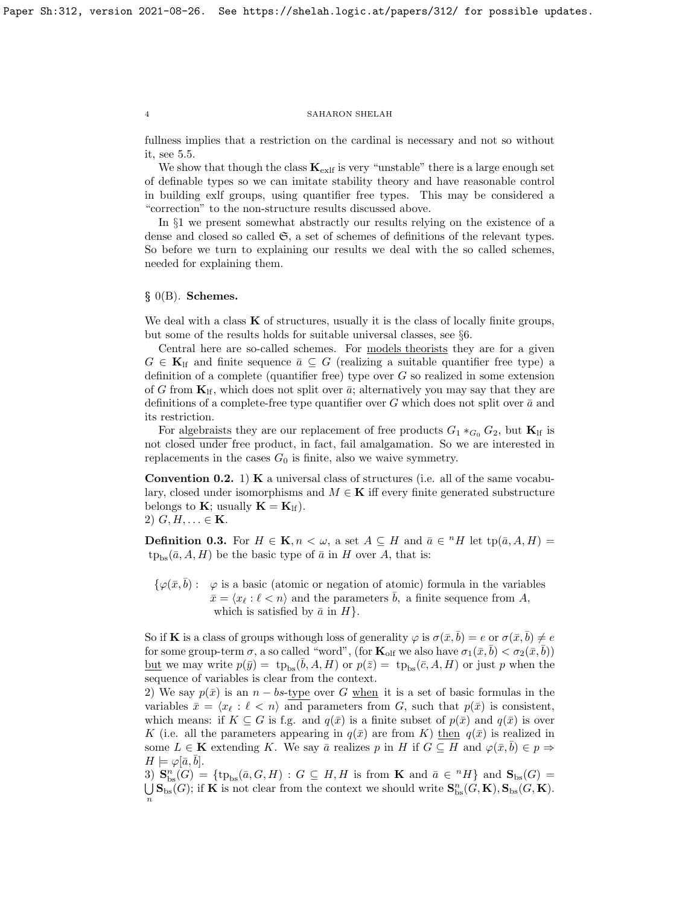fullness implies that a restriction on the cardinal is necessary and not so without it, see [5.5.](#page-59-0)

We show that though the class  $K_{extf}$  is very "unstable" there is a large enough set of definable types so we can imitate stability theory and have reasonable control in building exlf groups, using quantifier free types. This may be considered a "correction" to the non-structure results discussed above.

In §1 we present somewhat abstractly our results relying on the existence of a dense and closed so called  $\mathfrak{S}$ , a set of schemes of definitions of the relevant types. So before we turn to explaining our results we deal with the so called schemes, needed for explaining them.

# $§$  0(B). Schemes.

We deal with a class  $\bf{K}$  of structures, usually it is the class of locally finite groups, but some of the results holds for suitable universal classes, see §6.

Central here are so-called schemes. For models theorists they are for a given  $G \in \mathbf{K}_{\text{lf}}$  and finite sequence  $\bar{a} \subseteq G$  (realizing a suitable quantifier free type) a definition of a complete (quantifier free) type over  $G$  so realized in some extension of G from  $\mathbf{K}_{\text{lf}}$ , which does not split over  $\bar{a}$ ; alternatively you may say that they are definitions of a complete-free type quantifier over G which does not split over  $\bar{a}$  and its restriction.

For algebraists they are our replacement of free products  $G_1 *_{G_0} G_2$ , but  $\mathbf{K}_{\text{lf}}$  is not closed under free product, in fact, fail amalgamation. So we are interested in replacements in the cases  $G_0$  is finite, also we waive symmetry.

**Convention 0.2.** 1)  $\bf{K}$  a universal class of structures (i.e. all of the same vocabulary, closed under isomorphisms and  $M \in \mathbf{K}$  iff every finite generated substructure belongs to **K**; usually  $\mathbf{K} = \mathbf{K}_{\text{lf}}$ . 2)  $G, H, \ldots \in \mathbf{K}$ .

**Definition 0.3.** For  $H \in \mathbf{K}$ ,  $n < \omega$ , a set  $A \subseteq H$  and  $\bar{a} \in {}^{n}H$  let  $tp(\bar{a}, A, H) =$  $tp_{bs}(\bar{a}, A, H)$  be the basic type of  $\bar{a}$  in H over A, that is:

 $\{\varphi(\bar{x}, \bar{b}) : \varphi$  is a basic (atomic or negation of atomic) formula in the variables  $\bar{x} = \langle x_\ell : \ell < n \rangle$  and the parameters  $\bar{b}$ , a finite sequence from A, which is satisfied by  $\bar{a}$  in  $H$ .

So if K is a class of groups withough loss of generality  $\varphi$  is  $\sigma(\bar{x}, \bar{b}) = e$  or  $\sigma(\bar{x}, \bar{b}) \neq e$ for some group-term  $\sigma$ , a so called "word", (for  $\mathbf{K}_{\text{olf}}$  we also have  $\sigma_1(\bar{x}, \bar{b}) < \sigma_2(\bar{x}, \bar{b})$ ) <u>but</u> we may write  $p(\bar{y}) = \text{tp}_{\text{bs}}(\bar{b}, A, H)$  or  $p(\bar{z}) = \text{tp}_{\text{bs}}(\bar{c}, A, H)$  or just p when the sequence of variables is clear from the context.

2) We say  $p(\bar{x})$  is an  $n - bs$ -type over G when it is a set of basic formulas in the variables  $\bar{x} = \langle x_\ell : \ell < n \rangle$  and parameters from G, such that  $p(\bar{x})$  is consistent, which means: if  $K \subseteq G$  is f.g. and  $q(\bar{x})$  is a finite subset of  $p(\bar{x})$  and  $q(\bar{x})$  is over K (i.e. all the parameters appearing in  $q(\bar{x})$  are from K) then  $q(\bar{x})$  is realized in some  $L \in \mathbf{K}$  extending K. We say  $\bar{a}$  realizes p in H if  $G \subseteq H$  and  $\varphi(\bar{x}, \bar{b}) \in p \Rightarrow$  $H \models \varphi[\bar{a}, b].$ 

3)  $\mathbf{S}_{\text{bs}}^n(G) = {\{\text{tp}_{\text{bs}}(\bar{a},G,H) : G \subseteq H, H \text{ is from } \mathbf{K} \text{ and } \bar{a} \in {}^nH\}}$  and  $\mathbf{S}_{\text{bs}}(G) =$ U  $\bigcup_{n}$ **S**<sub>bs</sub>(*G*); if **K** is not clear from the context we should write **S**<sup>n</sup><sub>bs</sub>(*G*, **K**), **S**<sub>bs</sub>(*G*, **K**).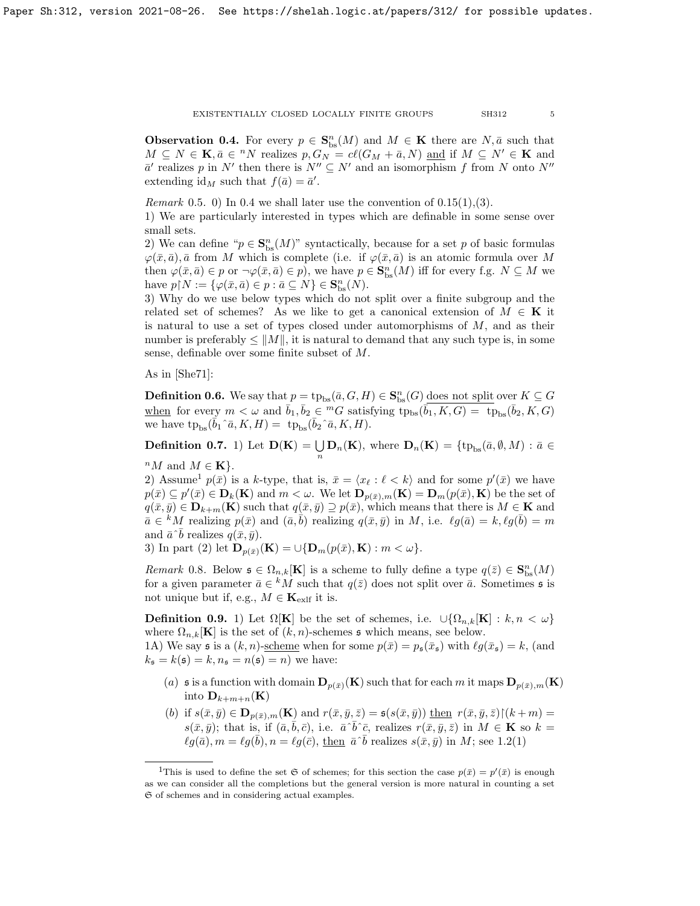<span id="page-4-0"></span>**Observation 0.4.** For every  $p \in \mathbf{S}_{\text{bs}}^n(M)$  and  $M \in \mathbf{K}$  there are  $N, \bar{a}$  such that  $M \subseteq N \in \mathbf{K}, \bar{a} \in {}^{n}N$  realizes  $p, G_N = cl(G_M + \bar{a}, N)$  and if  $M \subseteq N' \in \mathbf{K}$  and  $\bar{a}'$  realizes p in N' then there is  $N'' \subseteq N'$  and an isomorphism f from N onto N'' extending  $id_M$  such that  $f(\bar{a}) = \bar{a}'$ .

*Remark* 0.5. 0) In [0.4](#page-4-0) we shall later use the convention of  $0.15(1), (3)$ .

1) We are particularly interested in types which are definable in some sense over small sets.

2) We can define " $p \in \mathbf{S}_{\text{bs}}^n(M)$ " syntactically, because for a set p of basic formulas  $\varphi(\bar{x}, \bar{a}), \bar{a}$  from M which is complete (i.e. if  $\varphi(\bar{x}, \bar{a})$  is an atomic formula over M then  $\varphi(\bar{x}, \bar{a}) \in p$  or  $\neg \varphi(\bar{x}, \bar{a}) \in p$ , we have  $p \in \mathbf{S}_{\text{bs}}^n(M)$  iff for every f.g.  $N \subseteq M$  we have  $p \upharpoonright N := \{ \varphi(\bar{x}, \bar{a}) \in p : \bar{a} \subseteq N \} \in \mathbf{S}_{\text{bs}}^n(N)$ .

3) Why do we use below types which do not split over a finite subgroup and the related set of schemes? As we like to get a canonical extension of  $M \in \mathbf{K}$  it is natural to use a set of types closed under automorphisms of  $M$ , and as their number is preferably  $\leq ||M||$ , it is natural to demand that any such type is, in some sense, definable over some finite subset of M.

As in [\[She71\]](#page-63-11):

**Definition 0.6.** We say that  $p = tp_{bs}(\bar{a}, G, H) \in \mathbf{S}_{bs}^{n}(G)$  does not split over  $K \subseteq G$ when for every  $m < \omega$  and  $\bar{b}_1, \bar{b}_2 \in {}^mG$  satisfying  $tp_{bs}(\bar{b}_1, K, G) = -tp_{bs}(\bar{b}_2, K, G)$ we have  $tp_{bs}(\bar{b}_1\hat{a}, K, H) = tp_{bs}(\bar{b}_2\hat{a}, K, H).$ 

**Definition 0.7.** 1) Let  $\mathbf{D}(\mathbf{K}) = \bigcup_n \mathbf{D}_n(\mathbf{K})$ , where  $\mathbf{D}_n(\mathbf{K}) = \{\text{tp}_{bs}(\bar{a}, \emptyset, M) : \bar{a} \in \Omega\}$ 

 ${}^nM$  and  $M \in \mathbf{K}$ .

2) Assume<sup>[1](#page-4-1)</sup>  $p(\bar{x})$  is a k-type, that is,  $\bar{x} = \langle x_{\ell} : \ell \langle k \rangle$  and for some  $p'(\bar{x})$  we have  $p(\bar{x}) \subseteq p'(\bar{x}) \in D_k(\mathbf{K})$  and  $m < \omega$ . We let  $\mathbf{D}_{p(\bar{x}),m}(\mathbf{K}) = \mathbf{D}_m(p(\bar{x}), \mathbf{K})$  be the set of  $q(\bar{x}, \bar{y}) \in \mathbf{D}_{k+m}(\mathbf{K})$  such that  $q(\bar{x}, \bar{y}) \supseteq p(\bar{x})$ , which means that there is  $M \in \mathbf{K}$  and  $a \in {}^k M$  realizing  $p(\bar{x})$  and  $(\bar{a}, \bar{b})$  realizing  $q(\bar{x}, \bar{y})$  in M, i.e.  $\ell g(\bar{a}) = k$ ,  $\ell g(\bar{b}) = m$ and  $\bar{a} \hat{\ } \bar{b}$  realizes  $q(\bar{x}, \bar{y})$ .

3) In part (2) let  $\mathbf{D}_{p(\bar{x})}(\mathbf{K}) = \cup \{ \mathbf{D}_{m}(p(\bar{x}), \mathbf{K}) : m < \omega \}.$ 

Remark 0.8. Below  $\mathfrak{s} \in \Omega_{n,k}[\mathbf{K}]$  is a scheme to fully define a type  $q(\bar{z}) \in \mathbf{S}_{\text{bs}}^n(M)$ for a given parameter  $\bar{a} \in {}^k M$  such that  $q(\bar{z})$  does not split over  $\bar{a}$ . Sometimes  $\mathfrak s$  is not unique but if, e.g.,  $M \in \mathbf{K}_{\text{exlf}}$  it is.

<span id="page-4-2"></span>**Definition 0.9.** 1) Let  $\Omega[\mathbf{K}]$  be the set of schemes, i.e.  $\cup \{\Omega_{n,k}[\mathbf{K}] : k, n \lt \omega\}$ where  $\Omega_{n,k}[\mathbf{K}]$  is the set of  $(k, n)$ -schemes s which means, see below.

1A) We say s is a  $(k, n)$ -scheme when for some  $p(\bar{x}) = p_{\mathfrak{s}}(\bar{x}_{\mathfrak{s}})$  with  $\ell g(\bar{x}_{\mathfrak{s}}) = k$ , (and  $k_{\mathfrak{s}} = k(\mathfrak{s}) = k, n_{\mathfrak{s}} = n(\mathfrak{s}) = n$  we have:

- (a) s is a function with domain  $D_{p(\bar{x})}(K)$  such that for each m it maps  $D_{p(\bar{x}),m}(K)$ into  $\mathbf{D}_{k+m+n}(\mathbf{K})$
- (b) if  $s(\bar{x}, \bar{y}) \in \mathbf{D}_{p(\bar{x}), m}(\mathbf{K})$  and  $r(\bar{x}, \bar{y}, \bar{z}) = s(s(\bar{x}, \bar{y}))$  then  $r(\bar{x}, \bar{y}, \bar{z}) \upharpoonright (k+m) =$  $s(\bar{x}, \bar{y})$ ; that is, if  $(\bar{a}, \bar{b}, \bar{c})$ , i.e.  $\bar{a}^{\wedge} \bar{b}^{\wedge} \bar{c}$ , realizes  $r(\bar{x}, \bar{y}, \bar{z})$  in  $M \in \mathbf{K}$  so  $k =$  $\ell g(\bar{a}), m = \ell g(\bar{b}), n = \ell g(\bar{c}),$  then  $\bar{a} \, \bar{b}$  realizes  $s(\bar{x}, \bar{y})$  in M; see [1.2\(](#page-10-0)1)

<span id="page-4-1"></span><sup>&</sup>lt;sup>1</sup>This is used to define the set  $\mathfrak S$  of schemes; for this section the case  $p(\bar x) = p'(\bar x)$  is enough as we can consider all the completions but the general version is more natural in counting a set S of schemes and in considering actual examples.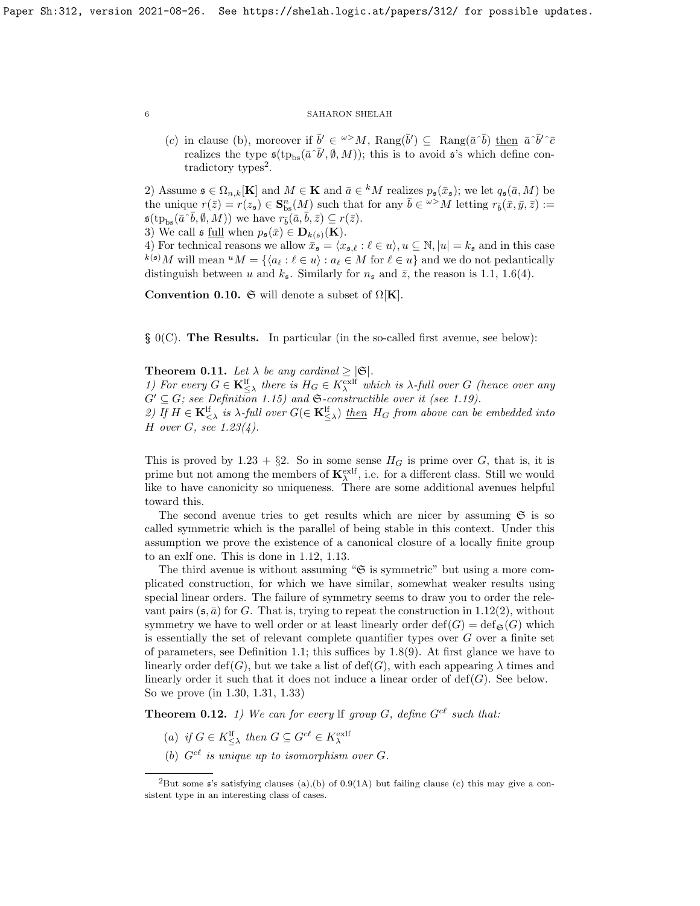(c) in clause (b), moreover if  $\bar{b}' \in \omega > M$ ,  $\text{Rang}(\bar{b}') \subseteq \text{Rang}(\bar{a} \bar{b})$  then  $\bar{a} \bar{b}' \bar{c}$ realizes the type  $\mathfrak{s}(\text{tp}_{bs}(\bar{a} \, \bar{b}', \emptyset, M))$ ; this is to avoid  $\mathfrak{s}'s$  which define con-tradictory types<sup>[2](#page-5-0)</sup>.

2) Assume  $\mathfrak{s} \in \Omega_{n,k}[\mathbf{K}]$  and  $M \in \mathbf{K}$  and  $\bar{a} \in {}^k M$  realizes  $p_{\mathfrak{s}}(\bar{x}_{\mathfrak{s}})$ ; we let  $q_{\mathfrak{s}}(\bar{a}, M)$  be the unique  $r(\bar{z}) = r(z_{\mathfrak{s}}) \in \mathbf{S}_{\text{bs}}^n(M)$  such that for any  $\bar{b} \in \overline{\omega} > M$  letting  $r_{\bar{b}}(\bar{x}, \bar{y}, \bar{z}) :=$  $\mathfrak{s}(\text{tp}_{\text{bs}}(\bar{a} \cdot \bar{b}, \emptyset, M))$  we have  $r_{\bar{b}}(\bar{a}, \bar{b}, \bar{z}) \subseteq r(\bar{z})$ .

3) We call  $\mathfrak{s}$  full when  $p_{\mathfrak{s}}(\bar{x}) \in \mathbf{D}_{k(\mathfrak{s})}(\mathbf{K}).$ 

4) For technical reasons we allow  $\bar{x}_{\mathfrak{s}} = \langle x_{\mathfrak{s},\ell} : \ell \in u \rangle, u \subseteq \mathbb{N}, |u| = k_{\mathfrak{s}}$  and in this case  $k(s)$  will mean  $^uM = \{ \langle a_\ell : \ell \in u \rangle : a_\ell \in M \text{ for } \ell \in u \}$  and we do not pedantically distinguish between u and  $k_5$ . Similarly for  $n_5$  and  $\bar{z}$ , the reason is [1.1,](#page-10-1) [1.6\(](#page-12-0)4).

Convention 0.10.  $\mathfrak{S}$  will denote a subset of  $\Omega[K]$ .

§ 0(C). The Results. In particular (in the so-called first avenue, see below):

<span id="page-5-2"></span>**Theorem 0.11.** Let  $\lambda$  be any cardinal  $\geq |\mathfrak{S}|$ .

1) For every  $G \in \mathbf{K}_{\leq \lambda}^{\text{lf}}$  there is  $H_G \in K_{\lambda}^{\text{exlf}}$  which is  $\lambda$ -full over G (hence over any  $G' \subseteq G$ ; see Definition [1.15\)](#page-15-0) and G-constructible over it (see [1.19\)](#page-17-0).

2) If  $H \in \mathbf{K}_{\leq \lambda}^{\text{lf}}$  is  $\lambda$ -full over  $G(\in \mathbf{K}_{\leq \lambda}^{\text{lf}})$  then  $H_G$  from above can be embedded into  $H$  over  $G$ , see [1.23\(](#page-18-0)4).

This is proved by [1.23](#page-18-0) +  $\S2$ . So in some sense  $H_G$  is prime over G, that is, it is prime but not among the members of  $\mathbf{K}_{\lambda}^{\text{exlf}}$ , i.e. for a different class. Still we would like to have canonicity so uniqueness. There are some additional avenues helpful toward this.

The second avenue tries to get results which are nicer by assuming  $\mathfrak{S}$  is so called symmetric which is the parallel of being stable in this context. Under this assumption we prove the existence of a canonical closure of a locally finite group to an exlf one. This is done in [1.12,](#page-15-1) [1.13.](#page-15-2)

The third avenue is without assuming " $\mathfrak{S}$  is symmetric" but using a more complicated construction, for which we have similar, somewhat weaker results using special linear orders. The failure of symmetry seems to draw you to order the relevant pairs  $(\mathfrak{s}, \bar{a})$  for G. That is, trying to repeat the construction in [1.12\(](#page-15-1)2), without symmetry we have to well order or at least linearly order  $\text{def}(G) = \text{def}_{\mathfrak{S}}(G)$  which is essentially the set of relevant complete quantifier types over  $G$  over a finite set of parameters, see Definition [1.1;](#page-10-1) this suffices by [1.8\(](#page-13-0)9). At first glance we have to linearly order def(G), but we take a list of def(G), with each appearing  $\lambda$  times and linearly order it such that it does not induce a linear order of  $\text{def}(G)$ . See below. So we prove (in [1.30,](#page-21-0) [1.31,](#page-22-0) [1.33\)](#page-22-1)

<span id="page-5-1"></span>**Theorem 0.12.** 1) We can for every lf group G, define  $G^{c\ell}$  such that:

- (a) if  $G \in K_{\leq \lambda}^{\text{lf}}$  then  $G \subseteq G^{c\ell} \in K_{\lambda}^{\text{exlf}}$
- (b)  $G^{c\ell}$  is unique up to isomorphism over G.

<span id="page-5-0"></span><sup>&</sup>lt;sup>2</sup>But some  $\sharp$ 's satisfying clauses (a),(b) of [0.9\(](#page-4-2)1A) but failing clause (c) this may give a consistent type in an interesting class of cases.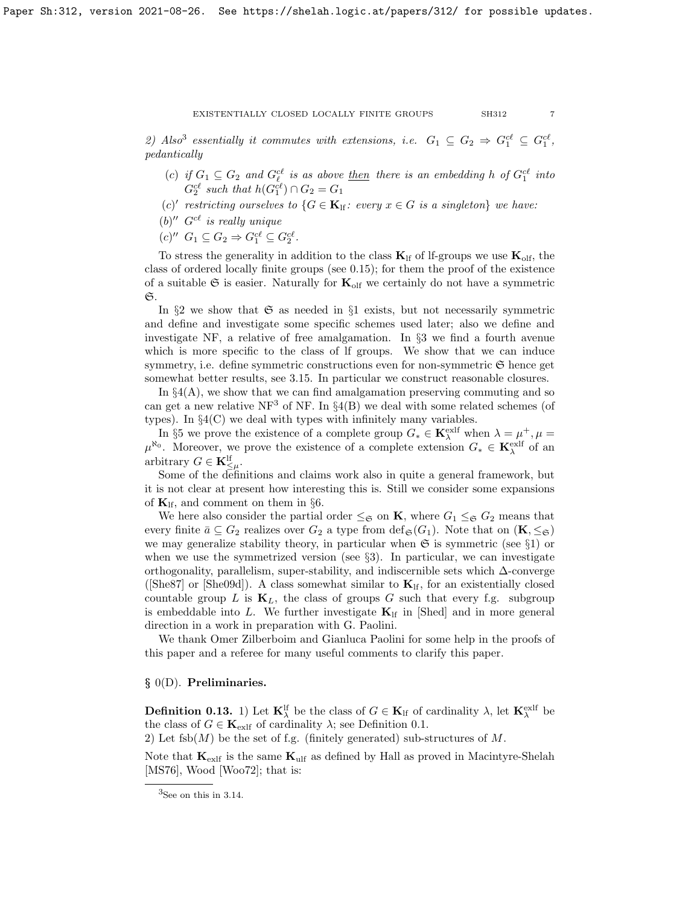2) Also<sup>[3](#page-6-0)</sup> essentially it commutes with extensions, i.e.  $G_1 \subseteq G_2 \Rightarrow G_1^{c\ell} \subseteq G_1^{c\ell}$ , pedantically

- (c) if  $G_1 \subseteq G_2$  and  $G_{\ell}^{c\ell}$  is as above <u>then</u> there is an embedding h of  $G_1^{c\ell}$  into  $G_2^{c\ell}$  such that  $h(G_1^{c\ell}) \cap G_2 = G_1$
- (c)' restricting ourselves to  $\{G \in \mathbf{K}_{\text{lf}}: \text{ every } x \in G \text{ is a singleton}\}\$  we have:
- $(b)''$  G<sup>cl</sup> is really unique
- $(c)''$   $G_1 \subseteq G_2 \Rightarrow G_1^{c\ell} \subseteq G_2^{c\ell}$ .

To stress the generality in addition to the class  $K_{\text{lf}}$  of lf-groups we use  $K_{\text{olf}}$ , the class of ordered locally finite groups (see [0.15\)](#page-7-1); for them the proof of the existence of a suitable  $\mathfrak S$  is easier. Naturally for  $\mathbf K_{\text{olf}}$  we certainly do not have a symmetric  $\mathfrak{S}.$ 

In §2 we show that  $\mathfrak S$  as needed in §1 exists, but not necessarily symmetric and define and investigate some specific schemes used later; also we define and investigate NF, a relative of free amalgamation. In §3 we find a fourth avenue which is more specific to the class of lf groups. We show that we can induce symmetry, i.e. define symmetric constructions even for non-symmetric  $\mathfrak{S}$  hence get somewhat better results, see [3.15.](#page-40-0) In particular we construct reasonable closures.

In  $\S4(A)$ , we show that we can find amalgamation preserving commuting and so can get a new relative NF<sup>3</sup> of NF. In  $\S4(B)$  we deal with some related schemes (of types). In  $\S4(C)$  we deal with types with infinitely many variables.

In §5 we prove the existence of a complete group  $G_* \in \mathbf{K}_{\lambda}^{\text{exlf}}$  when  $\lambda = \mu^+, \mu =$  $\mu^{\aleph_0}$ . Moreover, we prove the existence of a complete extension  $G_* \in \mathbf{K}_{\lambda}^{\text{exlf}}$  of an arbitrary  $G \in \mathbf{K}^{\text{lf}}_{\leq \mu}$ .

Some of the definitions and claims work also in quite a general framework, but it is not clear at present how interesting this is. Still we consider some expansions of  $\mathbf{K}_{\text{lf}}$ , and comment on them in §6.

We here also consider the partial order  $\leq_{\mathfrak{S}}$  on **K**, where  $G_1 \leq_{\mathfrak{S}} G_2$  means that every finite  $\bar{a} \subseteq G_2$  realizes over  $G_2$  a type from  $\text{def}_{\mathfrak{S}}(G_1)$ . Note that on  $(\mathbf{K}, \leq_{\mathfrak{S}})$ we may generalize stability theory, in particular when  $\mathfrak{S}$  is symmetric (see §1) or when we use the symmetrized version (see  $\S$ 3). In particular, we can investigate orthogonality, parallelism, super-stability, and indiscernible sets which ∆-converge ([\[She87\]](#page-63-8) or [\[She09d\]](#page-63-12)). A class somewhat similar to  $K_{\text{lf}}$ , for an existentially closed countable group L is  $\mathbf{K}_L$ , the class of groups G such that every f.g. subgroup is embeddable into L. We further investigate  $\mathbf{K}_{\text{lf}}$  in [\[Shed\]](#page-63-13) and in more general direction in a work in preparation with G. Paolini.

We thank Omer Zilberboim and Gianluca Paolini for some help in the proofs of this paper and a referee for many useful comments to clarify this paper.

## § 0(D). Preliminaries.

<span id="page-6-1"></span>**Definition 0.13.** 1) Let  $K_{\lambda}^{\text{lf}}$  be the class of  $G \in K_{\text{lf}}$  of cardinality  $\lambda$ , let  $K_{\lambda}^{\text{exlf}}$  be the class of  $G \in \mathbf{K}_{\text{exlf}}$  of cardinality  $\lambda$ ; see Definition [0.1.](#page-1-0)

2) Let fsb( $M$ ) be the set of f.g. (finitely generated) sub-structures of  $M$ .

Note that  $K_{\text{exlf}}$  is the same  $K_{\text{ulf}}$  as defined by Hall as proved in Macintyre-Shelah [\[MS76\]](#page-63-3), Wood [\[Woo72\]](#page-63-14); that is:

<span id="page-6-0"></span> ${}^{3}$ See on this in [3.14.](#page-40-1)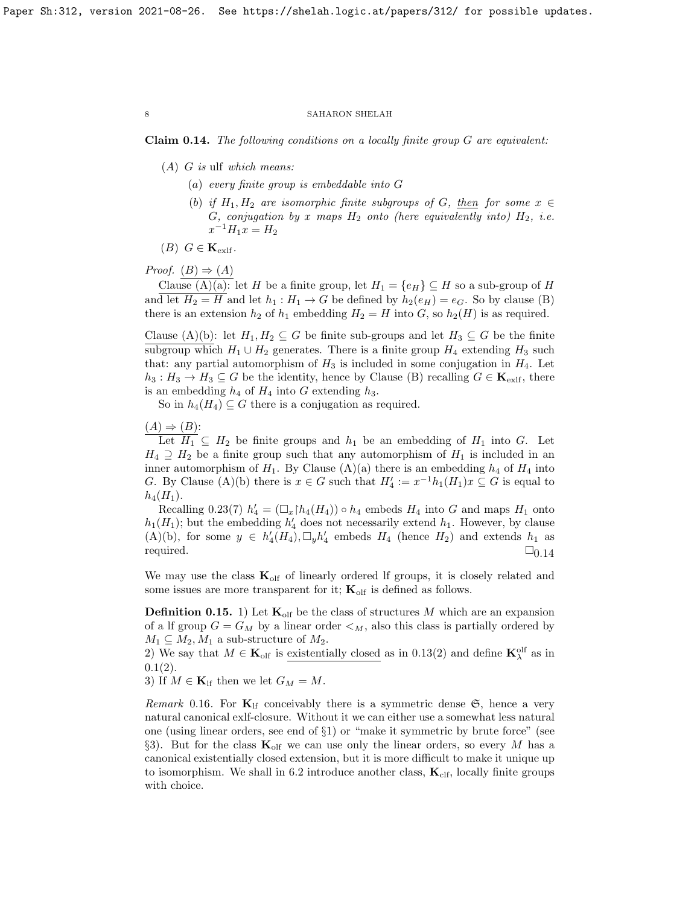<span id="page-7-0"></span>Claim 0.14. The following conditions on a locally finite group G are equivalent:

- $(A)$  G is ulf which means:
	- (a) every finite group is embeddable into G
	- (b) if  $H_1, H_2$  are isomorphic finite subgroups of G, then for some  $x \in$ G, conjugation by x maps  $H_2$  onto (here equivalently into)  $H_2$ , i.e.  $x^{-1}H_1x = H_2$

 $(B)$   $G \in \mathbf{K}_{\text{exlf}}$ .

Proof.  $(B) \Rightarrow (A)$ 

Clause (A)(a): let H be a finite group, let  $H_1 = \{e_H\} \subseteq H$  so a sub-group of H and let  $H_2 = H$  and let  $h_1 : H_1 \to G$  be defined by  $h_2(e_H) = e_G$ . So by clause (B) there is an extension  $h_2$  of  $h_1$  embedding  $H_2 = H$  into G, so  $h_2(H)$  is as required.

Clause (A)(b): let  $H_1, H_2 \subseteq G$  be finite sub-groups and let  $H_3 \subseteq G$  be the finite subgroup which  $H_1 \cup H_2$  generates. There is a finite group  $H_4$  extending  $H_3$  such that: any partial automorphism of  $H_3$  is included in some conjugation in  $H_4$ . Let  $h_3: H_3 \to H_3 \subseteq G$  be the identity, hence by Clause (B) recalling  $G \in \mathbf{K}_{\text{exlf}}$ , there is an embedding  $h_4$  of  $H_4$  into G extending  $h_3$ .

So in  $h_4(H_4) \subseteq G$  there is a conjugation as required.

# $(A) \Rightarrow (B)$ :

Let  $H_1 \subseteq H_2$  be finite groups and  $h_1$  be an embedding of  $H_1$  into G. Let  $H_4 \supseteq H_2$  be a finite group such that any automorphism of  $H_1$  is included in an inner automorphism of  $H_1$ . By Clause (A)(a) there is an embedding  $h_4$  of  $H_4$  into G. By Clause (A)(b) there is  $x \in G$  such that  $H'_4 := x^{-1}h_1(H_1)x \subseteq G$  is equal to  $h_4(H_1)$ .

Recalling [0.23\(](#page-9-1)7)  $h'_4 = (\Box_x \upharpoonright h_4(H_4)) \circ h_4$  embeds  $H_4$  into G and maps  $H_1$  onto  $h_1(H_1)$ ; but the embedding  $h'_4$  does not necessarily extend  $h_1$ . However, by clause  $(A)(b)$ , for some  $y \in h'_4(H_4)$ ,  $\Box_y h'_4$  embeds  $H_4$  (hence  $H_2$ ) and extends  $h_1$  as required.  $\square_{0.14}$  $\square_{0.14}$  $\square_{0.14}$ 

We may use the class  $K_{\text{olf}}$  of linearly ordered If groups, it is closely related and some issues are more transparent for it;  $\mathbf{K}_{\text{olf}}$  is defined as follows.

<span id="page-7-1"></span>**Definition 0.15.** 1) Let  $\mathbf{K}_{\text{olf}}$  be the class of structures M which are an expansion of a lf group  $G = G_M$  by a linear order  $\lt_M$ , also this class is partially ordered by  $M_1 \subseteq M_2, M_1$  a sub-structure of  $M_2$ .

2) We say that  $M \in \mathbf{K}_{\text{olf}}$  is existentially closed as in [0.13\(](#page-6-1)2) and define  $\mathbf{K}_{\lambda}^{\text{olf}}$  as in  $0.1(2)$  $0.1(2)$ .

3) If  $M \in \mathbf{K}_{\text{lf}}$  then we let  $G_M = M$ .

<span id="page-7-2"></span>Remark 0.16. For  $K_{\text{lf}}$  conceivably there is a symmetric dense  $\mathfrak{S}$ , hence a very natural canonical exlf-closure. Without it we can either use a somewhat less natural one (using linear orders, see end of §1) or "make it symmetric by brute force" (see §3). But for the class  $\mathbf{K}_{\text{olf}}$  we can use only the linear orders, so every M has a canonical existentially closed extension, but it is more difficult to make it unique up to isomorphism. We shall in [6.2](#page-61-0) introduce another class,  $K_{\text{clf}}$ , locally finite groups with choice.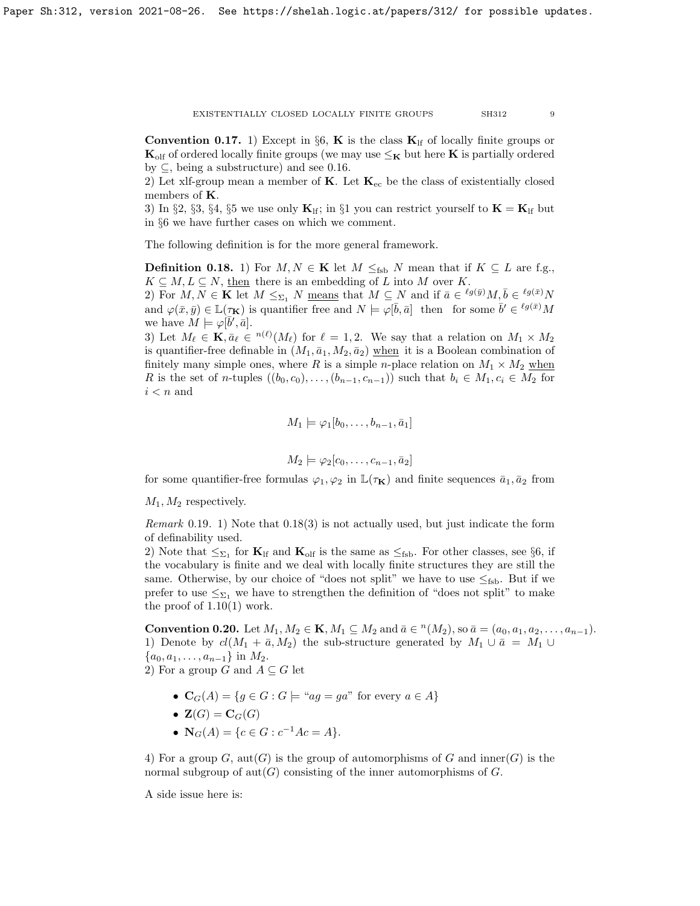<span id="page-8-1"></span>**Convention 0.17.** 1) Except in §6, **K** is the class  $\mathbf{K}_{\text{lf}}$  of locally finite groups or  $K_{\text{olf}}$  of ordered locally finite groups (we may use  $\leq_K$  but here K is partially ordered by  $\subseteq$ , being a substructure) and see [0.16.](#page-7-2)

2) Let xlf-group mean a member of  $K$ . Let  $K_{ec}$  be the class of existentially closed members of K.

3) In §2, §3, §4, §5 we use only  $\mathbf{K}_{\text{lf}}$ ; in §1 you can restrict yourself to  $\mathbf{K} = \mathbf{K}_{\text{lf}}$  but in §6 we have further cases on which we comment.

The following definition is for the more general framework.

<span id="page-8-0"></span>**Definition 0.18.** 1) For  $M, N \in \mathbf{K}$  let  $M \leq_{\text{fsb}} N$  mean that if  $K \subseteq L$  are f.g.,  $K \subseteq M, L \subseteq N$ , then there is an embedding of L into M over K.

2) For  $M, N \in \mathbf{K}$  let  $M \leq_{\Sigma_1} N$  means that  $M \subseteq N$  and if  $\bar{a} \in {}^{\ell g(\bar{y})}M, \bar{b} \in {}^{\ell g(\bar{x})}N$ and  $\varphi(\bar{x}, \bar{y}) \in \mathbb{L}(\tau_{\mathbf{K}})$  is quantifier free and  $N \models \varphi[\bar{b}, \bar{a}]$  then for some  $\bar{b}' \in {}^{\ell g(\bar{x})}M$ we have  $M \models \varphi[\bar{b}', \bar{a}].$ 

3) Let  $M_\ell \in \mathbf{K}, \bar{a}_\ell \in {}^{n(\ell)}(M_\ell)$  for  $\ell = 1, 2$ . We say that a relation on  $M_1 \times M_2$ is quantifier-free definable in  $(M_1, \bar{a}_1, M_2, \bar{a}_2)$  when it is a Boolean combination of finitely many simple ones, where R is a simple n-place relation on  $M_1 \times M_2$  when R is the set of n-tuples  $((b_0, c_0), \ldots, (b_{n-1}, c_{n-1}))$  such that  $b_i \in M_1, c_i \in M_2$  for  $i < n$  and

$$
M_1 \models \varphi_1[b_0, \ldots, b_{n-1}, \bar{a}_1]
$$

$$
M_2 \models \varphi_2[c_0, \ldots, c_{n-1}, \bar{a}_2]
$$

for some quantifier-free formulas  $\varphi_1, \varphi_2$  in  $\mathbb{L}(\tau_{\mathbf{K}})$  and finite sequences  $\bar{a}_1, \bar{a}_2$  from

 $M_1, M_2$  respectively.

Remark 0.19. 1) Note that [0.18\(](#page-8-0)3) is not actually used, but just indicate the form of definability used.

2) Note that  $\leq_{\Sigma_1}$  for  $\mathbf{K}_{\text{lf}}$  and  $\mathbf{K}_{\text{olf}}$  is the same as  $\leq_{\text{fsb}}$ . For other classes, see §6, if the vocabulary is finite and we deal with locally finite structures they are still the same. Otherwise, by our choice of "does not split" we have to use  $\leq_{\text{fsb}}$ . But if we prefer to use  $\leq_{\Sigma_1}$  we have to strengthen the definition of "does not split" to make the proof of  $1.10(1)$  work.

**Convention 0.20.** Let  $M_1, M_2 \in \mathbf{K}, M_1 \subseteq M_2$  and  $\bar{a} \in {}^n(M_2)$ , so  $\bar{a} = (a_0, a_1, a_2, \dots, a_{n-1})$ . 1) Denote by  $cl(M_1 + \bar{a}, M_2)$  the sub-structure generated by  $M_1 \cup \bar{a} = M_1 \cup$  ${a_0, a_1, \ldots, a_{n-1}}$  in  $M_2$ . 2) For a group G and  $A \subseteq G$  let

- $\mathbf{C}_G(A) = \{ g \in G : G \models \text{``}ag = ga \text{''} \text{ for every } a \in A \}$
- $\mathbf{Z}(G) = \mathbf{C}_G(G)$
- $N_G(A) = \{c \in G : c^{-1}Ac = A\}.$

4) For a group G,  $\text{aut}(G)$  is the group of automorphisms of G and inner(G) is the normal subgroup of  $\text{aut}(G)$  consisting of the inner automorphisms of G.

A side issue here is: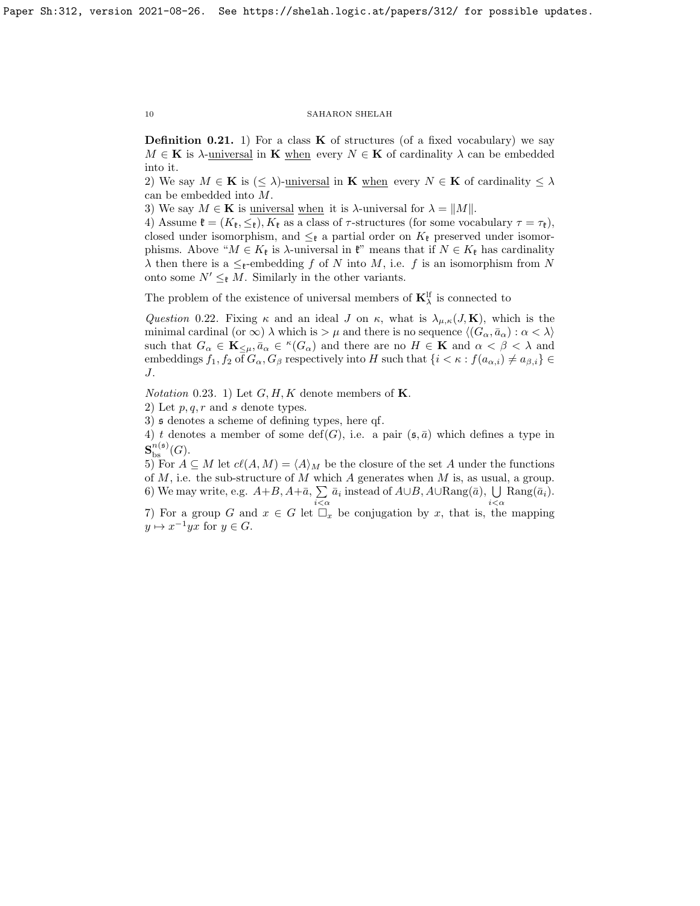<span id="page-9-0"></span>**Definition 0.21.** 1) For a class **K** of structures (of a fixed vocabulary) we say  $M \in \mathbf{K}$  is  $\lambda$ -universal in **K** when every  $N \in \mathbf{K}$  of cardinality  $\lambda$  can be embedded into it.

2) We say  $M \in \mathbf{K}$  is  $(\leq \lambda)$ -universal in **K** when every  $N \in \mathbf{K}$  of cardinality  $\leq \lambda$ can be embedded into M.

3) We say  $M \in \mathbf{K}$  is <u>universal when</u> it is  $\lambda$ -universal for  $\lambda = ||M||$ .

4) Assume  $\mathfrak{k} = (K_{\mathfrak{k}}, \leq_{\mathfrak{k}}), K_{\mathfrak{k}}$  as a class of  $\tau$ -structures (for some vocabulary  $\tau = \tau_{\mathfrak{k}}$ ), closed under isomorphism, and  $\leq_{\mathfrak{k}}$  a partial order on  $K_{\mathfrak{k}}$  preserved under isomorphisms. Above " $M \in K_{\mathfrak{k}}$  is  $\lambda$ -universal in  $\mathfrak{k}$ " means that if  $N \in K_{\mathfrak{k}}$  has cardinality  $\lambda$  then there is a  $\leq_{\mathfrak{k}}$ -embedding f of N into M, i.e. f is an isomorphism from N onto some  $N' \leq_{\ell} M$ . Similarly in the other variants.

The problem of the existence of universal members of  $\mathbf{K}_{\lambda}^{\text{lf}}$  is connected to

Question 0.22. Fixing  $\kappa$  and an ideal J on  $\kappa$ , what is  $\lambda_{\mu,\kappa}(J,K)$ , which is the minimal cardinal (or  $\infty$ )  $\lambda$  which is  $>\mu$  and there is no sequence  $\langle (G_{\alpha}, \bar{a}_{\alpha}) : \alpha < \lambda \rangle$ such that  $G_{\alpha} \in \mathbf{K}_{\leq \mu}$ ,  $\bar{a}_{\alpha} \in {}^{\kappa}(G_{\alpha})$  and there are no  $H \in \mathbf{K}$  and  $\alpha < \beta < \lambda$  and embeddings  $f_1, f_2$  of  $G_\alpha, G_\beta$  respectively into H such that  $\{i \leq \kappa : f(a_{\alpha,i}) \neq a_{\beta,i}\}\in$ J.

<span id="page-9-1"></span>*Notation* 0.23. 1) Let  $G, H, K$  denote members of **K**.

2) Let  $p, q, r$  and s denote types.

3) s denotes a scheme of defining types, here qf.

4) t denotes a member of some def(G), i.e. a pair  $(\mathfrak{s}, \bar{a})$  which defines a type in  ${\bf S}_{\rm bs}^{n(\mathfrak{s})}(G).$ 

5) For  $A \subseteq M$  let  $c\ell(A, M) = \langle A \rangle_M$  be the closure of the set A under the functions of  $M$ , i.e. the sub-structure of  $M$  which  $A$  generates when  $M$  is, as usual, a group. 6) We may write, e.g.  $A+B$ ,  $A+\bar{a}$ ,  $\sum \bar{a}_i$  instead of  $A\cup B$ ,  $A\cup \text{Rang}(\bar{a})$ ,  $\bigcup$   $\text{Rang}(\bar{a}_i)$ .

7) For a group G and  $x \in G$  let  $\Box_x$  be conjugation by x, that is, the mapping  $y \mapsto x^{-1}yx$  for  $y \in G$ .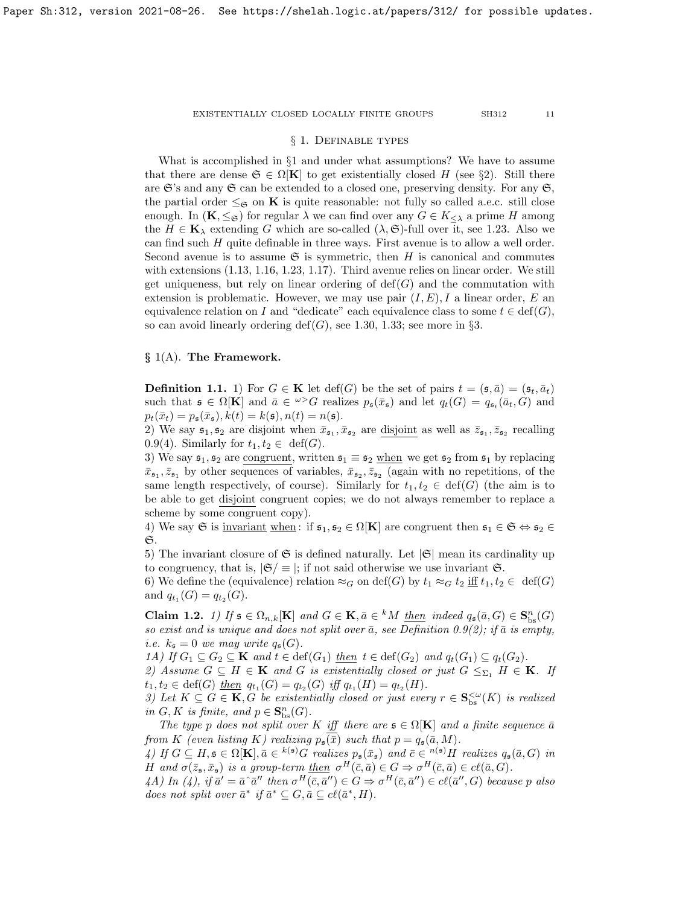## § 1. Definable types

What is accomplished in §1 and under what assumptions? We have to assume that there are dense  $\mathfrak{S} \in \Omega[\mathbf{K}]$  to get existentially closed H (see §2). Still there are  $\mathfrak{S}'$ s and any  $\mathfrak{S}$  can be extended to a closed one, preserving density. For any  $\mathfrak{S}$ , the partial order  $\leq_{\mathfrak{S}}$  on **K** is quite reasonable: not fully so called a.e.c. still close enough. In  $(K, \leq_{\mathfrak{S}})$  for regular  $\lambda$  we can find over any  $G \in K_{\leq \lambda}$  a prime H among the  $H \in \mathbf{K}_{\lambda}$  extending G which are so-called  $(\lambda, \mathfrak{S})$ -full over it, see [1.23.](#page-18-0) Also we can find such H quite definable in three ways. First avenue is to allow a well order. Second avenue is to assume  $\mathfrak S$  is symmetric, then H is canonical and commutes with extensions [\(1.13,](#page-15-2) [1.16,](#page-16-0) [1.23,](#page-18-0) [1.17\)](#page-17-1). Third avenue relies on linear order. We still get uniqueness, but rely on linear ordering of  $\text{def}(G)$  and the commutation with extension is problematic. However, we may use pair  $(I, E)$ , I a linear order, E an equivalence relation on I and "dedicate" each equivalence class to some  $t \in \text{def}(G)$ , so can avoid linearly ordering  $\text{def}(G)$ , see [1.30,](#page-21-0) [1.33;](#page-22-1) see more in §3.

# $\S$  1(A). The Framework.

<span id="page-10-1"></span>**Definition 1.1.** 1) For  $G \in \mathbf{K}$  let  $\text{def}(G)$  be the set of pairs  $t = (\mathfrak{s}, \bar{a}) = (\mathfrak{s}_t, \bar{a}_t)$ such that  $\mathfrak{s} \in \Omega[\mathbf{K}]$  and  $\bar{a} \in \mathbb{Z}^{\geq}G$  realizes  $p_{\mathfrak{s}}(\bar{x}_{\mathfrak{s}})$  and let  $q_t(G) = q_{\mathfrak{s}_t}(\bar{a}_t, G)$  and  $p_t(\bar{x}_t) = p_{\mathfrak{s}}(\bar{x}_{\mathfrak{s}}), k(t) = k(\mathfrak{s}), n(t) = n(\mathfrak{s}).$ 

2) We say  $\mathfrak{s}_1, \mathfrak{s}_2$  are disjoint when  $\bar{x}_{\mathfrak{s}_1}, \bar{x}_{\mathfrak{s}_2}$  are disjoint as well as  $\bar{z}_{\mathfrak{s}_1}, \bar{z}_{\mathfrak{s}_2}$  recalling [0.9\(](#page-4-2)4). Similarly for  $t_1, t_2 \in \text{def}(G)$ .

3) We say  $\mathfrak{s}_1, \mathfrak{s}_2$  are congruent, written  $\mathfrak{s}_1 \equiv \mathfrak{s}_2$  when we get  $\mathfrak{s}_2$  from  $\mathfrak{s}_1$  by replacing  $\bar{x}_{\mathfrak{s}_1}, \bar{z}_{\mathfrak{s}_1}$  by other sequences of variables,  $\bar{x}_{\mathfrak{s}_2}, \bar{z}_{\mathfrak{s}_2}$  (again with no repetitions, of the same length respectively, of course). Similarly for  $t_1, t_2 \in \text{def}(G)$  (the aim is to be able to get disjoint congruent copies; we do not always remember to replace a scheme by some congruent copy).

4) We say G is <u>invariant when</u>: if  $\mathfrak{s}_1, \mathfrak{s}_2 \in \Omega[K]$  are congruent then  $\mathfrak{s}_1 \in \mathfrak{S} \Leftrightarrow \mathfrak{s}_2 \in$  $\mathfrak{S}.$ 

5) The invariant closure of  $\mathfrak S$  is defined naturally. Let  $|\mathfrak S|$  mean its cardinality up to congruency, that is,  $|\mathfrak{S}| \equiv |$ ; if not said otherwise we use invariant  $\mathfrak{S}$ .

6) We define the (equivalence) relation  $\approx_G$  on def(G) by  $t_1 \approx_G t_2$  iff  $t_1, t_2 \in \text{def}(G)$ and  $q_{t_1}(G) = q_{t_2}(G)$ .

<span id="page-10-0"></span>Claim 1.2. 1) If  $\mathfrak{s} \in \Omega_{n,k}[\mathbf{K}]$  and  $G \in \mathbf{K}, \bar{a} \in {}^k M$  then indeed  $q_{\mathfrak{s}}(\bar{a}, G) \in \mathbf{S}_{\text{bs}}^n(G)$ so exist and is unique and does not split over  $\bar{a}$ , see Definition [0.9\(](#page-4-2)2); if  $\bar{a}$  is empty, *i.e.*  $k_{\mathfrak{s}} = 0$  we may write  $q_{\mathfrak{s}}(G)$ .

1A) If  $G_1 \subseteq G_2 \subseteq \mathbf{K}$  and  $t \in \text{def}(G_1)$  then  $t \in \text{def}(G_2)$  and  $q_t(G_1) \subseteq q_t(G_2)$ .

2) Assume  $G \subseteq H \in \mathbf{K}$  and G is existentially closed or just  $G \leq_{\Sigma_1} H \in \mathbf{K}$ . If  $t_1, t_2 \in \text{def}(G) \underline{then} \ q_{t_1}(G) = q_{t_2}(G) \ \text{iff} \ q_{t_1}(H) = q_{t_2}(H).$ 

3) Let  $K \subseteq G \in \mathbf{K}, G$  be existentially closed or just every  $r \in \mathbf{S}_{\text{bs}}^{<\omega}(K)$  is realized in  $G, K$  is finite, and  $p \in \mathbf{S}_{\text{bs}}^n(G)$ .

The type p does not split over K iff there are  $\mathfrak{s} \in \Omega[K]$  and a finite sequence  $\bar{a}$ from K (even listing K) realizing  $p_{\mathfrak{s}}(\bar{x})$  such that  $p = q_{\mathfrak{s}}(\bar{a}, M)$ .

4) If  $G \subseteq H, \mathfrak{s} \in \Omega[\mathbf{K}], \bar{a} \in {^{k(\mathfrak{s})}}G$  realizes  $p_{\mathfrak{s}}(\bar{x}_{\mathfrak{s}})$  and  $\bar{c} \in {^{n(\mathfrak{s})}}H$  realizes  $q_{\mathfrak{s}}(\bar{a}, G)$  in H and  $\sigma(\bar{z}_\mathfrak{s}, \bar{x}_\mathfrak{s})$  is a group-term <u>then</u>  $\sigma^H(\bar{c}, \bar{a}) \in G \Rightarrow \sigma^H(\bar{c}, \bar{a}) \in c\ell(\bar{a}, G)$ .

 $(4)$ ,  $\iint \bar{a}' = \bar{a} \, \bar{a}''$  then  $\sigma^H(\bar{c}, \bar{a}'') \in G \Rightarrow \sigma^H(\bar{c}, \bar{a}'') \in cl(\bar{a}'', G)$  because p also does not split over  $\bar{a}^*$  if  $\bar{a}^* \subseteq G, \bar{a} \subseteq cl(\bar{a}^*, H)$ .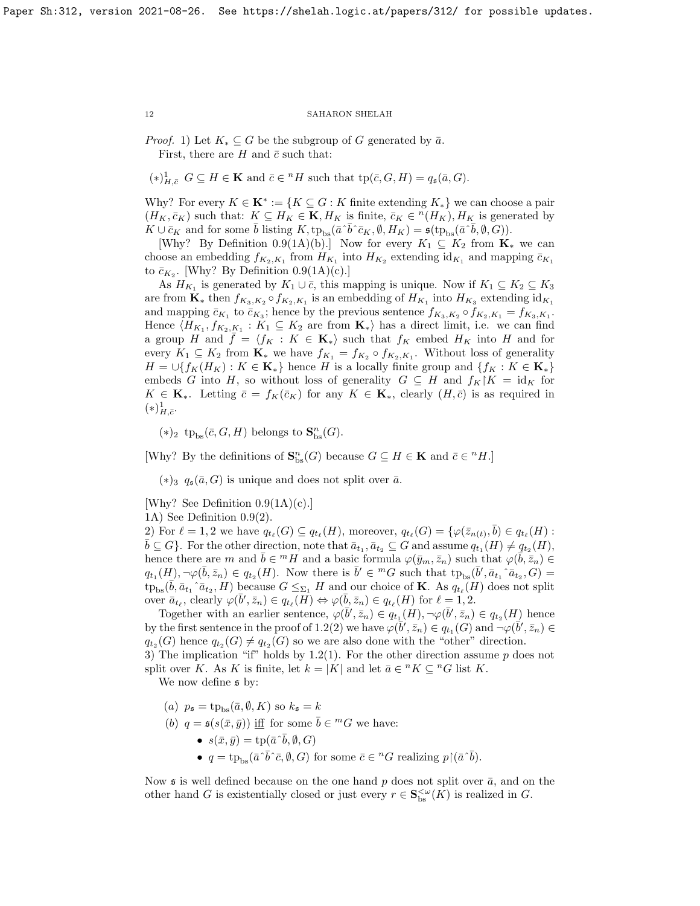*Proof.* 1) Let  $K_* \subseteq G$  be the subgroup of G generated by  $\bar{a}$ . First, there are H and  $\bar{c}$  such that:

 $(*)_{H,\bar{c}}^{1}$   $G \subseteq H \in \mathbf{K}$  and  $\bar{c} \in {}^{n}H$  such that  $tp(\bar{c}, G, H) = q_{\mathfrak{s}}(\bar{a}, G)$ .

Why? For every  $K \in \mathbf{K}^* := \{K \subseteq G : K \text{ finite extending } K_*\}$  we can choose a pair  $(H_K, \bar{c}_K)$  such that:  $K \subseteq H_K \in \mathbf{K}, H_K$  is finite,  $\bar{c}_K \in {}^n(H_K), H_K$  is generated by  $K \cup \bar{c}_K$  and for some  $\bar{b}$  listing  $K, \text{tp}_{\text{bs}}(\bar{a} \, \bar{\,b} \, \bar{\,c}_K, \emptyset, H_K) = \mathfrak{s}(\text{tp}_{\text{bs}}(\bar{a} \, \bar{\,b}, \emptyset, \bar{G})).$ 

[Why? By Definition [0.9\(](#page-4-2)1A)(b).] Now for every  $K_1 \subseteq K_2$  from  $\mathbf{K}_*$  we can choose an embedding  $f_{K_2,K_1}$  from  $H_{K_1}$  into  $H_{K_2}$  extending  $id_{K_1}$  and mapping  $\bar{c}_{K_1}$ to  $\bar{c}_{K_2}$ . [Why? By Definition [0.9\(](#page-4-2)1A)(c).]

As  $H_{K_1}$  is generated by  $K_1 \cup \overline{c}$ , this mapping is unique. Now if  $K_1 \subseteq K_2 \subseteq K_3$ are from  $\mathbf{K}_{*}$  then  $f_{K_3,K_2} \circ f_{K_2,K_1}$  is an embedding of  $H_{K_1}$  into  $H_{K_3}$  extending  $id_{K_1}$ and mapping  $\bar{c}_{K_1}$  to  $\bar{c}_{K_3}$ ; hence by the previous sentence  $f_{K_3,K_2} \circ f_{K_2,K_1} = f_{K_3,K_1}$ . Hence  $\langle H_{K_1}, f_{K_2,K_1} : K_1 \subseteq K_2$  are from  $\mathbf{K}_{*}$  has a direct limit, i.e. we can find a group H and  $\bar{f} = \langle f_K : K \in \mathbf{K}_* \rangle$  such that  $f_K$  embed  $H_K$  into H and for every  $K_1 \subseteq K_2$  from  $\mathbf{K}_*$  we have  $f_{K_1} = f_{K_2} \circ f_{K_2, K_1}$ . Without loss of generality  $H = \bigcup \{f_K(H_K) : K \in \mathbf{K}_*\}$  hence H is a locally finite group and  $\{f_K : K \in \mathbf{K}_*\}$ embeds G into H, so without loss of generality  $G \subseteq H$  and  $f_K|K = id_K$  for  $K \in \mathbf{K}_{*}$ . Letting  $\bar{c} = f_{K}(\bar{c}_{K})$  for any  $K \in \mathbf{K}_{*}$ , clearly  $(H, \bar{c})$  is as required in  $(\ast)^{1}_{H,\bar{c}}.$ 

(\*)<sub>2</sub> tp<sub>bs</sub>( $\bar{c}$ ,  $G$ ,  $H$ ) belongs to  $\mathbf{S}^n_{\text{bs}}(G)$ .

[Why? By the definitions of  $\mathbf{S}_{\text{bs}}^n(G)$  because  $G \subseteq H \in \mathbf{K}$  and  $\bar{c} \in {}^n H$ .]

 $(*)_3$   $q_{\sigma}(\bar{a}, G)$  is unique and does not split over  $\bar{a}$ .

[Why? See Definition [0.9\(](#page-4-2)1A)(c).]

1A) See Definition [0.9\(](#page-4-2)2).

2) For  $\ell = 1, 2$  we have  $q_{t_\ell}(G) \subseteq q_{t_\ell}(H)$ , moreover,  $q_{t_\ell}(G) = \{ \varphi(\bar{z}_{n(t)}, \bar{b}) \in q_{t_\ell}(H)$ :  $\overline{b} \subseteq G$ . For the other direction, note that  $\overline{a}_{t_1}, \overline{a}_{t_2} \subseteq G$  and assume  $q_{t_1}(H) \neq q_{t_2}(H)$ , hence there are m and  $\bar{b} \in {}^{m}H$  and a basic formula  $\varphi(\bar{y}_m, \bar{z}_n)$  such that  $\varphi(\bar{b}, \bar{z}_n) \in$  $q_{t_1}(H)$ ,  $\neg\varphi(\bar{b},\bar{z}_n) \in q_{t_2}(H)$ . Now there is  $\bar{b}' \in {}^mG$  such that  $tp_{bs}(\bar{b}', \bar{a}_{t_1} \cap \bar{a}_{t_2}, G)$  $\text{tp}_{\text{bs}}(\vec{b}, \bar{a}_{t_1} \land \bar{a}_{t_2}, H)$  because  $G \leq_{\Sigma_1} H$  and our choice of **K**. As  $q_{t_\ell}(H)$  does not split over  $\bar{a}_{t_{\ell}}$ , clearly  $\varphi(\bar{b}', \bar{z}_n) \in q_{t_{\ell}}(\bar{H}) \Leftrightarrow \varphi(\bar{b}, \bar{z}_n) \in q_{t_{\ell}}(H)$  for  $\ell = 1, 2$ .

Together with an earlier sentence,  $\varphi(\bar{b}', \bar{z}_n) \in q_{t_1}(H), \neg \varphi(\bar{b}', \bar{z}_n) \in q_{t_2}(H)$  hence by the first sentence in the proof of [1.2\(](#page-10-0)2) we have  $\varphi(\overline{b}', \overline{z}_n) \in q_{t_1}(G)$  and  $\neg \varphi(\overline{b}', \overline{z}_n) \in$  $q_{t_2}(G)$  hence  $q_{t_2}(G) \neq q_{t_2}(G)$  so we are also done with the "other" direction.

3) The implication "if" holds by [1.2\(](#page-10-0)1). For the other direction assume  $p$  does not split over K. As K is finite, let  $k = |K|$  and let  $\bar{a} \in {}^{n}K \subseteq {}^{n}G$  list K.

We now define  $\mathfrak s$  by:

- (a)  $p_{\mathfrak{s}} = \text{tp}_{\text{bs}}(\bar{a}, \emptyset, K)$  so  $k_{\mathfrak{s}} = k$
- (b)  $q = \mathfrak{s}(s(\bar{x}, \bar{y}))$  iff for some  $\bar{b} \in {}^m G$  we have:
	- $s(\bar{x}, \bar{y}) = \text{tp}(\bar{a} \hat{\ } b, \emptyset, G)$
	- $q = \text{tp}_{\text{bs}}(\bar{a} \, \tilde{b} \, \tilde{c}, \emptyset, G)$  for some  $\bar{c} \in {}^{n}G$  realizing  $p{\upharpoonright}(\bar{a} \, \tilde{b}).$

Now s is well defined because on the one hand p does not split over  $\bar{a}$ , and on the other hand G is existentially closed or just every  $r \in \mathbf{S}_{\text{bs}}^{<\omega}(K)$  is realized in G.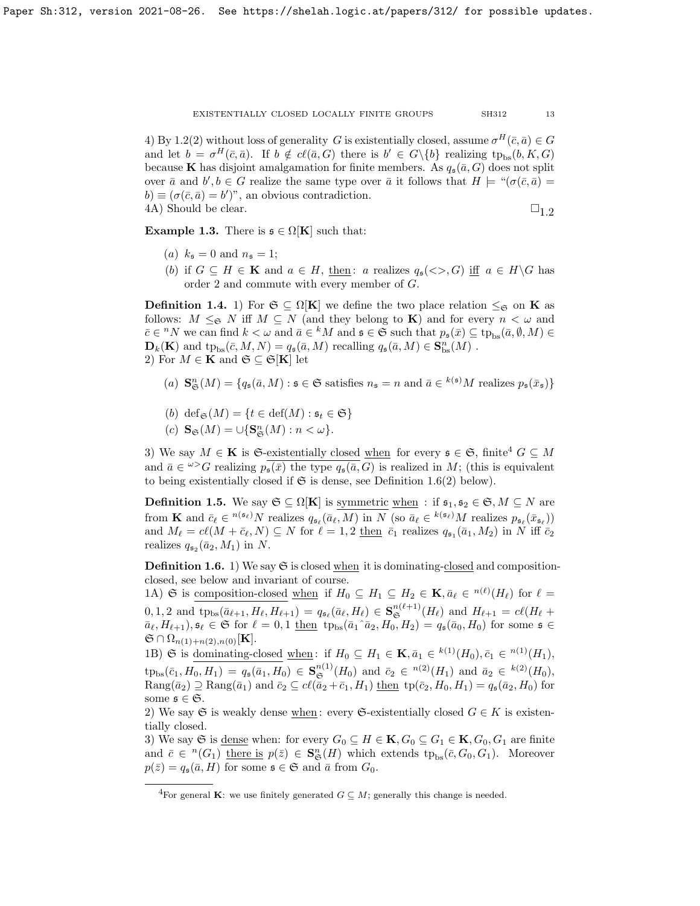4) By [1.2\(](#page-10-0)2) without loss of generality G is existentially closed, assume  $\sigma^H(\bar{c}, \bar{a}) \in G$ and let  $b = \sigma^H(\bar{c}, \bar{a})$ . If  $b \notin cl(\bar{a}, G)$  there is  $b' \in G \setminus \{b\}$  realizing  $tp_{bs}(b, K, G)$ because K has disjoint amalgamation for finite members. As  $q_s(\bar{a}, G)$  does not split over  $\bar{a}$  and  $b', b \in G$  realize the same type over  $\bar{a}$  it follows that  $H \models "(\sigma(\bar{c}, \bar{a}) =$  $b) \equiv (\sigma(\bar{c}, \bar{a}) = b')$ ", an obvious contradiction. 4A) Should be clear.  $\square_{1,2}$ 

<span id="page-12-4"></span>**Example 1.3.** There is  $\mathfrak{s} \in \Omega[\mathbf{K}]$  such that:

- (a)  $k_{\mathfrak{s}} = 0$  and  $n_{\mathfrak{s}} = 1$ ;
- (b) if  $G \subseteq H \in \mathbf{K}$  and  $a \in H$ , then: a realizes  $q_{\mathfrak{s}}(\langle \rangle, G)$  iff  $a \in H \backslash G$  has order 2 and commute with every member of G.

<span id="page-12-3"></span>**Definition 1.4.** 1) For  $\mathfrak{S} \subseteq \Omega[\mathbf{K}]$  we define the two place relation  $\leq_{\mathfrak{S}}$  on **K** as follows:  $M \leq_{\mathfrak{S}} N$  iff  $M \subseteq N$  (and they belong to **K**) and for every  $n < \omega$  and  $\bar{c} \in {}^{n}N$  we can find  $k < \omega$  and  $\bar{a} \in {}^{k}M$  and  $\mathfrak{s} \in \mathfrak{S}$  such that  $p_{\mathfrak{s}}(\bar{x}) \subseteq \text{tp}_{\text{bs}}(\bar{a}, \emptyset, M) \in$  $\mathbf{D}_k(\mathbf{K})$  and  $\textrm{tp}_{bs}(\bar{c}, M, N) = q_s(\bar{a}, M)$  recalling  $q_s(\bar{a}, M) \in \mathbf{S}_{bs}^n(M)$ . 2) For  $M \in \mathbf{K}$  and  $\mathfrak{S} \subseteq \mathfrak{S}[\mathbf{K}]$  let

- (a)  $\mathbf{S}_{\mathfrak{S}}^n(M) = \{q_{\mathfrak{s}}(\bar{a},M) : \mathfrak{s} \in \mathfrak{S} \text{ satisfies } n_{\mathfrak{s}} = n \text{ and } \bar{a} \in k(\mathfrak{s})M \text{ realizes } p_{\mathfrak{s}}(\bar{x}_{\mathfrak{s}})\}\$
- (b) def<sub> $\mathfrak{S}(M) = \{t \in \text{def}(M) : \mathfrak{s}_t \in \mathfrak{S}\}\$ </sub>
- (c)  $\mathbf{S}_{\mathfrak{S}}(M) = \cup \{ \mathbf{S}_{\mathfrak{S}}^{n}(M) : n < \omega \}.$

3) We say  $M \in \mathbf{K}$  is G-existentially closed when for every  $\mathfrak{s} \in \mathfrak{S}$ , finite<sup>[4](#page-12-1)</sup>  $G \subseteq M$ and  $\bar{a} \in \omega > G$  realizing  $p_{\bar{s}}(\bar{x})$  the type  $q_{\bar{s}}(\bar{a}, G)$  is realized in M; (this is equivalent to being existentially closed if  $\mathfrak S$  is dense, see Definition [1.6\(](#page-12-0)2) below).

<span id="page-12-2"></span>**Definition 1.5.** We say  $\mathfrak{S} \subseteq \Omega[\mathbf{K}]$  is symmetric when : if  $\mathfrak{s}_1, \mathfrak{s}_2 \in \mathfrak{S}, M \subseteq N$  are from **K** and  $\bar{c}_{\ell} \in {}^{n(\mathfrak{s}_{\ell})}N$  realizes  $q_{\mathfrak{s}_{\ell}}(\bar{a}_{\ell}, M)$  in N (so  $\bar{a}_{\ell} \in {}^{k(\mathfrak{s}_{\ell})}M$  realizes  $p_{\mathfrak{s}_{\ell}}(\bar{x}_{\mathfrak{s}_{\ell}})$ ) and  $M_\ell = c\ell(M + \bar{c}_\ell, N) \subseteq N$  for  $\ell = 1, 2$  then  $\bar{c}_1$  realizes  $q_{\mathfrak{s}_1}(\bar{a}_1, M_2)$  in N iff  $\bar{c}_2$ realizes  $q_{\mathfrak{s}_2}(\bar{a}_2, M_1)$  in N.

<span id="page-12-0"></span>**Definition 1.6.** 1) We say  $\mathfrak{S}$  is closed when it is dominating-closed and compositionclosed, see below and invariant of course.

1A) G is composition-closed <u>when</u> if  $H_0 \subseteq H_1 \subseteq H_2 \in \mathbf{K}, \bar{a}_{\ell} \in {}^{n(\ell)}(H_{\ell})$  for  $\ell =$  $0, 1, 2$  and  $tp_{bs}(\bar{a}_{\ell+1}, H_{\ell}, H_{\ell+1}) = q_{\mathfrak{s}_{\ell}}(\bar{a}_{\ell}, H_{\ell}) \in \mathbf{S}_{\mathfrak{S}}^{n(\ell+1)}(H_{\ell})$  and  $H_{\ell+1} = c\ell(H_{\ell} +$  $\bar{a}_{\ell}, H_{\ell+1}, \mathfrak{s}_{\ell} \in \mathfrak{S}$  for  $\ell = 0, 1$  then  $tp_{bs}(\bar{a}_1 \hat{a}_2, H_0, H_2) = q_{\mathfrak{s}}(\bar{a}_0, H_0)$  for some  $\mathfrak{s} \in$  $\mathfrak{S} \cap \Omega_{n(1)+n(2),n(0)}[\mathbf{K}].$ 

1B) G is dominating-closed <u>when</u>: if  $H_0 \subseteq H_1 \in \mathbf{K}, \bar{a}_1 \in {}^{k(1)}(H_0), \bar{c}_1 \in {}^{n(1)}(H_1),$  $tp_{bs}(\bar{c}_1, H_0, H_1) = q_{\mathfrak{s}}(\bar{a}_1, H_0) \in \mathbf{S}_{\mathfrak{S}}^{n(1)}(H_0)$  and  $\bar{c}_2 \in {}^{n(2)}(H_1)$  and  $\bar{a}_2 \in {}^{k(2)}(H_0)$ ,  $\text{Rang}(\bar{a}_2) \supseteq \text{Rang}(\bar{a}_1)$  and  $\bar{c}_2 \subseteq cl(\bar{a}_2 + \bar{c}_1, H_1)$  then  $tp(\bar{c}_2, H_0, H_1) = q_s(\bar{a}_2, H_0)$  for some  $\mathfrak{s} \in \mathfrak{S}$ .

2) We say G is weakly dense when : every G-existentially closed  $G \in K$  is existentially closed.

3) We say G is <u>dense</u> when: for every  $G_0 \subseteq H \in \mathbf{K}$ ,  $G_0 \subseteq G_1 \in \mathbf{K}$ ,  $G_0$ ,  $G_1$  are finite and  $\bar{c} \in {}^{n}(G_1)$  there is  $p(\bar{z}) \in \mathbf{S}_{\mathfrak{S}}^{n}(H)$  which extends  $tp_{bs}(\bar{c}, G_0, G_1)$ . Moreover  $p(\bar{z}) = q_{\mathfrak{s}}(\bar{a}, H)$  for some  $\mathfrak{s} \in \mathfrak{S}$  and  $\bar{a}$  from  $G_0$ .

<span id="page-12-1"></span><sup>&</sup>lt;sup>4</sup>For general **K**: we use finitely generated  $G \subseteq M$ ; generally this change is needed.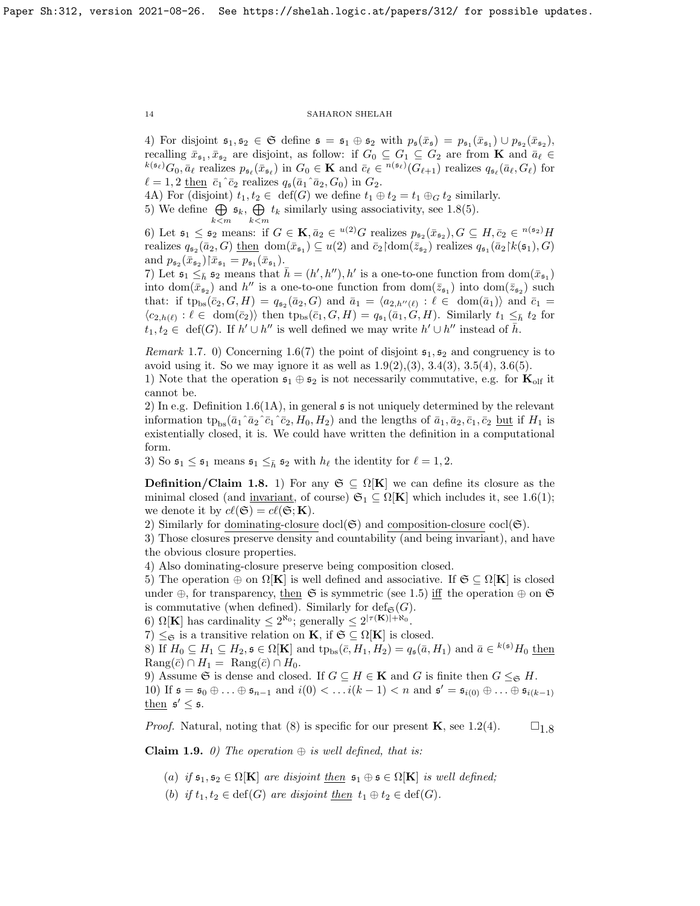4) For disjoint  $\mathfrak{s}_1, \mathfrak{s}_2 \in \mathfrak{S}$  define  $\mathfrak{s} = \mathfrak{s}_1 \oplus \mathfrak{s}_2$  with  $p_{\mathfrak{s}}(\bar{x}_{\mathfrak{s}}) = p_{\mathfrak{s}_1}(\bar{x}_{\mathfrak{s}_1}) \cup p_{\mathfrak{s}_2}(\bar{x}_{\mathfrak{s}_2})$ , recalling  $\bar{x}_{\mathfrak{s}_1}, \bar{x}_{\mathfrak{s}_2}$  are disjoint, as follow: if  $G_0 \subseteq G_1 \subseteq G_2$  are from **K** and  $\bar{a}_\ell \in$  $k(s_\ell)G_0, \bar{a}_\ell$  realizes  $p_{\mathfrak{s}_\ell}(\bar{x}_{\mathfrak{s}_\ell})$  in  $G_0 \in \mathbf{K}$  and  $\bar{c}_\ell \in {}^{n(\mathfrak{s}_\ell)}(G_{\ell+1})$  realizes  $q_{\mathfrak{s}_\ell}(\bar{a}_\ell, G_\ell)$  for  $\ell = 1, 2$  then  $\bar{c}_1 \hat{c}_2$  realizes  $q_{\mathfrak{s}}(\bar{a}_1 \hat{a}_2, G_0)$  in  $G_2$ .

4A) For (disjoint)  $t_1, t_2 \in \text{def}(G)$  we define  $t_1 \oplus t_2 = t_1 \oplus G t_2$  similarly.

5) We define  $\bigoplus$   $\mathfrak{s}_k$ ,  $\bigoplus$   $t_k$  similarly using associativity, see [1.8\(](#page-13-0)5).  $k < m$   $k < m$ 

6) Let  $\mathfrak{s}_1 \leq \mathfrak{s}_2$  means: if  $G \in \mathbf{K}, \bar{a}_2 \in {}^{u(2)}G$  realizes  $p_{\mathfrak{s}_2}(\bar{x}_{\mathfrak{s}_2}), G \subseteq H, \bar{c}_2 \in {}^{n(\mathfrak{s}_2)}H$ realizes  $q_{\mathfrak{s}_2}(\bar{a}_2, G)$  then  $\text{dom}(\bar{x}_{\mathfrak{s}_1}) \subseteq u(2)$  and  $\bar{c}_2$  dom $(\bar{z}_{\mathfrak{s}_2})$  realizes  $q_{\mathfrak{s}_1}(\bar{a}_2) k(\mathfrak{s}_1), G$ and  $p_{\mathfrak{s}_2}(\bar{x}_{\mathfrak{s}_2})\vert \bar{x}_{\mathfrak{s}_1} = p_{\mathfrak{s}_1}(\bar{x}_{\mathfrak{s}_1}).$ 

7) Let  $\mathfrak{s}_1 \leq_{\bar{h}} \mathfrak{s}_2$  means that  $\bar{h} = (h', h''), h'$  is a one-to-one function from  $dom(\bar{x}_{\mathfrak{s}_1})$ into  $\text{dom}(\bar{x}_{\mathfrak{s}_2})$  and  $h''$  is a one-to-one function from  $\text{dom}(\bar{z}_{\mathfrak{s}_1})$  into  $\text{dom}(\bar{z}_{\mathfrak{s}_2})$  such that: if  $tp_{bs}(\bar{c}_2, G, H) = q_{\mathfrak{s}_2}(\bar{a}_2, G)$  and  $\bar{a}_1 = \langle a_{2,h''(\ell)} : \ell \in \text{dom}(\bar{a}_1) \rangle$  and  $\bar{c}_1 =$  $\langle c_{2,h(\ell)}: \ell \in \text{dom}(\bar{c}_2) \rangle$  then  $tp_{bs}(\bar{c}_1, G, H) = q_{\mathfrak{s}_1}(\bar{a}_1, G, H)$ . Similarly  $t_1 \leq_{\bar{h}} t_2$  for  $t_1, t_2 \in \text{def}(G)$ . If  $h' \cup h''$  is well defined we may write  $h' \cup h''$  instead of  $\bar{h}$ .

*Remark* 1.7. 0) Concerning [1.6\(](#page-12-0)7) the point of disjoint  $s_1$ ,  $s_2$  and congruency is to avoid using it. So we may ignore it as well as  $1.9(2), (3), 3.4(3), 3.5(4), 3.6(5)$  $1.9(2), (3), 3.4(3), 3.5(4), 3.6(5)$  $1.9(2), (3), 3.4(3), 3.5(4), 3.6(5)$  $1.9(2), (3), 3.4(3), 3.5(4), 3.6(5)$  $1.9(2), (3), 3.4(3), 3.5(4), 3.6(5)$  $1.9(2), (3), 3.4(3), 3.5(4), 3.6(5)$  $1.9(2), (3), 3.4(3), 3.5(4), 3.6(5)$ .

1) Note that the operation  $\mathfrak{s}_1 \oplus \mathfrak{s}_2$  is not necessarily commutative, e.g. for  $\mathbf{K}_{\text{olf}}$  it cannot be.

2) In e.g. Definition [1.6\(](#page-12-0)1A), in general  $\mathfrak s$  is not uniquely determined by the relevant information  $tp_{bs}(\bar{a}_1\bar{a}_2\bar{c}_1\bar{c}_2, H_0, H_2)$  and the lengths of  $\bar{a}_1, \bar{a}_2, \bar{c}_1, \bar{c}_2$  but if  $H_1$  is existentially closed, it is. We could have written the definition in a computational form.

3) So  $\mathfrak{s}_1 \leq \mathfrak{s}_1$  means  $\mathfrak{s}_1 \leq \bar{\mathfrak{s}}_2$  with  $h_\ell$  the identity for  $\ell = 1, 2$ .

<span id="page-13-0"></span>Definition/Claim 1.8. 1) For any  $\mathfrak{S} \subseteq \Omega[K]$  we can define its closure as the minimal closed (and invariant, of course)  $\mathfrak{S}_1 \subseteq \Omega[\mathbf{K}]$  which includes it, see [1.6\(](#page-12-0)1); we denote it by  $c\ell(\mathfrak{S}) = c\ell(\mathfrak{S}; \mathbf{K}).$ 

2) Similarly for dominating-closure docl $(\mathfrak{S})$  and composition-closure cocl $(\mathfrak{S})$ .

3) Those closures preserve density and countability (and being invariant), and have the obvious closure properties.

4) Also dominating-closure preserve being composition closed.

5) The operation  $\oplus$  on  $\Omega[\mathbf{K}]$  is well defined and associative. If  $\mathfrak{S} \subset \Omega[\mathbf{K}]$  is closed under ⊕, for transparency, <u>then</u>  $\mathfrak{S}$  is symmetric (see [1.5\)](#page-12-2) iff the operation  $\oplus$  on  $\mathfrak{S}$ is commutative (when defined). Similarly for  $\text{def}_{\mathfrak{S}}(G)$ .

6)  $\Omega[\mathbf{K}]$  has cardinality  $\leq 2^{\aleph_0}$ ; generally  $\leq 2^{|\tau(\mathbf{K})| + \aleph_0}$ .

7)  $\leq_{\mathfrak{S}}$  is a transitive relation on **K**, if  $\mathfrak{S} \subseteq \Omega[K]$  is closed.

8) If  $H_0 \subseteq H_1 \subseteq H_2$ ,  $\mathfrak{s} \in \Omega[\mathbf{K}]$  and  $\text{tp}_{\text{bs}}(\bar{c}, H_1, H_2) = q_{\mathfrak{s}}(\bar{a}, H_1)$  and  $\bar{a} \in {}^{k(\mathfrak{s})}H_0$  then  $\text{Rang}(\bar{c}) \cap H_1 = \text{Rang}(\bar{c}) \cap H_0.$ 

9) Assume G is dense and closed. If  $G \subseteq H \in \mathbf{K}$  and G is finite then  $G \leq_{\mathfrak{S}} H$ . 10) If  $\mathfrak{s} = \mathfrak{s}_0 \oplus ... \oplus \mathfrak{s}_{n-1}$  and  $i(0) < ... i(k-1) < n$  and  $\mathfrak{s}' = \mathfrak{s}_{i(0)} \oplus ... \oplus \mathfrak{s}_{i(k-1)}$ then  $\mathfrak{s}' \leq \mathfrak{s}$ .

*Proof.* Natural, noting that (8) is specific for our present **K**, see [1.2\(](#page-10-0)4).  $\square_{1,8}$ 

<span id="page-13-1"></span>**Claim 1.9.** 0) The operation  $\oplus$  is well defined, that is:

(a) if  $\mathfrak{s}_1, \mathfrak{s}_2 \in \Omega[\mathbf{K}]$  are disjoint then  $\mathfrak{s}_1 \oplus \mathfrak{s} \in \Omega[\mathbf{K}]$  is well defined;

(b) if  $t_1, t_2 \in \text{def}(G)$  are disjoint then  $t_1 \oplus t_2 \in \text{def}(G)$ .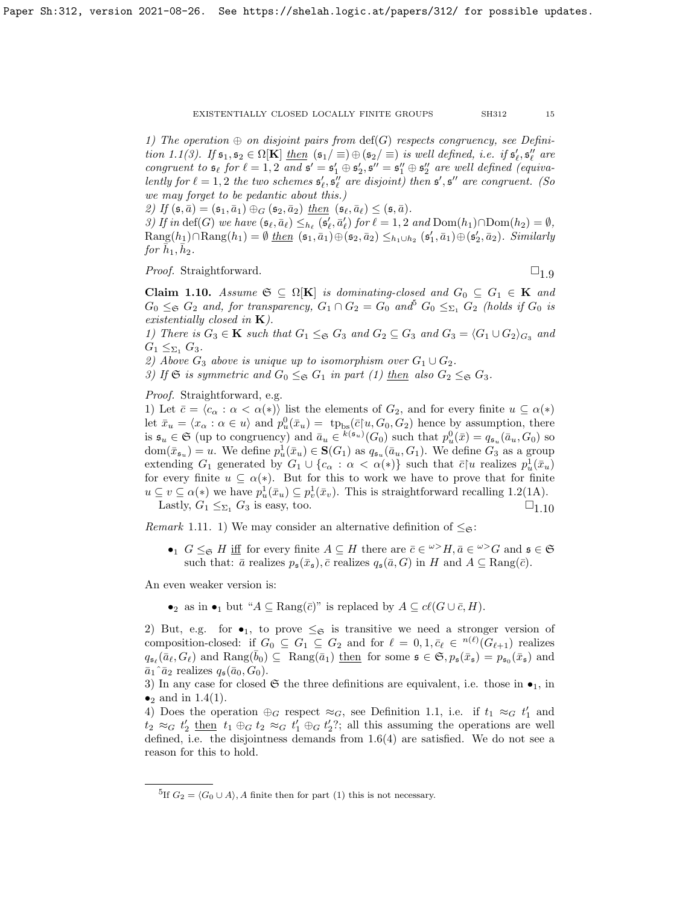1) The operation  $\oplus$  on disjoint pairs from  $\text{def}(G)$  respects congruency, see Defini-tion [1.1\(](#page-10-1)3). If  $\mathfrak{s}_1, \mathfrak{s}_2 \in \Omega[\mathbf{K}]$  then  $(\mathfrak{s}_1/\equiv) \oplus (\mathfrak{s}_2/\equiv)$  is well defined, i.e. if  $\mathfrak{s}'_{\ell}, \mathfrak{s}''_{\ell}$  are congruent to  $\mathfrak{s}_\ell$  for  $\ell = 1, 2$  and  $\mathfrak{s}' = \mathfrak{s}'_1 \oplus \mathfrak{s}'_2$ ,  $\mathfrak{s}'' = \mathfrak{s}''_1 \oplus \mathfrak{s}''_2$  are well defined (equivalently for  $\ell = 1, 2$  the two schemes  $\mathfrak{s}'_{\ell}, \mathfrak{s}''_{\ell}$  are disjoint) then  $\mathfrak{s}', \mathfrak{s}''$  are congruent. (So we may forget to be pedantic about this.)

2) If  $(\mathfrak{s}, \bar{a}) = (\mathfrak{s}_1, \bar{a}_1) \oplus_G (\mathfrak{s}_2, \bar{a}_2)$  then  $(\mathfrak{s}_\ell, \bar{a}_\ell) \le (\mathfrak{s}, \bar{a})$ .

3) If in def(G) we have  $(\mathfrak{s}_{\ell}, \bar{a}_{\ell}) \leq_{h_{\ell}} (\mathfrak{s}'_{\ell}, \bar{a}'_{\ell})$  for  $\ell = 1, 2$  and  $Dom(h_1) \cap Dom(h_2) = \emptyset$ ,  $\text{Rang}(h_1) \cap \text{Rang}(h_1) = \emptyset$  then  $(\mathfrak{s}_1, \bar{a}_1) \oplus (\mathfrak{s}_2, \bar{a}_2) \leq_{h_1 \cup h_2} (\mathfrak{s}'_1, \bar{a}_1) \oplus (\mathfrak{s}'_2, \bar{a}_2)$ . Similarly for  $\bar{h}_1, \bar{h}_2$ .

*Proof.* Straightforward.  $\square_{1.9}$  $\square_{1.9}$  $\square_{1.9}$ 

<span id="page-14-0"></span>Claim 1.10. Assume  $\mathfrak{S} \subseteq \Omega[K]$  is dominating-closed and  $G_0 \subseteq G_1 \in K$  and  $G_0 \leq_{\mathfrak{S}} G_2$  and, for transparency,  $G_1 \cap G_2 = G_0$  and<sup>[5](#page-14-1)</sup>  $G_0 \leq_{\Sigma_1} G_2$  (holds if  $G_0$  is existentially closed in  $K$ ).

1) There is  $G_3 \in \mathbf{K}$  such that  $G_1 \leq_{\mathfrak{S}} G_3$  and  $G_2 \subseteq G_3$  and  $G_3 = \langle G_1 \cup G_2 \rangle_{G_3}$  and  $G_1 \leq_{\Sigma_1} G_3$ .

2) Above  $G_3$  above is unique up to isomorphism over  $G_1 \cup G_2$ .

3) If G is symmetric and  $G_0 \leq_{\mathfrak{S}} G_1$  in part (1) then also  $G_2 \leq_{\mathfrak{S}} G_3$ .

Proof. Straightforward, e.g.

1) Let  $\bar{c} = \langle c_{\alpha} : \alpha < \alpha(*) \rangle$  list the elements of  $G_2$ , and for every finite  $u \subseteq \alpha(*)$ let  $\bar{x}_u = \langle x_\alpha : \alpha \in u \rangle$  and  $p_u^0(\bar{x}_u) = {\text{tp}}_{\text{bs}}(\bar{c}|u, G_0, G_2)$  hence by assumption, there is  $\mathfrak{s}_u \in \mathfrak{S}$  (up to congruency) and  $\bar{a}_u \in {}^{k(\mathfrak{s}_u)}(G_0)$  such that  $p_u^0(\bar{x}) = q_{\mathfrak{s}_u}(\bar{a}_u, G_0)$  so  $dom(\bar{x}_{\mathfrak{s}_u})=u.$  We define  $p_u^1(\bar{x}_u) \in \mathbf{S}(G_1)$  as  $q_{\mathfrak{s}_u}(\bar{a}_u, G_1)$ . We define  $G_3$  as a group extending  $G_1$  generated by  $G_1 \cup \{c_\alpha : \alpha < \alpha(*)\}$  such that  $\bar{c} | u$  realizes  $p_u^1(\bar{x}_u)$ for every finite  $u \subseteq \alpha(*)$ . But for this to work we have to prove that for finite  $u \subseteq v \subseteq \alpha(*)$  we have  $p_u^1(\bar{x}_u) \subseteq p_v^1(\bar{x}_v)$ . This is straightforward recalling [1.2\(](#page-10-0)1A). Lastly,  $G_1 \leq_{\Sigma_1} G_3$  is easy, too.  $\Box_{1,10}$ 

*Remark* 1.11. 1) We may consider an alternative definition of  $\leq_{\mathfrak{S}}$ :

•  $G \leq_{\mathfrak{S}} H$  iff for every finite  $A \subseteq H$  there are  $\bar{c} \in \omega > H$ ,  $\bar{a} \in \omega > G$  and  $\mathfrak{s} \in \mathfrak{S}$ such that:  $\bar{a}$  realizes  $p_{\mathfrak{s}}(\bar{x}_{\mathfrak{s}}), \bar{c}$  realizes  $q_{\mathfrak{s}}(\bar{a}, G)$  in H and  $A \subseteq \text{Rang}(\bar{c})$ .

An even weaker version is:

 $\bullet_2$  as in  $\bullet_1$  but " $A \subseteq \text{Rang}(\overline{c})$ " is replaced by  $A \subseteq cl(G \cup \overline{c}, H)$ .

2) But, e.g. for  $\bullet_1$ , to prove  $\leq_{\mathfrak{S}}$  is transitive we need a stronger version of composition-closed: if  $G_0 \subseteq G_1 \subseteq G_2$  and for  $\ell = 0, 1, \overline{c}_{\ell} \in {}^{n(\ell)}(G_{\ell+1})$  realizes  $q_{\mathfrak{s}_{\ell}}(\bar{a}_{\ell}, G_{\ell})$  and  $\text{Rang}(\bar{b}_0) \subseteq \text{Rang}(\bar{a}_1)$  then for some  $\mathfrak{s} \in \mathfrak{S}, p_{\mathfrak{s}}(\bar{x}_{\mathfrak{s}}) = p_{\mathfrak{s}_0}(\bar{x}_{\mathfrak{s}})$  and  $\bar{a}_1$ <sup> $\bar{a}_2$ </sup> realizes  $q_{\mathfrak{s}}(\bar{a}_0, G_0)$ .

3) In any case for closed  $\mathfrak{S}$  the three definitions are equivalent, i.e. those in  $\bullet_1$ , in  $\bullet_2$  and in [1.4\(](#page-12-3)1).

4) Does the operation  $\oplus_G$  respect  $\approx_G$ , see Definition [1.1,](#page-10-1) i.e. if  $t_1 \approx_G t'_1$  and  $t_2 \approx_G t'_2$  then  $t_1 \oplus_G t_2 \approx_G t'_1 \oplus_G t'_2$ ?; all this assuming the operations are well defined, i.e. the disjointness demands from  $1.6(4)$  are satisfied. We do not see a reason for this to hold.

<span id="page-14-1"></span><sup>&</sup>lt;sup>5</sup>If  $G_2 = \langle G_0 \cup A \rangle$ , A finite then for part (1) this is not necessary.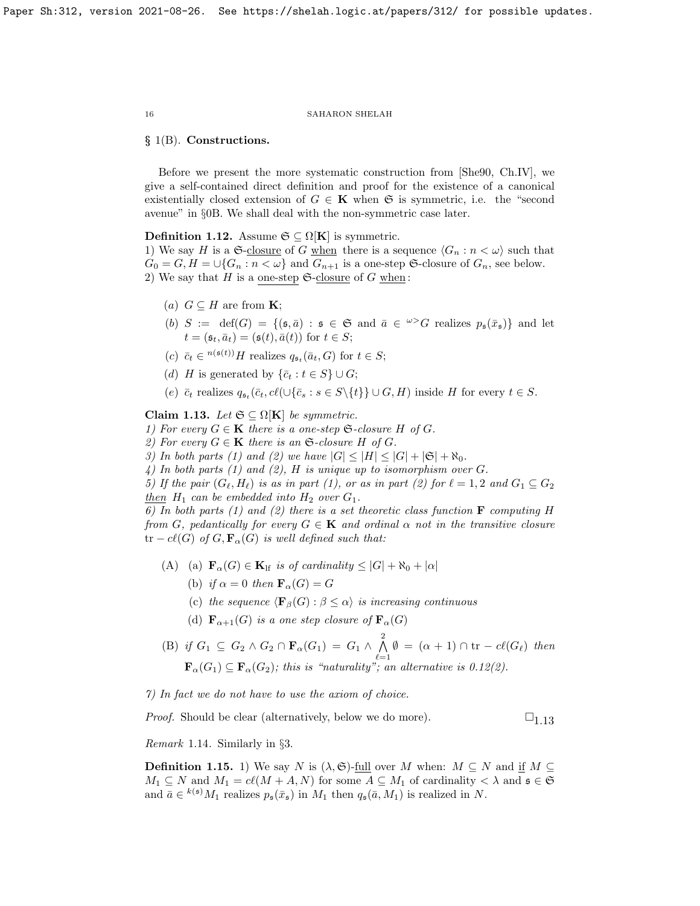#### § 1(B). Constructions.

Before we present the more systematic construction from [\[She90,](#page-63-15) Ch.IV], we give a self-contained direct definition and proof for the existence of a canonical existentially closed extension of  $G \in \mathbf{K}$  when  $\mathfrak{S}$  is symmetric, i.e. the "second avenue" in §0B. We shall deal with the non-symmetric case later.

<span id="page-15-1"></span>Definition 1.12. Assume  $\mathfrak{S} \subseteq \Omega[\mathbf{K}]$  is symmetric.

1) We say H is a  $\mathfrak{S}\text{-closure of }G$  when there is a sequence  $\langle G_n : n < \omega \rangle$  such that  $G_0 = G, H = \bigcup \{G_n : n < \omega\}$  and  $G_{n+1}$  is a one-step G-closure of  $G_n$ , see below. 2) We say that H is a one-step  $\mathfrak{S}\text{-closure of }G$  when:

- (a)  $G \subseteq H$  are from **K**;
- (b)  $S := \text{def}(G) = \{ (\mathfrak{s}, \bar{a}) : \mathfrak{s} \in \mathfrak{S} \text{ and } \bar{a} \in {}^{\omega >}G \text{ realizes } p_{\mathfrak{s}}(\bar{x}_{\mathfrak{s}}) \}$  and let  $t = (\mathfrak{s}_t, \bar{a}_t) = (\mathfrak{s}(t), \bar{a}(t))$  for  $t \in S$ ;
- (c)  $\bar{c}_t \in {}^{n(\mathfrak{s}(t))}H$  realizes  $q_{\mathfrak{s}_t}(\bar{a}_t, G)$  for  $t \in S$ ;
- (d) H is generated by  $\{\bar{c}_t : t \in S\} \cup G;$
- (e)  $\bar{c}_t$  realizes  $q_{\mathfrak{s}_t}(\bar{c}_t, c\ell(\cup\{\bar{c}_s : s \in S\setminus\{t\}\} \cup G, H)$  inside H for every  $t \in S$ .

<span id="page-15-2"></span>Claim 1.13. Let  $\mathfrak{S} \subseteq \Omega[K]$  be symmetric.

1) For every  $G \in \mathbf{K}$  there is a one-step  $\mathfrak{S}\text{-}\text{closure } H$  of  $G$ .

2) For every  $G \in \mathbf{K}$  there is an  $\mathfrak{S}\text{-closure } H$  of  $G$ .

3) In both parts (1) and (2) we have  $|G| \leq |H| \leq |G| + |\mathfrak{S}| + \aleph_0$ .

4) In both parts (1) and (2), H is unique up to isomorphism over  $G$ .

5) If the pair  $(G_{\ell}, H_{\ell})$  is as in part (1), or as in part (2) for  $\ell = 1, 2$  and  $G_1 \subseteq G_2$ then  $H_1$  can be embedded into  $H_2$  over  $G_1$ .

6) In both parts (1) and (2) there is a set theoretic class function  $\bf{F}$  computing H from G, pedantically for every  $G \in \mathbf{K}$  and ordinal  $\alpha$  not in the transitive closure  $tr - cl(G)$  of  $G, \mathbf{F}_{\alpha}(G)$  is well defined such that:

- (A) (a)  $\mathbf{F}_{\alpha}(G) \in \mathbf{K}_{\text{lf}}$  is of cardinality  $\leq |G| + \aleph_0 + |\alpha|$ 
	- (b) if  $\alpha = 0$  then  $\mathbf{F}_{\alpha}(G) = G$
	- (c) the sequence  $\langle \mathbf{F}_{\beta}(G) : \beta \leq \alpha \rangle$  is increasing continuous
	- (d)  $\mathbf{F}_{\alpha+1}(G)$  is a one step closure of  $\mathbf{F}_{\alpha}(G)$
- (B) if  $G_1 \subseteq G_2 \wedge G_2 \cap \mathbf{F}_{\alpha}(G_1) = G_1 \wedge \bigwedge^2$  $\bigwedge_{\ell=1} \emptyset = (\alpha + 1) \cap \text{tr} - c\ell(G_{\ell})$  then  $\mathbf{F}_{\alpha}(G_1) \subseteq \mathbf{F}_{\alpha}(G_2)$ ; this is "naturality"; an alternative is [0.12\(](#page-5-1)2).

7) In fact we do not have to use the axiom of choice.

*Proof.* Should be clear (alternatively, below we do more).  $\square_{1,13}$ 

Remark 1.14. Similarly in §3.

<span id="page-15-0"></span>**Definition 1.15.** 1) We say N is  $(\lambda, \mathfrak{S})$ -full over M when:  $M \subseteq N$  and if  $M \subseteq$  $M_1 \subseteq N$  and  $M_1 = cl(M + A, N)$  for some  $A \subseteq M_1$  of cardinality  $\langle \lambda \rangle$  and  $\mathfrak{s} \in \mathfrak{S}$ and  $\bar{a} \in {}^{k(\mathfrak{s})}M_1$  realizes  $p_{\mathfrak{s}}(\bar{x}_{\mathfrak{s}})$  in  $M_1$  then  $q_{\mathfrak{s}}(\bar{a}, M_1)$  is realized in N.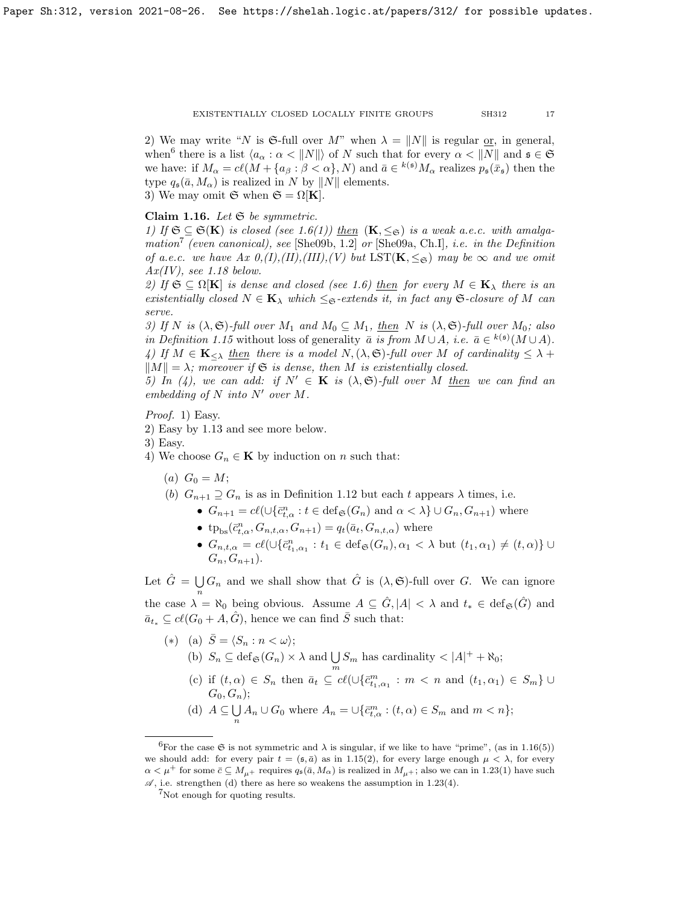2) We may write "N is G-full over M" when  $\lambda = ||N||$  is regular or, in general, when<sup>[6](#page-16-1)</sup> there is a list  $\langle a_{\alpha} : \alpha < ||N||$  of N such that for every  $\alpha < ||N||$  and  $\mathfrak{s} \in \mathfrak{S}$ we have: if  $M_{\alpha} = cl(M + \{a_{\beta} : \beta < \alpha\}, N)$  and  $\bar{a} \in {}^{k(\mathfrak{s})}M_{\alpha}$  realizes  $p_{\mathfrak{s}}(\bar{x}_{\mathfrak{s}})$  then the type  $q_{\mathfrak{s}}(\bar{a}, M_{\alpha})$  is realized in N by  $||N||$  elements. 3) We may omit  $\mathfrak{S}$  when  $\mathfrak{S} = \Omega[K]$ .

## <span id="page-16-0"></span>Claim 1.16. Let  $\mathfrak{S}$  be symmetric.

1) If  $\mathfrak{S} \subseteq \mathfrak{S}(\mathbf{K})$  is closed (see [1.6\(](#page-12-0)1)) then  $(\mathbf{K}, \leq_{\mathfrak{S}})$  is a weak a.e.c. with amalga-mation<sup>[7](#page-16-2)</sup> (even canonical), see [\[She09b,](#page-63-1) 1.2] or [\[She09a,](#page-63-16) Ch.I], *i.e.* in the Definition of a.e.c. we have  $Ax\theta_{i}(I), (II), (III), (V)$  but  $LST(K, \leq_{\mathfrak{S}})$  may be  $\infty$  and we omit  $Ax(IV)$ , see [1.18](#page-17-2) below.

2) If  $\mathfrak{S} \subseteq \Omega[\mathbf{K}]$  is dense and closed (see [1.6\)](#page-12-0) then for every  $M \in \mathbf{K}_{\lambda}$  there is an existentially closed  $N \in \mathbf{K}_{\lambda}$  which  $\leq_{\mathfrak{S}}$ -extends it, in fact any  $\mathfrak{S}$ -closure of M can serve.

3) If N is  $(\lambda, \mathfrak{S})$ -full over  $M_1$  and  $M_0 \subseteq M_1$ , then N is  $(\lambda, \mathfrak{S})$ -full over  $M_0$ ; also in Definition [1.15](#page-15-0) without loss of generality  $\bar{a}$  is from  $M \cup A$ , i.e.  $\bar{a} \in {}^{k(\mathfrak{s})}(M \cup A)$ . 4) If  $M \in \mathbf{K}_{\leq \lambda}$  then there is a model  $N, (\lambda, \mathfrak{S})$ -full over M of cardinality  $\leq \lambda$  +  $||M|| = \lambda$ ; moreover if G is dense, then M is existentially closed.

5) In (4), we can add: if  $N' \in K$  is  $(\lambda, \mathfrak{S})$ -full over M then we can find an embedding of  $N$  into  $N'$  over  $M$ .

Proof. 1) Easy.

2) Easy by [1.13](#page-15-2) and see more below.

3) Easy.

- 4) We choose  $G_n \in \mathbf{K}$  by induction on n such that:
	- (a)  $G_0 = M;$

(b)  $G_{n+1} \supseteq G_n$  is as in Definition [1.12](#page-15-1) but each t appears  $\lambda$  times, i.e.

- $G_{n+1} = cl(\cup \{\bar{c}_{t,\alpha}^n : t \in \text{def}_{\mathfrak{S}}(G_n) \text{ and } \alpha < \lambda\} \cup G_n, G_{n+1})$  where
- tp<sub>bs</sub> $(\bar{c}_{t,\alpha}^n, G_{n,t,\alpha}, G_{n+1}) = q_t(\bar{a}_t, G_{n,t,\alpha})$  where
- $G_{n,t,\alpha} = cl(\cup \{\bar{c}_{t_1,\alpha_1}^n : t_1 \in \text{def}_{\mathfrak{S}}(G_n), \alpha_1 < \lambda \text{ but } (t_1,\alpha_1) \neq (t,\alpha) \} \cup$  $G_n, G_{n+1}$ ).

Let  $\hat{G} = \bigcup$  $\bigcup_n G_n$  and we shall show that  $\hat{G}$  is  $(\lambda, \mathfrak{S})$ -full over G. We can ignore the case  $\lambda = \aleph_0$  being obvious. Assume  $A \subseteq \hat{G}, |A| < \lambda$  and  $t_* \in \text{def}_{\mathfrak{S}}(\hat{G})$  and  $\bar{a}_t \text{ }\subset cl(G_0 + A, \hat{G})$ , hence we can find  $\bar{S}$  such that:

(\*) (a)  $\bar{S} = \langle S_n : n < \omega \rangle;$ (b)  $S_n \subseteq \text{def}_{\mathfrak{S}}(G_n) \times \lambda$  and  $\bigcup S_m$  has cardinality  $\langle |A| + |\aleph_0;$ m (c) if  $(t, \alpha) \in S_n$  then  $\bar{a}_t \subseteq cl(\cup \{\bar{c}_{t_1,\alpha_1}^m : m < n \text{ and } (t_1,\alpha_1) \in S_m\} \cup$  $G_0, G_n);$ (d)  $A \subseteq \bigcup$  $\bigcup_n A_n \cup G_0$  where  $A_n = \bigcup \{\bar{c}^m_{t,\alpha} : (t,\alpha) \in S_m \text{ and } m < n\};$ 

<span id="page-16-1"></span><sup>&</sup>lt;sup>6</sup>For the case  $\mathfrak S$  is not symmetric and  $\lambda$  is singular, if we like to have "prime", (as in [1.16\(](#page-16-0)5)) we should add: for every pair  $t = (s, \bar{a})$  as in [1.15\(](#page-15-0)2), for every large enough  $\mu < \lambda$ , for every  $\alpha < \mu^+$  for some  $\bar{c} \subseteq M_{\mu^+}$  requires  $q_{\mathfrak{s}}(\bar{a}, M_{\alpha})$  is realized in  $M_{\mu^+}$ ; also we can in [1.23\(](#page-18-0)1) have such  $\mathscr{A}$ , i.e. strengthen (d) there as here so weakens the assumption in [1.23\(](#page-18-0)4).

<span id="page-16-2"></span><sup>7</sup>Not enough for quoting results.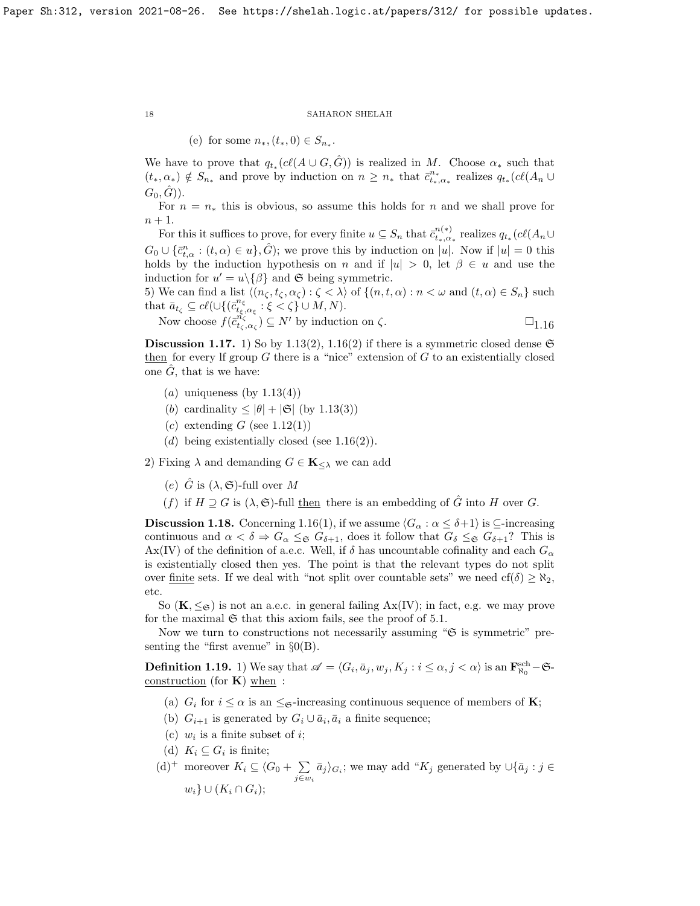(e) for some  $n_*, (t_*, 0) \in S_{n_*}.$ 

We have to prove that  $q_{t_*}(c\ell(A\cup G, \hat{G}))$  is realized in M. Choose  $\alpha_*$  such that  $(t_*, \alpha_*) \notin S_{n_*}$  and prove by induction on  $n \geq n_*$  that  $\bar{c}_{t_*,\alpha_*}^{n_*}$  realizes  $q_{t_*}(c\ell(A_n \cup$  $(G_0, \tilde{G})$ ).

For  $n = n_*$  this is obvious, so assume this holds for n and we shall prove for  $n+1$ .

For this it suffices to prove, for every finite  $u \subseteq S_n$  that  $\bar{c}_{t_*,\alpha_*}^{n(*)}$  realizes  $q_{t_*}(c\ell(A_n \cup$  $G_0 \cup \{\bar{c}_{t,\alpha}^n : (t,\alpha) \in u\},\hat{G}$ ; we prove this by induction on |u|. Now if  $|u|=0$  this holds by the induction hypothesis on n and if  $|u| > 0$ , let  $\beta \in u$  and use the induction for  $u' = u \setminus {\beta}$  and G being symmetric.

5) We can find a list  $\langle (n_{\zeta}, t_{\zeta}, \alpha_{\zeta}) : \zeta < \lambda \rangle$  of  $\{(n, t, \alpha) : n < \omega \text{ and } (t, \alpha) \in S_n\}$  such that  $\bar{a}_{t_{\zeta}} \subseteq cl(\cup\{(\bar{c}_{t_{\xi},\alpha_{\xi}}^{n_{\xi}}:\xi<\zeta\}\cup M,N).$ 

Now choose 
$$
f(\bar{c}_{t_{\zeta},\alpha_{\zeta}}^{n_{\zeta}^{\zeta}}) \subseteq N'
$$
 by induction on  $\zeta$ .

<span id="page-17-1"></span>**Discussion 1.17.** 1) So by [1.13\(](#page-15-2)2), [1.16\(](#page-16-0)2) if there is a symmetric closed dense  $\mathfrak{S}$ then for every If group  $G$  there is a "nice" extension of  $G$  to an existentially closed one  $\hat{G}$ , that is we have:

- (a) uniqueness (by  $1.13(4)$ )
- (b) cardinality  $\leq |\theta| + |\mathfrak{S}|$  (by [1.13\(](#page-15-2)3))
- $(c)$  extending G (see [1.12\(](#page-15-1)1))
- (d) being existentially closed (see  $1.16(2)$ ).

2) Fixing  $\lambda$  and demanding  $G \in \mathbf{K}_{\leq \lambda}$  we can add

- (e)  $\hat{G}$  is  $(\lambda, \mathfrak{S})$ -full over M
- (f) if  $H \supseteq G$  is  $(\lambda, \mathfrak{S})$ -full then there is an embedding of  $\hat{G}$  into H over G.

<span id="page-17-2"></span>**Discussion 1.18.** Concerning [1.16\(](#page-16-0)1), if we assume  $\langle G_\alpha : \alpha \leq \delta + 1 \rangle$  is  $\subseteq$ -increasing continuous and  $\alpha < \delta \Rightarrow G_{\alpha} \leq_{\mathfrak{S}} G_{\delta+1}$ , does it follow that  $G_{\delta} \leq_{\mathfrak{S}} G_{\delta+1}$ ? This is  $\text{Ax}(\text{IV})$  of the definition of a.e.c. Well, if  $\delta$  has uncountable cofinality and each  $G_{\alpha}$ is existentially closed then yes. The point is that the relevant types do not split over <u>finite</u> sets. If we deal with "not split over countable sets" we need  $cf(\delta) \geq \aleph_2$ , etc.

So  $(K, \leq_{\mathfrak{S}})$  is not an a.e.c. in general failing  $Ax(IV)$ ; in fact, e.g. we may prove for the maximal  $\mathfrak S$  that this axiom fails, see the proof of [5.1.](#page-50-0)

Now we turn to constructions not necessarily assuming " $\mathfrak{S}$  is symmetric" presenting the "first avenue" in  $\S_0(B)$ .

<span id="page-17-0"></span>**Definition 1.19.** 1) We say that  $\mathscr{A} = \langle G_i, \bar{a}_j, w_j, K_j : i \leq \alpha, j < \alpha \rangle$  is an  $\mathbf{F}_{\aleph_0}^{\rm sch} - \mathfrak{S}$ construction (for  $\bf{K}$ ) when :

- (a)  $G_i$  for  $i \leq \alpha$  is an  $\leq_{\mathfrak{S}}$ -increasing continuous sequence of members of **K**;
- (b)  $G_{i+1}$  is generated by  $G_i \cup \bar{a}_i$ ,  $\bar{a}_i$  a finite sequence;
- (c)  $w_i$  is a finite subset of *i*;
- (d)  $K_i \subseteq G_i$  is finite;
- (d)<sup>+</sup> moreover  $K_i \subseteq \langle G_0 + \sum \{d\}$  $\sum_{j \in w_i} \bar{a}_j$ ; we may add "K<sub>j</sub> generated by  $\cup \{\bar{a}_j : j \in$  $w_i\} \cup (K_i \cap G_i);$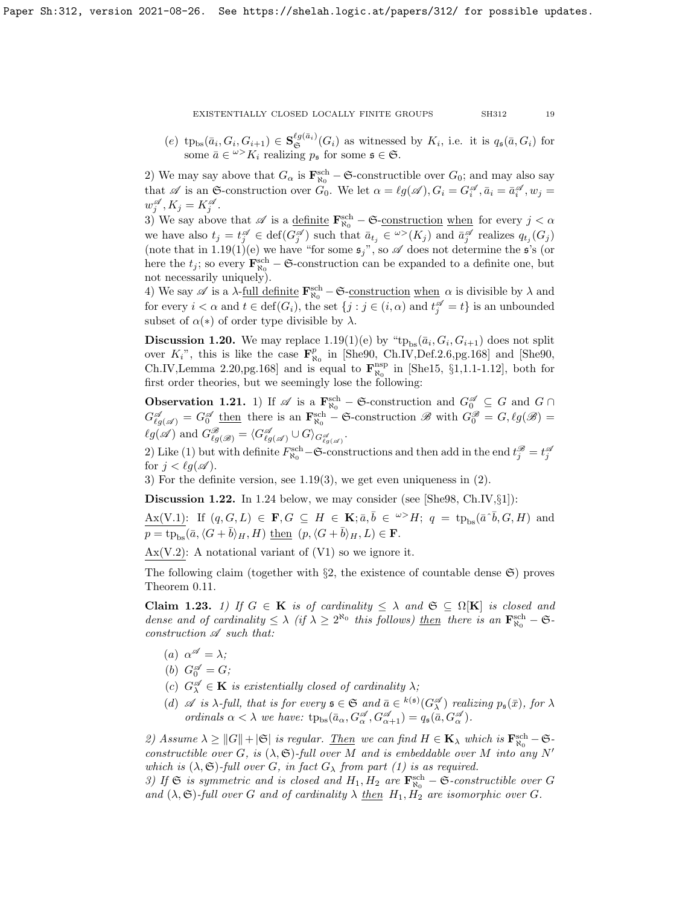(e)  $tp_{bs}(\bar{a}_i, G_i, G_{i+1}) \in \mathbf{S}_{\mathfrak{S}}^{\ell g(\bar{a}_i)}(G_i)$  as witnessed by  $K_i$ , i.e. it is  $q_s(\bar{a}, G_i)$  for some  $\bar{a} \in \omega > K_i$  realizing  $p_{\mathfrak{s}}$  for some  $\mathfrak{s} \in \mathfrak{S}$ .

2) We may say above that  $G_{\alpha}$  is  $\mathbf{F}_{\aleph_0}^{\rm sch}$  – G-constructible over  $G_0$ ; and may also say that  $\mathscr A$  is an G-construction over  $G_0$ . We let  $\alpha = \ell g(\mathscr A), G_i = G_i^{\mathscr A}, \bar a_i = \bar a_i^{\mathscr A}, w_j =$  $w_j^{\mathscr{A}}, K_j = K_j^{\mathscr{A}}$ .

3) We say above that  $\mathscr A$  is a <u>definite</u>  $\mathbf{F}_{\aleph_0}^{\rm sch}$  –  $\mathfrak{S}$ -construction when for every  $j < \alpha$ we have also  $t_j = t_j^{\mathscr{A}} \in \text{def}(G_j^{\mathscr{A}})$  such that  $\bar{a}_{t_j} \in {}^{\omega}>(K_j)$  and  $\bar{a}_j^{\mathscr{A}}$  realizes  $q_{t_j}(G_j)$ (note that in [1.19\(](#page-17-0)1)(e) we have "for some  $\mathfrak{s}_j$ ", so  $\mathscr A$  does not determine the  $\mathfrak{s}'$ 's (or here the  $t_j$ ; so every  $\mathbf{F}_{\aleph_0}^{\text{sch}} - \mathfrak{S}$ -construction can be expanded to a definite one, but not necessarily uniquely).

4) We say  $\mathscr A$  is a  $\lambda$ -<u>full definite</u>  $\mathbf{F}_{\aleph_0}^{\rm sch} - \mathfrak{S}$ -<u>construction</u> when  $\alpha$  is divisible by  $\lambda$  and for every  $i < \alpha$  and  $t \in \text{def}(G_i)$ , the set  $\{j : j \in (i, \alpha) \text{ and } t_j^{\mathscr{A}} = t\}$  is an unbounded subset of  $\alpha(*)$  of order type divisible by  $\lambda$ .

**Discussion 1.20.** We may replace  $1.19(1)(e)$  by " $tp_{bs}(\bar{a}_i, G_i, G_{i+1})$  does not split over  $K_i$ ", this is like the case  $\mathbf{F}_{\aleph_0}^p$  in [\[She90,](#page-63-15) Ch.IV,Def.2.6,pg.168] and [She90, Ch.IV,Lemma 2.20,pg.168] and is equal to  $\mathbf{F}_{\aleph_0}^{\text{nsp}}$  in [\[She15,](#page-63-17) §1,1.1-1.12], both for first order theories, but we seemingly lose the following:

**Observation 1.21.** 1) If  $\mathscr{A}$  is a  $\mathbf{F}_{\aleph_0}^{\rm sch}$  –  $\mathfrak{S}$ -construction and  $G_0^{\mathscr{A}} \subseteq G$  and  $G \cap$  $G_{\ell g(\mathscr{A})}^{\mathscr{A}} = G_0^{\mathscr{A}}$  then there is an  $\mathbf{F}_{\aleph_0}^{\rm sch}$  – G-construction  $\mathscr{B}$  with  $G_0^{\mathscr{B}} = G$ ,  $\ell g(\mathscr{B}) =$  $\ell g(\mathscr{A})$  and  $G_{\ell g(\mathscr{B})}^{\mathscr{B}} = \langle G_{\ell g(\mathscr{A})}^{\mathscr{A}} \cup G \rangle_{G_{\ell g(\mathscr{A})}^{\mathscr{A}}}.$ 

2) Like (1) but with definite  $F_{\aleph_0}^{\rm sch}-\mathfrak{S}$ -constructions and then add in the end  $t_j^{\mathscr{B}}=t_j^{\mathscr{B}}$ for  $j < \ell g(\mathscr{A})$ .

3) For the definite version, see [1.19\(](#page-17-0)3), we get even uniqueness in (2).

**Discussion 1.22.** In [1.24](#page-19-0) below, we may consider (see [\[She98,](#page-63-18) Ch.IV, $\S1$ ]):

 $Ax(V.1)$ : If  $(q, G, L) \in \mathbf{F}, G \subseteq H \in \mathbf{K}; \bar{a}, \bar{b} \in \supseteq H; q = tp_{bs}(\bar{a} \cdot \bar{b}, G, H)$  and  $p = \text{tp}_{\text{bs}}(\bar{a}, \langle G + \bar{b} \rangle_H, H)$  then  $(p, \langle G + \bar{b} \rangle_H, L) \in \mathbf{F}$ .

 $Ax(V.2)$ : A notational variant of  $(V1)$  so we ignore it.

The following claim (together with  $\S2$ , the existence of countable dense  $\mathfrak{S}$ ) proves Theorem [0.11.](#page-5-2)

<span id="page-18-0"></span>Claim 1.23. 1) If  $G \in K$  is of cardinality  $\leq \lambda$  and  $\mathfrak{S} \subseteq \Omega[K]$  is closed and dense and of cardinality  $\leq \lambda$  (if  $\lambda \geq 2^{\aleph_0}$  this follows) then there is an  $\mathbf{F}_{\aleph_0}^{\rm sch} - \mathfrak{S}$ construction  $\mathscr A$  such that:

- (a)  $\alpha^{\mathscr{A}} = \lambda;$
- (b)  $G_0^{\mathscr{A}} = G;$
- (c)  $G_{\lambda}^{\mathscr{A}} \in \mathbf{K}$  is existentially closed of cardinality  $\lambda$ ;
- (d)  $\mathscr A$  is  $\lambda$ -full, that is for every  $\mathfrak s \in \mathfrak S$  and  $\overline{a} \in {^{k(\mathfrak s)}(G_{\lambda}^{\mathscr A})}$  realizing  $p_{\mathfrak s}(\overline{x})$ , for  $\lambda$ ordinals  $\alpha < \lambda$  we have:  $tp_{bs}(\bar{a}_{\alpha}, G^{\mathscr{A}}_{\alpha}, G^{\mathscr{A}}_{\alpha+1}) = q_{\mathfrak{s}}(\bar{a}, G^{\mathscr{A}}_{\alpha}).$

2) Assume  $\lambda \geq ||G|| + |\mathfrak{S}|$  is regular. Then we can find  $H \in \mathbf{K}_{\lambda}$  which is  $\mathbf{F}_{\aleph_{0}}^{\text{sch}} - \mathfrak{S}$ constructible over G, is  $(\lambda, \mathfrak{S})$ -full over M and is embeddable over M into any N' which is  $(\lambda, \mathfrak{S})$ -full over G, in fact  $G_{\lambda}$  from part (1) is as required.

3) If  $\mathfrak{S}$  is symmetric and is closed and  $H_1, H_2$  are  $\mathbf{F}_{\aleph_0}^{\rm sch} - \mathfrak{S}$ -constructible over G and  $(\lambda, \mathfrak{S})$ -full over G and of cardinality  $\lambda$  then  $H_1, H_2$  are isomorphic over G.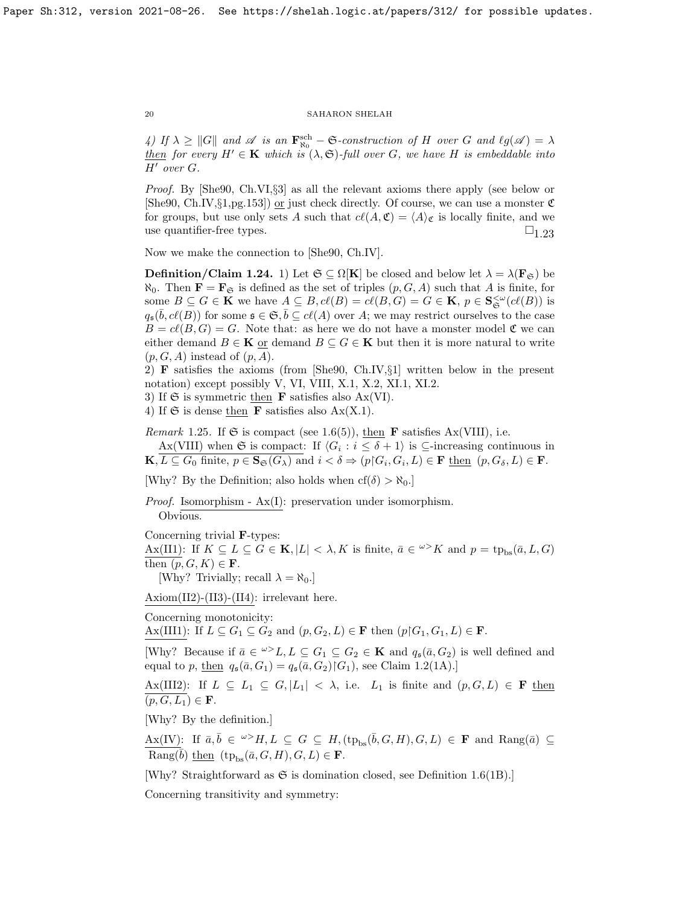4) If  $\lambda \geq ||G||$  and  $\mathscr A$  is an  $\mathbf{F}_{\aleph_0}^{\rm sch} - \mathfrak{S}$ -construction of H over G and  $\ell g(\mathscr A) = \lambda$ then for every  $H' \in \mathbf{K}$  which is  $(\lambda, \mathfrak{S})$ -full over G, we have H is embeddable into  $H'$  over  $G$ .

Proof. By [\[She90,](#page-63-15) Ch.VI,§3] as all the relevant axioms there apply (see below or [\[She90,](#page-63-15) Ch.IV, $\S1$ ,pg.153]) <u>or</u> just check directly. Of course, we can use a monster  $\mathfrak{C}$ for groups, but use only sets A such that  $c(\mathcal{A}, \mathfrak{C}) = \langle A \rangle_{\mathfrak{C}}$  is locally finite, and we use quantifier-free types.  $\square_{1,23}$ 

Now we make the connection to [\[She90,](#page-63-15) Ch.IV].

<span id="page-19-0"></span>**Definition/Claim 1.24.** 1) Let  $\mathfrak{S} \subseteq \Omega[\mathbf{K}]$  be closed and below let  $\lambda = \lambda(\mathbf{F}_{\mathfrak{S}})$  be  $\aleph_0$ . Then  $\mathbf{F} = \mathbf{F}_{\mathfrak{S}}$  is defined as the set of triples  $(p, G, A)$  such that A is finite, for some  $B \subseteq G \in \mathbf{K}$  we have  $A \subseteq B$ ,  $cl(B) = cl(B, G) = G \in \mathbf{K}$ ,  $p \in \mathbf{S}_{\mathfrak{S}}^{\leq \omega}(cl(B))$  is  $q_{\mathfrak{s}}(\bar{b}, c\ell(B))$  for some  $\mathfrak{s} \in \mathfrak{S}, \bar{b} \subseteq c\ell(A)$  over A; we may restrict ourselves to the case  $B = cl(B, G) = G$ . Note that: as here we do not have a monster model  $\mathfrak C$  we can either demand  $B \in \mathbf{K}$  or demand  $B \subseteq G \in \mathbf{K}$  but then it is more natural to write  $(p, G, A)$  instead of  $(p, A)$ .

2) F satisfies the axioms (from [\[She90,](#page-63-15) Ch.IV,§1] written below in the present notation) except possibly V, VI, VIII, X.1, X.2, XI.1, XI.2.

3) If  $\mathfrak S$  is symmetric then **F** satisfies also Ax(VI).

4) If  $\mathfrak S$  is dense then **F** satisfies also  $Ax(X.1)$ .

*Remark* 1.25. If  $\mathfrak{S}$  is compact (see [1.6\(](#page-12-0)5)), then **F** satisfies Ax(VIII), i.e.

Ax(VIII) when G is compact: If  $\langle G_i : i \leq \delta + 1 \rangle$  is  $\subseteq$ -increasing continuous in  $\mathbf{K}, L \subseteq G_0$  finite,  $p \in \mathbf{S}_{\mathfrak{S}}(G_\lambda)$  and  $i < \delta \Rightarrow (p \nvert G_i, G_i, L) \in \mathbf{F}$  then  $(p, G_\delta, L) \in \mathbf{F}$ .

[Why? By the Definition; also holds when  $cf(\delta) > \aleph_0$ .]

Proof. Isomorphism - Ax(I): preservation under isomorphism. Obvious.

Concerning trivial F-types:

 $A\mathbf{x}(\text{II1}):$  If  $K \subseteq L \subseteq G \in \mathbf{K}, |L| < \lambda, K$  is finite,  $\bar{a} \in {}^{\omega}K$  and  $p = \text{tp}_{\text{bs}}(\bar{a}, L, G)$ then  $(p, G, K) \in \mathbf{F}$ .

[Why? Trivially; recall  $\lambda = \aleph_0$ .]

Axiom(II2)-(II3)-(II4): irrelevant here.

Concerning monotonicity:

Ax(III1): If  $L \subseteq G_1 \subseteq G_2$  and  $(p, G_2, L) \in \mathbf{F}$  then  $(p \nvert G_1, G_1, L) \in \mathbf{F}$ .

[Why? Because if  $\bar{a} \in \ell^{\infty} L$ ,  $L \subseteq G_1 \subseteq G_2 \in \mathbf{K}$  and  $q_s(\bar{a}, G_2)$  is well defined and equal to p, then  $q_{\mathfrak{s}}(\bar{a}, G_1) = q_{\mathfrak{s}}(\bar{a}, G_2) | G_1$ , see Claim [1.2\(](#page-10-0)1A).]

Ax(III2): If  $L \subseteq L_1 \subseteq G, |L_1| < \lambda$ , i.e.  $L_1$  is finite and  $(p, G, L) \in \mathbf{F}$  then  $\overline{(p, G, L_1)} \in \mathbf{F}.$ 

[Why? By the definition.]

 $A\text{X}(IV)$ : If  $\bar{a}, \bar{b} \in \infty$   $H, L \subseteq G \subseteq H$ ,  $(\text{tp}_{bs}(\bar{b}, G, H), G, L) \in \mathbf{F}$  and  $\text{Rang}(\bar{a}) \subseteq$ Rang( $\bar{b}$ ) then  $(tp_{bs}(\bar{a}, G, H), G, L) \in \mathbf{F}$ .

[Why? Straightforward as  $\mathfrak S$  is domination closed, see Definition [1.6\(](#page-12-0)1B).]

Concerning transitivity and symmetry: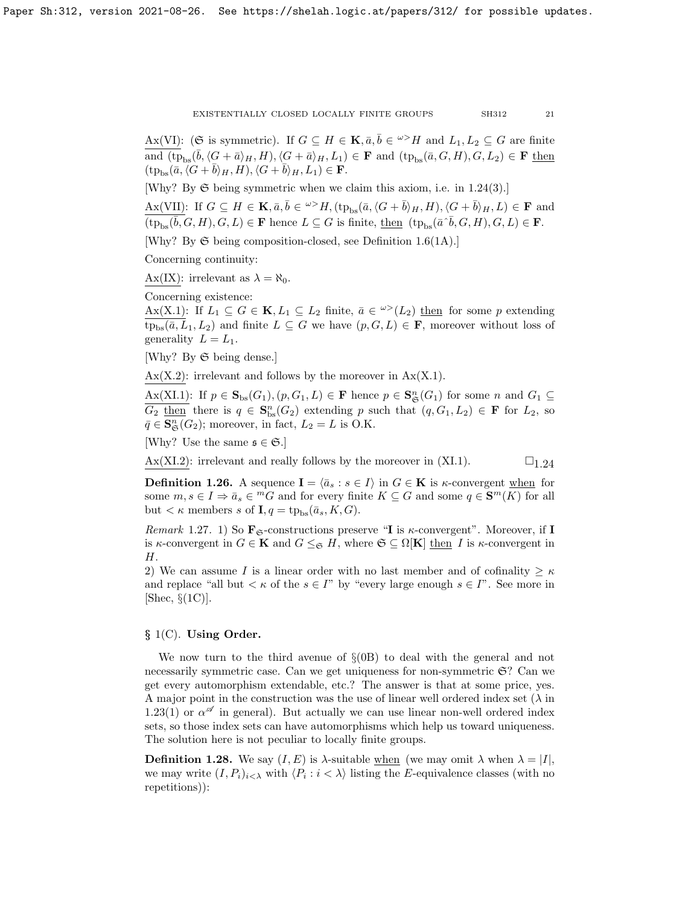Ax(VI): (S is symmetric). If  $G \subseteq H \in \mathbf{K}, \overline{a}, \overline{b} \in \omega > H$  and  $L_1, L_2 \subseteq G$  are finite and  $(\text{tp}_{\text{bs}}(\bar{b}, \langle G + \bar{a} \rangle_H, H), \langle G + \bar{a} \rangle_H, L_1) \in \mathbf{F}$  and  $(\text{tp}_{\text{bs}}(\bar{a}, G, H), G, L_2) \in \mathbf{F}$  then  $(\text{tp}_{\text{bs}}(\bar{a}, \langle G + \bar{b} \rangle_H, H), \langle G + \bar{b} \rangle_H, L_1) \in \mathbf{F}.$ 

[Why? By  $\mathfrak S$  being symmetric when we claim this axiom, i.e. in [1.24\(](#page-19-0)3).]

 $A\mathbf{x}(VII)$ : If  $G \subseteq H \in \mathbf{K}, \bar{a}, \bar{b} \in \omega > H$ ,  $(\text{tp}_{\text{bs}}(\bar{a}, \langle G + \bar{b} \rangle_H, H), \langle G + \bar{b} \rangle_H, L) \in \mathbf{F}$  and  $\overline{\overline{\text{(tp_{bs}(\overline{b}, G, H), G, L)}} \in \mathbf{F}$  hence  $L \subseteq G$  is finite, then  $(\text{tp}_{bs}(\overline{a} \cdot \overline{b}, G, H), G, L) \in \mathbf{F}$ .

[Why? By  $\mathfrak{S}$  being composition-closed, see Definition [1.6\(](#page-12-0)1A).]

Concerning continuity:

Ax(IX): irrelevant as  $\lambda = \aleph_0$ .

Concerning existence:

Ax(X.1): If  $L_1 \subseteq G \in \mathbf{K}, L_1 \subseteq L_2$  finite,  $\bar{a} \in \infty > (L_2)$  then for some p extending  $tp_{bs}(\bar{a}, L_1, L_2)$  and finite  $L \subseteq G$  we have  $(p, G, L) \in \mathbf{F}$ , moreover without loss of generality  $L = L_1$ .

[Why? By S being dense.]

 $Ax(X.2)$ : irrelevant and follows by the moreover in  $Ax(X.1)$ .

 $A\mathbf{x}(XI.1)$ : If  $p \in \mathbf{S}_{\text{bs}}(G_1), (p, G_1, L) \in \mathbf{F}$  hence  $p \in \mathbf{S}_{\mathfrak{S}}^n(G_1)$  for some n and  $G_1 \subseteq$  $\overline{G_2 \underline{\text{then}}}$  there is  $q \in \mathbf{S}_{bs}^n(G_2)$  extending p such that  $(q, G_1, L_2) \in \mathbf{F}$  for  $L_2$ , so  $\bar{q} \in \mathbf{S}_{\mathfrak{S}}^n(G_2)$ ; moreover, in fact,  $L_2 = L$  is O.K.

[Why? Use the same  $\mathfrak{s} \in \mathfrak{S}.$ ]

 $\text{Ax}(\text{XI}.2)$ : irrelevant and really follows by the moreover in (XI.1).  $\square_{1,24}$ 

**Definition 1.26.** A sequence  $I = \langle \bar{a}_s : s \in I \rangle$  in  $G \in \mathbf{K}$  is  $\kappa$ -convergent when for some  $m, s \in I \Rightarrow \bar{a}_s \in {}^mG$  and for every finite  $K \subseteq G$  and some  $q \in \mathbf{S}^m(K)$  for all but  $\lt \kappa$  members s of **I**,  $q = \text{tp}_{\text{bs}}(\bar{a}_s, K, G)$ .

Remark 1.27. 1) So  $\mathbf{F}_{\mathfrak{S}}$ -constructions preserve "I is  $\kappa$ -convergent". Moreover, if I is  $\kappa$ -convergent in  $G \in \mathbf{K}$  and  $G \leq_{\mathfrak{S}} H$ , where  $\mathfrak{S} \subseteq \Omega[\mathbf{K}]$  then I is  $\kappa$ -convergent in H.

2) We can assume I is a linear order with no last member and of cofinality  $\geq \kappa$ and replace "all but  $\lt \kappa$  of the  $s \in I$ " by "every large enough  $s \in I$ ". See more in [\[Shec,](#page-63-19)  $\S(1C)$ ].

## § 1(C). Using Order.

We now turn to the third avenue of  $\S(0B)$  to deal with the general and not necessarily symmetric case. Can we get uniqueness for non-symmetric S? Can we get every automorphism extendable, etc.? The answer is that at some price, yes. A major point in the construction was the use of linear well ordered index set  $(\lambda$  in [1.23\(](#page-18-0)1) or  $\alpha^{\mathscr{A}}$  in general). But actually we can use linear non-well ordered index sets, so those index sets can have automorphisms which help us toward uniqueness. The solution here is not peculiar to locally finite groups.

<span id="page-20-0"></span>**Definition 1.28.** We say  $(I, E)$  is  $\lambda$ -suitable when (we may omit  $\lambda$  when  $\lambda = |I|$ , we may write  $(I, P_i)_{i \leq \lambda}$  with  $\langle P_i : i \leq \lambda \rangle$  listing the E-equivalence classes (with no repetitions)):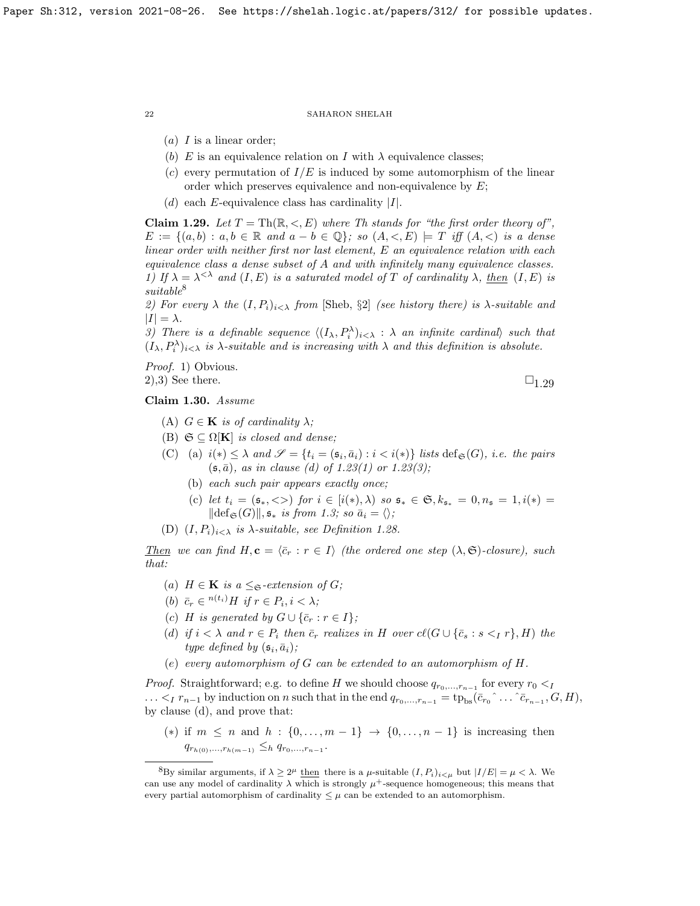- $(a)$  I is a linear order;
- (b) E is an equivalence relation on I with  $\lambda$  equivalence classes;
- (c) every permutation of  $I/E$  is induced by some automorphism of the linear order which preserves equivalence and non-equivalence by  $E$ ;
- (d) each E-equivalence class has cardinality  $|I|$ .

<span id="page-21-2"></span>**Claim 1.29.** Let  $T = Th(\mathbb{R}, \leq, E)$  where Th stands for "the first order theory of",  $E := \{(a, b) : a, b \in \mathbb{R} \text{ and } a - b \in \mathbb{Q}\}\text{; so } (A, \langle, E \rangle) = T \text{ iff } (A, \langle) \text{ is a dense}\}$ linear order with neither first nor last element, E an equivalence relation with each equivalence class a dense subset of A and with infinitely many equivalence classes. 1) If  $\lambda = \lambda^{<\lambda}$  and  $(I, E)$  is a saturated model of T of cardinality  $\lambda$ , then  $(I, E)$  is  $suitable<sup>8</sup>$  $suitable<sup>8</sup>$  $suitable<sup>8</sup>$ 

2) For every  $\lambda$  the  $(I, P_i)_{i \leq \lambda}$  from [\[Sheb,](#page-63-20) §2] (see history there) is  $\lambda$ -suitable and  $|I| = \lambda$ .

3) There is a definable sequence  $\langle (I_{\lambda}, P_i^{\lambda})_{i<\lambda} : \lambda$  an infinite cardinal, such that  $(I_{\lambda}, P_i^{\lambda})_{i<\lambda}$  is  $\lambda$ -suitable and is increasing with  $\lambda$  and this definition is absolute.

Proof. 1) Obvious.

2),3) See there.  $\square_{1,29}$ 

<span id="page-21-0"></span>Claim 1.30. Assume

- (A)  $G \in \mathbf{K}$  is of cardinality  $\lambda$ ;
- (B)  $\mathfrak{S} \subset \Omega[\mathbf{K}]$  is closed and dense:
- (C) (a)  $i(*) \leq \lambda$  and  $\mathscr{S} = \{t_i = (\mathfrak{s}_i, \bar{a}_i) : i < i(*)\}$  lists  $\text{def}_{\mathfrak{S}}(G)$ , *i.e. the pairs*  $(s, \bar{a})$ , as in clause (d) of [1.23\(](#page-18-0)1) or 1.23(3);
	- (b) each such pair appears exactly once;
	- (c) let  $t_i = (\mathfrak{s}_*, \langle > \rangle)$  for  $i \in [i(*), \lambda)$  so  $\mathfrak{s}_* \in \mathfrak{S}, k_{\mathfrak{s}_*} = 0, n_{\mathfrak{s}} = 1, i(*) =$  $\|\text{def}_{\mathfrak{S}}(G)\|, \mathfrak{s}_* \text{ is from 1.3; so } \bar{a}_i = \langle \rangle;$  $\|\text{def}_{\mathfrak{S}}(G)\|, \mathfrak{s}_* \text{ is from 1.3; so } \bar{a}_i = \langle \rangle;$  $\|\text{def}_{\mathfrak{S}}(G)\|, \mathfrak{s}_* \text{ is from 1.3; so } \bar{a}_i = \langle \rangle;$
- (D)  $(I, P_i)_{i \leq \lambda}$  is  $\lambda$ -suitable, see Definition [1.28.](#page-20-0)

Then we can find  $H, c = \langle \bar{c}_r : r \in I \rangle$  (the ordered one step  $(\lambda, \mathfrak{S})$ -closure), such that:

- (a)  $H \in \mathbf{K}$  is a  $\leq_{\mathfrak{S}}$ -extension of  $G$ ;
- (b)  $\bar{c}_r \in {}^{n(t_i)}H$  if  $r \in P_i, i < \lambda;$
- (c) H is generated by  $G \cup {\overline{c}_r : r \in I}$ ;
- (d) if  $i < \lambda$  and  $r \in P_i$  then  $\bar{c}_r$  realizes in H over  $cl(G \cup {\bar{c}_s : s <_I r}, H)$  the type defined by  $(\mathfrak{s}_i, \bar{a}_i)$ ;
- (e) every automorphism of G can be extended to an automorphism of H.

*Proof.* Straightforward; e.g. to define H we should choose  $q_{r_0,\dots,r_{n-1}}$  for every  $r_0 < p_0$  $\ldots <_I r_{n-1}$  by induction on n such that in the end  $q_{r_0,\ldots,r_{n-1}} = \text{tp}_{bs}(\bar{c}_{r_0} \hat{\ldots} \hat{c}_{r_{n-1}}, G, H),$ by clause (d), and prove that:

(\*) if  $m \leq n$  and  $h : \{0, \ldots, m-1\} \rightarrow \{0, \ldots, n-1\}$  is increasing then  $q_{r_{h(0)},...,r_{h(m-1)}} \leq_h q_{r_0,...,r_{n-1}}.$ 

<span id="page-21-1"></span><sup>&</sup>lt;sup>8</sup>By similar arguments, if  $\lambda \geq 2^{\mu}$  then there is a *μ*-suitable  $(I, P_i)_{i \leq \mu}$  but  $|I/E| = \mu < \lambda$ . We can use any model of cardinality  $\lambda$  which is strongly  $\mu^+$ -sequence homogeneous; this means that every partial automorphism of cardinality  $\leq \mu$  can be extended to an automorphism.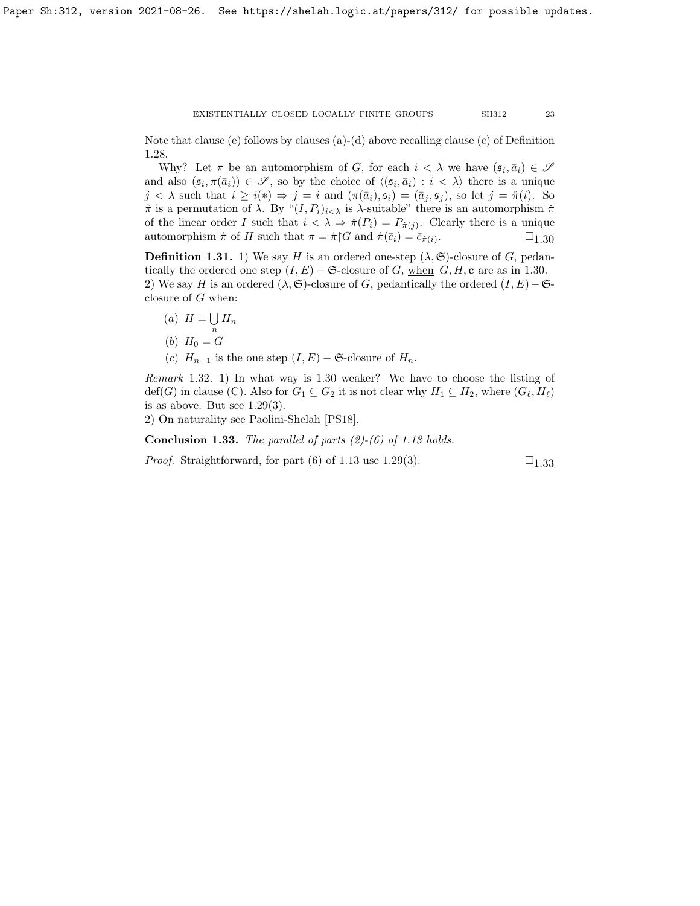Note that clause (e) follows by clauses  $(a)-(d)$  above recalling clause (c) of Definition [1.28.](#page-20-0)

Why? Let  $\pi$  be an automorphism of G, for each  $i < \lambda$  we have  $(\mathfrak{s}_i, \bar{a}_i) \in \mathcal{S}$ and also  $(\mathfrak{s}_i, \pi(\bar{a}_i)) \in \mathscr{S}$ , so by the choice of  $\langle (\mathfrak{s}_i, \bar{a}_i) : i < \lambda \rangle$  there is a unique  $j < \lambda$  such that  $i \geq i(*) \Rightarrow j = i$  and  $(\pi(\bar{a}_i), \mathfrak{s}_i) = (\bar{a}_j, \mathfrak{s}_j)$ , so let  $j = \hat{\pi}(i)$ . So  $\hat{\pi}$  is a permutation of  $\lambda$ . By " $(I, P_i)_{i \leq \lambda}$  is  $\lambda$ -suitable" there is an automorphism  $\check{\pi}$ of the linear order I such that  $i < \lambda \Rightarrow \check{\pi}(P_i) = P_{\hat{\pi}(j)}$ . Clearly there is a unique automorphism  $\pi$  of H such that  $\pi = \pi \restriction G$  and  $\pi(\bar{c}_i) = \bar{c}_{\hat{\pi}(i)}$ .  $\sqcup_{1.30}$  $\sqcup_{1.30}$  $\sqcup_{1.30}$ 

<span id="page-22-0"></span>**Definition 1.31.** 1) We say H is an ordered one-step  $(\lambda, \mathfrak{S})$ -closure of G, pedantically the ordered one step  $(I, E)$  – G-closure of G, when G, H, c are as in [1.30.](#page-21-0) 2) We say H is an ordered  $(\lambda, \mathfrak{S})$ -closure of G, pedantically the ordered  $(I, E)$  –  $\mathfrak{S}$ closure of G when:

- $(a)$   $H = \bigcup$  $\bigcup_n H_n$
- (b)  $H_0 = G$
- (c)  $H_{n+1}$  is the one step  $(I, E) \mathfrak{S}$ -closure of  $H_n$ .

Remark 1.32. 1) In what way is [1.30](#page-21-0) weaker? We have to choose the listing of  $\text{def}(G)$  in clause (C). Also for  $G_1 \subseteq G_2$  it is not clear why  $H_1 \subseteq H_2$ , where  $(G_{\ell}, H_{\ell})$ is as above. But see  $1.29(3)$ .

2) On naturality see Paolini-Shelah [\[PS18\]](#page-63-21).

<span id="page-22-1"></span>**Conclusion 1.33.** The parallel of parts  $(2)-(6)$  of [1.13](#page-15-2) holds.

*Proof.* Straightforward, for part (6) of [1.13](#page-15-2) use [1.29\(](#page-21-2)3).  $\square_{1,33}$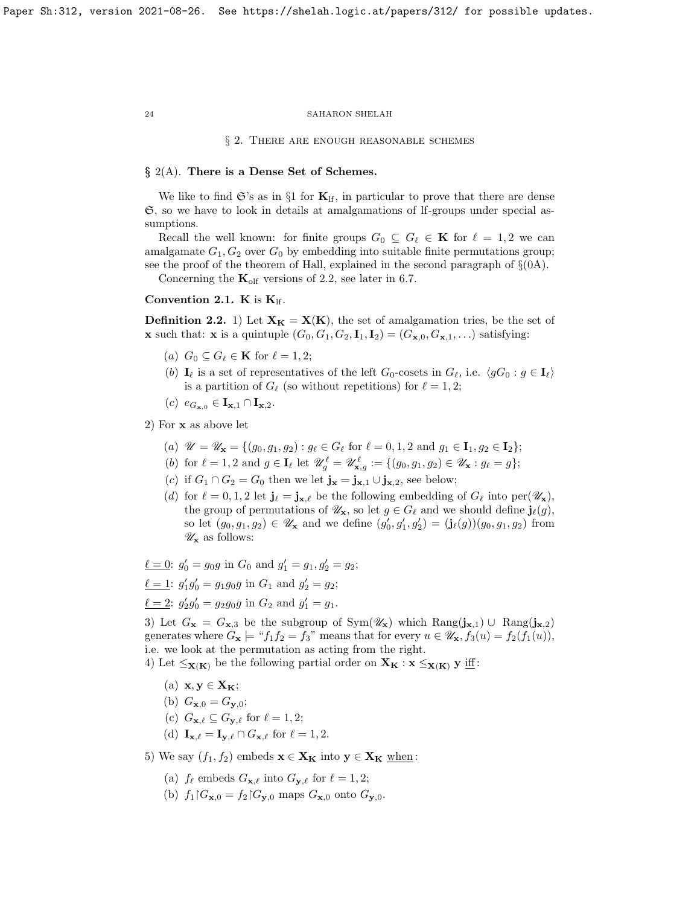§ 2. There are enough reasonable schemes

# $\S$  2(A). There is a Dense Set of Schemes.

We like to find  $\mathfrak{S}'s$  as in §1 for  $\mathbf{K}_{\text{lf}}$ , in particular to prove that there are dense S, so we have to look in details at amalgamations of lf-groups under special assumptions.

Recall the well known: for finite groups  $G_0 \subseteq G_\ell \in \mathbf{K}$  for  $\ell = 1, 2$  we can amalgamate  $G_1, G_2$  over  $G_0$  by embedding into suitable finite permutations group; see the proof of the theorem of Hall, explained in the second paragraph of  $\S(0A)$ .

Concerning the  $\mathbf{K}_{\text{olf}}$  versions of [2.2,](#page-23-0) see later in [6.7.](#page-62-0)

# <span id="page-23-1"></span>Convention 2.1. K is  $K_{\text{lf}}$ .

<span id="page-23-0"></span>**Definition 2.2.** 1) Let  $X_K = X(K)$ , the set of amalgamation tries, be the set of **x** such that: **x** is a quintuple  $(G_0, G_1, G_2, I_1, I_2) = (G_{\mathbf{x},0}, G_{\mathbf{x},1}, \ldots)$  satisfying:

- (a)  $G_0 \subseteq G_\ell \in \mathbf{K}$  for  $\ell = 1, 2;$
- (b)  $I_\ell$  is a set of representatives of the left  $G_0$ -cosets in  $G_\ell$ , i.e.  $\langle gG_0 : g \in I_\ell \rangle$ is a partition of  $G_\ell$  (so without repetitions) for  $\ell = 1, 2;$
- $(c)$   $e_{G_{\mathbf{x},0}} \in \mathbf{I}_{\mathbf{x},1} \cap \mathbf{I}_{\mathbf{x},2}.$

2) For x as above let

- (a)  $\mathscr{U} = \mathscr{U}_{\mathbf{x}} = \{ (g_0, g_1, g_2) : g_\ell \in G_\ell \text{ for } \ell = 0, 1, 2 \text{ and } g_1 \in \mathbf{I}_1, g_2 \in \mathbf{I}_2 \};$
- (b) for  $\ell = 1, 2$  and  $g \in I_{\ell}$  let  $\mathscr{U}_{g}^{\ell} = \mathscr{U}_{\mathbf{x},g}^{\ell} := \{ (g_0, g_1, g_2) \in \mathscr{U}_{\mathbf{x}} : g_{\ell} = g \};$
- (c) if  $G_1 \cap G_2 = G_0$  then we let  $\mathbf{j}_x = \mathbf{j}_{x,1} \cup \mathbf{j}_{x,2}$ , see below;
- (d) for  $\ell = 0, 1, 2$  let  $\mathbf{j}_{\ell} = \mathbf{j}_{\mathbf{x},\ell}$  be the following embedding of  $G_{\ell}$  into per $(\mathscr{U}_{\mathbf{x}})$ , the group of permutations of  $\mathscr{U}_{\mathbf{x}}$ , so let  $g \in G_{\ell}$  and we should define  $\mathbf{j}_{\ell}(g)$ , so let  $(g_0, g_1, g_2) \in \mathscr{U}_{\mathbf{x}}$  and we define  $(g'_0, g'_1, g'_2) = (\mathbf{j}_{\ell}(g))(g_0, g_1, g_2)$  from  $\mathscr{U}_{\mathbf{x}}$  as follows:

 $\underline{\ell} = 0$ :  $g'_0 = g_0 g$  in  $G_0$  and  $g'_1 = g_1, g'_2 = g_2$ ;

 $\underline{\ell} = 1$ :  $g'_1 g'_0 = g_1 g_0 g$  in  $G_1$  and  $g'_2 = g_2$ ;

 $\underline{\ell} = 2$ :  $g'_2 g'_0 = g_2 g_0 g$  in  $G_2$  and  $g'_1 = g_1$ .

3) Let  $G_x = G_{x,3}$  be the subgroup of Sym $(\mathscr{U}_x)$  which  $\text{Rang}(\mathbf{j}_{x,1}) \cup \text{Rang}(\mathbf{j}_{x,2})$ generates where  $G_x \models "f_1f_2 = f_3"$  means that for every  $u \in \mathscr{U}_x$ ,  $f_3(u) = f_2(f_1(u)),$ i.e. we look at the permutation as acting from the right.

4) Let  $\leq_{\mathbf{X}(\mathbf{K})}$  be the following partial order on  $\mathbf{X}_{\mathbf{K}} : \mathbf{x} \leq_{\mathbf{X}(\mathbf{K})} \mathbf{y}$  if :

- (a)  $\mathbf{x}, \mathbf{y} \in \mathbf{X}_{\mathbf{K}}$ ;
- (b)  $G_{\mathbf{x},0} = G_{\mathbf{v},0}$ ;
- (c)  $G_{\mathbf{x},\ell} \subseteq G_{\mathbf{y},\ell}$  for  $\ell = 1, 2;$
- (d)  $\mathbf{I}_{\mathbf{x},\ell} = \mathbf{I}_{\mathbf{y},\ell} \cap G_{\mathbf{x},\ell}$  for  $\ell = 1, 2$ .

5) We say  $(f_1, f_2)$  embeds  $\mathbf{x} \in \mathbf{X_K}$  into  $\mathbf{y} \in \mathbf{X_K}$  when:

- (a)  $f_{\ell}$  embeds  $G_{\mathbf{x},\ell}$  into  $G_{\mathbf{y},\ell}$  for  $\ell = 1, 2;$
- (b)  $f_1|G_{\mathbf{x},0} = f_2|G_{\mathbf{v},0}$  maps  $G_{\mathbf{x},0}$  onto  $G_{\mathbf{v},0}$ .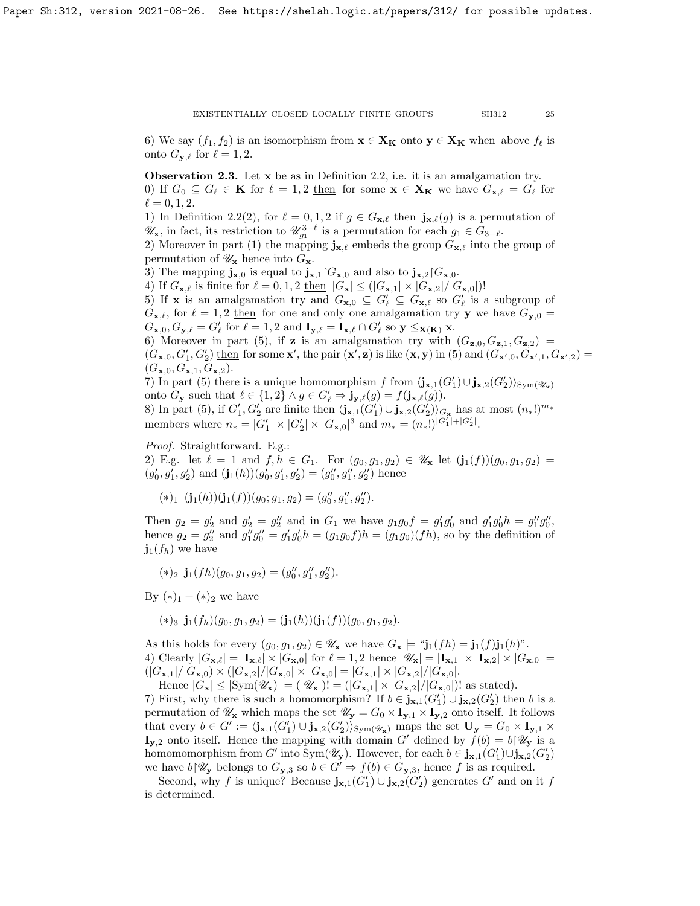6) We say  $(f_1, f_2)$  is an isomorphism from  $\mathbf{x} \in \mathbf{X_K}$  onto  $\mathbf{y} \in \mathbf{X_K}$  when above  $f_\ell$  is onto  $G_{\mathbf{y},\ell}$  for  $\ell = 1, 2$ .

<span id="page-24-0"></span>Observation 2.3. Let x be as in Definition [2.2,](#page-23-0) i.e. it is an amalgamation try. 0) If  $G_0 \subseteq G_\ell \in \mathbf{K}$  for  $\ell = 1, 2$  then for some  $\mathbf{x} \in \mathbf{X_K}$  we have  $G_{\mathbf{x},\ell} = G_\ell$  for  $\ell = 0, 1, 2.$ 

1) In Definition [2.2\(](#page-23-0)2), for  $\ell = 0, 1, 2$  if  $g \in G_{\mathbf{x},\ell}$  then  $\mathbf{j}_{\mathbf{x},\ell}(g)$  is a permutation of  $\mathscr{U}_{\mathbf{x}}$ , in fact, its restriction to  $\mathscr{U}_{g_1}^{3-\ell}$  is a permutation for each  $g_1 \in G_{3-\ell}$ .

2) Moreover in part (1) the mapping  $j_{x,\ell}$  embeds the group  $G_{x,\ell}$  into the group of permutation of  $\mathscr{U}_{\mathbf{x}}$  hence into  $G_{\mathbf{x}}$ .

3) The mapping  $\mathbf{j}_{\mathbf{x},0}$  is equal to  $\mathbf{j}_{\mathbf{x},1}$   $G_{\mathbf{x},0}$  and also to  $\mathbf{j}_{\mathbf{x},2}$   $G_{\mathbf{x},0}$ .

4) If  $G_{\mathbf{x},\ell}$  is finite for  $\ell = 0, 1, 2$  then  $|G_{\mathbf{x}}| \leq (|G_{\mathbf{x},1}| \times |G_{\mathbf{x},2}|/|G_{\mathbf{x},0}|)!$ 

5) If **x** is an amalgamation try and  $G_{\mathbf{x},0} \subseteq G'_{\ell} \subseteq G_{\mathbf{x},\ell}$  so  $G'_{\ell}$  is a subgroup of  $G_{\mathbf{x},\ell}$ , for  $\ell = 1, 2$  then for one and only one amalgamation try y we have  $G_{\mathbf{y},0} =$ 

 $G_{\mathbf{x},0}, G_{\mathbf{y},\ell} = G'_{\ell}$  for  $\ell = 1, 2$  and  $\mathbf{I}_{\mathbf{y},\ell} = \mathbf{I}_{\mathbf{x},\ell} \cap G'_{\ell}$  so  $\mathbf{y} \leq_{\mathbf{X}(\mathbf{K})} \mathbf{x}$ . 6) Moreover in part (5), if **z** is an amalgamation try with  $(G_{\mathbf{z},0}, G_{\mathbf{z},1}, G_{\mathbf{z},2}) =$ 

 $(G_{\mathbf{x},0},G'_1,G'_2)$  then for some  $\mathbf{x}'$ , the pair  $(\mathbf{x}',\mathbf{z})$  is like  $(\mathbf{x},\mathbf{y})$  in (5) and  $(G_{\mathbf{x}',0},G_{\mathbf{x}',1},G_{\mathbf{x}',2})$  $(G_{\mathbf{x},0}, G_{\mathbf{x},1}, G_{\mathbf{x},2}).$ 

7) In part (5) there is a unique homomorphism f from  $\langle \mathbf{j}_{\mathbf{x},1}(G_1') \cup \mathbf{j}_{\mathbf{x},2}(G_2') \rangle_{\text{Sym}(\mathscr{U}_\mathbf{x})}$ onto  $G_{\mathbf{y}}$  such that  $\ell \in \{1,2\} \wedge g \in G'_{\ell} \Rightarrow \mathbf{j}_{\mathbf{y},\ell}(g) = f(\mathbf{j}_{\mathbf{x},\ell}(g)).$ 

8) In part (5), if  $G'_1, G'_2$  are finite then  $\langle \mathbf{j}_{\mathbf{x},1}(G'_1) \cup \mathbf{j}_{\mathbf{x},2}(G'_2) \rangle_{G_{\mathbf{x}}}$  has at most  $(n_*!)^{m_*}$ members where  $n_* = |G'_1| \times |G'_2| \times |G_{\mathbf{x},0}|^3$  and  $m_* = (n_*)^{|G'_1| + |G'_2|}$ .

Proof. Straightforward. E.g.: 2) E.g. let  $\ell = 1$  and  $f, h \in G_1$ . For  $(g_0, g_1, g_2) \in \mathscr{U}_x$  let  $(\mathbf{j}_1(f))(g_0, g_1, g_2) =$  $(g'_0, g'_1, g'_2)$  and  $(\mathbf{j}_1(h))(g'_0, g'_1, g'_2) = (g''_0, g''_1, g''_2)$  hence

 $(*)_1 \; (\mathbf{j}_1(h))(\mathbf{j}_1(f))(g_0; g_1, g_2) = (g''_0, g''_1, g''_2).$ 

Then  $g_2 = g'_2$  and  $g'_2 = g''_2$  and in  $G_1$  we have  $g_1g_0f = g'_1g'_0$  and  $g'_1g'_0h = g''_1g''_0$ , hence  $g_2 = g_2''$  and  $g_1''g_0'' = g_1'g_0'h = (g_1g_0f)h = (g_1g_0)(fh)$ , so by the definition of  $\mathbf{j}_1(f_h)$  we have

 $(*)_2$   $\mathbf{j}_1(fh)(g_0, g_1, g_2) = (g''_0, g''_1, g''_2).$ 

By  $(*)_1 + (*)_2$  we have

 $(*)_3$   $\mathbf{j}_1(f_h)(g_0, g_1, g_2) = (\mathbf{j}_1(h))(\mathbf{j}_1(f))(g_0, g_1, g_2).$ 

As this holds for every  $(g_0, g_1, g_2) \in \mathscr{U}_\mathbf{x}$  we have  $G_\mathbf{x} \models "j_1(fh) = j_1(f)j_1(h)$ ". 4) Clearly  $|G_{\mathbf{x},\ell}| = |\mathbf{I}_{\mathbf{x},\ell}| \times |G_{\mathbf{x},0}|$  for  $\ell = 1, 2$  hence  $|\mathscr{U}_{\mathbf{x}}| = |\mathbf{I}_{\mathbf{x},1}| \times |\mathbf{I}_{\mathbf{x},2}| \times |G_{\mathbf{x},0}| =$  $(|G_{\mathbf{x},1}|/|G_{\mathbf{x},0}) \times (|G_{\mathbf{x},2}|/|G_{\mathbf{x},0}| \times |G_{\mathbf{x},0}| = |G_{\mathbf{x},1}| \times |G_{\mathbf{x},2}|/|G_{\mathbf{x},0}|.$ 

Hence  $|G_{\mathbf{x}}| \leq |\text{Sym}(\mathscr{U}_{\mathbf{x}})| = (|\mathscr{U}_{\mathbf{x}}|)! = (|G_{\mathbf{x},1}| \times |G_{\mathbf{x},2}|/|G_{\mathbf{x},0}|)!$  as stated).

7) First, why there is such a homomorphism? If  $b \in \mathbf{j}_{\mathbf{x},1}(G'_1) \cup \mathbf{j}_{\mathbf{x},2}(G'_2)$  then b is a permutation of  $\mathscr{U}_x$  which maps the set  $\mathscr{U}_y = G_0 \times I_{y,1} \times I_{y,2}$  onto itself. It follows that every  $b \in G' := \langle \mathbf{j}_{\mathbf{x},1}(G'_1) \cup \mathbf{j}_{\mathbf{x},2}(G'_2) \rangle_{\text{Sym}(\mathscr{U}_\mathbf{x})}$  maps the set  $\mathbf{U}_\mathbf{y} = G_0 \times \mathbf{I}_{\mathbf{y},1} \times$  $I_{y,2}$  onto itself. Hence the mapping with domain G' defined by  $f(b) = b \mathcal{U}_y$  is a homomomorphism from G' into Sym $(\mathscr{U}_{\mathbf{y}})$ . However, for each  $b \in \mathbf{j}_{\mathbf{x},1}(G'_1) \cup \mathbf{j}_{\mathbf{x},2}(G'_2)$ we have  $b\mathcal{W}_{\mathbf{y}}$  belongs to  $G_{\mathbf{y},3}$  so  $b \in G' \Rightarrow f(b) \in G_{\mathbf{y},3}$ , hence f is as required.

Second, why f is unique? Because  $\mathbf{j}_{\mathbf{x},1}(G'_1) \cup \mathbf{j}_{\mathbf{x},2}(G'_2)$  generates G' and on it f is determined.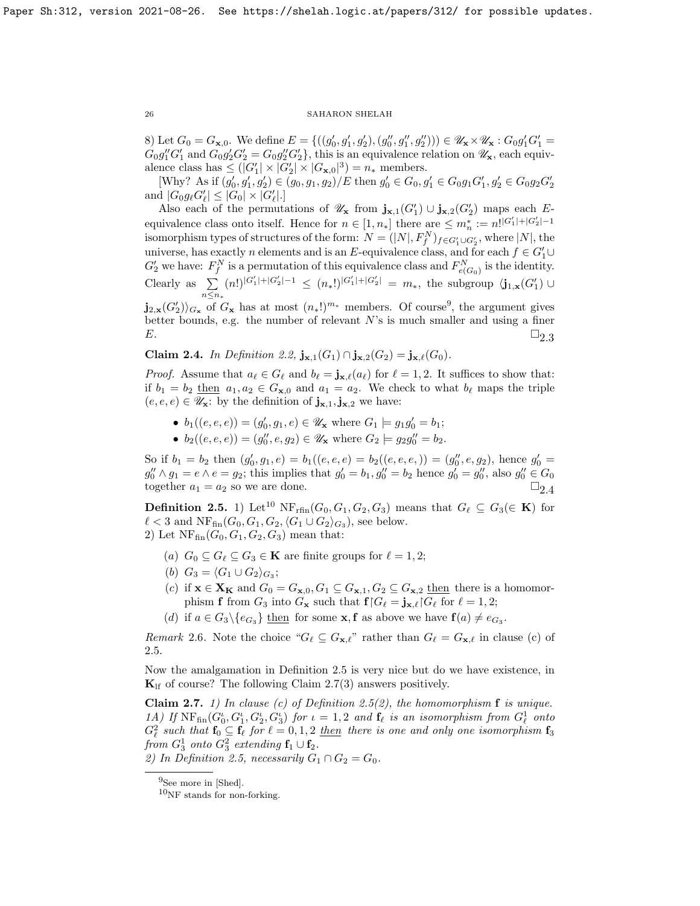8) Let  $G_0 = G_{\mathbf{x},0}$ . We define  $E = \{((g'_0, g'_1, g'_2), (g''_0, g''_1, g''_2))\}\in \mathscr{U}_\mathbf{x} \times \mathscr{U}_\mathbf{x} : G_0 g'_1 G'_1 =$  $G_0g''_1G'_1$  and  $G_0g'_2G'_2 = G_0g''_2G'_2$ , this is an equivalence relation on  $\mathscr{U}_{\mathbf{x}}$ , each equivalence class has  $\leq (|G'_1| \times |G'_2| \times |G_{\mathbf{x},0}|^3) = n_*$  members.

[Why? As if  $(g'_0, g'_1, g'_2) \in (g_0, g_1, g_2)/E$  then  $g'_0 \in G_0, g'_1 \in G_0 g_1 G'_1, g'_2 \in G_0 g_2 G'_2$ and  $|G_0 g_{\ell} G'_{\ell}| \leq |G_0| \times |G'_{\ell}|.$ 

Also each of the permutations of  $\mathscr{U}_{\mathbf{x}}$  from  $\mathbf{j}_{\mathbf{x},1}(G'_1) \cup \mathbf{j}_{\mathbf{x},2}(G'_2)$  maps each Eequivalence class onto itself. Hence for  $n \in [1, n_*]$  there are  $\leq m_n^* := n!^{|G_1'| + |G_2'| - 1}$ isomorphism types of structures of the form:  $N = (|N|, F_f^N)_{f \in G'_1 \cup G'_2}$ , where  $|N|$ , the universe, has exactly n elements and is an E-equivalence class, and for each  $f \in G'_1 \cup$  $G_2'$  we have:  $F_f^N$  is a permutation of this equivalence class and  $F_{e(G_0)}^N$  is the identity. Clearly as  $\Sigma$ n≤n<sup>∗</sup>  $(n!)^{|G'_1|+|G'_2|-1} \leq (n_*)^{|G'_1|+|G'_2|} = m_*$ , the subgroup  $\langle j_{1,x}(G'_1) \cup$  $j_{2,\mathbf{x}}(G'_2) \rangle_{G_{\mathbf{x}}}$  of  $G_{\mathbf{x}}$  has at most  $(n_*!)^{m_*}$  members. Of course<sup>[9](#page-25-0)</sup>, the argument gives

better bounds, e.g. the number of relevant  $N$ 's is much smaller and using a finer  $E.$   $\Box_{2.3}$  $\Box_{2.3}$  $\Box_{2.3}$ 

<span id="page-25-1"></span>Claim 2.4. In Definition [2.2,](#page-23-0)  $j_{x,1}(G_1) \cap j_{x,2}(G_2) = j_{x,\ell}(G_0)$ .

*Proof.* Assume that  $a_\ell \in G_\ell$  and  $b_\ell = \mathbf{j}_{\mathbf{x},\ell}(a_\ell)$  for  $\ell = 1, 2$ . It suffices to show that: if  $b_1 = b_2$  then  $a_1, a_2 \in G_{\mathbf{x},0}$  and  $a_1 = a_2$ . We check to what  $b_\ell$  maps the triple  $(e, e, e) \in \mathscr{U}_{\mathbf{x}}$ : by the definition of  $\mathbf{j}_{\mathbf{x},1}, \mathbf{j}_{\mathbf{x},2}$  we have:

- $b_1((e, e, e)) = (g'_0, g_1, e) \in \mathscr{U}_x$  where  $G_1 \models g_1 g'_0 = b_1$ ;
- $b_2((e, e, e)) = (g''_0, e, g_2) \in \mathscr{U}_x$  where  $G_2 \models g_2 g''_0 = b_2$ .

So if  $b_1 = b_2$  then  $(g'_0, g_1, e) = b_1((e, e, e) = b_2((e, e, e,)) = (g''_0, e, g_2)$ , hence  $g'_0 =$  $g_0'' \wedge g_1 = e \wedge e = g_2$ ; this implies that  $g_0' = b_1, g_0'' = b_2$  hence  $g_0' = g_0''$ , also  $g_0'' \in G_0$ together  $a_1 = a_2$  so we are done.  $\square_{2,4}$ 

<span id="page-25-3"></span>**Definition 2.5.** 1) Let<sup>[10](#page-25-2)</sup> NF<sub>rfin</sub> $(G_0, G_1, G_2, G_3)$  means that  $G_\ell \subseteq G_3(\in \mathbf{K})$  for  $\ell < 3$  and  $\text{NF}_{\text{fin}}(G_0, G_1, G_2, \langle G_1 \cup G_2 \rangle_{G_3})$ , see below. 2) Let  $NF_{fin}(G_0, G_1, G_2, G_3)$  mean that:

- (a)  $G_0 \subseteq G_\ell \subseteq G_3 \in \mathbf{K}$  are finite groups for  $\ell = 1, 2;$
- (b)  $G_3 = \langle G_1 \cup G_2 \rangle_{G_3};$
- (c) if  $\mathbf{x} \in \mathbf{X_K}$  and  $G_0 = G_{\mathbf{x},0}, G_1 \subseteq G_{\mathbf{x},1}, G_2 \subseteq G_{\mathbf{x},2}$  then there is a homomorphism **f** from  $G_3$  into  $G_x$  such that  $f \mid G_\ell = \mathbf{j}_{\mathbf{x},\ell} \mid G_\ell$  for  $\ell = 1, 2;$
- (d) if  $a \in G_3 \setminus \{e_{G_3}\}\$  then for some **x**, **f** as above we have  $f(a) \neq e_{G_3}$ .

Remark 2.6. Note the choice " $G_\ell \subseteq G_{\mathbf{x},\ell}$ " rather than  $G_\ell = G_{\mathbf{x},\ell}$  in clause (c) of [2.5.](#page-25-3)

Now the amalgamation in Definition [2.5](#page-25-3) is very nice but do we have existence, in  $K_{\text{lf}}$  of course? The following Claim [2.7\(](#page-25-4)3) answers positively.

<span id="page-25-4"></span>**Claim 2.7.** 1) In clause (c) of Definition [2.5\(](#page-25-3)2), the homomorphism  $f$  is unique. 1A) If  $NF_{fin}(G_0^{\iota}, G_1^{\iota}, G_2^{\iota}, G_3^{\iota})$  for  $\iota = 1, 2$  and  $\mathbf{f}_{\ell}$  is an isomorphism from  $G_{\ell}^1$  onto  $G_{\ell}^2$  such that  $\mathbf{f}_0 \subseteq \mathbf{f}_{\ell}$  for  $\ell = 0, 1, 2$  then there is one and only one isomorphism  $\mathbf{f}_3$ from  $G_3^1$  onto  $G_3^2$  extending  $\mathbf{f}_1 \cup \mathbf{f}_2$ .

2) In Definition [2.5,](#page-25-3) necessarily  $G_1 \cap G_2 = G_0$ .

<span id="page-25-0"></span><sup>9</sup>See more in [\[Shed\]](#page-63-13).

<span id="page-25-2"></span> $10$ <sub>NF</sub> stands for non-forking.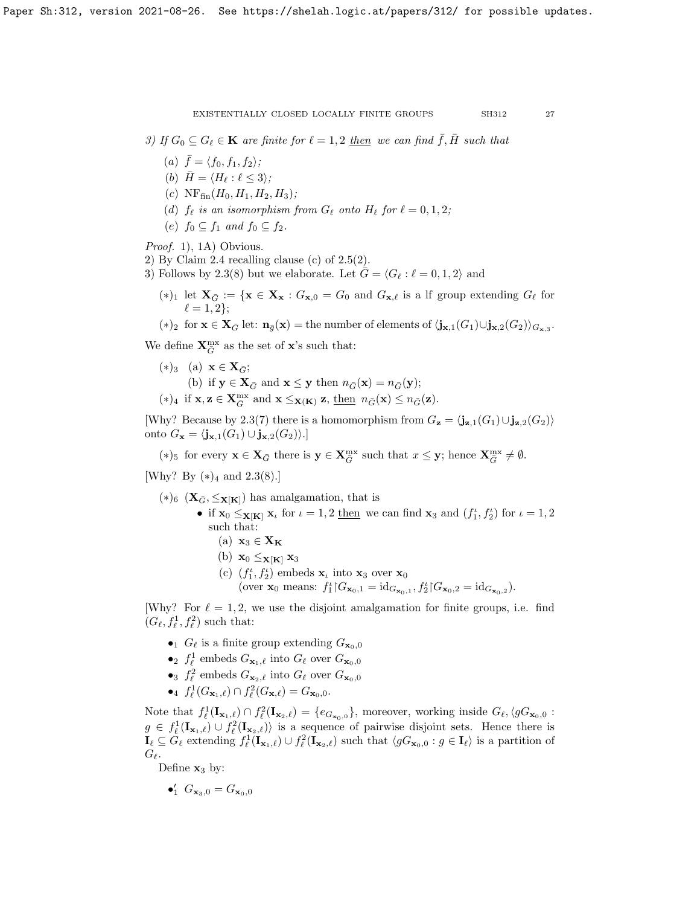3) If  $G_0 \subseteq G_\ell \in \mathbf{K}$  are finite for  $\ell = 1, 2$  then we can find  $\bar{f}, H$  such that

- (a)  $\bar{f} = \langle f_0, f_1, f_2 \rangle;$
- (b)  $\bar{H} = \langle H_\ell : \ell \leq 3 \rangle;$
- (c)  $NF_{fin}(H_0, H_1, H_2, H_3);$
- (d)  $f_{\ell}$  is an isomorphism from  $G_{\ell}$  onto  $H_{\ell}$  for  $\ell = 0, 1, 2;$
- (e)  $f_0 \subseteq f_1$  and  $f_0 \subseteq f_2$ .

Proof. 1), 1A) Obvious.

2) By Claim [2.4](#page-25-1) recalling clause (c) of  $2.5(2)$ .

3) Follows by [2.3\(](#page-24-0)8) but we elaborate. Let  $\bar{G} = \langle G_\ell : \ell = 0, 1, 2 \rangle$  and

(\*)<sub>1</sub> let  $\mathbf{X}_{\bar{G}} := \{ \mathbf{x} \in \mathbf{X}_{\mathbf{x}} : G_{\mathbf{x},0} = G_0 \text{ and } G_{\mathbf{x},\ell} \text{ is a if group extending } G_{\ell} \text{ for } \ell$  $\ell = 1, 2$ ;

 $(*)_2$  for  $\mathbf{x} \in \mathbf{X}_{\bar{G}}$  let:  $\mathbf{n}_{\bar{g}}(\mathbf{x}) = \text{the number of elements of } \langle \mathbf{j}_{\mathbf{x},1}(G_1) \cup \mathbf{j}_{\mathbf{x},2}(G_2) \rangle_{G_{\mathbf{x},3}}$ .

We define  $\mathbf{X}_{\bar{G}}^{\text{mx}}$  as the set of  $\mathbf{x}$ 's such that:

 $(*)_3$  (a)  $\mathbf{x} \in \mathbf{X}_{\bar{C}};$ (b) if  $y \in X_{\bar{G}}$  and  $x \leq y$  then  $n_{\bar{G}}(x) = n_{\bar{G}}(y)$ ;  $(*)_4$  if  $\mathbf{x}, \mathbf{z} \in \mathbf{X}_{\overline{G}}^{\text{mx}}$  and  $\mathbf{x} \leq_{\mathbf{X}(\mathbf{K})} \mathbf{z}, \underline{\text{then}} n_{\overline{G}}(\mathbf{x}) \leq n_{\overline{G}}(\mathbf{z}).$ 

[Why? Because by [2.3\(](#page-24-0)7) there is a homomorphism from  $G_{\mathbf{z}} = \langle \mathbf{j}_{\mathbf{z},1}(G_1) \cup \mathbf{j}_{\mathbf{z},2}(G_2) \rangle$ onto  $G_{\mathbf{x}} = \langle \mathbf{j}_{\mathbf{x},1}(G_1) \cup \mathbf{j}_{\mathbf{x},2}(G_2) \rangle.$ 

(\*)<sub>5</sub> for every  $\mathbf{x} \in \mathbf{X}_{\bar{G}}$  there is  $\mathbf{y} \in \mathbf{X}_{\bar{G}}^{\text{mx}}$  such that  $x \leq \mathbf{y}$ ; hence  $\mathbf{X}_{\bar{G}}^{\text{mx}} \neq \emptyset$ .

[Why? By  $(*)_4$  and [2.3\(](#page-24-0)8).]

- (\*)<sub>6</sub> ( $\mathbf{X}_{\bar{G}}$ ,  $\leq$  $\mathbf{x}$ [**K**]) has amalgamation, that is
	- if  $\mathbf{x}_0 \leq_{\mathbf{X}[\mathbf{K}]} \mathbf{x}_\iota$  for  $\iota = 1, 2$  then we can find  $\mathbf{x}_3$  and  $(f_1^{\iota}, f_2^{\iota})$  for  $\iota = 1, 2$ such that:
		- (a)  $\mathbf{x}_3 \in \mathbf{X_K}$
		- (b)  $\mathbf{x}_0 \leq \mathbf{x}_{\lbrack \mathbf{K} \rbrack} \mathbf{x}_3$
		- (c)  $(f_1^{\iota}, f_2^{\iota})$  embeds  $\mathbf{x}_{\iota}$  into  $\mathbf{x}_3$  over  $\mathbf{x}_0$ (over  $\mathbf{x}_0$  means:  $f_1^{\iota} | G_{\mathbf{x}_0,1} = \mathrm{id}_{G_{\mathbf{x}_0,1}}, f_2^{\iota} | G_{\mathbf{x}_0,2} = \mathrm{id}_{G_{\mathbf{x}_0,2}}$ ).

[Why? For  $\ell = 1, 2$ , we use the disjoint amalgamation for finite groups, i.e. find  $(G_{\ell}, f_{\ell}^1, f_{\ell}^2)$  such that:

- $\bullet_1$   $G_\ell$  is a finite group extending  $G_{\mathbf{x}_0,0}$
- $\bullet_2\ f_\ell^1$ embeds $G_{{\bf x}_1,\ell}$  into  $G_\ell$  over  $G_{{\bf x}_0,0}$
- $\bullet_3$   $\,f^2_\ell$  embeds  $G_{{\bf x}_2,\ell}$  into  $G_\ell$  over  $G_{{\bf x}_0,0}$
- $f_{\ell}^1(G_{{\bf x}_1,\ell}) \cap f_{\ell}^2(G_{{\bf x},\ell}) = G_{{\bf x}_0,0}.$

Note that  $f^1_\ell(\mathbf{I}_{\mathbf{x}_1,\ell}) \cap f^2_\ell(\mathbf{I}_{\mathbf{x}_2,\ell}) = \{e_{G_{\mathbf{x}_0,0}}\}$ , moreover, working inside  $G_\ell, \langle gG_{\mathbf{x}_0,0}$ :  $g \in f_{\ell}^1(I_{\mathbf{x}_1,\ell}) \cup f_{\ell}^2(I_{\mathbf{x}_2,\ell})\rangle$  is a sequence of pairwise disjoint sets. Hence there is  $\mathbf{I}_{\ell} \subseteq \tilde{G}_{\ell}$  extending  $f_{\ell}^1(\mathbf{I}_{\mathbf{x}_1,\ell}) \cup f_{\ell}^2(\mathbf{I}_{\mathbf{x}_2,\ell})$  such that  $\langle gG_{\mathbf{x}_0,0} : g \in \mathbf{I}_{\ell} \rangle$  is a partition of  $G_{\ell}$ .

Define  $x_3$  by:

$$
\bullet_1' \ G_{\mathbf{x}_3,0}=G_{\mathbf{x}_0,0}
$$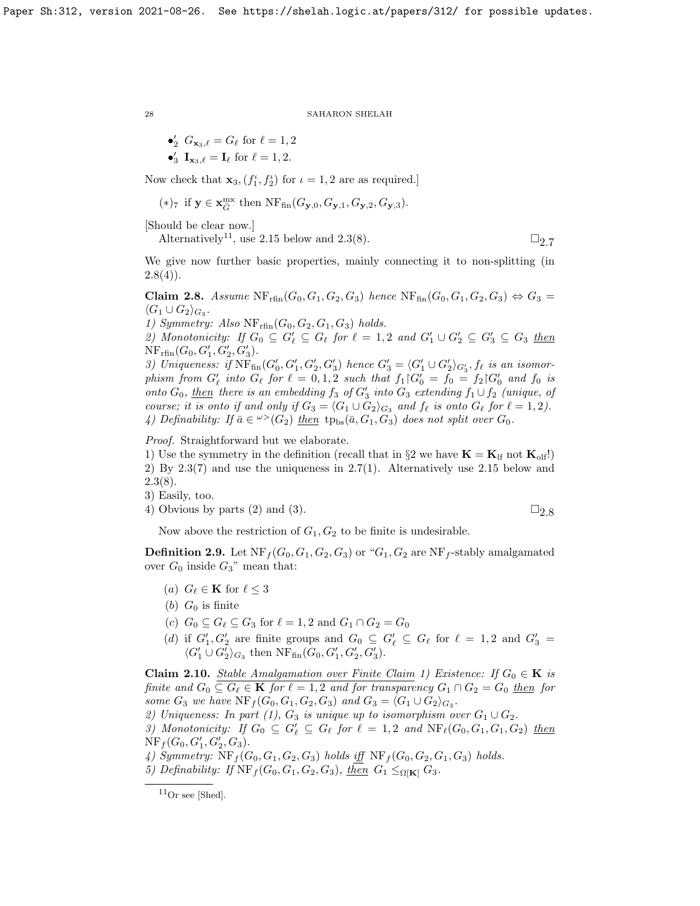\n- $$
\bullet'_2 \ G_{\mathbf{x}_3,\ell} = G_\ell \text{ for } \ell = 1, 2
$$
\n- $\bullet'_3 \ \mathbf{I}_{\mathbf{x}_3,\ell} = \mathbf{I}_\ell \text{ for } \ell = 1, 2.$
\n

Now check that  $\mathbf{x}_3$ ,  $(f_1^{\iota}, f_2^{\iota})$  for  $\iota = 1, 2$  are as required.]

$$
(\ast)_7 \text{ if } \mathbf{y} \in \mathbf{x}_{\bar{G}}^{\mathrm{mx}} \text{ then } \mathrm{NF}_{\mathrm{fin}}(G_{\mathbf{y},0},G_{\mathbf{y},1},G_{\mathbf{y},2},G_{\mathbf{y},3}).
$$

[Should be clear now.]

Alternatively<sup>[11](#page-27-0)</sup>, use [2.15](#page-28-0) below and [2.3\(](#page-24-0)8).  $\square$ 

We give now further basic properties, mainly connecting it to non-splitting (in  $2.8(4)$  $2.8(4)$ .

<span id="page-27-1"></span>Claim 2.8. Assume  $\text{NF}_{\text{rfin}}(G_0, G_1, G_2, G_3)$  hence  $\text{NF}_{\text{fin}}(G_0, G_1, G_2, G_3) \Leftrightarrow G_3 =$  $\langle G_1 \cup G_2 \rangle_{G_3}.$ 

1) Symmetry: Also  $NF_{rfin}(G_0, G_2, G_1, G_3)$  holds.

2) Monotonicity: If  $G_0 \subseteq G'_\ell \subseteq G_\ell$  for  $\ell = 1, 2$  and  $G'_1 \cup G'_2 \subseteq G'_3 \subseteq G_3$  then  $NF_{rfin}(G_0, G'_1, G'_2, G'_3).$ 

3) Uniqueness: if  $\overline{\text{NF}}_{\text{fin}}(G'_0, G'_1, G'_2, G'_3)$  hence  $G'_3 = \langle G'_1 \cup G'_2 \rangle_{G'_3}$ ,  $f_\ell$  is an isomorphism from  $G'_\ell$  into  $G_\ell$  for  $\ell = 0, 1, 2$  such that  $f_1 \vert G'_0 = f_0 = f_2 \vert G'_0$  and  $f_0$  is onto  $G_0$ , then there is an embedding  $f_3$  of  $G'_3$  into  $G_3$  extending  $f_1 \cup f_2$  (unique, of course; it is onto if and only if  $G_3 = \langle G_1 \cup G_2 \rangle_{G_3}$  and  $f_\ell$  is onto  $G_\ell$  for  $\ell = 1, 2$ ). 4) Definability: If  $\bar{a} \in \mathcal{L}(G_2)$  then  $tp_{bs}(\bar{a}, G_1, G_3)$  does not split over  $G_0$ .

Proof. Straightforward but we elaborate.

1) Use the symmetry in the definition (recall that in  $\S 2$  we have  $\mathbf{K} = \mathbf{K}_{\text{lf}}$  not  $\mathbf{K}_{\text{olf}}$ !) 2) By [2.3\(](#page-24-0)7) and use the uniqueness in [2.7\(](#page-25-4)1). Alternatively use [2.15](#page-28-0) below and  $2.3(8).$  $2.3(8).$ 

3) Easily, too.

4) Obvious by parts (2) and (3).  $\Box$  [2.8](#page-27-1)

Now above the restriction of  $G_1, G_2$  to be finite is undesirable.

<span id="page-27-3"></span>**Definition 2.9.** Let  $NF_f(G_0, G_1, G_2, G_3)$  or " $G_1, G_2$  are  $NF_f$ -stably amalgamated over  $G_0$  inside  $G_3$ " mean that:

- (a)  $G_{\ell} \in \mathbf{K}$  for  $\ell \leq 3$
- (b)  $G_0$  is finite
- (c)  $G_0 \subseteq G_\ell \subseteq G_3$  for  $\ell = 1, 2$  and  $G_1 \cap G_2 = G_0$
- (d) if  $G'_1, G'_2$  are finite groups and  $G_0 \subseteq G'_\ell \subseteq G_\ell$  for  $\ell = 1, 2$  and  $G'_3 =$  $\langle G'_1 \cup G'_2 \rangle_{G_3}$  then  $\operatorname{NF}_{\text{fin}}(G_0, G'_1, G'_2, G'_3)$ .

<span id="page-27-2"></span>**Claim 2.10.** Stable Amalgamation over Finite Claim 1) Existence: If  $G_0 \in \mathbf{K}$  is finite and  $G_0 \subseteq G_\ell \in \mathbf{K}$  for  $\ell = 1, 2$  and for transparency  $G_1 \cap G_2 = G_0$  then for some  $G_3$  we have  $\text{NF}_f(G_0, G_1, G_2, G_3)$  and  $G_3 = \langle G_1 \cup G_2 \rangle_{G_3}$ .

2) Uniqueness: In part (1),  $G_3$  is unique up to isomorphism over  $G_1 \cup G_2$ .

3) Monotonicity: If  $G_0 \subseteq G'_\ell \subseteq G_\ell$  for  $\ell = 1, 2$  and  $NF_\ell(G_0, G_1, G_1, G_2)$  then  $NF_f(G_0, G'_1, G'_2, G_3).$ 

4) Symmetry:  $NF_f(G_0, G_1, G_2, G_3)$  holds iff  $NF_f(G_0, G_2, G_1, G_3)$  holds.

5) Definability: If  $\operatorname{NF}_f(G_0, G_1, G_2, G_3)$ , then  $G_1 \leq_{\Omega[K]} G_3$ .

<span id="page-27-0"></span> $11$ Or see [\[Shed\]](#page-63-13).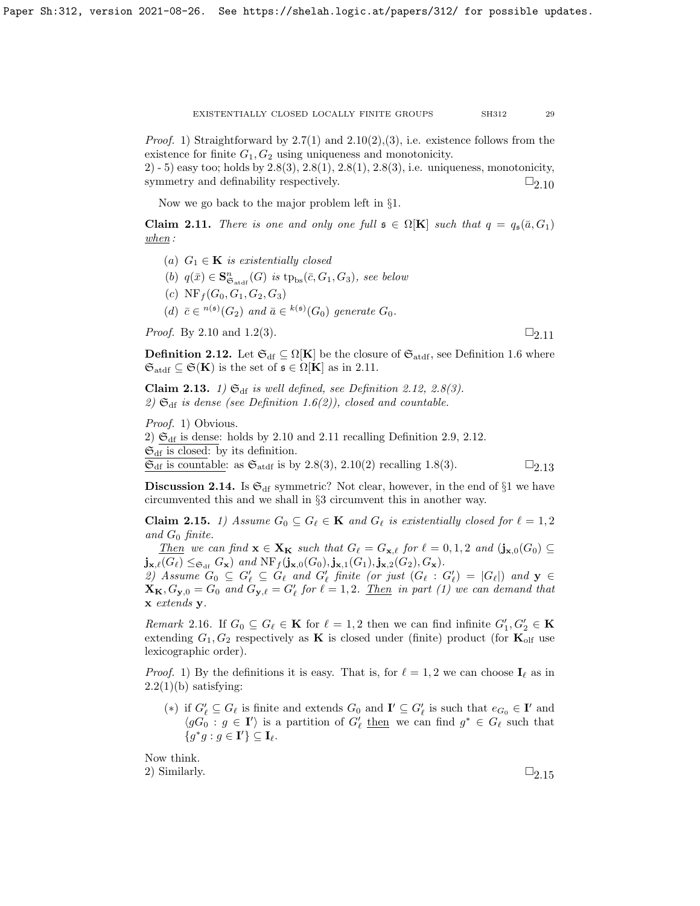*Proof.* 1) Straightforward by  $2.7(1)$  and  $2.10(2),(3)$ , i.e. existence follows from the existence for finite  $G_1, G_2$  using uniqueness and monotonicity.

2) - 5) easy too; holds by  $2.8(3)$ ,  $2.8(1)$ ,  $2.8(1)$ ,  $2.8(3)$ , i.e. uniqueness, monotonicity, symmetry and definability respectively.  $\Box_{2.10}$  $\Box_{2.10}$  $\Box_{2.10}$ 

Now we go back to the major problem left in §1.

<span id="page-28-1"></span>**Claim 2.11.** There is one and only one full  $\mathfrak{s} \in \Omega[\mathbf{K}]$  such that  $q = q_{\mathfrak{s}}(\bar{a}, G_1)$  $when:$ 

(a)  $G_1 \in \mathbf{K}$  is existentially closed (b)  $q(\bar{x}) \in \mathbf{S}_{\mathfrak{S}_{\mathrm{atdf}}}^n(G)$  is  $tp_{\mathrm{bs}}(\bar{c}, G_1, G_3)$ , see below (c)  $NF_f(G_0, G_1, G_2, G_3)$ (d)  $\bar{c} \in {}^{n(\mathfrak{s})}(G_2)$  and  $\bar{a} \in {}^{k(\mathfrak{s})}(G_0)$  generate  $G_0$ .

*Proof.* By [2.10](#page-27-2) and [1.2\(](#page-10-0)3).  $\Box_{2,11}$ 

<span id="page-28-2"></span>**Definition 2.12.** Let  $\mathfrak{S}_{df} \subseteq \Omega[K]$  be the closure of  $\mathfrak{S}_{\text{addf}}$ , see Definition [1.6](#page-12-0) where  $\mathfrak{S}_{\text{atdf}} \subseteq \mathfrak{S}(\mathbf{K})$  is the set of  $\mathfrak{s} \in \Omega[\mathbf{K}]$  as in [2.11.](#page-28-1)

<span id="page-28-3"></span>Claim 2.13. 1)  $\mathfrak{S}_{df}$  is well defined, see Definition [2.12,](#page-28-2) [2.8\(](#page-27-1)3). 2)  $\mathfrak{S}_{df}$  is dense (see Definition [1.6\(](#page-12-0)2)), closed and countable.

Proof. 1) Obvious.

2)  $\mathfrak{S}_{\rm df}$  is dense: holds by [2.10](#page-27-2) and [2.11](#page-28-1) recalling Definition [2.9,](#page-27-3) [2.12.](#page-28-2)  $\mathfrak{S}_{\mathrm{df}}$  is closed: by its definition.

 $\mathfrak{S}_{\text{df}}$  is countable: as  $\mathfrak{S}_{\text{atdf}}$  is by [2.8\(](#page-27-1)3), [2.10\(](#page-27-2)2) recalling [1.8\(](#page-13-0)3).  $\square_{2.13}$  $\square_{2.13}$  $\square_{2.13}$ 

**Discussion 2.14.** Is  $\mathfrak{S}_{\text{df}}$  symmetric? Not clear, however, in the end of §1 we have circumvented this and we shall in §3 circumvent this in another way.

<span id="page-28-0"></span>**Claim 2.15.** 1) Assume  $G_0 \subseteq G_\ell \in \mathbf{K}$  and  $G_\ell$  is existentially closed for  $\ell = 1, 2$ and  $G_0$  finite.

Then we can find  $\mathbf{x} \in \mathbf{X_K}$  such that  $G_\ell = G_{\mathbf{x},\ell}$  for  $\ell = 0, 1, 2$  and  $(j_{\mathbf{x},0}(G_0) \subseteq$  $\mathbf{j}_{\mathbf{x},\ell}(G_{\ell}) \leq_{\mathfrak{S}_{\mathrm{df}}} G_{\mathbf{x}}$  and  $\mathrm{NF}_f(\mathbf{j}_{\mathbf{x},0}(G_0),\mathbf{j}_{\mathbf{x},1}(G_1),\mathbf{j}_{\mathbf{x},2}(G_2), G_{\mathbf{x}}).$ 

2) Assume  $G_0 \subseteq G'_\ell \subseteq G_\ell$  and  $G'_\ell$  finite (or just  $(G_\ell : G'_\ell) = |G_\ell|$ ) and  $y \in$  $\mathbf{X_K}, G_{\mathbf{y},0} = G_0$  and  $G_{\mathbf{y},\ell} = G'_\ell$  for  $\ell = 1, 2$ . <u>Then</u> in part (1) we can demand that x extends y.

*Remark* 2.16. If  $G_0 \subseteq G_\ell \in \mathbf{K}$  for  $\ell = 1, 2$  then we can find infinite  $G'_1, G'_2 \in \mathbf{K}$ extending  $G_1, G_2$  respectively as **K** is closed under (finite) product (for  $\mathbf{K}_{\text{olf}}$  use lexicographic order).

*Proof.* 1) By the definitions it is easy. That is, for  $\ell = 1, 2$  we can choose  $I_\ell$  as in  $2.2(1)(b)$  $2.2(1)(b)$  satisfying:

(\*) if  $G'_{\ell} \subseteq G_{\ell}$  is finite and extends  $G_0$  and  $\mathbf{I}' \subseteq G'_{\ell}$  is such that  $e_{G_0} \in \mathbf{I}'$  and  $\langle gG_0 : g \in I' \rangle$  is a partition of  $G'_\ell$  then we can find  $g^* \in G_\ell$  such that  ${g^*g : g \in \mathbf{I'}\} \subseteq \mathbf{I}_{\ell}.$ 

Now think. 2) Similarly.  $\Box_{2.15}$  $\Box_{2.15}$  $\Box_{2.15}$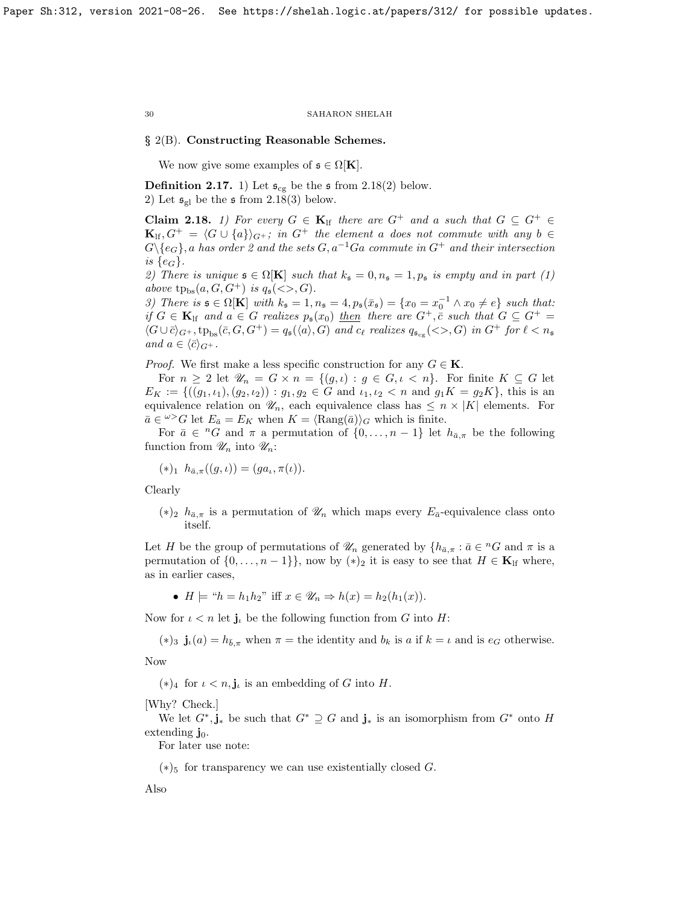# § 2(B). Constructing Reasonable Schemes.

We now give some examples of  $\mathfrak{s} \in \Omega[\mathbf{K}]$ .

<span id="page-29-1"></span>**Definition 2.17.** 1) Let  $\mathfrak{s}_{cg}$  be the  $\mathfrak{s}$  from [2.18\(](#page-29-0)2) below. 2) Let  $\mathfrak{s}_{gl}$  be the  $\mathfrak{s}$  from [2.18\(](#page-29-0)3) below.

<span id="page-29-0"></span>**Claim 2.18.** 1) For every  $G \in \mathbf{K}_{\text{lf}}$  there are  $G^+$  and a such that  $G \subseteq G^+ \in$  $\mathbf{K}_{\text{lf}}, G^+ = \langle G \cup \{a\} \rangle_{G^+};$  in  $G^+$  the element a does not commute with any b  $\in$  $G\backslash\{e_G\}$ , a has order 2 and the sets  $G, a^{-1}Ga$  commute in  $G^+$  and their intersection is  $\{e_G\}.$ 

2) There is unique  $\mathfrak{s} \in \Omega[K]$  such that  $k_{\mathfrak{s}} = 0, n_{\mathfrak{s}} = 1, p_{\mathfrak{s}}$  is empty and in part (1) above  $tp_{bs}(a, G, G^+)$  is  $q_{\mathfrak{s}}(\llg, G)$ .

3) There is  $\mathfrak{s} \in \Omega[\mathbf{K}]$  with  $k_{\mathfrak{s}} = 1, n_{\mathfrak{s}} = 4, p_{\mathfrak{s}}(\bar{x}_{\mathfrak{s}}) = \{x_0 = x_0^{-1} \wedge x_0 \neq e\}$  such that: if  $G \in \mathbf{K}_{\text{lf}}$  and  $a \in G$  realizes  $p_{\mathfrak{s}}(x_0)$  then there are  $G^+$ ,  $\bar{c}$  such that  $G \subseteq G^+$  $\langle G \cup \overline{c} \rangle_{G^+}$ ,  $tp_{bs}(\overline{c}, G, G^+) = q_{\mathfrak{s}}(\langle a \rangle, G)$  and  $c_{\ell}$  realizes  $q_{\mathfrak{s}_{cg}}(<>, G)$  in  $G^+$  for  $\ell < n_{\mathfrak{s}}$ and  $a \in \langle \bar{c} \rangle_{G^+}.$ 

*Proof.* We first make a less specific construction for any  $G \in \mathbf{K}$ .

For  $n \geq 2$  let  $\mathscr{U}_n = G \times n = \{(g, \iota) : g \in G, \iota < n\}.$  For finite  $K \subseteq G$  let  $E_K := \{((g_1, \iota_1), (g_2, \iota_2)) : g_1, g_2 \in G \text{ and } \iota_1, \iota_2 < n \text{ and } g_1K = g_2K\},\$  this is an equivalence relation on  $\mathcal{U}_n$ , each equivalence class has  $\leq n \times |K|$  elements. For  $\bar{a} \in \ell^{\infty}G$  let  $E_{\bar{a}} = E_K$  when  $K = \langle \text{Rang}(\bar{a}) \rangle_G$  which is finite.

For  $\bar{a} \in {}^{n}G$  and  $\pi$  a permutation of  $\{0, \ldots, n-1\}$  let  $h_{\bar{a},\pi}$  be the following function from  $\mathscr{U}_n$  into  $\mathscr{U}_n$ :

$$
(*)_1 h_{\bar{a},\pi}((g,\iota)) = (ga_\iota, \pi(\iota)).
$$

Clearly

 $(*)_2$   $h_{\bar{a},\pi}$  is a permutation of  $\mathscr{U}_n$  which maps every  $E_{\bar{a}}$ -equivalence class onto itself.

Let H be the group of permutations of  $\mathscr{U}_n$  generated by  $\{h_{\bar{a},\pi} : \bar{a} \in {}^nG \text{ and } \pi \text{ is a } \}$ permutation of  $\{0, \ldots, n-1\}$ , now by  $(*)_2$  it is easy to see that  $H \in \mathbf{K}_{\text{lf}}$  where, as in earlier cases,

•  $H \models "h = h_1h_2"$  iff  $x \in \mathscr{U}_n \Rightarrow h(x) = h_2(h_1(x)).$ 

Now for  $\iota < n$  let  $j_{\iota}$  be the following function from G into H:

(\*)<sub>3</sub>  $\mathbf{j}_{\iota}(a) = h_{\bar{b},\pi}$  when  $\pi =$  the identity and  $b_k$  is a if  $k = \iota$  and is  $e_G$  otherwise.

Now

 $(*)_4$  for  $\iota < n$ , **j**<sub> $\iota$ </sub> is an embedding of G into H.

[Why? Check.]

We let  $G^*, \mathbf{j}_*$  be such that  $G^* \supseteq G$  and  $\mathbf{j}_*$  is an isomorphism from  $G^*$  onto H extending  $\mathbf{j}_0$ .

For later use note:

 $(*)$ <sub>5</sub> for transparency we can use existentially closed G.

Also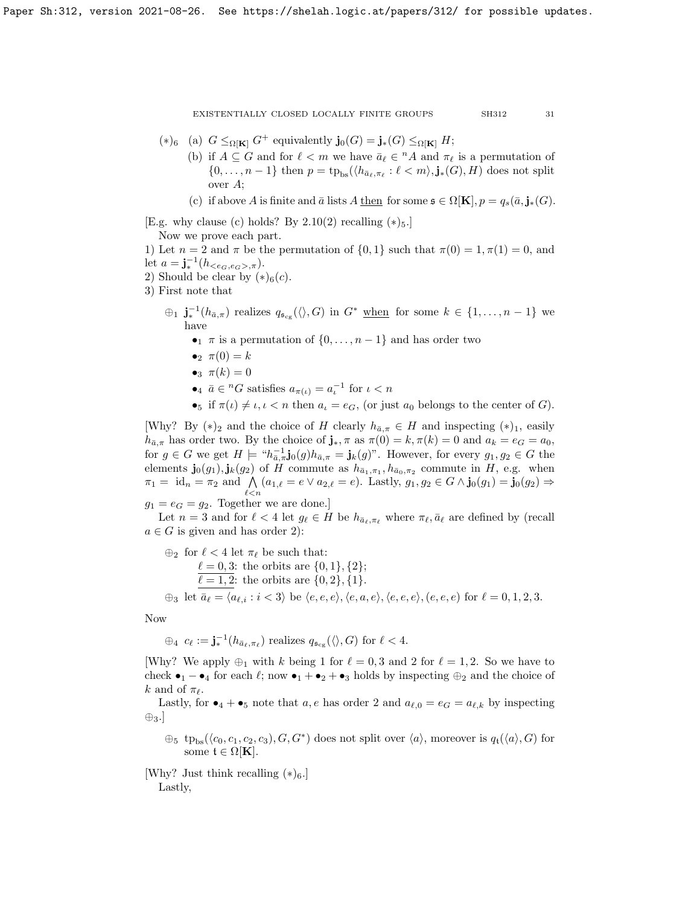- (\*)<sub>6</sub> (a)  $G \leq_{\Omega[\mathbf{K}]} G^+$  equivalently  $\mathbf{j}_0(G) = \mathbf{j}_*(G) \leq_{\Omega[\mathbf{K}]} H;$ 
	- (b) if  $A \subseteq G$  and for  $\ell < m$  we have  $\bar{a}_{\ell} \in {}^nA$  and  $\pi_{\ell}$  is a permutation of  $\{0, \ldots, n-1\}$  then  $p = \text{tp}_{\text{bs}}(\langle h_{\bar{a}_{\ell}, \pi_{\ell}} : \ell < m \rangle, \mathbf{j}_*(G), H)$  does not split over A;

(c) if above A is finite and  $\bar{a}$  lists A then for some  $\mathfrak{s} \in \Omega[\mathbf{K}], p = q_s(\bar{a}, \mathbf{j}_*(G)).$ 

[E.g. why clause (c) holds? By  $2.10(2)$  recalling  $(*)_5$ .]

Now we prove each part.

1) Let  $n = 2$  and  $\pi$  be the permutation of  $\{0, 1\}$  such that  $\pi(0) = 1, \pi(1) = 0$ , and let  $a = \mathbf{j}_*^{-1}(h_{< e_G, e_G>, \pi}).$ 

2) Should be clear by  $(*)_6(c)$ .

3) First note that

- $\oplus_1$   $\mathbf{j}_*^{-1}(h_{\bar{a},\pi})$  realizes  $q_{\mathfrak{s}_{cg}}(\langle \rangle,G)$  in  $G^*$  when for some  $k \in \{1,\ldots,n-1\}$  we have
	- $\tau$  is a permutation of  $\{0, \ldots, n-1\}$  and has order two
	- $\bullet_2 \ \pi(0) = k$
	- $\bullet_3$   $\pi(k) = 0$
	- $a_{\bar{\mu}} \bar{a} \in {}^{n}G$  satisfies  $a_{\pi(\iota)} = a_{\iota}^{-1}$  for  $\iota < n$
	- •5 if  $\pi(\iota) \neq \iota, \iota < n$  then  $a_{\iota} = e_G$ , (or just  $a_0$  belongs to the center of G).

[Why? By  $(*)_2$  and the choice of H clearly  $h_{\bar{a},\pi} \in H$  and inspecting  $(*)_1$ , easily  $h_{\bar{a},\pi}$  has order two. By the choice of  $\mathbf{j}_{*}, \pi$  as  $\pi(0) = k, \pi(k) = 0$  and  $a_k = e_G = a_0$ , for  $g \in G$  we get  $H \models "h_{\bar{a},\pi}^{-1}$ **j**<sub>0</sub> $(g)h_{\bar{a},\pi} = \mathbf{j}_{k}(g)$ ". However, for every  $g_1, g_2 \in G$  the elements  $\mathbf{j}_0(g_1), \mathbf{j}_k(g_2)$  of H commute as  $h_{\bar{a}_1,\pi_1}, h_{\bar{a}_0,\pi_2}$  commute in H, e.g. when  $\pi_1 = \text{id}_n = \pi_2 \text{ and } \bigwedge_{\ell \leq n} (a_{1,\ell} = e \vee a_{2,\ell} = e)$ . Lastly,  $g_1, g_2 \in G \wedge \mathbf{j}_0(g_1) = \mathbf{j}_0(g_2) \Rightarrow$ 

 $g_1 = e_G = g_2$ . Together we are done.]

Let  $n = 3$  and for  $\ell < 4$  let  $g_{\ell} \in H$  be  $h_{\bar{a}_{\ell},\pi_{\ell}}$  where  $\pi_{\ell},\bar{a}_{\ell}$  are defined by (recall  $a \in G$  is given and has order 2):

 $\bigoplus_2$  for  $\ell < 4$  let  $\pi_{\ell}$  be such that:  $\ell = 0, 3:$  the orbits are  $\{0, 1\}, \{2\};$  $\overline{\ell = 1, 2}$ : the orbits are  $\{0, 2\}, \{1\}.$  $\oplus_3$  let  $\bar{a}_\ell = \langle a_{\ell,i} : i \langle \delta \rangle \rangle$  be  $\langle e, e, e \rangle, \langle e, a, e \rangle, \langle e, e, e \rangle, \langle e, e, e \rangle$  for  $\ell = 0, 1, 2, 3$ .

Now

 $\oplus_4 \ c_{\ell} := \mathbf{j}_{\ast}^{-1}(h_{\bar{a}_{\ell},\pi_{\ell}})$  realizes  $q_{\mathfrak{s}_{cg}}(\langle \rangle,G)$  for  $\ell < 4$ .

[Why? We apply  $\oplus_1$  with k being 1 for  $\ell = 0, 3$  and 2 for  $\ell = 1, 2$ . So we have to check  $\bullet_1 - \bullet_4$  for each  $\ell$ ; now  $\bullet_1 + \bullet_2 + \bullet_3$  holds by inspecting  $\oplus_2$  and the choice of k and of  $\pi_{\ell}$ .

Lastly, for  $\bullet_4 + \bullet_5$  note that a, e has order 2 and  $a_{\ell,0} = e_G = a_{\ell,k}$  by inspecting ⊕3.]

 $\oplus_5$  tp<sub>bs</sub>( $\langle c_0, c_1, c_2, c_3$ ),  $G, G^*$ ) does not split over  $\langle a \rangle$ , moreover is  $q_t(\langle a \rangle, G)$  for some  $\mathfrak{t}\in \Omega[\mathbf{K}].$ 

[Why? Just think recalling  $(*)_6$ .] Lastly,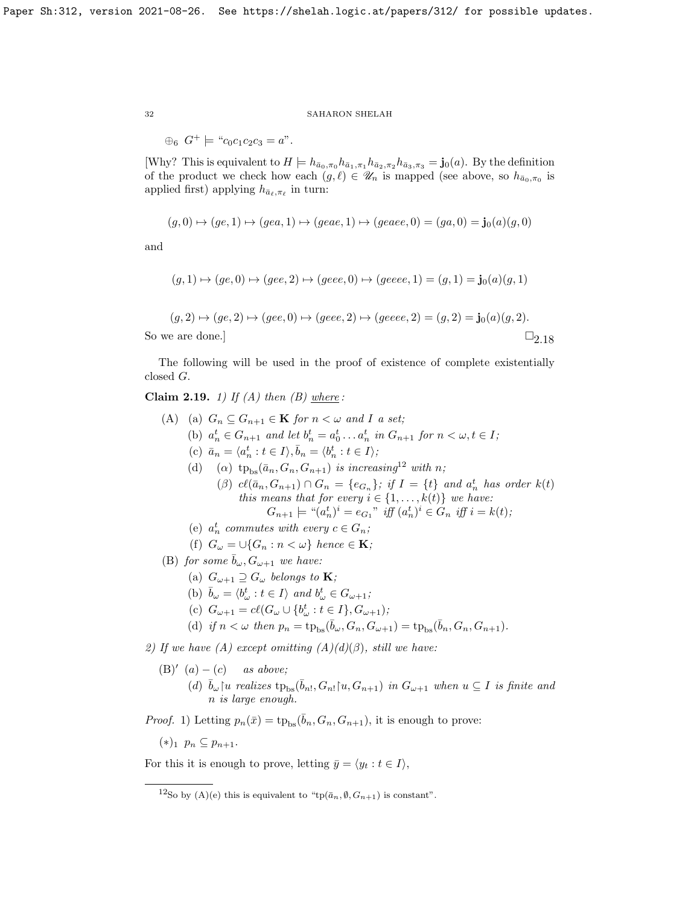$\oplus_6$   $G^+ \models$  " $c_0c_1c_2c_3 = a$ ".

[Why? This is equivalent to  $H \models h_{\bar{a}_0,\pi_0} h_{\bar{a}_1,\pi_1} h_{\bar{a}_2,\pi_2} h_{\bar{a}_3,\pi_3} = \mathbf{j}_0(a)$ . By the definition of the product we check how each  $(g, \ell) \in \mathscr{U}_n$  is mapped (see above, so  $h_{\bar{a}_0, \pi_0}$  is applied first) applying  $h_{\bar{a}_{\ell},\pi_{\ell}}$  in turn:

$$
(g,0) \mapsto (ge,1) \mapsto (gea,1) \mapsto (geae,1) \mapsto (geaee,0) = (ga,0) = \mathbf{j}_0(a)(g,0)
$$

and

$$
(g,1) \mapsto (ge,0) \mapsto (gee,2) \mapsto (geee,0) \mapsto (geeee,1) = (g,1) = \mathbf{j}_0(a)(g,1)
$$

$$
(g, 2) \mapsto (ge, 2) \mapsto (gee, 0) \mapsto (gee, 2) \mapsto (geee, 2) = (g, 2) = j0(a)(g, 2).
$$
  
So we are done.]

The following will be used in the proof of existence of complete existentially closed G.

<span id="page-31-1"></span>Claim 2.19. 1) If  $(A)$  then  $(B)$  where:

(A) (a)  $G_n \subseteq G_{n+1} \in \mathbf{K}$  for  $n < \omega$  and I a set; (b)  $a_n^t \in G_{n+1}$  and let  $b_n^t = a_0^t \dots a_n^t$  in  $G_{n+1}$  for  $n < \omega, t \in I$ ; (c)  $\bar{a}_n = \langle a_n^t : t \in I \rangle, \bar{b}_n = \langle b_n^t : t \in I \rangle;$ (d) (a)  $tp_{bs}(\bar{a}_n, G_n, G_{n+1})$  is increasing<sup>[12](#page-31-0)</sup> with n; ( $\beta$ )  $cl(\bar{a}_n, G_{n+1}) \cap G_n = \{e_{G_n}\};$  if  $I = \{t\}$  and  $a_n^t$  has order  $k(t)$ this means that for every  $i \in \{1, \ldots, k(t)\}$  we have:  $G_{n+1} \models "(a_n^t)^i = e_{G_1}" \text{ iff } (a_n^t)^i \in G_n \text{ iff } i = k(t);$ (e)  $a_n^t$  commutes with every  $c \in G_n$ ; (f)  $G_{\omega} = \cup \{G_n : n < \omega\}$  hence  $\in \mathbf{K}$ ; (B) for some  $\bar{b}_{\omega}$ ,  $G_{\omega+1}$  we have: (a)  $G_{\omega+1} \supseteq G_{\omega}$  belongs to **K**; (b)  $\bar{b}_{\omega} = \langle b_{\omega}^t : t \in I \rangle$  and  $b_{\omega}^t \in G_{\omega+1}$ ; (c)  $G_{\omega+1} = c\ell(G_{\omega} \cup \{b_{\omega}^t : t \in I\}, G_{\omega+1});$ (d) if  $n < \omega$  then  $p_n = \text{tp}_{\text{bs}}(\bar{b}_{\omega}, G_n, G_{\omega+1}) = \text{tp}_{\text{bs}}(\bar{b}_n, G_n, G_{n+1}).$ 2) If we have (A) except omitting  $(A)(d)(\beta)$ , still we have:  $(B)'(a) - (c)$  as above; (d)  $\bar{b}_{\omega}$  | u realizes  $tp_{bs}(\bar{b}_{n!}, G_{n!}|u, G_{n+1})$  in  $G_{\omega+1}$  when  $u \subseteq I$  is finite and n is large enough.

*Proof.* 1) Letting  $p_n(\bar{x}) = \text{tp}_{\text{bs}}(\bar{b}_n, G_n, G_{n+1}),$  it is enough to prove:

 $(*)_1$   $p_n \subseteq p_{n+1}$ .

For this it is enough to prove, letting  $\bar{y} = \langle y_t : t \in I \rangle$ ,

<span id="page-31-0"></span><sup>&</sup>lt;sup>12</sup>So by (A)(e) this is equivalent to "tp( $\bar{a}_n$ ,  $\emptyset$ ,  $G_{n+1}$ ) is constant".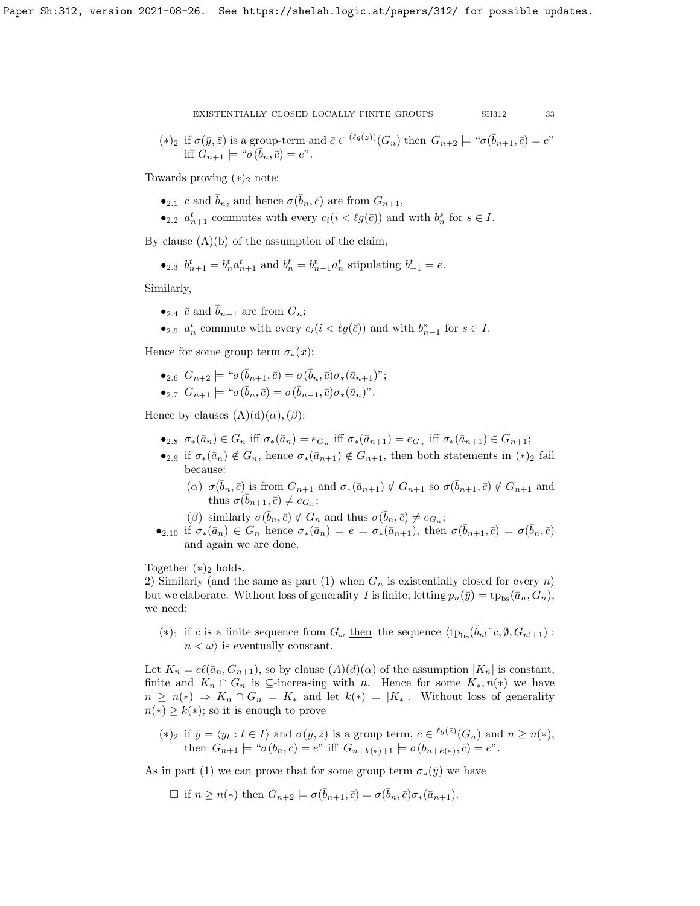$$
\overline{\phantom{0}}3
$$

(\*)<sub>2</sub> if  $\sigma(\bar{y}, \bar{z})$  is a group-term and  $\bar{c} \in {}^{(\ell g(\bar{z}))}(G_n)$  then  $G_{n+2} \models " \sigma(\bar{b}_{n+1}, \bar{c}) = e"$ iff  $G_{n+1} \models ``\sigma(\bar{b}_n, \bar{c}) = e".$ 

Towards proving  $(*)_2$  note:

•2.1  $\bar{c}$  and  $\bar{b}_n$ , and hence  $\sigma(\bar{b}_n, \bar{c})$  are from  $G_{n+1}$ ,

•2.2  $a_{n+1}^t$  commutes with every  $c_i(i \lt \ell g(\bar{c}))$  and with  $b_n^s$  for  $s \in I$ .

By clause  $(A)(b)$  of the assumption of the claim,

•<sub>2.3</sub> 
$$
b_{n+1}^t = b_n^t a_{n+1}^t
$$
 and  $b_n^t = b_{n-1}^t a_n^t$  stipulating  $b_{-1}^t = e$ .

Similarly,

- $\bullet_{2.4} \bar{c}$  and  $\bar{b}_{n-1}$  are from  $G_n$ ;
- $\bullet$ <sub>2.5</sub>  $a_n^t$  commute with every  $c_i(i < \ell g(\bar{c}))$  and with  $b_{n-1}^s$  for  $s \in I$ .

Hence for some group term  $\sigma_*(\bar{x})$ :

$$
\bullet_{2.6} G_{n+2} \models \text{``}\sigma(\bar{b}_{n+1}, \bar{c}) = \sigma(\bar{b}_n, \bar{c})\sigma_*(\bar{a}_{n+1})\text{''};
$$
  

$$
\bullet_{2.7} G_{n+1} \models \text{``}\sigma(\bar{b}_n, \bar{c}) = \sigma(\bar{b}_{n-1}, \bar{c})\sigma_*(\bar{a}_n)\text{''}.
$$

Hence by clauses  $(A)(d)(\alpha)$ ,  $(\beta)$ :

- •2.8  $\sigma_*(\bar{a}_n) \in G_n$  iff  $\sigma_*(\bar{a}_n) = e_{G_n}$  iff  $\sigma_*(\bar{a}_{n+1}) = e_{G_n}$  iff  $\sigma_*(\bar{a}_{n+1}) \in G_{n+1}$ ;
- •<sub>2.9</sub> if  $\sigma_*(\bar{a}_n) \notin G_n$ , hence  $\sigma_*(\bar{a}_{n+1}) \notin G_{n+1}$ , then both statements in  $(*)_2$  fail because:
	- (a)  $\sigma(\bar{b}_n, \bar{c})$  is from  $G_{n+1}$  and  $\sigma_*(\bar{a}_{n+1}) \notin G_{n+1}$  so  $\sigma(\bar{b}_{n+1}, \bar{c}) \notin G_{n+1}$  and thus  $\sigma(\bar{b}_{n+1}, \bar{c}) \neq e_{G_n};$
	- ( $\beta$ ) similarly  $\sigma(\bar{b}_n, \bar{c}) \notin G_n$  and thus  $\sigma(\bar{b}_n, \bar{c}) \neq e_{G_n}$ ;
- •2.10 if  $\sigma_*(\bar{a}_n) \in G_n$  hence  $\sigma_*(\bar{a}_n) = e = \sigma_*(\bar{a}_{n+1})$ , then  $\sigma(\bar{b}_{n+1}, \bar{c}) = \sigma(\bar{b}_n, \bar{c})$ and again we are done.

Together  $(*)_2$  holds.

2) Similarly (and the same as part (1) when  $G_n$  is existentially closed for every n) but we elaborate. Without loss of generality I is finite; letting  $p_n(\bar{y}) = \text{tp}_{\text{bs}}(\bar{a}_n, G_n)$ , we need:

 $(*)_1$  if  $\bar{c}$  is a finite sequence from  $G_{\omega}$  then the sequence  $\langle tp_{bs}(\bar{b}_{n!}\hat{c}, \emptyset, G_{n!+1})$ :  $n < \omega$  is eventually constant.

Let  $K_n = c\ell(\bar{a}_n, G_{n+1}),$  so by clause  $(A)(d)(\alpha)$  of the assumption  $|K_n|$  is constant, finite and  $K_n \cap G_n$  is ⊆-increasing with n. Hence for some  $K_*, n(*)$  we have  $n \geq n(*) \Rightarrow K_n \cap G_n = K_*$  and let  $k(*) = |K_*|$ . Without loss of generality  $n(*) \geq k(*)$ ; so it is enough to prove

(\*)<sub>2</sub> if  $\bar{y} = \langle y_t : t \in I \rangle$  and  $\sigma(\bar{y}, \bar{z})$  is a group term,  $\bar{c} \in {}^{\ell g(\bar{z})}(G_n)$  and  $n \geq n(*)$ ,  $\underline{\text{then}} \ \ \widetilde{G}_{n+1} \models \text{``$\sigma$}(\bar{b}_n,\bar{c}) = e\text{''} \ \underline{\text{iff}} \ \ G_{n+k(*)+1} \models \sigma(\bar{b}_{n+k(*)},\bar{c}) = e\text{''}.$ 

As in part (1) we can prove that for some group term  $\sigma_*(\bar{y})$  we have

 $\boxplus$  if  $n \geq n(*)$  then  $G_{n+2} \models \sigma(\bar{b}_{n+1}, \bar{c}) = \sigma(\bar{b}_n, \bar{c})\sigma_*(\bar{a}_{n+1}).$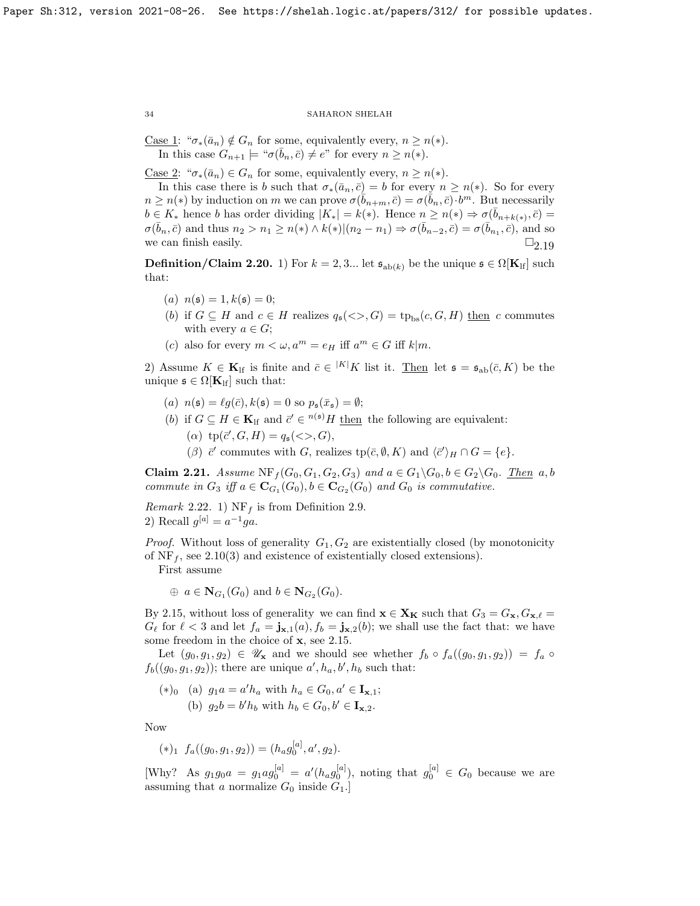Case 1: " $\sigma_*(\bar{a}_n) \notin G_n$  for some, equivalently every,  $n \geq n(*)$ . In this case  $G_{n+1} \models \text{``}\sigma(\bar{b}_n, \bar{c}) \neq e\text{''}$  for every  $n \geq n(*)$ .

<u>Case 2</u>: " $\sigma_*(\bar{a}_n) \in G_n$  for some, equivalently every,  $n \geq n(*)$ .

In this case there is b such that  $\sigma_*(\bar{a}_n, \bar{c}) = b$  for every  $n \geq n(*)$ . So for every  $n \geq n(*)$  by induction on m we can prove  $\sigma(\bar{b}_{n+m}, \bar{c}) = \sigma(\bar{b}_n, \bar{c}) \cdot b^m$ . But necessarily  $b \in K_*$  hence b has order dividing  $|K_*| = k(*)$ . Hence  $n \geq n(*) \Rightarrow \sigma(\bar{b}_{n+k(*)}, \bar{c}) =$  $\sigma(\bar{b}_n, \bar{c})$  and thus  $n_2 > n_1 \geq n(*) \wedge k(*) | (n_2 - n_1) \Rightarrow \sigma(\bar{b}_{n-2}, \bar{c}) = \sigma(\bar{b}_{n_1}, \bar{c})$ , and so we can finish easily.  $\Box_{2,19}$ 

<span id="page-33-1"></span>**Definition/Claim 2.20.** 1) For  $k = 2, 3...$  let  $\mathfrak{s}_{ab(k)}$  be the unique  $\mathfrak{s} \in \Omega[\mathbf{K}_{\text{lf}}]$  such that:

- (a)  $n(\mathfrak{s}) = 1, k(\mathfrak{s}) = 0;$
- (b) if  $G \subseteq H$  and  $c \in H$  realizes  $q_{\mathfrak{s}}(\langle \rangle, G) = \text{tp}_{\text{bs}}(c, G, H)$  then c commutes with every  $a \in G$ ;
- (c) also for every  $m < \omega, a^m = e_H$  iff  $a^m \in G$  iff  $k|m$ .

2) Assume  $K \in \mathbf{K}_{\text{lf}}$  is finite and  $\bar{c} \in {}^{|K|}K$  list it. Then let  $\mathfrak{s} = \mathfrak{s}_{\text{ab}}(\bar{c}, K)$  be the unique  $\mathfrak{s} \in \Omega[\mathbf{K}_{\text{lf}}]$  such that:

- (a)  $n(\mathfrak{s}) = \ell g(\bar{c}), k(\mathfrak{s}) = 0$  so  $p_{\mathfrak{s}}(\bar{x}_{\mathfrak{s}}) = \emptyset;$
- (b) if  $G \subseteq H \in \mathbf{K}_{\text{lf}}$  and  $\bar{c}' \in {}^{n(\mathfrak{s})}H$  then the following are equivalent:
	- (a)  $tp(\bar{c}', G, H) = q_{\mathfrak{s}}(\llg, G),$
	- ( $\beta$ )  $\bar{c}'$  commutes with G, realizes tp( $\bar{c}, \emptyset, K$ ) and  $\langle \bar{c}' \rangle_H \cap G = \{e\}.$

<span id="page-33-0"></span>Claim 2.21. Assume  $NF_f(G_0, G_1, G_2, G_3)$  and  $a \in G_1 \backslash G_0$ ,  $b \in G_2 \backslash G_0$ . Then  $a, b$ commute in  $G_3$  iff  $a \in \mathbf{C}_{G_1}(G_0), b \in \mathbf{C}_{G_2}(G_0)$  and  $G_0$  is commutative.

Remark 2.22. 1)  $NF_f$  is from Definition [2.9.](#page-27-3) 2) Recall  $g^{[a]} = a^{-1}ga$ .

*Proof.* Without loss of generality  $G_1, G_2$  are existentially closed (by monotonicity of  $NF_f$ , see [2.10\(](#page-27-2)3) and existence of existentially closed extensions).

First assume

 $\oplus a \in N_{G_1}(G_0)$  and  $b \in N_{G_2}(G_0)$ .

By [2.15,](#page-28-0) without loss of generality we can find  $\mathbf{x} \in \mathbf{X_K}$  such that  $G_3 = G_{\mathbf{x}}, G_{\mathbf{x},\ell} =$  $G_{\ell}$  for  $\ell < 3$  and let  $f_a = \mathbf{j}_{\mathbf{x},1}(a), f_b = \mathbf{j}_{\mathbf{x},2}(b)$ ; we shall use the fact that: we have some freedom in the choice of **x**, see [2.15.](#page-28-0)

Let  $(g_0, g_1, g_2) \in \mathscr{U}_x$  and we should see whether  $f_b \circ f_a((g_0, g_1, g_2)) = f_a \circ f_a$  $f_b((g_0, g_1, g_2))$ ; there are unique  $a', h_a, b', h_b$  such that:

$$
(*)_0 \quad \text{(a)} \ \ g_1 a = a' h_a \text{ with } h_a \in G_0, a' \in \mathbf{I}_{\mathbf{x},1};
$$
\n
$$
\text{(b)} \ \ g_2 b = b' h_b \text{ with } h_b \in G_0, b' \in \mathbf{I}_{\mathbf{x},2}.
$$

Now

$$
(*)_1 f_a((g_0, g_1, g_2)) = (h_a g_0^{[a]}, a', g_2).
$$

[Why? As  $g_1 g_0 a = g_1 a g_0^{[a]} = a'(h_a g_0^{[a]}),$  noting that  $g_0^{[a]} \in G_0$  because we are assuming that a normalize  $G_0$  inside  $G_1$ .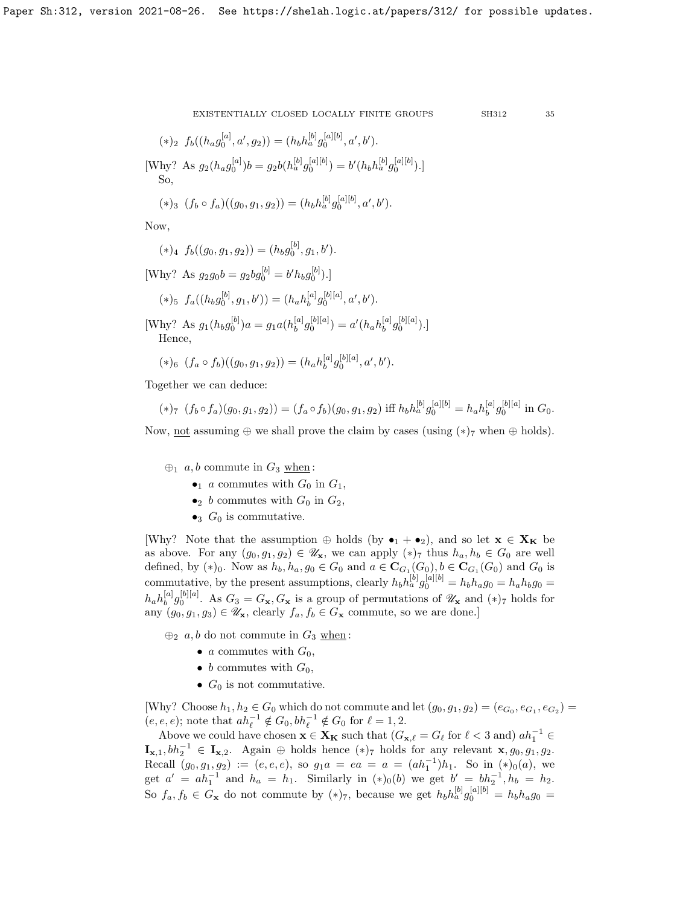$$
(*)_2 f_b((h_a g_0^{[a]}, a', g_2)) = (h_b h_a^{[b]} g_0^{[a][b]}, a', b').
$$
  
[Why? As  $g_2(h_a g_0^{[a]})b = g_2 b(h_a^{[b]} g_0^{[a][b]}) = b'(h_b h_a^{[b]} g_0^{[a][b]}).$ ]  
So,

$$
(*)_3 (f_b \circ f_a)((g_0, g_1, g_2)) = (h_b h_a^{[b]} g_0^{[a][b]}, a', b').
$$

Now,

$$
(\ast)_4\ f_b((g_0,g_1,g_2))=(h_bg_0^{[b]},g_1,b').
$$

[Why? As  $g_2g_0b = g_2bg_0^{[b]} = b'h_bg_0^{[b]})$ .]

 $\lceil a \rceil$ 

$$
(*)_5 f_a((h_b g_0^{[b]}, g_1, b')) = (h_a h_b^{[a]} g_0^{[b][a]}, a', b').
$$

[Why? As  $g_1(h_b g_0^{[b]}) a = g_1 a(h_b^{[a]})$  $\int_b^{[a]} g_0^{[b][a]}$ ) =  $a'(h_a h_b^{[a]}$  $_{b}^{[a]}g_{0}^{[b][a]}).]$ Hence,

$$
(*)_6 (f_a \circ f_b)((g_0, g_1, g_2)) = (h_a h_b^{[a]} g_0^{[b][a]}, a', b').
$$

Together we can deduce:

$$
(*)_7 (f_b \circ f_a)(g_0, g_1, g_2)) = (f_a \circ f_b)(g_0, g_1, g_2) \text{ iff } h_b h_a^{[b]} g_0^{[a][b]} = h_a h_b^{[a]} g_0^{[b][a]} \text{ in } G_0.
$$

Now, not assuming  $\oplus$  we shall prove the claim by cases (using  $(*)$ <sub>7</sub> when  $\oplus$  holds).

- $\bigoplus_1$  a, b commute in  $G_3$  when:
	- $\bullet_1$  a commutes with  $G_0$  in  $G_1$ ,
	- $\bullet_2$  b commutes with  $G_0$  in  $G_2$ ,
	- $\bullet_3$  G<sub>0</sub> is commutative.

[Why? Note that the assumption  $\oplus$  holds (by  $\bullet_1 + \bullet_2$ ), and so let  $\mathbf{x} \in \mathbf{X_K}$  be as above. For any  $(g_0, g_1, g_2) \in \mathscr{U}_\mathbf{x}$ , we can apply  $(*)_7$  thus  $h_a, h_b \in G_0$  are well defined, by  $(*)_0$ . Now as  $h_b, h_a, g_0 \in G_0$  and  $a \in \mathbf{C}_{G_1}(G_0), b \in \mathbf{C}_{G_1}(G_0)$  and  $G_0$  is commutative, by the present assumptions, clearly  $h_b h_a^{[b]} g_0^{[a][b]} = h_b h_a g_0 = h_a h_b g_0 =$  $h_ah_b^{[a]}$  $\frac{[a]}{b}g_0^{[b][a]}$ . As  $G_3 = G_{\mathbf{x}}, G_{\mathbf{x}}$  is a group of permutations of  $\mathscr{U}_{\mathbf{x}}$  and  $(*)_7$  holds for any  $(g_0, g_1, g_3) \in \mathscr{U}_\mathbf{x}$ , clearly  $f_a, f_b \in G_\mathbf{x}$  commute, so we are done.]

 $\bigoplus_2 a, b$  do not commute in  $G_3$  when:

- a commutes with  $G_0$ ,
- b commutes with  $G_0$ ,
- $G_0$  is not commutative.

[Why? Choose  $h_1, h_2 \in G_0$  which do not commute and let  $(g_0, g_1, g_2) = (e_{G_0}, e_{G_1}, e_{G_2}) =$  $(e, e, e)$ ; note that  $ah_{\ell}^{-1} \notin G_0, bh_{\ell}^{-1} \notin G_0$  for  $\ell = 1, 2$ .

Above we could have chosen  $\mathbf{x} \in \mathbf{X_K}$  such that  $(G_{\mathbf{x},\ell} = G_\ell \text{ for } \ell < 3 \text{ and}) a h_1^{-1} \in$  $\mathbf{I}_{\mathbf{x},1}, bh_2^{-1} \in \mathbf{I}_{\mathbf{x},2}$ . Again  $\oplus$  holds hence  $(*)_7$  holds for any relevant  $\mathbf{x}, g_0, g_1, g_2$ . Recall  $(g_0, g_1, g_2) := (e, e, e)$ , so  $g_1 a = ea = a = (ah_1^{-1})h_1$ . So in  $(*)_0(a)$ , we get  $a' = ah_1^{-1}$  and  $h_a = h_1$ . Similarly in  $(*)_0(b)$  we get  $b' = bh_2^{-1}, h_b = h_2$ . So  $f_a, f_b \in G_x$  do not commute by  $(*)_7$ , because we get  $h_b h_a^{[b]} g_0^{[a][b]} = h_b h_a g_0 =$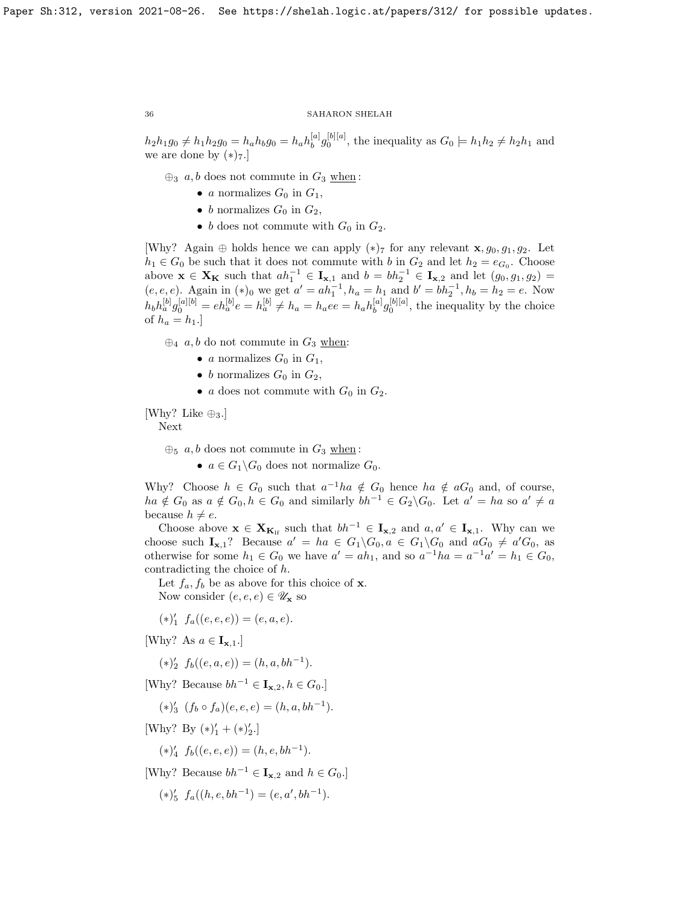$h_2 h_1 g_0 \neq h_1 h_2 g_0 = h_a h_b g_0 = h_a h_b^{[a]}$  $b_1^{[a]}g_0^{[b][a]}$ , the inequality as  $G_0 \models h_1h_2 \neq h_2h_1$  and we are done by  $(*)_7$ .

 $\bigoplus_3 a, b \text{ does not commute in } G_3 \text{ when :}$ 

- a normalizes  $G_0$  in  $G_1$ ,
- b normalizes  $G_0$  in  $G_2$ ,
- b does not commute with  $G_0$  in  $G_2$ .

[Why? Again  $\oplus$  holds hence we can apply  $(*)_7$  for any relevant  $\mathbf{x}, g_0, g_1, g_2$ . Let  $h_1 \in G_0$  be such that it does not commute with b in  $G_2$  and let  $h_2 = e_{G_0}$ . Choose above  $\mathbf{x} \in \mathbf{X_K}$  such that  $ah_1^{-1} \in \mathbf{I}_{\mathbf{x},1}$  and  $b = bh_2^{-1} \in \mathbf{I}_{\mathbf{x},2}$  and let  $(g_0, g_1, g_2)$  $(e, e, e)$ . Again in  $(*)_0$  we get  $a' = ah_1^{-1}$ ,  $h_a = h_1$  and  $b' = bh_2^{-1}$ ,  $h_b = h_2 = e$ . Now  $h_b h_a^{[b]} g_0^{[a][b]} = eh_a^{[b]} e = h_a^{[b]} \neq h_a = h_a ee = h_a h_b^{[a]}$  ${}_{b}^{[a]}g_{0}^{[b][a]},$  the inequality by the choice of  $h_a = h_1$ .

 $\oplus_4$  a, b do not commute in  $G_3$  when:

- a normalizes  $G_0$  in  $G_1$ ,
- b normalizes  $G_0$  in  $G_2$ ,
- a does not commute with  $G_0$  in  $G_2$ .

[Why? Like  $\oplus_3$ .]

Next

 $\oplus_5$  a, b does not commute in  $G_3$  when:

•  $a \in G_1 \backslash G_0$  does not normalize  $G_0$ .

Why? Choose  $h \in G_0$  such that  $a^{-1}ha \notin G_0$  hence  $ha \notin aG_0$  and, of course,  $ha \notin G_0$  as  $a \notin G_0, h \in G_0$  and similarly  $bh^{-1} \in G_2 \backslash G_0$ . Let  $a' = ha$  so  $a' \neq a$ because  $h \neq e$ .

Choose above  $\mathbf{x} \in \mathbf{X}_{\mathbf{K}_{\text{lf}}}$  such that  $bh^{-1} \in \mathbf{I}_{\mathbf{x},2}$  and  $a, a' \in \mathbf{I}_{\mathbf{x},1}$ . Why can we choose such  $I_{x,1}$ ? Because  $a' = ha \in G_1 \backslash G_0, a \in G_1 \backslash G_0$  and  $aG_0 \neq a'G_0$ , as otherwise for some  $h_1 \in G_0$  we have  $a' = ah_1$ , and so  $a^{-1}ha = a^{-1}a' = h_1 \in G_0$ , contradicting the choice of h.

Let  $f_a, f_b$  be as above for this choice of **x**.

Now consider  $(e, e, e) \in \mathscr{U}_{\mathbf{x}}$  so

$$
(*)'_1 f_a((e,e,e)) = (e,a,e).
$$

[Why? As  $a \in I_{\mathbf{x},1}$ .]

$$
(*)'_2 f_b((e, a, e)) = (h, a, bh^{-1}).
$$

[Why? Because  $bh^{-1} \in I_{\mathbf{x},2}, h \in G_0$ .]

- $(*)'_{3}$   $(f_{b} \circ f_{a})(e, e, e) = (h, a, bh^{-1}).$
- [Why? By  $(*)'_1 + (*)'_2.$ ]
	- $(*)'_4 f_b((e, e, e)) = (h, e, bh^{-1}).$

[Why? Because  $bh^{-1} \in I_{\mathbf{x},2}$  and  $h \in G_0$ .]

$$
(*)'_5 f_a((h, e, bh^{-1}) = (e, a', bh^{-1}).
$$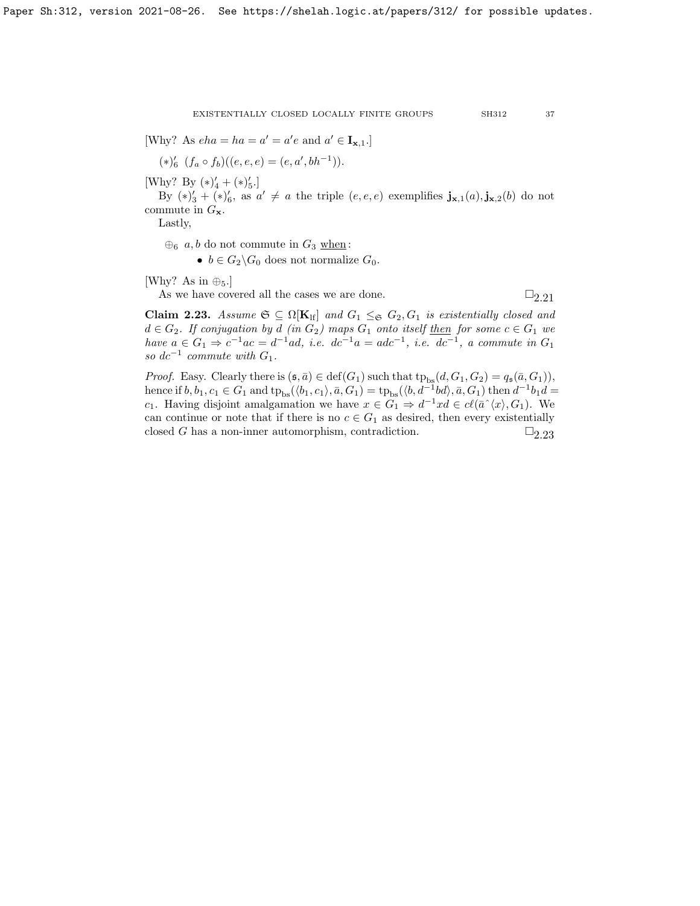[Why? As  $eha = ha = a' = a'e$  and  $a' \in I_{\mathbf{x},1}$ .]

$$
(*)'_{6} (f_a \circ f_b)((e, e, e) = (e, a', bh^{-1})).
$$

[Why? By  $(*)'_4 + (*)'_5$ .]

By  $(*)'_{3} + (*)'_{6}$ , as  $a' \neq a$  the triple  $(e, e, e)$  exemplifies  $\mathbf{j}_{\mathbf{x},1}(a), \mathbf{j}_{\mathbf{x},2}(b)$  do not commute in  $G_{\mathbf{x}}$ .

Lastly,

 $\oplus_6$  a, b do not commute in  $G_3$  when:

•  $b \in G_2 \backslash G_0$  does not normalize  $G_0$ .

[Why? As in  $\oplus_5$ .]

As we have covered all the cases we are done.  $\square_{2.21}$  $\square_{2.21}$  $\square_{2.21}$ 

<span id="page-36-0"></span>Claim 2.23. Assume  $\mathfrak{S} \subseteq \Omega[K_{\text{lf}}]$  and  $G_1 \leq_{\mathfrak{S}} G_2, G_1$  is existentially closed and  $d \in G_2$ . If conjugation by d (in  $G_2$ ) maps  $G_1$  onto itself then for some  $c \in G_1$  we have  $a \in G_1 \Rightarrow c^{-1}ac = d^{-1}ad$ , i.e.  $dc^{-1}a = adc^{-1}$ , i.e.  $dc^{-1}$ , a commute in  $G_1$ so  $dc^{-1}$  commute with  $G_1$ .

*Proof.* Easy. Clearly there is  $(\mathfrak{s}, \bar{a}) \in \text{def}(G_1)$  such that  $tp_{bs}(d, G_1, G_2) = q_{\mathfrak{s}}(\bar{a}, G_1)$ , hence if  $b, b_1, c_1 \in G_1$  and  $tp_{bs}(\langle b_1, c_1 \rangle, \bar{a}, G_1) = tp_{bs}(\langle b, d^{-1}bd \rangle, \bar{a}, G_1)$  then  $d^{-1}b_1d =$ c<sub>1</sub>. Having disjoint amalgamation we have  $x \in G_1 \Rightarrow d^{-1}xd \in cl(\bar{a} \hat{\;} \langle x \rangle, G_1)$ . We can continue or note that if there is no  $c \in G_1$  as desired, then every existentially closed G has a non-inner automorphism, contradiction.  $\square_{2.23}$  $\square_{2.23}$  $\square_{2.23}$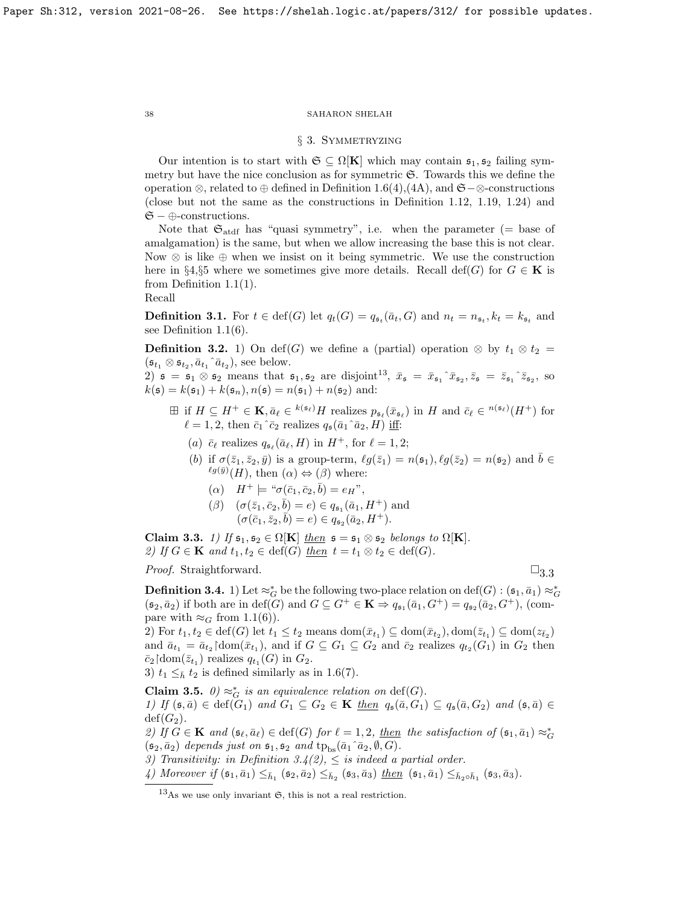## § 3. Symmetryzing

Our intention is to start with  $\mathfrak{S} \subseteq \Omega[\mathbf{K}]$  which may contain  $\mathfrak{s}_1, \mathfrak{s}_2$  failing symmetry but have the nice conclusion as for symmetric  $\mathfrak{S}$ . Towards this we define the operation ⊗, related to ⊕ defined in Definition [1.6\(](#page-12-0)4),(4A), and  $\mathfrak{S}-\otimes$ -constructions (close but not the same as the constructions in Definition [1.12,](#page-15-1) [1.19,](#page-17-0) [1.24\)](#page-19-0) and  $\mathfrak{S}-\oplus$ -constructions.

Note that  $\mathfrak{S}_{\text{add}}$  has "quasi symmetry", i.e. when the parameter (= base of amalgamation) is the same, but when we allow increasing the base this is not clear. Now  $\otimes$  is like  $\oplus$  when we insist on it being symmetric. We use the construction here in §4,§5 where we sometimes give more details. Recall def(G) for  $G \in \mathbf{K}$  is from Definition [1.1\(](#page-10-1)1).

Recall

**Definition 3.1.** For  $t \in \text{def}(G)$  let  $q_t(G) = q_{\mathfrak{s}_t}(\bar{a}_t, G)$  and  $n_t = n_{\mathfrak{s}_t}, k_t = k_{\mathfrak{s}_t}$  and see Definition [1.1\(](#page-10-1)6).

**Definition 3.2.** 1) On def(G) we define a (partial) operation  $\otimes$  by  $t_1 \otimes t_2 =$  $(\mathfrak{s}_{t_1} \otimes \mathfrak{s}_{t_2}, \bar{a}_{t_1} \hat{a}_{t_2}),$  see below.

2)  $\mathfrak{s} = \mathfrak{s}_1 \otimes \mathfrak{s}_2$  means that  $\mathfrak{s}_1, \mathfrak{s}_2$  are disjoint<sup>[13](#page-37-2)</sup>,  $\bar{x}_{\mathfrak{s}} = \bar{x}_{\mathfrak{s}_1} \hat{z}_{\mathfrak{s}_2}, \bar{z}_{\mathfrak{s}} = \bar{z}_{\mathfrak{s}_1} \hat{z}_{\mathfrak{s}_2}$ , so  $k(\mathfrak{s}) = k(\mathfrak{s}_1) + k(\mathfrak{s}_n), n(\mathfrak{s}) = n(\mathfrak{s}_1) + n(\mathfrak{s}_2)$  and:

- $\boxplus$  if  $H \subseteq H^+ \in \mathbf{K}, \bar{a}_{\ell} \in {}^{k(\mathfrak{s}_{\ell})}H$  realizes  $p_{\mathfrak{s}_{\ell}}(\bar{x}_{\mathfrak{s}_{\ell}})$  in H and  $\bar{c}_{\ell} \in {}^{n(\mathfrak{s}_{\ell})}(H^+)$  for  $\ell = 1, 2$ , then  $\bar{c}_1 \hat{c}_2$  realizes  $q_{\mathfrak{s}}(\bar{a}_1 \hat{a}_2, H)$  iff:
	- (a)  $\bar{c}_{\ell}$  realizes  $q_{\mathfrak{s}_{\ell}}(\bar{a}_{\ell}, H)$  in  $H^+$ , for  $\ell = 1, 2$ ;
	- (b) if  $\sigma(\bar{z}_1, \bar{z}_2, \bar{y})$  is a group-term,  $\ell g(\bar{z}_1) = n(\mathfrak{s}_1), \ell g(\bar{z}_2) = n(\mathfrak{s}_2)$  and  $\bar{b} \in$  $^{\ell g(\bar{y})}(H)$ , then  $(\alpha) \Leftrightarrow (\beta)$  where:
		- (a)  $H^+ \models " \sigma(\bar{c}_1, \bar{c}_2, \bar{b}) = e_H",$
		- $(\beta) \quad (\sigma(\bar{z}_1, \bar{c}_2, \bar{b}) = e) \in q_{\mathfrak{s}_1}(\bar{a}_1, H^+)$  and  $(\sigma(\bar{c}_1, \bar{z}_2, \bar{b}) = e) \in q_{\mathfrak{s}_2}(\bar{a}_2, H^+).$

<span id="page-37-3"></span>Claim 3.3. 1) If  $\mathfrak{s}_1, \mathfrak{s}_2 \in \Omega[K]$  then  $\mathfrak{s} = \mathfrak{s}_1 \otimes \mathfrak{s}_2$  belongs to  $\Omega[K]$ . 2) If  $G \in \mathbf{K}$  and  $t_1, t_2 \in \text{def}(G)$  then  $t = t_1 \otimes t_2 \in \text{def}(G)$ .

*Proof.* Straightforward.  $\Box$  [3.3](#page-37-3).3

<span id="page-37-0"></span>**Definition 3.4.** 1) Let  $\approx_G^*$  be the following two-place relation on  $\text{def}(G)$  :  $(\mathfrak{s}_1, \bar{a}_1) \approx_G^*$  $(\mathfrak{s}_2, \bar{a}_2)$  if both are in def(G) and  $G \subseteq G^+ \in \mathbf{K} \Rightarrow q_{\mathfrak{s}_1}(\bar{a}_1, G^+) = q_{\mathfrak{s}_2}(\bar{a}_2, G^+),$  (compare with  $\approx_G$  from [1.1\(](#page-10-1)6)).

2) For  $t_1, t_2 \in \text{def}(G)$  let  $t_1 \leq t_2$  means  $\text{dom}(\bar{x}_{t_1}) \subseteq \text{dom}(\bar{x}_{t_2}), \text{dom}(\bar{z}_{t_1}) \subseteq \text{dom}(z_{\bar{t}_2})$ and  $\bar{a}_{t_1} = \bar{a}_{t_2}$  dom $(\bar{x}_{t_1})$ , and if  $G \subseteq G_1 \subseteq G_2$  and  $\bar{c}_2$  realizes  $q_{t_2}(G_1)$  in  $G_2$  then  $\overline{c}_2$ |dom $(\overline{z}_{t_1})$  realizes  $q_{t_1}(G)$  in  $G_2$ .

3)  $t_1 \leq_{\bar{h}} t_2$  is defined similarly as in [1.6\(](#page-12-0)7).

<span id="page-37-1"></span>Claim 3.5.  $\emptyset$ )  $\approx_G^*$  is an equivalence relation on  $\text{def}(G)$ . 1) If  $(\mathfrak{s}, \bar{a}) \in \text{def}(\bar{G}_1)$  and  $G_1 \subseteq G_2 \in \mathbf{K}$  then  $q_{\mathfrak{s}}(\bar{a}, G_1) \subseteq q_{\mathfrak{s}}(\bar{a}, G_2)$  and  $(\mathfrak{s}, \bar{a}) \in$  $\text{def}(G_2)$ .

2) If  $G \in \mathbf{K}$  and  $(\mathfrak{s}_{\ell}, \bar{a}_{\ell}) \in \text{def}(G)$  for  $\ell = 1, 2$ , then the satisfaction of  $(\mathfrak{s}_1, \bar{a}_1) \approx^*_{G}$  $(\mathfrak{s}_2, \bar{a}_2)$  depends just on  $\mathfrak{s}_1, \mathfrak{s}_2$  and  $tp_{bs}(\bar{a}_1 \cap \bar{a}_2, \emptyset, G)$ .

3) Transitivity: in Definition [3.4\(](#page-37-0)2),  $\leq$  is indeed a partial order.

4) Moreover if  $(\mathfrak{s}_1, \bar{a}_1) \leq_{\bar{h}_1} (\mathfrak{s}_2, \bar{a}_2) \leq_{\bar{h}_2} (\mathfrak{s}_3, \bar{a}_3)$  then  $(\mathfrak{s}_1, \bar{a}_1) \leq_{\bar{h}_2 \circ \bar{h}_1} (\mathfrak{s}_3, \bar{a}_3)$ .

<span id="page-37-2"></span> $^{13}$ As we use only invariant  $\mathfrak{S}$ , this is not a real restriction.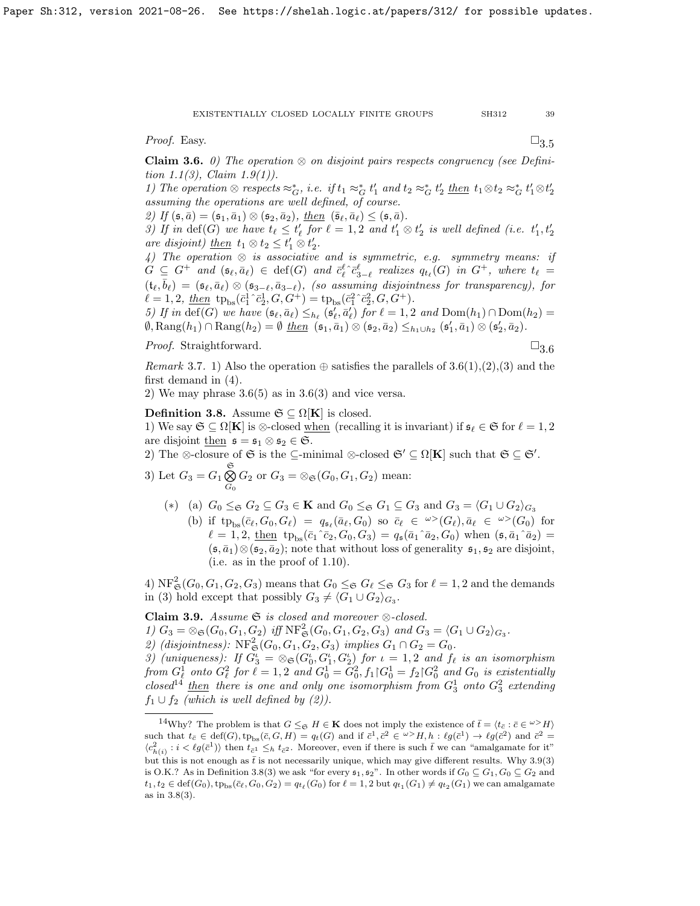*Proof.* Easy.  $\Box$ [3.5](#page-37-1)

<span id="page-38-0"></span>**Claim 3.6.** 0) The operation  $\otimes$  on disjoint pairs respects congruency (see Defini-tion [1.1\(](#page-10-1)3), Claim [1.9\(](#page-13-1)1)).

1) The operation  $\otimes$  respects  $\approx_G^*$ , i.e. if  $t_1 \approx_G^* t'_1$  and  $t_2 \approx_G^* t'_2$  then  $t_1 \otimes t_2 \approx_G^* t'_1 \otimes t'_2$ assuming the operations are well defined, of course.

2) If  $(\mathfrak{s}, \bar{a}) = (\mathfrak{s}_1, \bar{a}_1) \otimes (\mathfrak{s}_2, \bar{a}_2), \underline{then} \ (\bar{\mathfrak{s}}_\ell, \bar{a}_\ell) \leq (\mathfrak{s}, \bar{a}).$ 

3) If in  $\text{def}(G)$  we have  $t_{\ell} \leq t'_{\ell}$  for  $\ell = 1, 2$  and  $t'_{1} \otimes t'_{2}$  is well defined (i.e.  $t'_{1}, t'_{2}$ are disjoint) <u>then</u>  $t_1 \otimes t_2 \leq t'_1 \otimes t'_2$ .

4) The operation  $\otimes$  is associative and is symmetric, e.g. symmetry means: if  $G \subseteq G^+$  and  $(\mathfrak{s}_{\ell}, \bar{a}_{\ell}) \in \text{def}(G)$  and  $\bar{c}_{\ell}^{\ell} \hat{c}_{3-\ell}^{\ell}$  realizes  $q_{t_{\ell}}(G)$  in  $G^+$ , where  $t_{\ell} =$  $(t_\ell, \bar{b}_\ell) = (\mathfrak{s}_\ell, \bar{a}_\ell) \otimes (\mathfrak{s}_{3-\ell}, \bar{a}_{3-\ell}),$  (so assuming disjointness for transparency), for  $\ell = 1, 2, \underline{then} \text{ tp}_{bs}(\bar{c}_1^1 \hat{c}_2^1, G, G^+) = \text{tp}_{bs}(\bar{c}_1^2 \hat{c}_2^2, G, G^+).$ 

5) If in def(G) we have  $(\mathfrak{s}_{\ell}, \bar{a}_{\ell}) \leq_{h_{\ell}} (\mathfrak{s}'_{\ell}, \bar{a}'_{\ell})$  for  $\ell = 1, 2$  and  $Dom(h_1) \cap Dom(h_2) =$  $\emptyset$ ,  $\text{Rang}(h_1) \cap \text{Rang}(h_2) = \emptyset$   $\underline{then}$   $(\mathfrak{s}_1, \overline{a}_1) \otimes (\mathfrak{s}_2, \overline{a}_2) \leq_{h_1 \cup h_2} (\mathfrak{s}'_1, \overline{a}_1) \otimes (\mathfrak{s}'_2, \overline{a}_2)$ .

*Proof.* Straightforward.  $\Box$ 

$$
\exists 3.6
$$

Remark 3.7. 1) Also the operation  $\oplus$  satisfies the parallels of [3.6\(](#page-38-0)1),(2),(3) and the first demand in (4).

2) We may phrase  $3.6(5)$  as in  $3.6(3)$  and vice versa.

## <span id="page-38-3"></span>Definition 3.8. Assume  $\mathfrak{S} \subseteq \Omega[K]$  is closed.

1) We say  $\mathfrak{S} \subseteq \Omega[\mathbf{K}]$  is ⊗-closed <u>when</u> (recalling it is invariant) if  $\mathfrak{s}_{\ell} \in \mathfrak{S}$  for  $\ell = 1, 2$ are disjoint then  $\mathfrak{s} = \mathfrak{s}_1 \otimes \mathfrak{s}_2 \in \mathfrak{S}$ .

2) The ⊗-closure of  $\mathfrak{S}$  is the  $\subseteq$ -minimal ⊗-closed  $\mathfrak{S}' \subseteq \Omega[K]$  such that  $\mathfrak{S} \subseteq \mathfrak{S}'$ .

3) Let  $G_3 = G_1 \overset{\mathfrak{S}}{\bigotimes}$  $\bigotimes_{G_0} G_2$  or  $G_3 = \bigotimes_{\mathfrak{S}} (G_0, G_1, G_2)$  mean:

(\*) (a) 
$$
G_0 \leq_{\mathfrak{S}} G_2 \subseteq G_3 \in \mathbf{K}
$$
 and  $G_0 \leq_{\mathfrak{S}} G_1 \subseteq G_3$  and  $G_3 = \langle G_1 \cup G_2 \rangle_{G_3}$ 

(b) if  $tp_{bs}(\bar{c}_\ell, G_0, G_\ell) = q_{\mathfrak{s}_\ell}(\bar{a}_\ell, G_0)$  so  $\bar{c}_\ell \in {}^{\omega >}(G_\ell), \bar{a}_\ell \in {}^{\omega >}(G_0)$  for  $\ell = 1, 2, \underline{\text{then}} \text{tp}_{\text{bs}}(\bar{c}_1^{\hat{c}_2}, G_0, G_3) = q_{\mathfrak{s}}(\bar{a}_1^{\hat{c}_1}, \bar{a}_2, G_0) \text{ when } (\mathfrak{s}, \bar{a}_1^{\hat{c}_1}, \bar{a}_2) =$  $(\mathfrak{s}, \bar{a}_1) \otimes (\mathfrak{s}_2, \bar{a}_2)$ ; note that without loss of generality  $\mathfrak{s}_1, \mathfrak{s}_2$  are disjoint, (i.e. as in the proof of [1.10\)](#page-14-0).

4)  $\text{NF}^2_{\mathfrak{S}}(G_0, G_1, G_2, G_3)$  means that  $G_0 \leq_{\mathfrak{S}} G_{\ell} \leq_{\mathfrak{S}} G_3$  for  $\ell = 1, 2$  and the demands in (3) hold except that possibly  $G_3 \neq \langle G_1 \cup G_2 \rangle_{G_3}$ .

<span id="page-38-2"></span>Claim 3.9. Assume  $\mathfrak{S}$  is closed and moreover  $\otimes$ -closed.

1)  $G_3 = \otimes_{\mathfrak{S}} (G_0, G_1, G_2)$  iff  $\text{NF}^2_{\mathfrak{S}} (G_0, G_1, G_2, G_3)$  and  $G_3 = \langle G_1 \cup G_2 \rangle_{G_3}$ .

2) (disjointness):  $\text{NF}^2_{\mathfrak{S}}(G_0, G_1, G_2, G_3)$  implies  $G_1 \cap G_2 = G_0$ .

3) (uniqueness): If  $G_3^i = \otimes_{\mathfrak{S}}(G_0^i, G_1^i, G_2^i)$  for  $i = 1, 2$  and  $f_\ell$  is an isomorphism from  $G_{\ell}^1$  onto  $G_{\ell}^2$  for  $\ell = 1,2$  and  $G_0^1 = G_0^2$ ,  $f_1 \vert G_0^1 = f_2 \vert G_0^2$  and  $G_0$  is existentially closed<sup>[14](#page-38-1)</sup> then there is one and only one isomorphism from  $G_3^1$  onto  $G_3^2$  extending  $f_1 \cup f_2$  (which is well defined by (2)).

<span id="page-38-1"></span><sup>&</sup>lt;sup>14</sup>Why? The problem is that  $G \leq_{\mathfrak{S}} H \in \mathbf{K}$  does not imply the existence of  $\bar{t} = \langle t_{\bar{c}} : \bar{c} \in \omega^{\geq} H \rangle$ such that  $t_{\bar{c}} \in \text{def}(G), \text{tp}_{bs}(\bar{c}, G, H) = q_t(G)$  and if  $\bar{c}^1, \bar{c}^2 \in \omega > H, h : \ell g(\bar{c}^1) \to \ell g(\bar{c}^2)$  and  $\bar{c}^2 =$  $\langle c_{h(i)}^2 : i < \ell g(\bar{c}^1) \rangle$  then  $t_{\bar{c}^1} \leq_h t_{\bar{c}^2}$ . Moreover, even if there is such  $\bar{t}$  we can "amalgamate for it" but this is not enough as  $\bar{t}$  is not necessarily unique, which may give different results. Why [3.9\(](#page-38-2)3) is O.K.? As in Definition [3.8\(](#page-38-3)3) we ask "for every  $\mathfrak{s}_1, \mathfrak{s}_2$ ". In other words if  $G_0 \subseteq G_1, G_0 \subseteq G_2$  and  $t_1, t_2 \in \text{def}(G_0), \text{tp}_{bs}(\bar{c}_\ell, G_0, G_2) = q_{t_\ell}(G_0) \text{ for } \ell = 1, 2 \text{ but } q_{t_1}(G_1) \neq q_{t_2}(G_1) \text{ we can analyze the derivative of } \ell = 1$ as in [3.8\(](#page-38-3)3).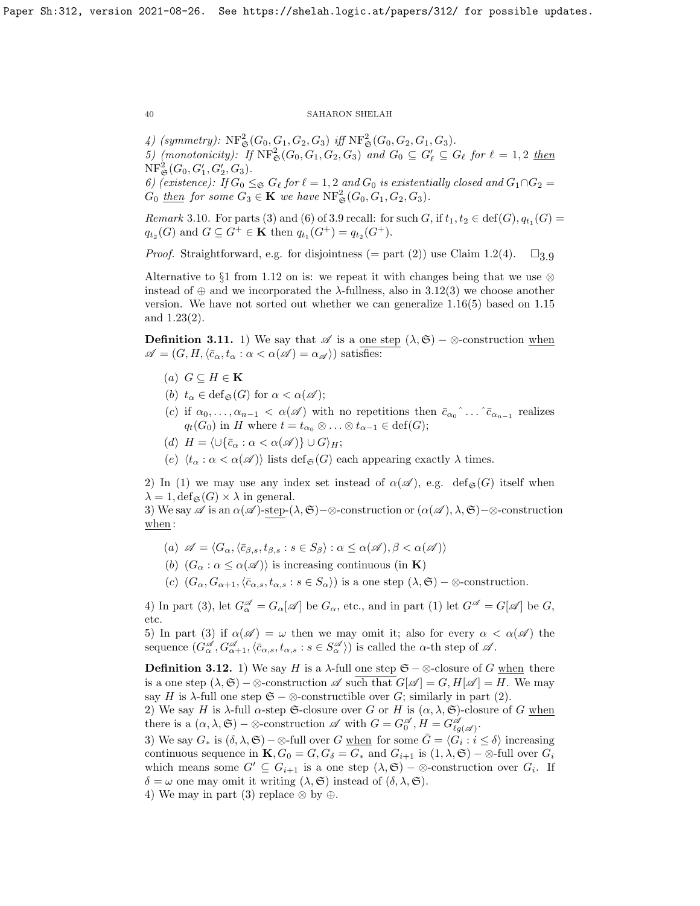4) (symmetry):  $\text{NF}^2_{\mathfrak{S}}(G_0, G_1, G_2, G_3)$  iff  $\text{NF}^2_{\mathfrak{S}}(G_0, G_2, G_1, G_3)$ .

5) (monotonicity): If  $\operatorname{NF}^2_{\mathfrak{S}}(G_0, G_1, G_2, G_3)$  and  $G_0 \subseteq G'_\ell \subseteq G_\ell$  for  $\ell = 1, 2$  then  $\mathrm{NF}^2_{\mathfrak{S}}(G_0, G'_1, G'_2, G_3).$ 

6) (existence): If  $G_0 \leq_{\mathfrak{S}} G_\ell$  for  $\ell = 1, 2$  and  $G_0$  is existentially closed and  $G_1 \cap G_2 =$  $G_0$  then for some  $G_3 \in \mathbf{K}$  we have  $\text{NF}^2_{\mathfrak{S}}(G_0, G_1, G_2, G_3)$ .

*Remark* 3.10. For parts (3) and (6) of [3.9](#page-38-2) recall: for such G, if  $t_1, t_2 \in \text{def}(G), q_{t_1}(G) =$  $q_{t_2}(G)$  and  $G \subseteq G^+ \in \mathbf{K}$  then  $q_{t_1}(G^+) = q_{t_2}(G^+).$ 

*Proof.* Straightforward, e.g. for disjointness (= part (2)) use Claim [1.2\(](#page-10-0)4).  $\square_{3.9}$  $\square_{3.9}$  $\square_{3.9}$ 

Alternative to §1 from [1.12](#page-15-1) on is: we repeat it with changes being that we use  $\otimes$ instead of  $\oplus$  and we incorporated the  $\lambda$ -fullness, also in [3.12\(](#page-39-0)3) we choose another version. We have not sorted out whether we can generalize [1.16\(](#page-16-0)5) based on [1.15](#page-15-0) and [1.23\(](#page-18-0)2).

<span id="page-39-1"></span>**Definition 3.11.** 1) We say that  $\mathscr A$  is a one step  $(\lambda, \mathfrak{S})$  – ⊗-construction when  $\mathscr{A} = (G, H, \langle \bar{c}_{\alpha}, t_{\alpha} : \alpha < \alpha(\mathscr{A}) = \alpha_{\mathscr{A}} \rangle)$  satisfies:

- (a)  $G \subseteq H \in \mathbf{K}$
- (b)  $t_{\alpha} \in \text{def}_{\mathfrak{S}}(G)$  for  $\alpha < \alpha(\mathscr{A});$
- (c) if  $\alpha_0, \ldots, \alpha_{n-1} < \alpha(\mathscr{A})$  with no repetitions then  $\bar{c}_{\alpha_0} \hat{\ } \ldots \hat{\ } \bar{c}_{\alpha_{n-1}}$  realizes  $q_t(G_0)$  in H where  $t = t_{\alpha_0} \otimes \ldots \otimes t_{\alpha-1} \in \text{def}(G);$
- (d)  $H = \langle \cup \{\bar{c}_\alpha : \alpha < \alpha(\mathscr{A})\} \cup G \rangle_H;$
- (e)  $\langle t_\alpha : \alpha < \alpha(\mathscr{A}) \rangle$  lists def<sub> $\mathfrak{S}(G)$ </sub> each appearing exactly  $\lambda$  times.

2) In (1) we may use any index set instead of  $\alpha(\mathscr{A})$ , e.g. def<sub>§</sub>(G) itself when  $\lambda = 1$ , def<sub> $\mathfrak{S}(G) \times \lambda$  in general.</sub>

3) We say  $\mathscr A$  is an  $\alpha(\mathscr A)$ -step-( $\lambda, \mathfrak S$ )−⊗-construction or  $(\alpha(\mathscr A), \lambda, \mathfrak S)$ −⊗-construction  $\frac{\text{when}}{\text{when}}$ :

- (a)  $\mathscr{A} = \langle G_{\alpha}, \langle \bar{c}_{\beta,s}, t_{\beta,s} : s \in S_{\beta} \rangle : \alpha \leq \alpha(\mathscr{A}), \beta < \alpha(\mathscr{A}) \rangle$
- (b)  $(G_{\alpha} : \alpha \leq \alpha(\mathscr{A}))$  is increasing continuous (in **K**)
- (c)  $(G_{\alpha}, G_{\alpha+1}, \langle \bar{c}_{\alpha,s}, t_{\alpha,s} : s \in S_{\alpha} \rangle)$  is a one step  $(\lambda, \mathfrak{S})$  ⊗-construction.

4) In part (3), let  $G_{\alpha}^{\mathscr{A}} = G_{\alpha}[\mathscr{A}]$  be  $G_{\alpha}$ , etc., and in part (1) let  $G^{\mathscr{A}} = G[\mathscr{A}]$  be  $G$ , etc.

5) In part (3) if  $\alpha(\mathscr{A}) = \omega$  then we may omit it; also for every  $\alpha < \alpha(\mathscr{A})$  the sequence  $(G^{\mathscr{A}}_{\alpha}, G^{\mathscr{A}}_{\alpha+1}, \langle \bar{c}_{\alpha,s}, t_{\alpha,s} : s \in S^{\mathscr{A}}_{\alpha} \rangle)$  is called the  $\alpha$ -th step of  $\mathscr{A}$ .

<span id="page-39-0"></span>**Definition 3.12.** 1) We say *H* is a  $\lambda$ -full one step  $\mathfrak{S} - \otimes$ -closure of *G* when there is a one step  $(\lambda, \mathfrak{S}) - \otimes$ -construction  $\mathscr{A}$  such that  $G[\mathscr{A}] = G, H[\mathscr{A}] = H$ . We may say H is  $\lambda$ -full one step  $\mathfrak{S} - \otimes$ -constructible over G; similarly in part (2).

2) We say H is  $\lambda$ -full  $\alpha$ -step G-closure over G or H is  $(\alpha, \lambda, \mathfrak{S})$ -closure of G when there is a  $(\alpha, \lambda, \mathfrak{S}) - \otimes$ -construction  $\mathscr{A}$  with  $G = G_0^{\mathscr{A}}, H = G_{\ell g(\mathscr{A})}^{\mathscr{A}}$ .

3) We say  $G_*$  is  $(\delta, \lambda, \mathfrak{S})$  –  $\otimes$ -full over G when for some  $\bar{G} = \langle \tilde{G}_i : i \leq \delta \rangle$  increasing continuous sequence in  $\mathbf{K}, G_0 = G, G_\delta = G_*$  and  $G_{i+1}$  is  $(1, \lambda, \mathfrak{S}) - \otimes$ -full over  $G_i$ which means some  $G' \subseteq G_{i+1}$  is a one step  $(\lambda, \mathfrak{S}) - \otimes$ -construction over  $G_i$ . If  $\delta = \omega$  one may omit it writing  $(\lambda, \mathfrak{S})$  instead of  $(\delta, \lambda, \mathfrak{S})$ .

4) We may in part (3) replace  $\otimes$  by  $\oplus$ .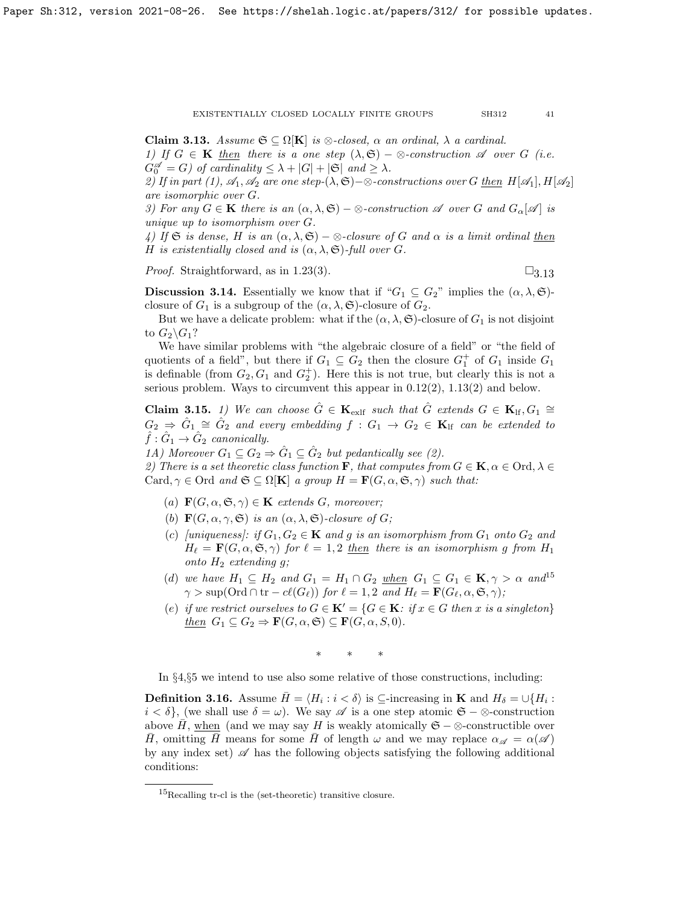<span id="page-40-2"></span>**Claim 3.13.** Assume  $\mathfrak{S} \subseteq \Omega[\mathbf{K}]$  is  $\otimes$ -closed,  $\alpha$  an ordinal,  $\lambda$  a cardinal. 1) If  $G \in \mathbf{K}$  then there is a one step  $(\lambda, \mathfrak{S}) - \otimes$ -construction  $\mathscr A$  over G (i.e.  $G_0^{\mathscr{A}} = G$ ) of cardinality  $\leq \lambda + |G| + |\mathfrak{S}|$  and  $\geq \lambda$ .

2) If in part (1),  $\mathcal{A}_1, \mathcal{A}_2$  are one step-( $\lambda, \mathfrak{S}$ ) –⊗-constructions over G then  $H[\mathcal{A}_1], H[\mathcal{A}_2]$ are isomorphic over G.

3) For any  $G \in \mathbf{K}$  there is an  $(\alpha, \lambda, \mathfrak{S}) - \otimes$ -construction  $\mathscr A$  over G and  $G_{\alpha}[\mathscr A]$  is unique up to isomorphism over G.

4) If G is dense, H is an  $(\alpha, \lambda, \mathfrak{S}) - \otimes$ -closure of G and  $\alpha$  is a limit ordinal then H is existentially closed and is  $(\alpha, \lambda, \mathfrak{S})$ -full over G.

*Proof.* Straightforward, as in [1.23\(](#page-18-0)3).  $\square_{3.13}$  $\square_{3.13}$  $\square_{3.13}$ 

<span id="page-40-1"></span>**Discussion 3.14.** Essentially we know that if " $G_1 \subseteq G_2$ " implies the  $(\alpha, \lambda, \mathfrak{S})$ closure of  $G_1$  is a subgroup of the  $(\alpha, \lambda, \mathfrak{S})$ -closure of  $G_2$ .

But we have a delicate problem: what if the  $(\alpha, \lambda, \mathfrak{S})$ -closure of  $G_1$  is not disjoint to  $G_2 \backslash G_1$ ?

We have similar problems with "the algebraic closure of a field" or "the field of quotients of a field", but there if  $G_1 \subseteq G_2$  then the closure  $G_1^+$  of  $G_1$  inside  $G_1$ is definable (from  $G_2, G_1$  and  $G_2^+$ ). Here this is not true, but clearly this is not a serious problem. Ways to circumvent this appear in [0.12\(](#page-5-1)2), [1.13\(](#page-15-2)2) and below.

<span id="page-40-0"></span>**Claim 3.15.** 1) We can choose  $\hat{G} \in \mathbf{K}_{\text{exlf}}$  such that  $\hat{G}$  extends  $G \in \mathbf{K}_{\text{lf}}, G_1 \cong$  $G_2 \Rightarrow \hat{G}_1 \cong \hat{G}_2$  and every embedding  $f : G_1 \rightarrow G_2 \in \mathbf{K}_{\text{lf}}$  can be extended to  $\hat{f}: \hat{G}_1 \rightarrow \hat{G}_2$  canonically.

1A) Moreover  $G_1 \subseteq G_2 \Rightarrow \hat{G}_1 \subseteq \hat{G}_2$  but pedantically see (2).

2) There is a set theoretic class function  $\mathbf{F}$ , that computes from  $G \in \mathbf{K}$ ,  $\alpha \in \text{Ord}, \lambda \in$ Card,  $\gamma \in \text{Ord}$  and  $\mathfrak{S} \subseteq \Omega[\mathbf{K}]$  a group  $H = \mathbf{F}(G, \alpha, \mathfrak{S}, \gamma)$  such that:

- (a)  $\mathbf{F}(G, \alpha, \mathfrak{S}, \gamma) \in \mathbf{K}$  extends G, moreover;
- (b)  $\mathbf{F}(G, \alpha, \gamma, \mathfrak{S})$  is an  $(\alpha, \lambda, \mathfrak{S})$ -closure of G;
- (c) [uniqueness]: if  $G_1, G_2 \in \mathbf{K}$  and g is an isomorphism from  $G_1$  onto  $G_2$  and  $H_{\ell} = \mathbf{F}(G, \alpha, \mathfrak{S}, \gamma)$  for  $\ell = 1, 2$  then there is an isomorphism g from  $H_1$ onto  $H_2$  extending q;
- (d) we have  $H_1 \subseteq H_2$  and  $G_1 = H_1 \cap G_2$  when  $G_1 \subseteq G_1 \in \mathbf{K}, \gamma > \alpha$  and  $1^5$  $\gamma > \sup(\text{Ord} \cap \text{tr} - cl(G_{\ell}))$  for  $\ell = 1, 2$  and  $H_{\ell} = \mathbf{F}(G_{\ell}, \alpha, \mathfrak{S}, \gamma);$
- (e) if we restrict ourselves to  $G \in \mathbf{K'} = \{G \in \mathbf{K}: \text{ if } x \in G \text{ then } x \text{ is a singleton}\}\$ then  $G_1 \subseteq G_2 \Rightarrow \mathbf{F}(G, \alpha, \mathfrak{S}) \subseteq \mathbf{F}(G, \alpha, S, 0).$

∗ ∗ ∗

In §4,§5 we intend to use also some relative of those constructions, including:

<span id="page-40-4"></span>**Definition 3.16.** Assume  $\bar{H} = \langle H_i : i < \delta \rangle$  is  $\subseteq$ -increasing in **K** and  $H_\delta = \cup \{H_i : i < \delta\}$  $i < \delta$ , (we shall use  $\delta = \omega$ ). We say  $\mathscr A$  is a one step atomic  $\mathfrak{S} - \otimes$ -construction above H, when (and we may say H is weakly atomically  $\mathfrak{S} - \otimes$ -constructible over H, omitting H means for some H of length  $\omega$  and we may replace  $\alpha_{\mathscr{A}} = \alpha(\mathscr{A})$ by any index set)  $\mathscr A$  has the following objects satisfying the following additional conditions:

<span id="page-40-3"></span><sup>15</sup>Recalling tr-cl is the (set-theoretic) transitive closure.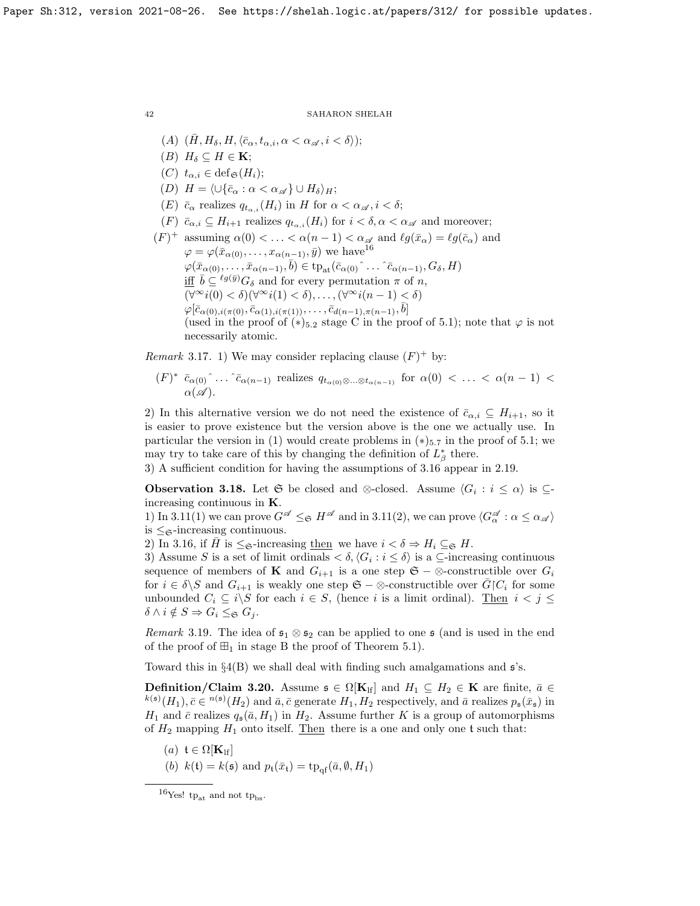- (A)  $(\bar{H}, H_{\delta}, H, \langle \bar{c}_{\alpha}, t_{\alpha,i}, \alpha < \alpha_{\mathscr{A}}, i < \delta \rangle);$
- (B)  $H_{\delta} \subseteq H \in \mathbf{K}$ ;
- (C)  $t_{\alpha,i} \in \text{def}_{\mathfrak{S}}(H_i);$
- (D)  $H = \langle \cup \{\bar{c}_{\alpha} : \alpha < \alpha_{\mathscr{A}}\} \cup H_{\delta} \rangle_{H};$
- (E)  $\bar{c}_{\alpha}$  realizes  $q_{t_{\alpha,i}}(H_i)$  in H for  $\alpha < \alpha_{\mathscr{A}}, i < \delta;$
- $(F)$   $\bar{c}_{\alpha,i} \subseteq H_{i+1}$  realizes  $q_{t_{\alpha,i}}(H_i)$  for  $i < \delta, \alpha < \alpha_{\mathscr{A}}$  and moreover;
- $(F)^+$  assuming  $\alpha(0) < \ldots < \alpha(n-1) < \alpha_{\mathscr{A}}$  and  $\ell g(\bar{x}_{\alpha}) = \ell g(\bar{c}_{\alpha})$  and  $\varphi = \varphi(\bar{x}_{\alpha(0)}, \ldots, x_{\alpha(n-1)}, \bar{y})$  we have<sup>[16](#page-41-0)</sup>  $\varphi(\bar{x}_{\alpha(0)},\ldots,\bar{x}_{\alpha(n-1)},\bar{b}) \in \text{tp}_{\text{at}}(\bar{c}_{\alpha(0)}\hat{\ } \ldots \hat{\ } \bar{c}_{\alpha(n-1)},G_{\delta},H)$ iff  $\bar{b} \subseteq {}^{\ell g(\bar{y})}G_{\delta}$  and for every permutation  $\pi$  of n,  $(\forall^\infty i(0) < \delta)(\forall^\infty i(1) < \delta), \ldots, (\forall^\infty i(n-1) < \delta)$  $\varphi[\bar{c}_{\alpha(0),i(\pi(0)},\bar{c}_{\alpha(1),i(\pi(1))},\ldots,\bar{c}_{d(n-1),\pi(n-1)},\bar{b}]$ (used in the proof of  $(*)_{5,2}$  stage C in the proof of [5.1\)](#page-50-0); note that  $\varphi$  is not necessarily atomic.

*Remark* 3.17. 1) We may consider replacing clause  $(F)^+$  by:

 $(F)^*$   $\bar{c}_{\alpha(0)}$ <sup>^</sup>...<sup>^</sup> $\bar{c}_{\alpha(n-1)}$  realizes  $q_{t_{\alpha(0)}\otimes...\otimes t_{\alpha(n-1)}}$  for  $\alpha(0)$  < ... <  $\alpha(n-1)$  <  $\alpha(\mathscr{A})$ .

2) In this alternative version we do not need the existence of  $\bar{c}_{\alpha,i} \subseteq H_{i+1}$ , so it is easier to prove existence but the version above is the one we actually use. In particular the version in (1) would create problems in  $(*)_{5.7}$  in the proof of [5.1;](#page-50-0) we may try to take care of this by changing the definition of  $L^*_{\beta}$  there.

3) A sufficient condition for having the assumptions of [3.16](#page-40-4) appear in [2.19.](#page-31-1)

**Observation 3.18.** Let G be closed and ⊗-closed. Assume  $\langle G_i : i \leq \alpha \rangle$  is  $\subseteq$ increasing continuous in K.

1) In [3.11\(](#page-39-1)1) we can prove  $G^{\mathscr{A}} \leq_{\mathfrak{S}} H^{\mathscr{A}}$  and in 3.11(2), we can prove  $\langle G^{\mathscr{A}}_{\alpha} : \alpha \leq \alpha_{\mathscr{A}} \rangle$ is  $\leq_{\mathfrak{S}}$ -increasing continuous.

2) In [3.16,](#page-40-4) if H is  $\leq_{\mathfrak{S}}$ -increasing then we have  $i < \delta \Rightarrow H_i \subseteq_{\mathfrak{S}} H$ .

3) Assume S is a set of limit ordinals  $\langle \delta, \langle G_i : i \leq \delta \rangle$  is a ⊆-increasing continuous sequence of members of **K** and  $G_{i+1}$  is a one step  $\mathfrak{S} - \otimes$ -constructible over  $G_i$ for  $i \in \delta \backslash S$  and  $G_{i+1}$  is weakly one step  $\mathfrak{S} - \otimes$ -constructible over  $\overline{G} \backslash C_i$  for some unbounded  $C_i \subseteq i \backslash S$  for each  $i \in S$ , (hence i is a limit ordinal). Then  $i < j \leq$  $\delta \wedge i \notin S \Rightarrow G_i \leq \varepsilon G_j$ .

*Remark* 3.19. The idea of  $\mathfrak{s}_1 \otimes \mathfrak{s}_2$  can be applied to one  $\mathfrak{s}$  (and is used in the end of the proof of  $\boxplus_1$  in stage B the proof of Theorem [5.1\)](#page-50-0).

Toward this in  $\S4(B)$  we shall deal with finding such amalgamations and  $\mathfrak{s}$ 's.

<span id="page-41-1"></span>**Definition/Claim 3.20.** Assume  $\mathfrak{s} \in \Omega[\mathbf{K}_{\mathrm{lf}}]$  and  $H_1 \subseteq H_2 \in \mathbf{K}$  are finite,  $\bar{a} \in$  $h^{(s)}(H_1), \bar{c} \in \mathbb{R}^{(s)}(H_2)$  and  $\bar{a}, \bar{c}$  generate  $H_1, H_2$  respectively, and  $\bar{a}$  realizes  $p_s(\bar{x}_s)$  in  $H_1$  and  $\bar{c}$  realizes  $q_s(\bar{a}, H_1)$  in  $H_2$ . Assume further K is a group of automorphisms of  $H_2$  mapping  $H_1$  onto itself. Then there is a one and only one t such that:

- (a)  $\mathfrak{t} \in \Omega[\mathbf{K}_{\text{lf}}]$
- (b)  $k(\mathfrak{t}) = k(\mathfrak{s})$  and  $p_{\mathfrak{t}}(\bar{x}_{\mathfrak{t}}) = \text{tp}_{\text{of}}(\bar{a}, \emptyset, H_1)$

<span id="page-41-0"></span><sup>&</sup>lt;sup>16</sup>Yes! tp<sub>at</sub> and not tp<sub>bs</sub>.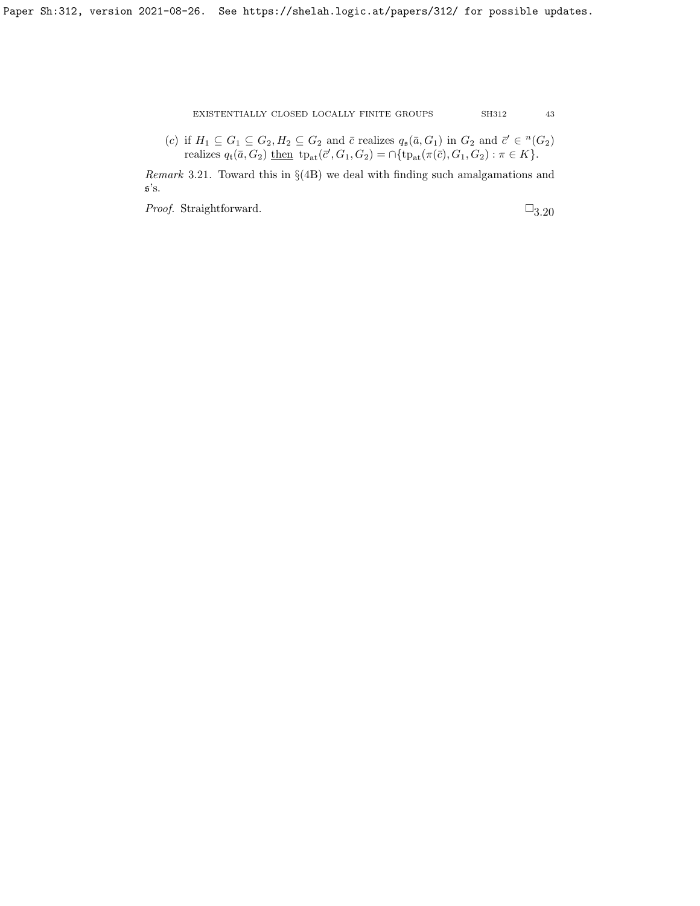(c) if  $H_1 \subseteq G_1 \subseteq G_2, H_2 \subseteq G_2$  and  $\bar{c}$  realizes  $q_s(\bar{a}, G_1)$  in  $G_2$  and  $\bar{c}' \in {}^n(G_2)$ realizes  $q_t(\bar{a}, G_2)$  <u>then</u>  $tp_{at}(\bar{c}', G_1, G_2) = \cap \{tp_{at}(\pi(\bar{c}), G_1, G_2) : \pi \in K\}.$ 

Remark 3.21. Toward this in §(4B) we deal with finding such amalgamations and  $\mathfrak{s}'s.$ 

*Proof.* Straightforward.  $\square_{3.20}$  $\square_{3.20}$  $\square_{3.20}$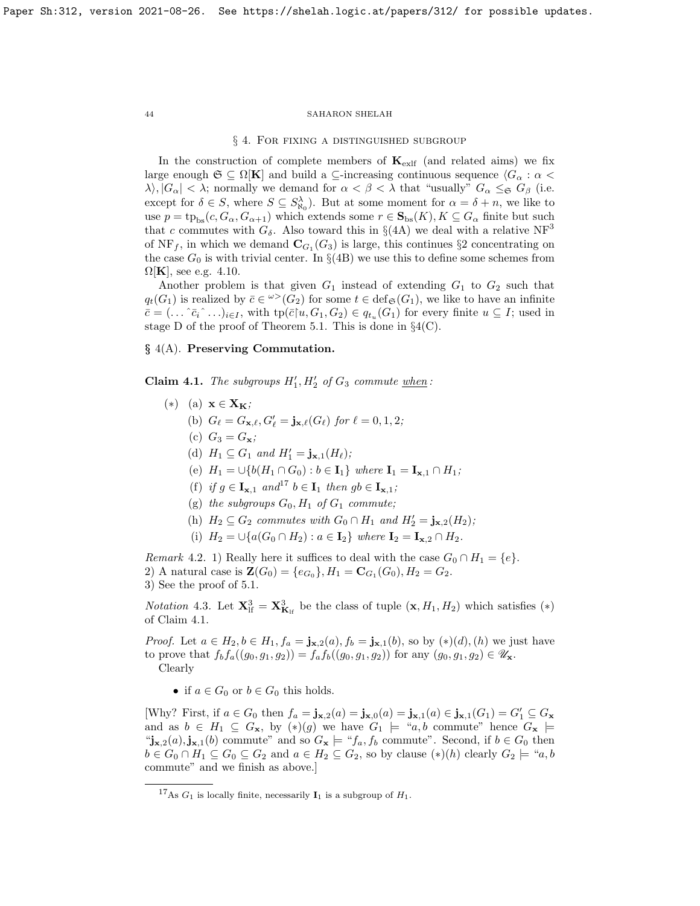## § 4. For fixing a distinguished subgroup

In the construction of complete members of  $K_{\text{exlf}}$  (and related aims) we fix large enough  $\mathfrak{S} \subseteq \Omega[\mathbf{K}]$  and build a  $\subseteq$ -increasing continuous sequence  $\langle G_\alpha : \alpha \rangle$  $\lambda$ ,  $|G_{\alpha}| < \lambda$ ; normally we demand for  $\alpha < \beta < \lambda$  that "usually"  $G_{\alpha} \leq_{\beta} G_{\beta}$  (i.e. except for  $\delta \in S$ , where  $S \subseteq S^{\lambda}_{\aleph_0}$ . But at some moment for  $\alpha = \delta + n$ , we like to use  $p = tp_{bs}(c, G_{\alpha}, G_{\alpha+1})$  which extends some  $r \in \mathbf{S}_{bs}(K), K \subseteq G_{\alpha}$  finite but such that c commutes with  $G_{\delta}$ . Also toward this in §(4A) we deal with a relative NF<sup>3</sup> of NF<sub>f</sub>, in which we demand  $\mathbf{C}_{G_1}(G_3)$  is large, this continues §2 concentrating on the case  $G_0$  is with trivial center. In  $\S(4B)$  we use this to define some schemes from  $\Omega[K]$ , see e.g. [4.10.](#page-47-0)

Another problem is that given  $G_1$  instead of extending  $G_1$  to  $G_2$  such that  $q_t(G_1)$  is realized by  $\bar{c} \in \mathcal{C}(G_2)$  for some  $t \in \text{def}_{\mathfrak{S}}(G_1)$ , we like to have an infinite  $\overline{c} = (\ldots \hat{c}_i \hat{c}_i \ldots)_{i \in I}$ , with  $tp(\overline{c} | u, G_1, G_2) \in q_{t_u}(G_1)$  for every finite  $u \subseteq I$ ; used in stage D of the proof of Theorem [5.1.](#page-50-0) This is done in  $\S4(C)$ .

# § 4(A). Preserving Commutation.

<span id="page-43-1"></span>Claim 4.1. The subgroups  $H'_1, H'_2$  of  $G_3$  commute when:

- $(*)$  (a)  $\mathbf{x} \in \mathbf{X}_\mathbf{K}$ ; (b)  $G_{\ell} = G_{\mathbf{x},\ell}, G'_{\ell} = \mathbf{j}_{\mathbf{x},\ell}(G_{\ell})$  for  $\ell = 0, 1, 2;$ (c)  $G_3 = G_{\mathbf{x}}$ ; (d)  $H_1 \subseteq G_1$  and  $H'_1 = \mathbf{j}_{\mathbf{x},1}(H_\ell);$ (e)  $H_1 = \bigcup \{b(H_1 \cap G_0) : b \in I_1\}$  where  $I_1 = I_{x,1} \cap H_1$ ; (f) if  $g \in I_{\mathbf{x},1}$  and<sup>[17](#page-43-0)</sup>  $b \in I_1$  then  $gb \in I_{\mathbf{x},1}$ ; (g) the subgroups  $G_0$ ,  $H_1$  of  $G_1$  commute; (h)  $H_2 \subseteq G_2$  commutes with  $G_0 \cap H_1$  and  $H'_2 = \mathbf{j}_{\mathbf{x},2}(H_2)$ ;
	- (i)  $H_2 = \bigcup \{a(G_0 \cap H_2) : a \in I_2\}$  where  $I_2 = I_{\mathbf{x},2} \cap H_2$ .

Remark 4.2. 1) Really here it suffices to deal with the case  $G_0 \cap H_1 = \{e\}.$ 2) A natural case is  $\mathbf{Z}(G_0) = \{e_{G_0}\}, H_1 = \mathbf{C}_{G_1}(G_0), H_2 = G_2.$ 3) See the proof of [5.1.](#page-50-0)

<span id="page-43-2"></span>*Notation* 4.3. Let  $\mathbf{X}_{\text{lf}}^3 = \mathbf{X}_{\mathbf{K}_{\text{lf}}}^3$  be the class of tuple  $(\mathbf{x}, H_1, H_2)$  which satisfies  $(*)$ of Claim [4.1.](#page-43-1)

*Proof.* Let  $a \in H_2, b \in H_1, f_a = \mathbf{j}_{\mathbf{x},2}(a), f_b = \mathbf{j}_{\mathbf{x},1}(b)$ , so by  $(*) (d), (h)$  we just have to prove that  $f_b f_a((g_0, g_1, g_2)) = f_a f_b((g_0, g_1, g_2))$  for any  $(g_0, g_1, g_2) \in \mathscr{U}_{\mathbf{x}}$ . Clearly

• if  $a \in G_0$  or  $b \in G_0$  this holds.

[Why? First, if  $a \in G_0$  then  $f_a = \mathbf{j}_{\mathbf{x},2}(a) = \mathbf{j}_{\mathbf{x},0}(a) = \mathbf{j}_{\mathbf{x},1}(a) \in \mathbf{j}_{\mathbf{x},1}(G_1) = G_1' \subseteq G_{\mathbf{x}}$ and as  $b \in H_1 \subseteq G_x$ , by  $(*) (g)$  we have  $G_1 \models "a, b$  commute" hence  $G_x \models$ " $j_{x,2}(a), j_{x,1}(b)$  commute" and so  $G_x \models "f_a, f_b$  commute". Second, if  $b \in G_0$  then  $b \in G_0 \cap H_1 \subseteq G_0 \subseteq G_2$  and  $a \in H_2 \subseteq G_2$ , so by clause  $(*)$ (*h*) clearly  $G_2 \models "a, b]$ commute" and we finish as above.]

<span id="page-43-0"></span><sup>&</sup>lt;sup>17</sup>As  $G_1$  is locally finite, necessarily  $\mathbf{I}_1$  is a subgroup of  $H_1$ .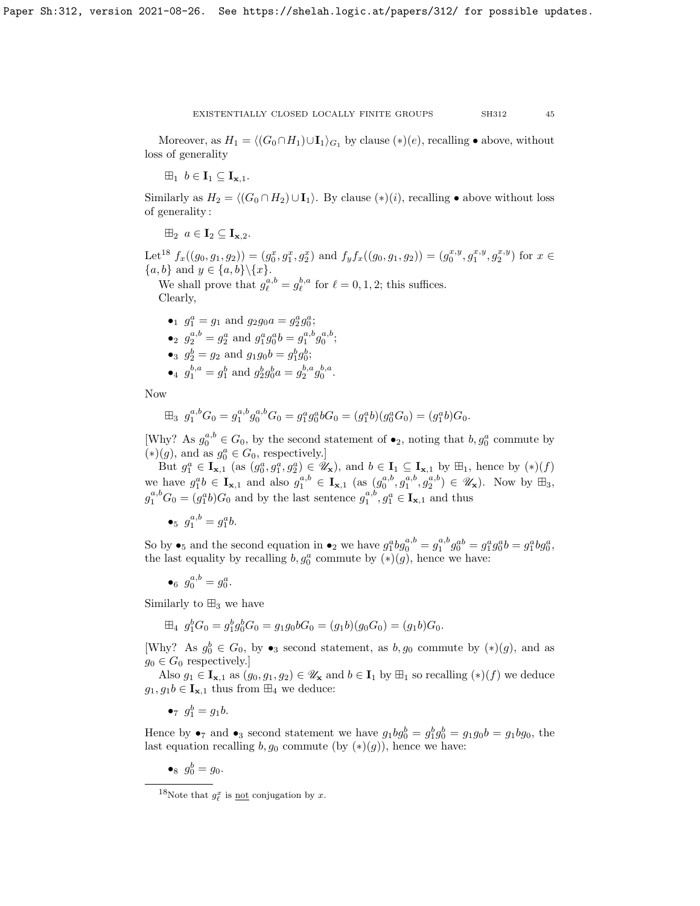Moreover, as  $H_1 = \langle (G_0 \cap H_1) \cup I_1 \rangle_{G_1}$  by clause  $(*) (e)$ , recalling • above, without loss of generality

 $\boxplus_1$   $b \in \mathbf{I}_1 \subseteq \mathbf{I}_{\mathbf{x},1}$ .

Similarly as  $H_2 = \langle (G_0 \cap H_2) \cup I_1 \rangle$ . By clause  $(*) (i)$ , recalling • above without loss of generality :

 $\mathbb{H}_2$   $a \in \mathbf{I}_2 \subseteq \mathbf{I}_{\mathbf{x},2}$ .

Let<sup>[18](#page-44-0)</sup>  $f_x((g_0, g_1, g_2)) = (g_0^x, g_1^x, g_2^x)$  and  $f_y f_x((g_0, g_1, g_2)) = (g_0^{x,y}, g_1^{x,y}, g_2^{x,y})$  for  $x \in$  ${a, b}$  and  $y \in {a, b} \setminus {x}.$ 

We shall prove that  $g_{\ell}^{a,b} = g_{\ell}^{b,a}$  for  $\ell = 0, 1, 2$ ; this suffices.

Clearly,

•<sub>1</sub> 
$$
g_1^a = g_1
$$
 and  $g_2g_0a = g_2^ag_0^a$ ;

- •<sub>2</sub>  $g_2^{a,b} = g_2^a$  and  $g_1^a g_0^a b = g_1^{a,b} g_0^{a,b}$ ;
- •<sub>3</sub>  $g_2^b = g_2$  and  $g_1g_0b = g_1^bg_0^b$ ;
- •4  $g_1^{b,a} = g_1^b$  and  $g_2^b g_0^b a = g_2^{b,a} g_0^{b,a}$ .

Now

$$
\boxplus_3 \ g_1^{a,b} G_0 = g_1^{a,b} g_0^{a,b} G_0 = g_1^a g_0^a b G_0 = (g_1^a b)(g_0^a G_0) = (g_1^a b) G_0.
$$

[Why? As  $g_0^{a,b} \in G_0$ , by the second statement of  $\bullet_2$ , noting that  $b, g_0^a$  commute by  $(\ast)(g)$ , and as  $g_0^a \in G_0$ , respectively.]

But  $g_1^a \in \mathbf{I}_{\mathbf{x},1}$  (as  $(g_0^a, g_1^a, g_2^a) \in \mathscr{U}_{\mathbf{x}}$ ), and  $b \in \mathbf{I}_1 \subseteq \mathbf{I}_{\mathbf{x},1}$  by  $\boxplus_1$ , hence by  $(*)$ we have  $g_1^a b \in I_{\mathbf{x},1}$  and also  $g_1^{a,b} \in I_{\mathbf{x},1}$  (as  $(g_0^{a,b}, g_1^{a,b}, g_2^{a,b}) \in \mathscr{U}_{\mathbf{x}}$ ). Now by  $\boxplus_3$ ,  $g_1^{a,b}G_0 = (g_1^a b)G_0$  and by the last sentence  $g_1^{a,b}, g_1^a \in \mathbf{I}_{\mathbf{x},1}$  and thus

•*s* 
$$
g_1^{a,b} = g_1^a b
$$
.

So by  $\bullet_5$  and the second equation in  $\bullet_2$  we have  $g_1^a b g_0^{a,b} = g_1^{a,b} g_0^{ab} = g_1^a g_0^a b = g_1^a b g_0^a$ , the last equality by recalling  $b, g_0^a$  commute by  $(*) (g)$ , hence we have:

 $\bullet_6 \, g_0^{a,b} = g_0^a.$ 

Similarly to  $\boxplus_3$  we have

$$
\boxplus_4 \ g_1^b G_0 = g_1^b g_0^b G_0 = g_1 g_0 b G_0 = (g_1 b)(g_0 G_0) = (g_1 b) G_0.
$$

[Why? As  $g_0^b \in G_0$ , by  $\bullet_3$  second statement, as  $b, g_0$  commute by  $(*) (g)$ , and as  $g_0 \in G_0$  respectively.

Also  $g_1 \in I_{\mathbf{x},1}$  as  $(g_0, g_1, g_2) \in \mathscr{U}_{\mathbf{x}}$  and  $b \in I_1$  by  $\mathbb{H}_1$  so recalling  $(*) (f)$  we deduce  $g_1, g_1b \in I_{\mathbf{x},1}$  thus from  $\boxplus_4$  we deduce:

• $g_1^b = g_1 b.$ 

Hence by  $\bullet_7$  and  $\bullet_3$  second statement we have  $g_1bg_0^b = g_1^bg_0^b = g_1g_0b = g_1bg_0$ , the last equation recalling  $b, g_0$  commute (by  $(*)(g)$ ), hence we have:

•<sub>8</sub>  $g_0^b = g_0$ .

<span id="page-44-0"></span><sup>&</sup>lt;sup>18</sup>Note that  $g_{\ell}^x$  is <u>not</u> conjugation by x.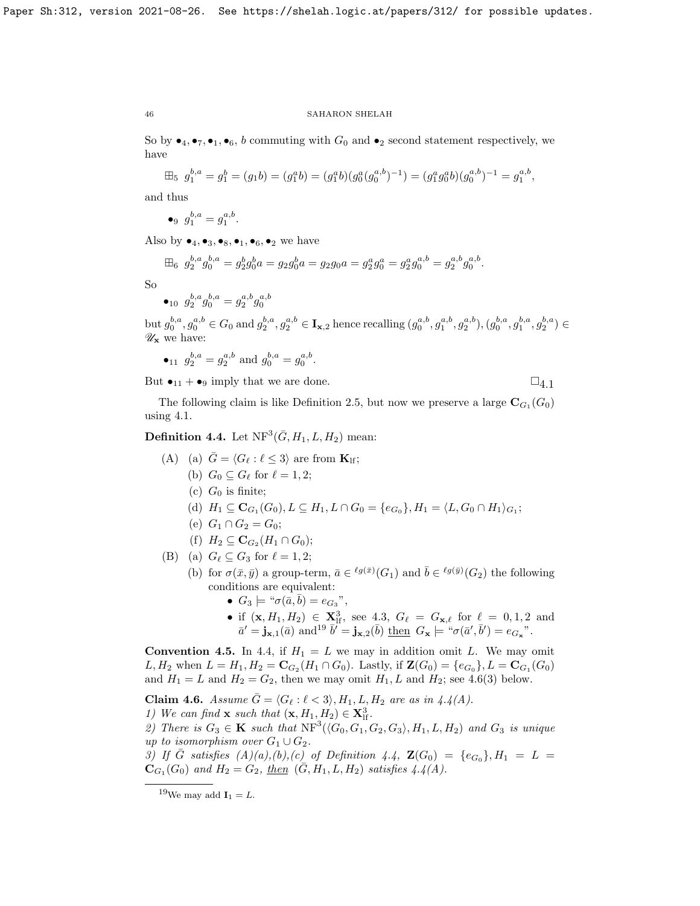So by  $\bullet_4, \bullet_7, \bullet_1, \bullet_6$ , b commuting with  $G_0$  and  $\bullet_2$  second statement respectively, we have

$$
\boxplus_5 \ g_1^{b,a} = g_1^b = (g_1b) = (g_1^ab) = (g_1^ab)(g_0^a(g_0^{a,b})^{-1}) = (g_1^ag_0^ab)(g_0^{a,b})^{-1} = g_1^{a,b},
$$

and thus

$$
\bullet \, g_1^{b,a} = g_1^{a,b}.
$$

Also by  $\bullet_4, \bullet_3, \bullet_8, \bullet_1, \bullet_6, \bullet_2$  we have

$$
\boxplus_6 \ g_2^{b,a} g_0^{b,a} = g_2^b g_0^b a = g_2 g_0^b a = g_2 g_0 a = g_2^a g_0^{a} = g_2^a g_0^{a,b} = g_2^{a,b} g_0^{a,b}.
$$

So

$$
\bullet_{10} \ \ g_2^{b,a} g_0^{b,a} = g_2^{a,b} g_0^{a,b}
$$

 $\mathrm{but}\, g_0^{b,a}, g_0^{a,b} \in G_0 \text{ and } g_2^{b,a}, g_2^{a,b} \in \mathbf{I}_{\mathbf{x},2} \text{ hence recalling } (g_0^{a,b}, g_1^{a,b}, g_2^{a,b}), (g_0^{b,a}, g_1^{b,a}, g_2^{b,a}) \in$  $\mathscr{U}_\mathbf{x}$  we have:

•<sub>11</sub> 
$$
g_2^{b,a} = g_2^{a,b}
$$
 and  $g_0^{b,a} = g_0^{a,b}$ .

But  $\bullet_{11} + \bullet_9$  imply that we are done.

$$
\sqsupseteq_{4.1}
$$

The following claim is like Definition [2.5,](#page-25-3) but now we preserve a large  $\mathbf{C}_{G_1}(G_0)$ using [4.1.](#page-43-1)

<span id="page-45-1"></span>**Definition 4.4.** Let  $NF^3(\bar{G}, H_1, L, H_2)$  mean:

(A) (a) 
$$
\bar{G} = \langle G_{\ell} : \ell \leq 3 \rangle
$$
 are from  $\mathbf{K}_{\mathrm{lf}}$ ;

- (b)  $G_0 \subseteq G_\ell$  for  $\ell = 1, 2;$
- (c)  $G_0$  is finite;
- (d)  $H_1 \subseteq \mathbf{C}_{G_1}(G_0), L \subseteq H_1, L \cap G_0 = \{e_{G_0}\}, H_1 = \langle L, G_0 \cap H_1 \rangle_{G_1};$
- (e)  $G_1 \cap G_2 = G_0;$
- (f)  $H_2 \subseteq \mathbf{C}_{G_2}(H_1 \cap G_0);$

(B) (a) 
$$
G_{\ell} \subseteq G_3
$$
 for  $\ell = 1, 2$ ;

- (b) for  $\sigma(\bar{x}, \bar{y})$  a group-term,  $\bar{a} \in {}^{\ell g(\bar{x})}(G_1)$  and  $\bar{b} \in {}^{\ell g(\bar{y})}(G_2)$  the following conditions are equivalent:
	- $G_3 \models {\text{``}}\sigma(\bar{a}, \bar{b}) = e_{G_3}$ ",
	- if  $(\mathbf{x}, H_1, H_2) \in \mathbf{X}_{\text{lf}}^3$ , see [4.3,](#page-43-2)  $G_\ell = G_{\mathbf{x}, \ell}$  for  $\ell = 0, 1, 2$  and  $\bar{a}' = \mathbf{j}_{\mathbf{x},1}(\bar{a})$  and  $a^{19}$  $a^{19}$  $a^{19}$   $\bar{b}' = \mathbf{j}_{\mathbf{x},2}(\bar{b})$  then  $G_{\mathbf{x}} \models \text{``}\sigma(\bar{a}', \bar{b}') = e_{G_{\mathbf{x}}}$ ".

**Convention 4.5.** In [4.4,](#page-45-1) if  $H_1 = L$  we may in addition omit L. We may omit L,  $H_2$  when  $L = H_1, H_2 = \mathbf{C}_{G_2}(H_1 \cap G_0)$ . Lastly, if  $\mathbf{Z}(G_0) = \{e_{G_0}\}, L = \mathbf{C}_{G_1}(G_0)$ and  $H_1 = L$  and  $H_2 = G_2$ , then we may omit  $H_1, L$  and  $H_2$ ; see [4.6\(](#page-45-2)3) below.

<span id="page-45-2"></span>Claim 4.6. Assume  $\bar{G} = \langle G_\ell : \ell < 3 \rangle$ ,  $H_1, L, H_2$  are as in [4.4\(](#page-45-1)A). 1) We can find **x** such that  $(\mathbf{x}, H_1, H_2) \in \mathbf{X}_{\text{lf}}^3$ .

2) There is  $G_3 \in \mathbf{K}$  such that  $NF^3(\langle G_0, G_1, G_2, G_3 \rangle, H_1, L, H_2)$  and  $G_3$  is unique up to isomorphism over  $G_1 \cup G_2$ .

3) If  $\bar{G}$  satisfies  $(A)(a),(b),(c)$  of Definition [4.4,](#page-45-1)  $\mathbf{Z}(G_0) = \{e_{G_0}\}, H_1 = L =$  ${\bf C}_{G_1}(G_0)$  and  $H_2 = G_2$ , then  $({\bar G}, H_1, L, H_2)$  satisfies  $4.4(A)$ .

<span id="page-45-0"></span><sup>&</sup>lt;sup>19</sup>We may add  $I_1 = L$ .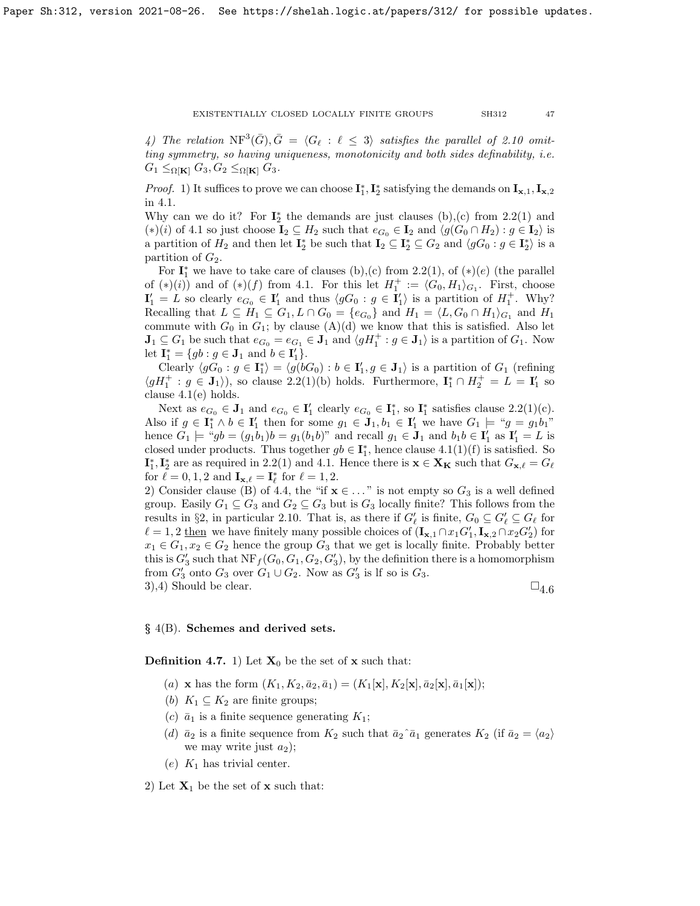4) The relation  $\text{NF}^3(\bar{G}), \bar{G} = \langle G_\ell : \ell \leq 3 \rangle$  satisfies the parallel of [2.10](#page-27-2) omitting symmetry, so having uniqueness, monotonicity and both sides definability, i.e.  $G_1 \leq_{\Omega[\mathbf{K}]} G_3, G_2 \leq_{\Omega[\mathbf{K}]} G_3.$ 

*Proof.* 1) It suffices to prove we can choose  $I_1^*, I_2^*$  satisfying the demands on  $I_{\mathbf{x},1}, I_{\mathbf{x},2}$ in [4.1.](#page-43-1)

Why can we do it? For  $\mathbf{I}_2^*$  the demands are just clauses (b), (c) from [2.2\(](#page-23-0)1) and (\*)(i) of [4.1](#page-43-1) so just choose  $I_2 \subseteq H_2$  such that  $e_{G_0} \in I_2$  and  $\langle g(G_0 \cap H_2) : g \in I_2 \rangle$  is a partition of  $H_2$  and then let  $I_2^*$  be such that  $I_2 \subseteq I_2^* \subseteq G_2$  and  $\langle gG_0 : g \in I_2^* \rangle$  is a partition of  $G_2$ .

For  $\mathbf{I}_1^*$  we have to take care of clauses (b),(c) from [2.2\(](#page-23-0)1), of  $(*)$ (e) (the parallel of  $(*) (i)$  and of  $(*) (f)$  from [4.1.](#page-43-1) For this let  $H_1^+ := \langle G_0, H_1 \rangle_{G_1}$ . First, choose  $\mathbf{I}'_1 = L$  so clearly  $e_{G_0} \in \mathbf{I}'_1$  and thus  $\langle gG_0 : g \in \mathbf{I}'_1 \rangle$  is a partition of  $H_1^+$ . Why? Recalling that  $L \subseteq H_1 \subseteq G_1, L \cap G_0 = \{e_{G_0}\}\$ and  $H_1 = \langle L, G_0 \cap H_1 \rangle_{G_1}$  and  $H_1$ commute with  $G_0$  in  $G_1$ ; by clause  $(A)(d)$  we know that this is satisfied. Also let  $\mathbf{J}_1 \subseteq G_1$  be such that  $e_{G_0} = e_{G_1} \in \mathbf{J}_1$  and  $\langle gH_1^+ : g \in \mathbf{J}_1 \rangle$  is a partition of  $G_1$ . Now let  $I_1^* = \{gb : g \in J_1 \text{ and } b \in I'_1\}.$ 

Clearly  $\langle gG_0 : g \in I_1^* \rangle = \langle g(bG_0) : b \in I_1', g \in J_1 \rangle$  is a partition of  $G_1$  (refining  $\langle gH_1^+ : g \in \mathbf{J}_1 \rangle$ , so clause [2.2\(](#page-23-0)1)(b) holds. Furthermore,  $\mathbf{I}_1^* \cap H_2^+ = L = \mathbf{I}_1'$  so clause [4.1\(](#page-43-1)e) holds.

Next as  $e_{G_0} \in \mathbf{J}_1$  and  $e_{G_0} \in \mathbf{I}'_1$  clearly  $e_{G_0} \in \mathbf{I}^*_1$ , so  $\mathbf{I}^*_1$  satisfies clause [2.2\(](#page-23-0)1)(c). Also if  $g \in I_1^* \wedge b \in I_1'$  then for some  $g_1 \in J_1, b_1 \in I_1'$  we have  $G_1 \models "g = g_1 b_1"$ hence  $G_1 \models \text{``}gb = (g_1b_1)b = g_1(b_1b)$ " and recall  $g_1 \in \mathbf{J}_1$  and  $b_1b \in \mathbf{I}'_1$  as  $\mathbf{I}'_1 = L$  is closed under products. Thus together  $gb \in \mathbf{I}_1^*$ , hence clause  $4.1(1)(f)$  is satisfied. So  $\mathbf{I}_1^*, \mathbf{I}_2^*$  are as required in [2.2\(](#page-23-0)1) and [4.1.](#page-43-1) Hence there is  $\mathbf{x} \in \mathbf{X}_K$  such that  $G_{\mathbf{x},\ell} = G_{\ell}$ for  $\ell = 0, 1, 2$  and  $\mathbf{I}_{\mathbf{x}, \ell} = \mathbf{I}_{\ell}^*$  for  $\ell = 1, 2$ .

2) Consider clause (B) of [4.4,](#page-45-1) the "if  $\mathbf{x} \in \dots$ " is not empty so  $G_3$  is a well defined group. Easily  $G_1 \subseteq G_3$  and  $G_2 \subseteq G_3$  but is  $G_3$  locally finite? This follows from the results in §2, in particular [2.10.](#page-27-2) That is, as there if  $G'_{\ell}$  is finite,  $G_0 \subseteq G'_{\ell} \subseteq G_{\ell}$  for  $\ell = 1, 2$  then we have finitely many possible choices of  $(I_{\mathbf{x},1} \cap x_1G'_1, I_{\mathbf{x},2} \cap x_2G'_2)$  for  $x_1 \in G_1, x_2 \in G_2$  hence the group  $G_3$  that we get is locally finite. Probably better this is  $G'_3$  such that  $\text{NF}_f(G_0, G_1, G_2, G'_3)$ , by the definition there is a homomorphism from  $G'_3$  onto  $G_3$  over  $G_1 \cup G_2$ . Now as  $G'_3$  is If so is  $G_3$ . 3),4) Should be clear.  $\Box_{4.6}$  $\Box_{4.6}$  $\Box_{4.6}$ 

## § 4(B). Schemes and derived sets.

<span id="page-46-0"></span>**Definition 4.7.** 1) Let  $X_0$  be the set of x such that:

- (a) **x** has the form  $(K_1, K_2, \bar{a}_2, \bar{a}_1) = (K_1[\mathbf{x}], K_2[\mathbf{x}], \bar{a}_2[\mathbf{x}], \bar{a}_1[\mathbf{x}])$ ;
- (b)  $K_1 \subseteq K_2$  are finite groups;
- (c)  $\bar{a}_1$  is a finite sequence generating  $K_1$ ;
- (d)  $\bar{a}_2$  is a finite sequence from  $K_2$  such that  $\bar{a}_2 \hat{a}_1$  generates  $K_2$  (if  $\bar{a}_2 = \langle a_2 \rangle$ we may write just  $a_2$ );
- $(e)$  K<sub>1</sub> has trivial center.

2) Let  $X_1$  be the set of x such that: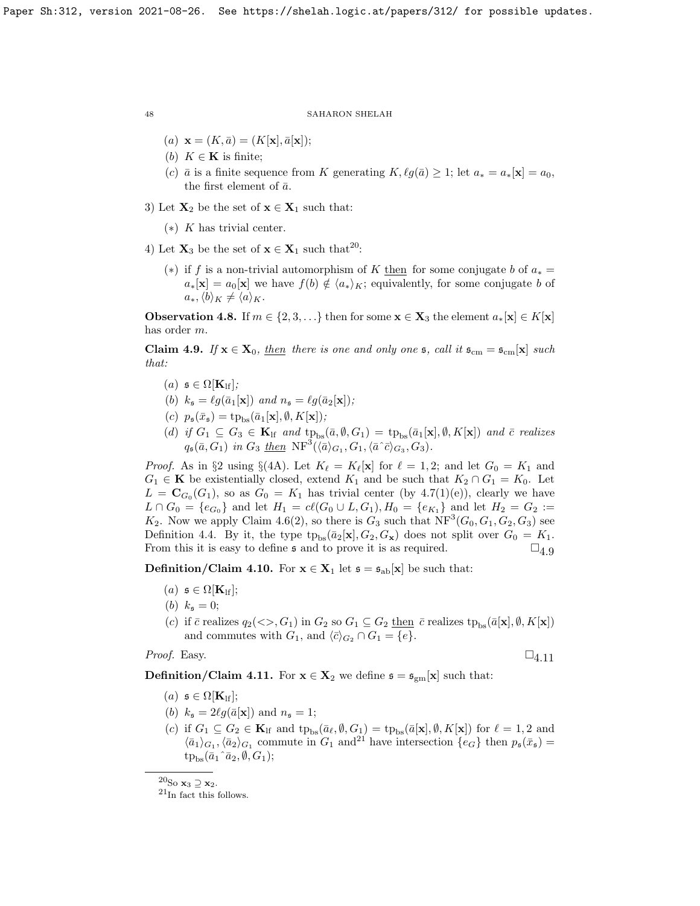- (a)  $\mathbf{x} = (K, \bar{a}) = (K[\mathbf{x}], \bar{a}[\mathbf{x}]);$
- (b)  $K \in \mathbf{K}$  is finite;
- (c)  $\bar{a}$  is a finite sequence from K generating  $K, \ell q(\bar{a}) \geq 1$ ; let  $a_* = a_*[x] = a_0$ , the first element of  $\bar{a}$ .
- 3) Let  $X_2$  be the set of  $x \in X_1$  such that:
	- $(*)$  K has trivial center.
- 4) Let  $\mathbf{X}_3$  be the set of  $\mathbf{x} \in \mathbf{X}_1$  such that<sup>[20](#page-47-1)</sup>:
	- (\*) if f is a non-trivial automorphism of K then for some conjugate b of  $a_* =$  $a_*[{\bf x}] = a_0[{\bf x}]$  we have  $f(b) \notin \langle a_* \rangle_K$ ; equivalently, for some conjugate b of  $a_*, \langle b \rangle_K \neq \langle a \rangle_K.$

**Observation 4.8.** If  $m \in \{2, 3, \ldots\}$  then for some  $\mathbf{x} \in \mathbf{X}_3$  the element  $a_*[\mathbf{x}] \in K[\mathbf{x}]$ has order m.

<span id="page-47-2"></span>**Claim 4.9.** If  $\mathbf{x} \in \mathbf{X}_0$ , then there is one and only one  $\mathfrak{s}$ , call it  $\mathfrak{s}_{cm} = \mathfrak{s}_{cm}[\mathbf{x}]$  such that:

- (a)  $\mathfrak{s} \in \Omega[\mathbf{K}_{\text{lf}}];$
- (b)  $k_{\mathfrak{s}} = \ell g(\bar{a}_1[\mathbf{x}])$  and  $n_{\mathfrak{s}} = \ell g(\bar{a}_2[\mathbf{x}])$ ;
- (c)  $p_{\mathfrak{s}}(\bar{x}_{\mathfrak{s}}) = \text{tp}_{\text{bs}}(\bar{a}_1[\mathbf{x}], \emptyset, K[\mathbf{x}]);$
- (d) if  $G_1 \subseteq G_3 \in \mathbf{K}_{\text{lf}}$  and  $tp_{bs}(\bar{a}, \emptyset, G_1) = tp_{bs}(\bar{a}_1[\mathbf{x}], \emptyset, K[\mathbf{x}])$  and  $\bar{c}$  realizes  $q_{\mathfrak{s}}(\bar{a}, G_1)$  in  $G_3$  <u>then</u>  $\text{NF}^3(\langle \bar{a}\rangle_{G_1}, G_1, \langle \bar{a} \rangle_{G_3}, G_3)$ .

*Proof.* As in §2 using §(4A). Let  $K_{\ell} = K_{\ell}[\mathbf{x}]$  for  $\ell = 1, 2$ ; and let  $G_0 = K_1$  and  $G_1 \in \mathbf{K}$  be existentially closed, extend  $K_1$  and be such that  $K_2 \cap G_1 = K_0$ . Let  $L = \mathbf{C}_{G_0}(G_1)$ , so as  $G_0 = K_1$  has trivial center (by [4.7\(](#page-46-0)1)(e)), clearly we have  $L \cap G_0 = \{e_{G_0}\}\$ and let  $H_1 = cl(G_0 \cup L, G_1), H_0 = \{e_{K_1}\}\$ and let  $H_2 = G_2 :=$  $K_2$ . Now we apply Claim [4.6\(](#page-45-2)2), so there is  $G_3$  such that  $\text{NF}^3(G_0, G_1, G_2, G_3)$  see Definition [4.4.](#page-45-1) By it, the type  $tp_{bs}(\bar{a}_2[\mathbf{x}], G_2, G_{\mathbf{x}})$  does not split over  $G_0 = K_1$ . From this it is easy to define  $\mathfrak s$  and to prove it is as required.  $\square_{4.9}$  $\square_{4.9}$  $\square_{4.9}$ 

<span id="page-47-0"></span>**Definition/Claim 4.10.** For  $\mathbf{x} \in \mathbf{X}_1$  let  $\mathfrak{s} = \mathfrak{s}_{ab}[\mathbf{x}]$  be such that:

- $(a)$   $\mathfrak{s} \in \Omega[\mathbf{K}_{\text{lf}}];$
- (b)  $k_{\rm s} = 0$ ;
- (c) if  $\bar{c}$  realizes  $q_2(\ll, G_1)$  in  $G_2$  so  $G_1 \subseteq G_2$  then  $\bar{c}$  realizes  $tp_{bs}(\bar{a}[\mathbf{x}], \emptyset, K[\mathbf{x}])$ and commutes with  $G_1$ , and  $\langle \bar{c} \rangle_{G_2} \cap G_1 = \{e\}.$

*Proof.* Easy.  $\square_{4.11}$  $\square_{4.11}$  $\square_{4.11}$ 

<span id="page-47-3"></span>**Definition/Claim 4.11.** For  $x \in X_2$  we define  $\mathfrak{s} = \mathfrak{s}_{gm}[x]$  such that:

- (a)  $\mathfrak{s} \in \Omega[\mathbf{K}_{\text{lf}}];$
- (b)  $k_{\mathfrak{s}} = 2\ell g(\bar{a}[\mathbf{x}])$  and  $n_{\mathfrak{s}} = 1$ ;
- (c) if  $G_1 \subseteq G_2 \in \mathbf{K}_{\text{lf}}$  and  $tp_{\text{bs}}(\bar{a}_\ell, \emptyset, G_1) = tp_{\text{bs}}(\bar{a}[\mathbf{x}], \emptyset, K[\mathbf{x}])$  for  $\ell = 1, 2$  and  $\langle \bar{a}_1 \rangle_{G_1}, \langle \bar{a}_2 \rangle_{G_1}$  commute in  $G_1$  and<sup>[21](#page-47-4)</sup> have intersection  $\{e_G\}$  then  $p_{\mathfrak{s}}(\bar{x}_{\mathfrak{s}})$  =  $tp_{bs}(\bar{a}_1 \hat{a}_2, \emptyset, G_1);$

<span id="page-47-1"></span> $^{20}\mathrm{So}$   $\mathbf{x}_3$   $\supseteq$   $\mathbf{x}_2.$ 

<span id="page-47-4"></span> $^{21}$ In fact this follows.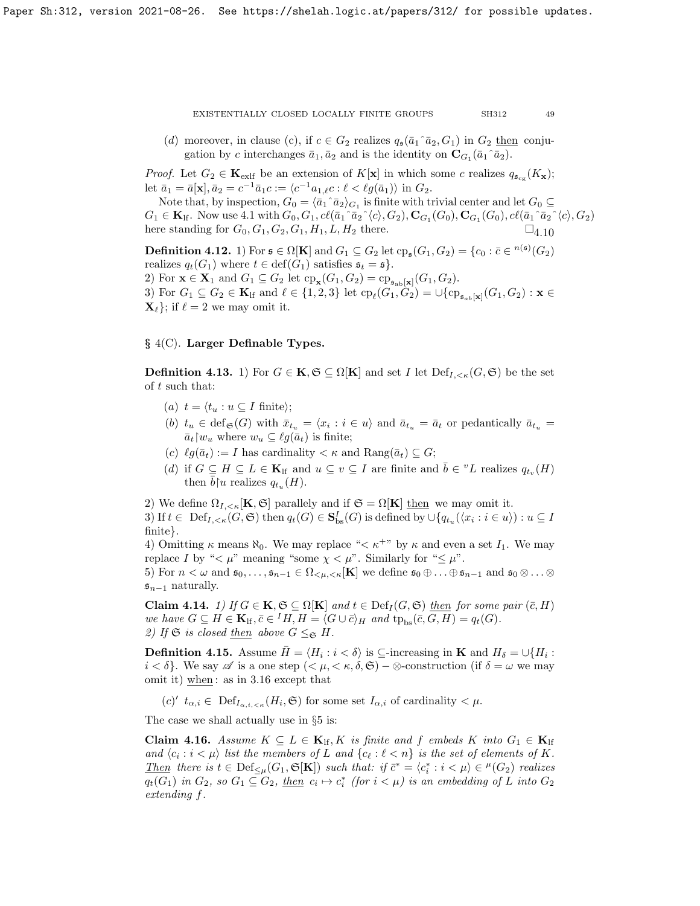(d) moreover, in clause (c), if  $c \in G_2$  realizes  $q_s(\bar{a}_1 \hat{a}_2, G_1)$  in  $G_2$  then conjugation by c interchanges  $\bar{a}_1, \bar{a}_2$  and is the identity on  $\mathbf{C}_{G_1}(\bar{a}_1 \cap \bar{a}_2)$ .

*Proof.* Let  $G_2 \in \mathbf{K}_{\text{exlf}}$  be an extension of  $K[\mathbf{x}]$  in which some c realizes  $q_{\mathfrak{s}_{\text{cg}}}(K_{\mathbf{x}})$ ; let  $\bar{a}_1 = \bar{a}[\mathbf{x}], \bar{a}_2 = c^{-1}\bar{a}_1c := \langle c^{-1}a_{1,\ell}c : \ell < \ell g(\bar{a}_1) \rangle$  in  $G_2$ .

Note that, by inspection,  $G_0 = \langle \bar{a}_1 \hat{a}_2 \rangle_{G_1}$  is finite with trivial center and let  $G_0 \subseteq$  $G_1 \in \mathbf{K}_{\text{lf}}$ . Now use [4.1](#page-43-1) with  $G_0, G_1, c\ell(\bar{a}_1\hat{a}_2\hat{ } \langle c \rangle, G_2), \mathbf{C}_{G_1}(G_0), \mathbf{C}_{G_1}(G_0), c\ell(\bar{a}_1\hat{a}_2\hat{ } \langle c \rangle, G_2)$ here standing for  $G_0, G_1, G_2, G_1, H_1, L, H_2$  there.  $\square_4$  10

<span id="page-48-2"></span>**Definition 4.12.** 1) For  $\mathfrak{s} \in \Omega[\mathbf{K}]$  and  $G_1 \subseteq G_2$  let  $\text{cp}_\mathfrak{s}(G_1, G_2) = \{c_0 : \overline{c} \in {}^{n(\mathfrak{s})}(G_2)$ realizes  $q_t(G_1)$  where  $t \in \text{def}(G_1)$  satisfies  $\mathfrak{s}_t = \mathfrak{s}$ . 2) For  $\mathbf{x} \in \mathbf{X}_1$  and  $G_1 \subseteq G_2$  let  $\text{cp}_{\mathbf{x}}(G_1, G_2) = \text{cp}_{\mathfrak{s}_{\text{ab}}[\mathbf{x}]}(G_1, G_2)$ . 3) For  $G_1 \subseteq G_2 \in \mathbf{K}_{\text{lf}}$  and  $\ell \in \{1, 2, 3\}$  let  $\text{cp}_{\ell}(G_1, G_2) = \cup \{\text{cp}_{\mathfrak{s}_{ab}[\mathbf{x}]}(G_1, G_2) : \mathbf{x} \in$  $\mathbf{X}_{\ell}$ ; if  $\ell = 2$  we may omit it.

## § 4(C). Larger Definable Types.

<span id="page-48-1"></span>**Definition 4.13.** 1) For  $G \in \mathbf{K}, \mathfrak{S} \subseteq \Omega[\mathbf{K}]$  and set I let  $\text{Def}_{I, \leq \kappa}(G, \mathfrak{S})$  be the set of t such that:

- (a)  $t = \langle t_u : u \subseteq I \text{ finite} \rangle;$
- (b)  $t_u \in \text{def}_{\mathfrak{S}}(G)$  with  $\bar{x}_{t_u} = \langle x_i : i \in u \rangle$  and  $\bar{a}_{t_u} = \bar{a}_t$  or pedantically  $\bar{a}_{t_u} =$  $\bar{a}_t$ |w<sub>u</sub> where  $w_u \subseteq \ell g(\bar{a}_t)$  is finite;
- (c)  $\ell g(\bar{a}_t) := I$  has cardinality  $\lt \kappa$  and  $\text{Rang}(\bar{a}_t) \subseteq G;$
- (d) if  $G \subseteq H \subseteq L \in \mathbf{K}_{\text{lf}}$  and  $u \subseteq v \subseteq I$  are finite and  $\overline{b} \in {^vL}$  realizes  $q_{t_v}(H)$ then  $\bar{b}$ | u realizes  $q_{t_u}(H)$ .

2) We define  $\Omega_{I,\leq \kappa}[\mathbf{K},\mathfrak{S}]$  parallely and if  $\mathfrak{S} = \Omega[\mathbf{K}]$  then we may omit it.

3) If  $t \in \text{Def}_{I, \le \kappa}(G, \mathfrak{S})$  then  $q_t(G) \in \mathbf{S}^I_{\text{bs}}(G)$  is defined by  $\cup \{q_{t_u}(\langle x_i : i \in u \rangle) : u \subseteq I\}$ finite}.

4) Omitting  $\kappa$  means  $\aleph_0$ . We may replace " $\lt \kappa^{+}$ " by  $\kappa$  and even a set  $I_1$ . We may replace I by " $\lt \mu$ " meaning "some  $\chi \lt \mu$ ". Similarly for " $\leq \mu$ ".

5) For  $n < \omega$  and  $\mathfrak{s}_0, \ldots, \mathfrak{s}_{n-1} \in \Omega_{\leq \mu, \leq \kappa}[\mathbf{K}]$  we define  $\mathfrak{s}_0 \oplus \ldots \oplus \mathfrak{s}_{n-1}$  and  $\mathfrak{s}_0 \otimes \ldots \otimes$  $\mathfrak{s}_{n-1}$  naturally.

Claim 4.14. 1) If  $G \in \mathbf{K}, \mathfrak{S} \subseteq \Omega[\mathbf{K}]$  and  $t \in \mathrm{Def}_I(G, \mathfrak{S})$  then for some pair  $(\bar{c}, H)$ we have  $G \subseteq H \in \mathbf{K}_{\text{lf}}, \bar{c} \in {}^I H, H = \langle G \cup \bar{c} \rangle_H$  and  $tp_{\text{bs}}(\bar{c}, G, H) = q_t(G)$ . 2) If  $\mathfrak{S}$  is closed <u>then</u> above  $G \leq_{\mathfrak{S}} H$ .

**Definition 4.15.** Assume  $\bar{H} = \langle H_i : i < \delta \rangle$  is  $\subseteq$ -increasing in **K** and  $H_\delta = \cup \{H_i : i < \delta\}$  $i < \delta$ . We say  $\mathscr A$  is a one step  $( $\mu, < \kappa, \delta, \mathfrak{S})$  – ⊗-construction (if  $\delta = \omega$  we may$ omit it) when : as in [3.16](#page-40-4) except that

 $(c')'$   $t_{\alpha,i} \in \text{Def}_{I_{\alpha,i,<\kappa}}(H_i,\mathfrak{S})$  for some set  $I_{\alpha,i}$  of cardinality  $\lt \mu$ .

The case we shall actually use in §5 is:

<span id="page-48-0"></span>**Claim 4.16.** Assume  $K \subseteq L \in \mathbf{K}_{\text{lf}}, K$  is finite and f embeds K into  $G_1 \in \mathbf{K}_{\text{lf}}$ and  $\langle c_i : i < \mu \rangle$  list the members of L and  $\{c_\ell : \ell < n\}$  is the set of elements of K. Then there is  $t \in \text{Def}_{\leq \mu}(G_1, \mathfrak{S}[\mathbf{K}])$  such that: if  $\bar{c}^* = \langle c_i^* : i < \mu \rangle \in {}^{\mu}(G_2)$  realizes  $q_t(G_1)$  in  $G_2$ , so  $G_1 \subseteq G_2$ , <u>then</u>  $c_i \mapsto c_i^*$  (for  $i < \mu$ ) is an embedding of L into  $G_2$ extending f.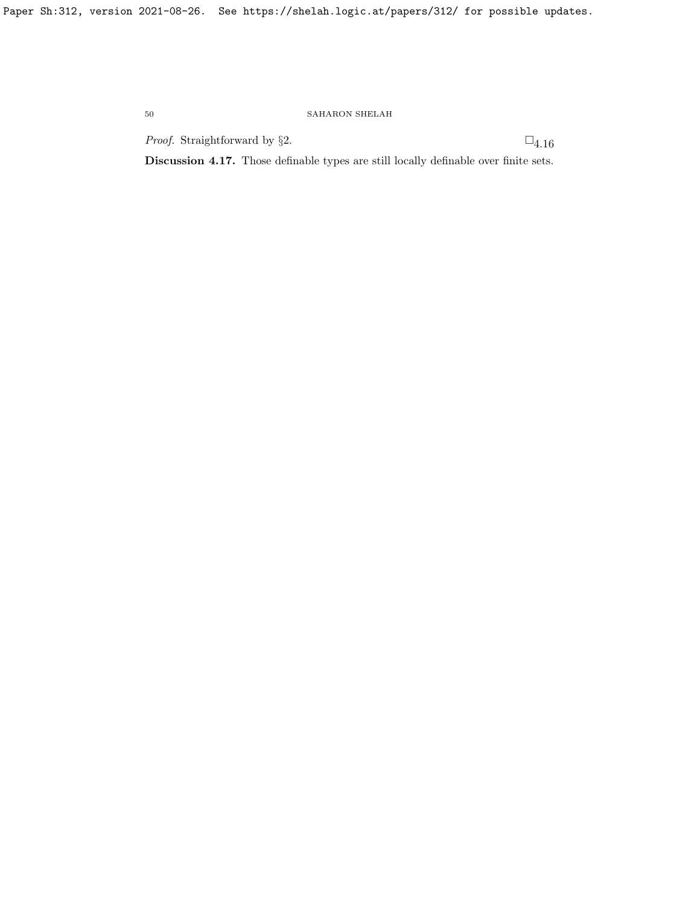*Proof.* Straightforward by §2.  $\Box$ <sub>[4.16](#page-48-0)</sub>

Discussion 4.17. Those definable types are still locally definable over finite sets.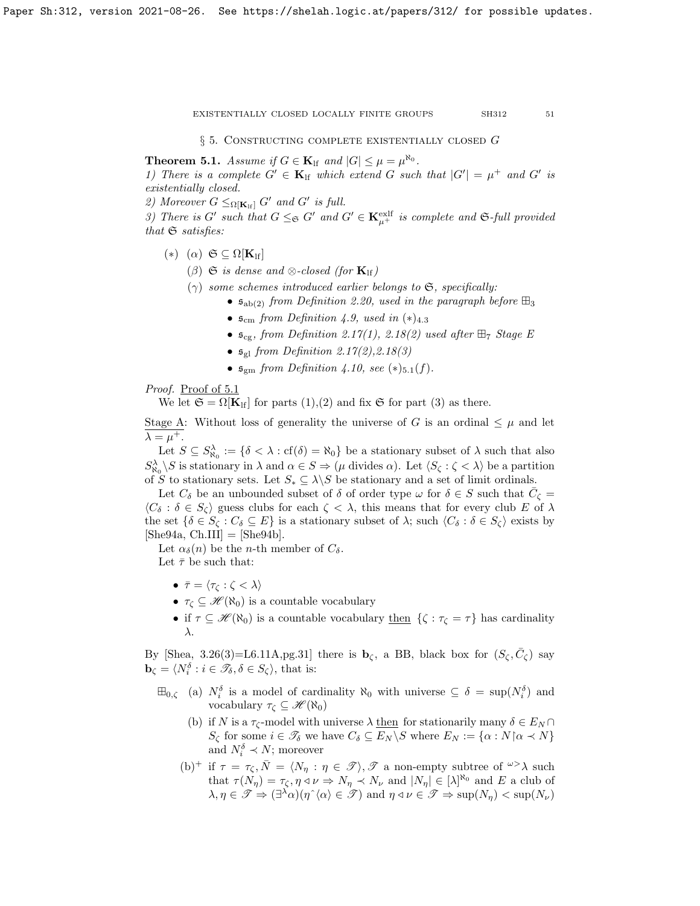$\S$  5. CONSTRUCTING COMPLETE EXISTENTIALLY CLOSED G

<span id="page-50-0"></span>**Theorem 5.1.** Assume if  $G \in \mathbf{K}_{\text{lf}}$  and  $|G| \leq \mu = \mu^{\aleph_0}$ .

1) There is a complete  $G' \in \mathbf{K}_{\text{lf}}$  which extend G such that  $|G'| = \mu^+$  and G' is existentially closed.

2) Moreover  $G \leq_{\Omega[\mathbf{K}_{\mathrm{lf}}]} G'$  and  $G'$  is full.

3) There is G' such that  $G \leq_{\mathfrak{S}} G'$  and  $G' \in \mathbf{K}_{\mu^+}^{\text{exlf}}$  is complete and  $\mathfrak{S}\text{-full provided}$ that  $\mathfrak S$  satisfies:

- (\*) ( $\alpha$ )  $\mathfrak{S} \subseteq \Omega[\mathbf{K}_{\text{lf}}]$ 
	- ( $\beta$ )  $\mathfrak S$  is dense and  $\otimes$ -closed (for  $\mathbf{K}_{\text{lf}}$ )
	- ( $\gamma$ ) some schemes introduced earlier belongs to  $\mathfrak{S}$ , specifically:
		- $\mathfrak{s}_{ab(2)}$  from Definition [2.20,](#page-33-1) used in the paragraph before  $\boxplus_3$
		- $\mathfrak{s}_{cm}$  from Definition [4.9,](#page-47-2) used in  $(*)_{4.3}$
		- $\mathfrak{s}_{\scriptscriptstyle{\text{cg}}}$ , from Definition [2.17\(](#page-29-1)1), [2.18\(](#page-29-0)2) used after  $\boxplus_7$  Stage E
		- $\mathfrak{s}_{gl}$  from Definition [2.17\(](#page-29-1)2), 2.18(3)
		- $\mathfrak{s}_{\text{em}}$  from Definition [4.10,](#page-47-0) see  $(*)_{5.1}(f)$ .

Proof. Proof of [5.1](#page-50-0)

We let  $\mathfrak{S} = \Omega[\mathbf{K}_{\text{lf}}]$  for parts  $(1),(2)$  and fix  $\mathfrak{S}$  for part  $(3)$  as there.

Stage A: Without loss of generality the universe of G is an ordinal  $\leq \mu$  and let  $\lambda = \mu^+$ .

Let  $S \subseteq S^{\lambda}_{\aleph_0} := \{ \delta < \lambda : cf(\delta) = \aleph_0 \}$  be a stationary subset of  $\lambda$  such that also  $S^{\lambda}_{\aleph_0} \backslash S$  is stationary in  $\lambda$  and  $\alpha \in S \Rightarrow (\mu \text{ divides } \alpha)$ . Let  $\langle S_{\zeta} : \zeta \langle \lambda \rangle$  be a partition of S to stationary sets. Let  $S_* \subseteq \lambda \backslash S$  be stationary and a set of limit ordinals.

Let  $C_{\delta}$  be an unbounded subset of  $\delta$  of order type  $\omega$  for  $\delta \in S$  such that  $\bar{C}_{\zeta} =$  $\langle C_\delta : \delta \in S_\zeta \rangle$  guess clubs for each  $\zeta < \lambda$ , this means that for every club E of  $\lambda$ the set  $\{\delta \in S_{\zeta} : C_{\delta} \subseteq E\}$  is a stationary subset of  $\lambda$ ; such  $\langle C_{\delta} : \delta \in S_{\zeta} \rangle$  exists by  $[\text{She94a}, \text{Ch.III}] = [\text{She94b}].$ 

Let  $\alpha_{\delta}(n)$  be the *n*-th member of  $C_{\delta}$ .

Let  $\bar{\tau}$  be such that:

- $\bar{\tau} = \langle \tau_{\zeta} : \zeta < \lambda \rangle$
- $\tau_c \subseteq \mathcal{H}(\aleph_0)$  is a countable vocabulary
- if  $\tau \subseteq \mathcal{H}(\aleph_0)$  is a countable vocabulary then  $\{\zeta : \tau_{\zeta} = \tau\}$  has cardinality λ.

By [\[Shea,](#page-63-24) 3.26(3)=L6.11A,pg.31] there is  $\mathbf{b}_{\zeta}$ , a BB, black box for  $(S_{\zeta}, \bar{C}_{\zeta})$  say  $\mathbf{b}_{\zeta} = \langle N_i^{\delta} : i \in \mathscr{T}_{\delta}, \delta \in S_{\zeta} \rangle$ , that is:

- $\boxplus_{0,\zeta}$  (a)  $N_i^{\delta}$  is a model of cardinality  $\aleph_0$  with universe  $\subseteq \delta = \sup(N_i^{\delta})$  and vocabulary  $\tau_{\zeta} \subseteq \mathscr{H}(\aleph_0)$ 
	- (b) if N is a  $\tau_{\zeta}$ -model with universe  $\lambda$  then for stationarily many  $\delta \in E_N \cap$  $S_{\zeta}$  for some  $i \in \mathscr{T}_{\delta}$  we have  $C_{\delta} \subseteq E_N \backslash S$  where  $E_N := {\alpha : N \, \alpha \prec N}$ and  $N_i^{\delta} \prec N$ ; moreover
	- (b)<sup>+</sup> if  $\tau = \tau_{\zeta}, \bar{N} = \langle N_{\eta} : \eta \in \mathcal{I} \rangle, \mathcal{I}$  a non-empty subtree of  $\omega > \lambda$  such that  $\tau(N_{\eta}) = \tau_{\zeta}, \eta \triangleleft \nu \Rightarrow N_{\eta} \prec N_{\nu}$  and  $|N_{\eta}| \in [\lambda]^{\aleph_0}$  and E a club of  $\lambda, \eta \in \mathscr{T} \Rightarrow (\exists^{\lambda} \alpha)(\eta^{\wedge} \langle \alpha \rangle \in \mathscr{T})$  and  $\eta \triangleleft \nu \in \mathscr{T} \Rightarrow \text{sup}(N_{\eta}) < \text{sup}(N_{\nu})$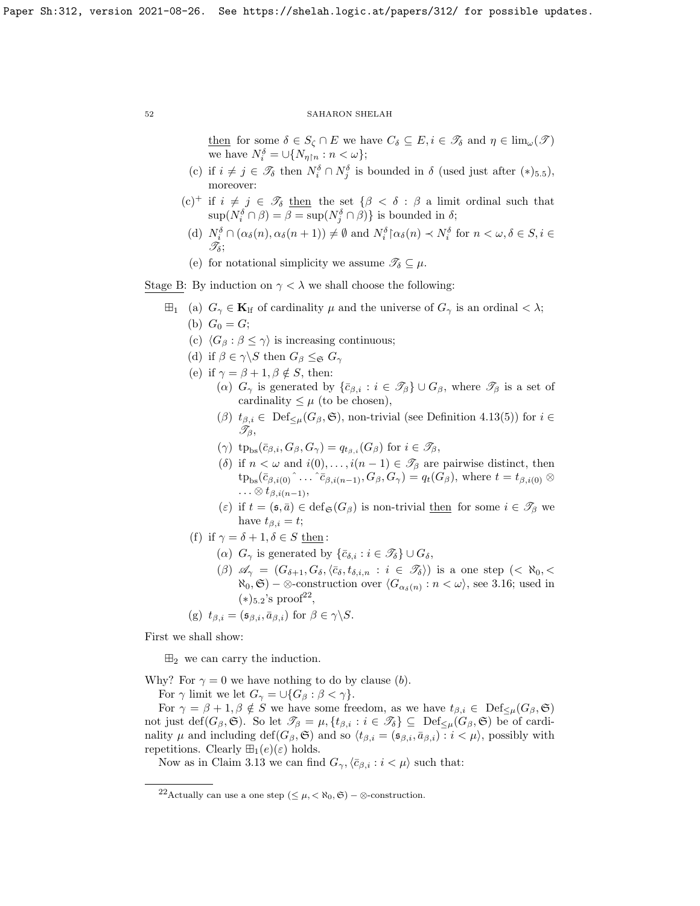then for some  $\delta \in S_{\zeta} \cap E$  we have  $C_{\delta} \subseteq E, i \in \mathcal{T}_{\delta}$  and  $\eta \in \lim_{\omega}(\mathcal{T})$ we have  $N_i^{\delta} = \cup \{N_{\eta \upharpoonright n} : n < \omega\};$ 

- (c) if  $i \neq j \in \mathscr{T}_{\delta}$  then  $N_i^{\delta} \cap N_j^{\delta}$  is bounded in  $\delta$  (used just after  $(*)_{5.5}$ ), moreover:
- (c)<sup>+</sup> if  $i \neq j \in \mathscr{T}_{\delta}$  then the set  $\{\beta < \delta : \beta$  a limit ordinal such that  $\sup(N_i^{\delta} \cap \beta) = \beta = \sup(N_j^{\delta} \cap \beta)$  is bounded in  $\delta$ ;
	- (d)  $N_i^{\delta} \cap (\alpha_{\delta}(n), \alpha_{\delta}(n+1)) \neq \emptyset$  and  $N_i^{\delta} \upharpoonright \alpha_{\delta}(n) \prec N_i^{\delta}$  for  $n < \omega, \delta \in S, i \in$  $\mathscr{T}_{\delta}$ ;
	- (e) for notational simplicity we assume  $\mathscr{T}_{\delta} \subseteq \mu$ .

Stage B: By induction on  $\gamma < \lambda$  we shall choose the following:

- $\boxplus_1$  (a)  $G_\gamma \in \mathbf{K}_{\text{lf}}$  of cardinality  $\mu$  and the universe of  $G_\gamma$  is an ordinal  $\langle \lambda, \rangle$ (b)  $G_0 = G;$ 
	- (c)  $\langle G_\beta : \beta \leq \gamma \rangle$  is increasing continuous;
	- (d) if  $\beta \in \gamma \backslash S$  then  $G_{\beta} \leq_{\mathfrak{S}} G_{\gamma}$
	- (e) if  $\gamma = \beta + 1, \beta \notin S$ , then:
		- (α)  $G_{\gamma}$  is generated by  $\{\bar{c}_{\beta,i} : i \in \mathcal{I}_{\beta}\}\cup G_{\beta}$ , where  $\mathcal{I}_{\beta}$  is a set of cardinality  $\leq \mu$  (to be chosen),
			- $(\beta)$   $t_{\beta,i} \in \text{Def}_{\leq \mu}(G_{\beta}, \mathfrak{S})$ , non-trivial (see Definition [4.13\(](#page-48-1)5)) for  $i \in$  $\mathscr{T}_{\beta}$ ,
			- $(\gamma)$  tp<sub>bs</sub> $(\bar{c}_{\beta,i}, G_{\beta}, G_{\gamma}) = q_{t_{\beta,i}}(G_{\beta})$  for  $i \in \mathcal{I}_{\beta}$ ,
			- (δ) if  $n < \omega$  and  $i(0), \ldots, i(n-1) \in \mathcal{T}_{\beta}$  are pairwise distinct, then  $tp_{bs}(\bar{c}_{\beta,i(0)}^{\,\,\,\,\,\hat{\,}}\ldots\hat{c}_{\beta,i(n-1)},G_{\beta},G_{\gamma})=q_t(G_{\beta}),$  where  $t=t_{\beta,i(0)}\otimes$  $\ldots \otimes t_{\beta,i(n-1)},$
			- (ε) if  $t = (\mathfrak{s}, \bar{a}) \in \text{def}_{\mathfrak{S}}(G_{\beta})$  is non-trivial then for some  $i \in \mathcal{T}_{\beta}$  we have  $t_{\beta,i} = t$ ;
	- (f) if  $\gamma = \delta + 1, \delta \in S$  then:
		- ( $\alpha$ )  $G_{\gamma}$  is generated by  $\{\bar{c}_{\delta,i} : i \in \mathscr{T}_{\delta}\}\cup G_{\delta},$
		- $(\beta)$   $\mathscr{A}_{\gamma} = (G_{\delta+1}, G_{\delta}, \langle \bar{c}_{\delta}, t_{\delta,i,n} : i \in \mathscr{T}_{\delta})$  is a one step  $( $\aleph_0, <$$  $\aleph_0, \mathfrak{S}$  –  $\otimes$ -construction over  $\langle G_{\alpha_{\delta}(n)} : n \langle \omega \rangle$ , see [3.16;](#page-40-4) used in  $(*)_{5.2}$ 's proof<sup>[22](#page-51-0)</sup>,
	- (g)  $t_{\beta,i} = (\mathfrak{s}_{\beta,i}, \bar{a}_{\beta,i})$  for  $\beta \in \gamma \backslash S$ .

First we shall show:

 $\mathbb{H}_2$  we can carry the induction.

Why? For  $\gamma = 0$  we have nothing to do by clause (b).

For  $\gamma$  limit we let  $G_{\gamma} = \cup \{G_{\beta} : \beta < \gamma\}.$ 

For  $\gamma = \beta + 1, \beta \notin S$  we have some freedom, as we have  $t_{\beta,i} \in \text{Def}_{\leq \mu}(G_{\beta}, \mathfrak{S})$ not just def $(G_\beta, \mathfrak{S})$ . So let  $\mathcal{I}_\beta = \mu$ ,  $\{t_{\beta,i} : i \in \mathcal{I}_\delta\} \subseteq \mathrm{Def}_{\leq \mu}(G_\beta, \mathfrak{S})$  be of cardinality  $\mu$  and including def( $G_{\beta}$ ,  $\mathfrak{S}$ ) and so  $\langle t_{\beta,i} = (\mathfrak{s}_{\beta,i}, \bar{a}_{\beta,i}) : i < \mu \rangle$ , possibly with repetitions. Clearly  $\mathbb{H}_1(e)(\varepsilon)$  holds.

Now as in Claim [3.13](#page-40-2) we can find  $G_{\gamma}$ ,  $\langle \bar{c}_{\beta,i} : i < \mu \rangle$  such that:

<span id="page-51-0"></span><sup>&</sup>lt;sup>22</sup>Actually can use a one step  $( $\mu, < \aleph_0, \mathfrak{S}$ ) –  $\otimes$ -construction.$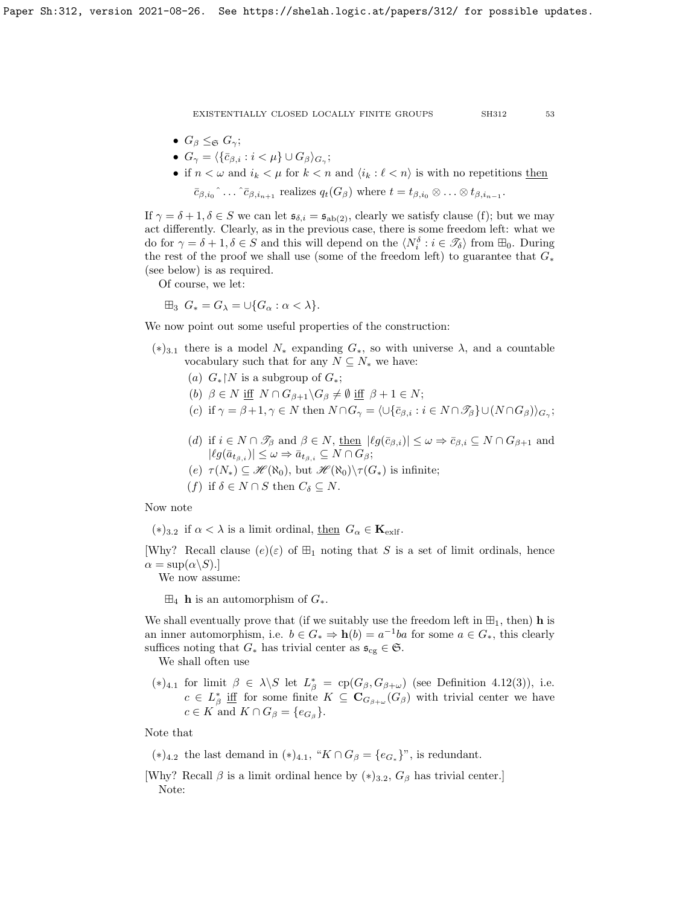- $G_{\beta} \leq_{\mathfrak{S}} G_{\gamma};$
- $\bullet \ \ G_\gamma = \langle \{\bar{c}_{\beta,i} : i<\mu\}\cup G_\beta\rangle_{G_\gamma};$
- if  $n < \omega$  and  $i_k < \mu$  for  $k < n$  and  $\langle i_k : \ell < n \rangle$  is with no repetitions then  $\bar{c}_{\beta,i_0}$ <sup>^</sup>... ^ $\bar{c}_{\beta,i_{n+1}}$  realizes  $q_t(G_\beta)$  where  $t = t_{\beta,i_0} \otimes \ldots \otimes t_{\beta,i_{n-1}}$ .

If  $\gamma = \delta + 1, \delta \in S$  we can let  $\mathfrak{s}_{\delta,i} = \mathfrak{s}_{ab(2)}$ , clearly we satisfy clause (f); but we may act differently. Clearly, as in the previous case, there is some freedom left: what we do for  $\gamma = \delta + 1, \delta \in S$  and this will depend on the  $\langle N_i^{\delta} : i \in \mathcal{I}_{\delta} \rangle$  from  $\boxplus_0$ . During the rest of the proof we shall use (some of the freedom left) to guarantee that  $G_*$ (see below) is as required.

Of course, we let:

$$
\boxplus_3 \ G_* = G_{\lambda} = \cup \{ G_{\alpha} : \alpha < \lambda \}.
$$

We now point out some useful properties of the construction:

- $(*)_{3,1}$  there is a model  $N_*$  expanding  $G_*,$  so with universe  $\lambda$ , and a countable vocabulary such that for any  $N \subseteq N_*$  we have:
	- (a)  $G_*\upharpoonright N$  is a subgroup of  $G_*$ ;
	- (b)  $\beta \in N$  iff  $N \cap G_{\beta+1} \backslash G_{\beta} \neq \emptyset$  iff  $\beta + 1 \in N$ ;
	- (c) if  $\gamma = \beta + 1, \gamma \in N$  then  $N \cap G_{\gamma} = \langle \cup \{\bar{c}_{\beta,i} : i \in N \cap \mathcal{F}_{\beta}\} \cup (N \cap G_{\beta})\rangle_{G_{\gamma}};$
	- (d) if  $i \in N \cap \mathcal{I}_\beta$  and  $\beta \in N$ , then  $|\ell g(\bar{c}_{\beta,i})| \leq \omega \Rightarrow \bar{c}_{\beta,i} \subseteq N \cap G_{\beta+1}$  and  $|lg(\bar{a}_{t_{\beta,i}})| \leq \omega \Rightarrow \bar{a}_{t_{\beta,i}} \subseteq N \cap G_{\beta};$
	- (e)  $\tau(N_*) \subseteq \mathcal{H}(\aleph_0)$ , but  $\mathcal{H}(\aleph_0) \backslash \tau(G_*)$  is infinite;
	- (f) if  $\delta \in N \cap S$  then  $C_{\delta} \subseteq N$ .

## Now note

 $(*)_{3,2}$  if  $\alpha < \lambda$  is a limit ordinal, then  $G_{\alpha} \in \mathbf{K}_{\text{exlf}}$ .

[Why? Recall clause  $(e)(\varepsilon)$  of  $\boxplus_1$  noting that S is a set of limit ordinals, hence  $\alpha = \sup(\alpha \backslash S).$ 

We now assume:

 $\boxplus_4$  **h** is an automorphism of  $G_*$ .

We shall eventually prove that (if we suitably use the freedom left in  $\mathbb{H}_1$ , then) **h** is an inner automorphism, i.e.  $b \in G_* \Rightarrow \mathbf{h}(b) = a^{-1}ba$  for some  $a \in G_*,$  this clearly suffices noting that  $G_*$  has trivial center as  $\mathfrak{s}_{cg} \in \mathfrak{S}$ .

We shall often use

(\*)<sub>4.1</sub> for limit  $\beta \in \lambda \backslash S$  let  $L^*_{\beta} = \text{cp}(G_{\beta}, G_{\beta+\omega})$  (see Definition [4.12\(](#page-48-2)3)), i.e.  $c \in L^*_{\beta}$  if for some finite  $K \subseteq \mathbf{C}_{G_{\beta+\omega}}(G_{\beta})$  with trivial center we have  $c \in K$  and  $K \cap G_{\beta} = \{e_{G_{\beta}}\}.$ 

Note that

- (\*)<sub>4.2</sub> the last demand in (\*)<sub>4.1</sub>, "K∩ $G_{\beta} = \{e_{G_*}\}$ ", is redundant.
- [Why? Recall  $\beta$  is a limit ordinal hence by  $(*)_{3.2}$ ,  $G_{\beta}$  has trivial center.] Note: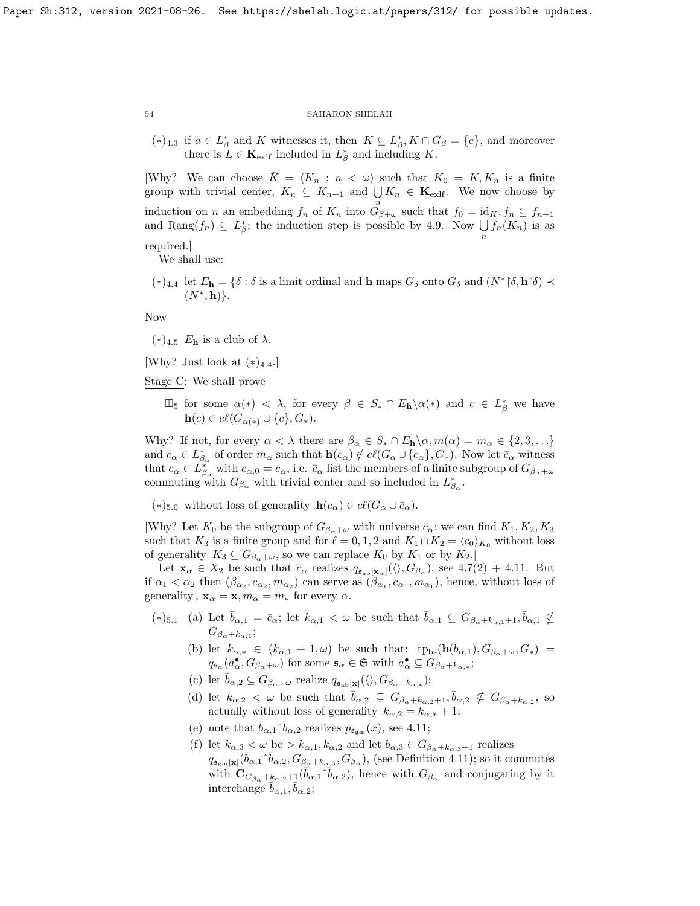(\*)<sub>4.3</sub> if  $a \in L^*_{\beta}$  and K witnesses it, <u>then</u>  $K \subseteq L^*_{\beta}$ ,  $K \cap G_{\beta} = \{e\}$ , and moreover there is  $L \in \mathbf{K}_{\text{exlf}}$  included in  $L^*_{\beta}$  and including K.

[Why? We can choose  $\overline{K} = \langle K_n : n \langle \omega \rangle$  such that  $K_0 = K, K_n$  is a finite group with trivial center,  $K_n \subseteq K_{n+1}$  and  $\bigcup K_n \in \mathbf{K}_{\text{exlf}}$ . We now choose by induction on n an embedding  $f_n$  of  $K_n$  into  $\overset{n}{G}_{\beta+\omega}$  such that  $f_0 = id_K, f_n \subseteq f_{n+1}$ and Rang $(f_n) \subseteq L^*_{\beta}$ ; the induction step is possible by [4.9.](#page-47-2) Now  $\bigcup_n f_n(K_n)$  is as

required.] We shall use:

(\*)<sub>4.4</sub> let  $E_{\mathbf{h}} = \{\delta : \delta \text{ is a limit ordinal and } \mathbf{h} \text{ maps } G_{\delta} \text{ onto } G_{\delta} \text{ and } (N^* | \delta, \mathbf{h} | \delta) \prec$  $(N^*, \mathbf{h})\}.$ 

Now

 $(*)$ <sub>4.5</sub>  $E_{h}$  is a club of  $\lambda$ .

[Why? Just look at  $(*)$ <sub>4.4</sub>.]

Stage C: We shall prove

 $\boxplus_5$  for some  $\alpha(*) < \lambda$ , for every  $\beta \in S_* \cap E_{\mathbf{h}} \setminus \alpha(*)$  and  $c \in L^*_{\beta}$  we have  $\mathbf{h}(c) \in cl(G_{\alpha(*)} \cup \{c\}, G_*)$ .

Why? If not, for every  $\alpha < \lambda$  there are  $\beta_{\alpha} \in S_* \cap E_{\mathbf{h}} \setminus \alpha, m(\alpha) = m_{\alpha} \in \{2, 3, \ldots\}$ and  $c_{\alpha} \in L^*_{\beta_{\alpha}}$  of order  $m_{\alpha}$  such that  $h(c_{\alpha}) \notin cl(G_{\alpha} \cup \{c_{\alpha}\}, G_*)$ . Now let  $\bar{c}_{\alpha}$  witness that  $c_{\alpha} \in L_{\beta_{\alpha}}^{*}$  with  $c_{\alpha,0} = c_{\alpha}$ , i.e.  $\bar{c}_{\alpha}$  list the members of a finite subgroup of  $G_{\beta_{\alpha}+\omega}$ commuting with  $G_{\beta_{\alpha}}$  with trivial center and so included in  $L_{\beta_{\alpha}}^{*}$ .

(\*)<sub>5.0</sub> without loss of generality  $h(c_{\alpha}) \in cl(G_{\alpha} \cup \overline{c}_{\alpha})$ .

[Why? Let  $K_0$  be the subgroup of  $G_{\beta_\alpha+\omega}$  with universe  $\bar{c}_\alpha$ ; we can find  $K_1, K_2, K_3$ such that  $K_3$  is a finite group and for  $\ell = 0, 1, 2$  and  $K_1 \cap K_2 = \langle c_0 \rangle_{K_0}$  without loss of generality  $K_3 \subseteq G_{\beta_\alpha+\omega}$ , so we can replace  $K_0$  by  $K_1$  or by  $K_2$ .

Let  $\mathbf{x}_{\alpha} \in X_2$  be such that  $\bar{c}_{\alpha}$  realizes  $q_{\mathfrak{s}_{ab}[\mathbf{x}_{\alpha}]}(\langle \rangle, G_{\beta_{\alpha}})$ , see [4.7\(](#page-46-0)2) + [4.11.](#page-47-3) But if  $\alpha_1 < \alpha_2$  then  $(\beta_{\alpha_2}, c_{\alpha_2}, m_{\alpha_2})$  can serve as  $(\beta_{\alpha_1}, c_{\alpha_1}, m_{\alpha_1})$ , hence, without loss of generality,  $\mathbf{x}_{\alpha} = \mathbf{x}, m_{\alpha} = m_*$  for every  $\alpha$ .

- $(*)_{5.1}$  (a) Let  $\bar{b}_{\alpha,1} = \bar{c}_{\alpha}$ ; let  $k_{\alpha,1} < \omega$  be such that  $\bar{b}_{\alpha,1} \subseteq G_{\beta_{\alpha}+k_{\alpha,1}+1}, \bar{b}_{\alpha,1} \nsubseteq$  $G_{\beta_{\alpha}+k_{\alpha,1}};$ 
	- (b) let  $k_{\alpha,*} \in (k_{\alpha,1} + 1, \omega)$  be such that:  $tp_{bs}(\mathbf{h}(\bar{b}_{\alpha,1}), G_{\beta_{\alpha}+\omega}, G_*)$  $q_{\mathfrak{s}_{\alpha}}(\bar{a}_{\alpha}^{\bullet},G_{\beta_{\alpha}+\omega})$  for some  $\mathfrak{s}_{\alpha}\in\mathfrak{S}$  with  $\bar{a}_{\alpha}^{\bullet}\subseteq G_{\beta_{\alpha}+k_{\alpha,*}}$ ;
	- (c) let  $\bar{b}_{\alpha,2} \subseteq G_{\beta_\alpha+\omega}$  realize  $q_{\mathfrak{s}_{\rm ab}[\mathbf{x}]}(\langle \rangle, G_{\beta_\alpha+k_{\alpha,*}})$ ;
	- (d) let  $k_{\alpha,2} < \omega$  be such that  $\bar{b}_{\alpha,2} \subseteq G_{\beta_{\alpha}+k_{\alpha,2}+1}, \bar{b}_{\alpha,2} \nsubseteq G_{\beta_{\alpha}+k_{\alpha,2}},$  so actually without loss of generality  $k_{\alpha,2} = k_{\alpha,*} + 1;$
	- (e) note that  $\bar{b}_{\alpha,1} \hat{b}_{\alpha,2}$  realizes  $p_{\mathfrak{s}_{\text{gm}}}(\bar{x})$ , see [4.11;](#page-47-3)
	- (f) let  $k_{\alpha,3} < \omega$  be  $> k_{\alpha,1}, k_{\alpha,2}$  and let  $b_{\alpha,3} \in G_{\beta_{\alpha}+k_{\alpha,3}+1}$  realizes  $q_{\mathfrak{s}_{gm}[\mathbf{x}]}(\bar{b}_{\alpha,1}\hat{b}_{\alpha,2},G_{\beta_{\alpha}+k_{\alpha,3}},G_{\beta_{\alpha}}),$  (see Definition [4.11\)](#page-47-3); so it commutes with  $\mathbf{C}_{G_{\beta_{\alpha}}+k_{\alpha,2}+1}(\bar{b}_{\alpha,1}\hat{b}_{\alpha,2}),$  hence with  $G_{\beta_{\alpha}}$  and conjugating by it interchange  $\bar{b}_{\alpha,1}, \bar{b}_{\alpha,2}$ ;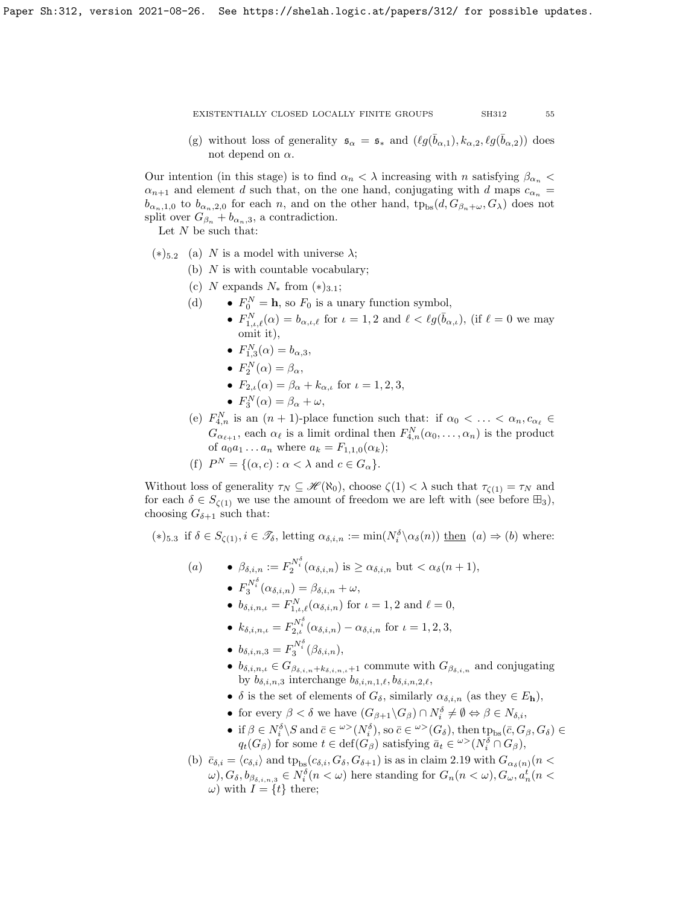(g) without loss of generality  $\mathfrak{s}_{\alpha} = \mathfrak{s}_{*}$  and  $(\ell g(\bar{b}_{\alpha,1}), k_{\alpha,2}, \ell g(\bar{b}_{\alpha,2}))$  does not depend on  $\alpha$ .

Our intention (in this stage) is to find  $\alpha_n < \lambda$  increasing with n satisfying  $\beta_{\alpha_n} <$  $\alpha_{n+1}$  and element d such that, on the one hand, conjugating with d maps  $c_{\alpha_n}$  =  $b_{\alpha_n,1,0}$  to  $b_{\alpha_n,2,0}$  for each n, and on the other hand,  ${\rm tp}_{\rm bs}(d, G_{\beta_n+\omega}, G_{\lambda})$  does not split over  $G_{\beta_n} + b_{\alpha_n,3}$ , a contradiction.

Let  $N$  be such that:

- $(*)$ <sub>5.2</sub> (a) N is a model with universe  $\lambda$ ;
	- (b)  $N$  is with countable vocabulary;
	- (c) N expands  $N_*$  from  $(*)_{3,1};$
	- (d)  $F_0^N = \mathbf{h}$ , so  $F_0$  is a unary function symbol,
		- $F_{1,\iota,\ell}^N(\alpha) = b_{\alpha,\iota,\ell}$  for  $\iota = 1,2$  and  $\ell < \ell g(\bar{b}_{\alpha,\iota}),$  (if  $\ell = 0$  we may omit it),
		- $F_{1,3}^{N}(\alpha) = b_{\alpha,3}$ ,
		- $F_2^N(\alpha) = \beta_\alpha,$
		- $F_{2,\iota}(\alpha) = \beta_{\alpha} + k_{\alpha,\iota}$  for  $\iota = 1, 2, 3$ ,
		- $F_3^N(\alpha) = \beta_\alpha + \omega,$
	- (e)  $F_{4,n}^N$  is an  $(n+1)$ -place function such that: if  $\alpha_0 < \ldots < \alpha_n, c_{\alpha_\ell} \in$  $G_{\alpha_{\ell+1}}$ , each  $\alpha_{\ell}$  is a limit ordinal then  $F_{4,n}^N(\alpha_0,\ldots,\alpha_n)$  is the product of  $a_0 a_1 ... a_n$  where  $a_k = F_{1,1,0}(\alpha_k);$
	- (f)  $P^N = \{(\alpha, c) : \alpha < \lambda \text{ and } c \in G_\alpha\}.$

Without loss of generality  $\tau_N \subseteq \mathcal{H}(\aleph_0)$ , choose  $\zeta(1) < \lambda$  such that  $\tau_{\zeta(1)} = \tau_N$  and for each  $\delta \in S_{\zeta(1)}$  we use the amount of freedom we are left with (see before  $\boxplus_3$ ), choosing  $G_{\delta+1}$  such that:

 $(*)$ <sub>5.3</sub> if  $\delta \in S_{\zeta(1)}, i \in \mathscr{T}_{\delta}$ , letting  $\alpha_{\delta,i,n} := \min(N_i^{\delta} \setminus \alpha_{\delta}(n))$  then  $(a) \Rightarrow (b)$  where:

- (a)  $\beta_{\delta,i,n} := F_2^{N_i^{\delta}}(\alpha_{\delta,i,n})$  is  $\geq \alpha_{\delta,i,n}$  but  $< \alpha_{\delta}(n+1)$ , •  $F_3^{N_i^{\delta}}(\alpha_{\delta,i,n}) = \beta_{\delta,i,n} + \omega,$ 
	- $b_{\delta,i,n,\iota} = F_{1,\iota,\ell}^N(\alpha_{\delta,i,n})$  for  $\iota = 1, 2$  and  $\ell = 0$ ,
	- $k_{\delta,i,n,\iota} = F_{2,\iota}^{N_i^{\delta}}(\alpha_{\delta,i,n}) \alpha_{\delta,i,n}$  for  $\iota = 1,2,3$ ,
	- $b_{\delta,i,n,3} = F_3^{N_i^{\delta}}(\beta_{\delta,i,n}),$
	- $b_{\delta,i,n,\iota} \in G_{\beta_{\delta,i,n}+k_{\delta,i,n,\iota}+1}$  commute with  $G_{\beta_{\delta,i,n}}$  and conjugating by  $b_{\delta,i,n,3}$  interchange  $b_{\delta,i,n,1,\ell}, b_{\delta,i,n,2,\ell},$
	- $\delta$  is the set of elements of  $G_{\delta}$ , similarly  $\alpha_{\delta,i,n}$  (as they  $\in E_{\mathbf{h}}$ ),
	- for every  $\beta < \delta$  we have  $(G_{\beta+1}\backslash G_{\beta}) \cap N_i^{\delta} \neq \emptyset \Leftrightarrow \beta \in N_{\delta,i}$ ,
	- if  $\beta \in N_i^{\delta} \backslash S$  and  $\bar{c} \in {}^{\omega >}(N_i^{\delta}),$  so  $\bar{c} \in {}^{\omega >}(G_{\delta}),$  then  $tp_{bs}(\bar{c}, G_{\beta}, G_{\delta}) \in$  $q_t(G_\beta)$  for some  $t \in \text{def}(G_\beta)$  satisfying  $\bar{a}_t \in {}^{\omega}>(N_i^{\delta} \cap G_\beta)$ ,
- (b)  $\bar{c}_{\delta,i} = \langle c_{\delta,i} \rangle$  and  $tp_{bs}(c_{\delta,i}, G_{\delta}, G_{\delta+1})$  is as in claim [2.19](#page-31-1) with  $G_{\alpha_{\delta}(n)}(n <$  $(\omega), G_{\delta}, b_{\beta_{\delta,i,n,3}} \in N_i^{\delta}(n < \omega)$  here standing for  $G_n(n < \omega), G_{\omega}, a_n^t(n < \omega)$ ω) with  $I = \{t\}$  there;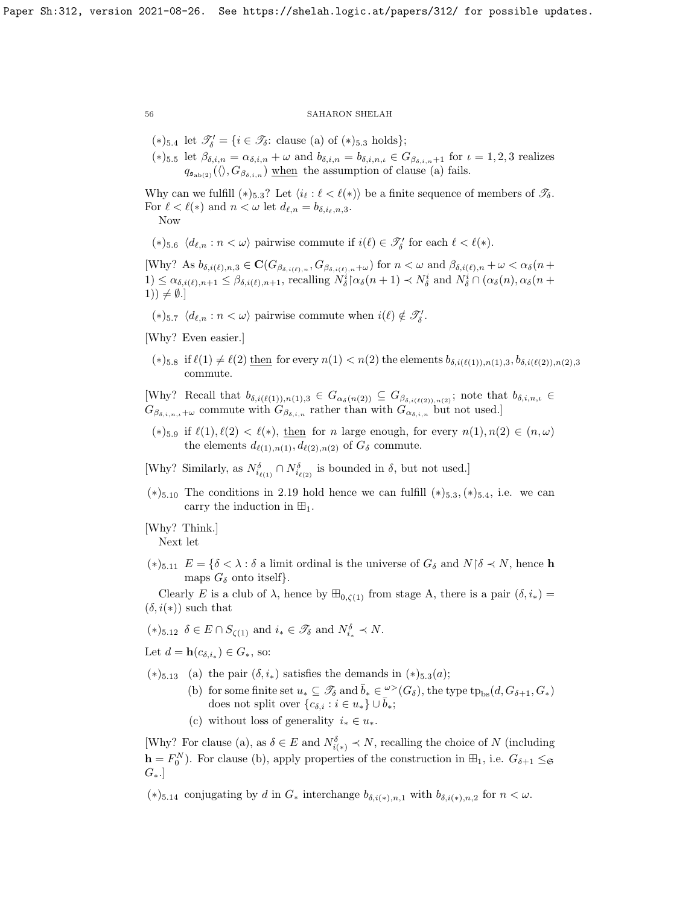(\*)<sub>5.4</sub> let  $\mathscr{T}'_δ = {i \in \mathscr{T}_δ$ : clause (a) of (\*)<sub>5.3</sub> holds}; (\*)5.5 let  $\beta_{\delta,i,n} = \alpha_{\delta,i,n} + \omega$  and  $b_{\delta,i,n} = b_{\delta,i,n,\iota} \in G_{\beta_{\delta,i,n}+1}$  for  $\iota = 1,2,3$  realizes  $q_{\mathfrak{s}_{ab(2)}}(\langle \rangle, G_{\beta_{\delta,i,n}})$  when the assumption of clause (a) fails.

Why can we fulfill  $(*)_{5,3}$ ? Let  $\langle i_{\ell} : \ell \langle \ell \rangle \rangle$  be a finite sequence of members of  $\mathscr{T}_{\delta}$ . For  $\ell < \ell(*)$  and  $n < \omega$  let  $d_{\ell,n} = b_{\delta,i_{\ell},n,3}$ .

Now

$$
(\ast)_{5.6}\ \langle d_{\ell,n}:n<\omega\rangle\text{ pairwise commute if }i(\ell)\in\mathscr{T}_\delta'\text{ for each }\ell<\ell(\ast).
$$

[Why? As  $b_{\delta,i(\ell),n,3} \in \mathbf{C}(G_{\beta_{\delta,i(\ell),n}}, G_{\beta_{\delta,i(\ell),n}+\omega})$  for  $n < \omega$  and  $\beta_{\delta,i(\ell),n} + \omega < \alpha_{\delta}(n + \omega)$  $1) \leq \alpha_{\delta,i(\ell),n+1} \leq \beta_{\delta,i(\ell),n+1}$ , recalling  $N_{\delta}^{i}[\alpha_{\delta}(n+1) \prec N_{\delta}^{i} \text{ and } N_{\delta}^{i}] \cap (\alpha_{\delta}(n), \alpha_{\delta}(n+1))$ 1))  $\neq \emptyset$ .]

(\*)<sub>5.7</sub>  $\langle d_{\ell,n} : n < \omega \rangle$  pairwise commute when  $i(\ell) \notin \mathcal{T}'_{\delta}$ .

- [Why? Even easier.]
- $(*)_{5.8}$  if  $\ell(1) \neq \ell(2)$  then for every  $n(1) < n(2)$  the elements  $b_{\delta,i(\ell(1)),n(1),3}, b_{\delta,i(\ell(2)),n(2),3}$ commute.

[Why? Recall that  $b_{\delta,i(\ell(1)),n(1),3} \in G_{\alpha_{\delta}(n(2))} \subseteq G_{\beta_{\delta,i(\ell(2)),n(2)}}$ ; note that  $b_{\delta,i,n,\iota} \in$  $G_{\beta_{\delta,i,n,\ell}+\omega}$  commute with  $G_{\beta_{\delta,i,n}}$  rather than with  $G_{\alpha_{\delta,i,n}}$  but not used.]

(\*)<sub>5.9</sub> if  $\ell(1), \ell(2) < \ell(*),$  then for n large enough, for every  $n(1), n(2) \in (n, \omega)$ the elements  $d_{\ell(1),n(1)}, d_{\ell(2),n(2)}$  of  $G_{\delta}$  commute.

[Why? Similarly, as  $N_{i_{\ell(1)}}^{\delta} \cap N_{i_{\ell(2)}}^{\delta}$  is bounded in  $\delta$ , but not used.]

 $(*)$ <sub>5.10</sub> The conditions in [2.19](#page-31-1) hold hence we can fulfill  $(*)$ <sub>5.3</sub>, $(*)$ <sub>5.4</sub>, i.e. we can carry the induction in  $\mathbb{H}_1$ .

[Why? Think.] Next let

(\*)<sub>5.11</sub>  $E = \{\delta \leq \lambda : \delta \text{ a limit ordinal is the universe of } G_{\delta} \text{ and } N\, \delta \leq N, \text{ hence } \mathbf{h}$ maps  $G_{\delta}$  onto itself.

Clearly E is a club of  $\lambda$ , hence by  $\mathbb{H}_{0,\zeta(1)}$  from stage A, there is a pair  $(\delta, i_*)$  =  $(\delta, i(*))$  such that

 $(*)_{5.12}$   $\delta \in E \cap S_{\zeta(1)}$  and  $i_* \in \mathscr{T}_{\delta}$  and  $N_{i_*}^{\delta} \prec N$ .

Let  $d = \mathbf{h}(c_{\delta,i_*}) \in G_*,$  so:

 $(*)$ <sub>5.13</sub> (a) the pair  $(\delta, i_*)$  satisfies the demands in  $(*)$ <sub>5.3</sub> $(a)$ ;

- (b) for some finite set  $u_* \subseteq \mathscr{T}_{\delta}$  and  $\bar{b}_* \in \mathscr{L}(G_{\delta})$ , the type  $tp_{bs}(d, G_{\delta+1}, G_*)$ does not split over  $\{c_{\delta,i} : i \in u_*\} \cup \overline{b}_*;$
- (c) without loss of generality  $i_* \in u_*$ .

[Why? For clause (a), as  $\delta \in E$  and  $N_{i(*)}^{\delta} \prec N$ , recalling the choice of N (including  $\mathbf{h} = F_0^N$ ). For clause (b), apply properties of the construction in  $\mathbb{H}_1$ , i.e.  $G_{\delta+1} \leq_{\mathfrak{S}}$  $G_{*}.$ 

(\*)<sub>5.14</sub> conjugating by d in  $G_*$  interchange  $b_{\delta,i(*),n,1}$  with  $b_{\delta,i(*),n,2}$  for  $n < \omega$ .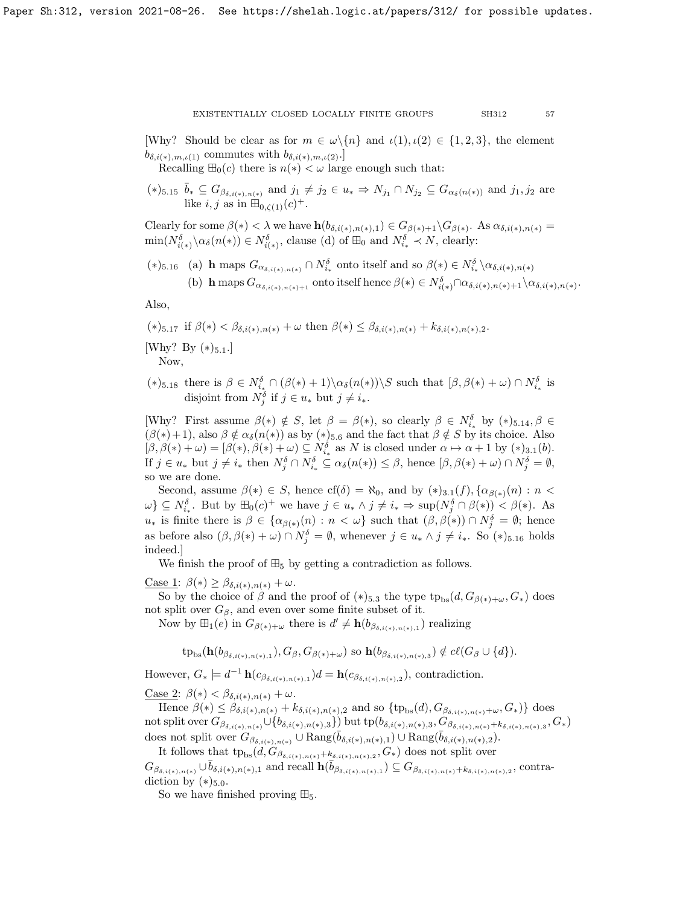[Why? Should be clear as for  $m \in \omega \setminus \{n\}$  and  $\iota(1), \iota(2) \in \{1, 2, 3\}$ , the element  $b_{\delta,i(*),m,\iota(1)}$  commutes with  $b_{\delta,i(*),m,\iota(2)}$ .

Recalling  $\mathbb{H}_0(c)$  there is  $n(*) < \omega$  large enough such that:

 $(*)_{5.15}$   $\bar{b}_* \subseteq G_{\beta_{\delta,i(*),n(*)}}$  and  $j_1 \neq j_2 \in u_* \Rightarrow N_{j_1} \cap N_{j_2} \subseteq G_{\alpha_{\delta}(n(*))}$  and  $j_1, j_2$  are like  $i, j$  as in  $\mathbb{H}_{0,\zeta(1)}(c)^+$ .

Clearly for some  $\beta(*) < \lambda$  we have  $h(b_{\delta,i(*)}, n(*) , 1) \in G_{\beta(*)+1} \backslash G_{\beta(*)}$ . As  $\alpha_{\delta,i(*) , n(*)} =$  $\min(N_{i(*)}^{\delta}\setminus\alpha_{\delta}(n(*))\in N_{i(*)}^{\delta},$  clause (d) of  $\boxplus_0$  and  $N_{i_*}^{\delta} \prec N$ , clearly:

(\*)5.16 (a) h maps  $G_{\alpha_{\delta,i(\epsilon),n(\epsilon)}} \cap N_{i_{\ast}}^{\delta}$  onto itself and so  $\beta(\epsilon) \in N_{i_{\ast}}^{\delta} \setminus \alpha_{\delta,i(\epsilon),n(\epsilon)}$ (b) h maps  $G_{\alpha_{\delta,i(*)},n(*)+1}$  onto itself hence  $\beta(*) \in N_{i(*)}^{\delta} \cap \alpha_{\delta,i(*)}, n(*)+1 \setminus \alpha_{\delta,i(*)}, n(*)$ .

Also,

(\*)5.17 if  $\beta(*) < \beta_{\delta,i(*),n(*)} + \omega$  then  $\beta(*) \leq \beta_{\delta,i(*),n(*)} + k_{\delta,i(*),n(*),2}$ .

[Why? By  $(*)_{5.1}.$ ]

Now,

(\*)5.18 there is  $\beta \in N_{i_*}^{\delta} \cap (\beta(*)+1) \setminus \alpha_{\delta}(n(*)) \setminus S$  such that  $[\beta, \beta(*) + \omega) \cap N_{i_*}^{\delta}$  is disjoint from  $N_j^{\delta}$  if  $j \in u_*$  but  $j \neq i_*$ .

[Why? First assume  $\beta(*) \notin S$ , let  $\beta = \beta(*)$ , so clearly  $\beta \in N_{i_*}^{\delta}$  by  $(*)_{5.14}, \beta \in$  $(\beta(*) + 1)$ , also  $\beta \notin \alpha_{\delta}(n(*))$  as by  $(*)_{5.6}$  and the fact that  $\beta \notin S$  by its choice. Also  $[\beta, \beta(*) + \omega] = [\beta(*), \beta(*) + \omega] \subseteq N_{i_*}^{\delta}$  as N is closed under  $\alpha \mapsto \alpha + 1$  by  $(*)_{3.1}(b)$ . If  $j \in u_*$  but  $j \neq i_*$  then  $N_j^{\delta} \cap N_{i_*}^{\delta} \subseteq \alpha_{\delta}(n(*)) \leq \beta$ , hence  $[\beta, \beta(*) + \omega) \cap N_j^{\delta} = \emptyset$ , so we are done.

Second, assume  $\beta(*) \in S$ , hence  $cf(\delta) = \aleph_0$ , and by  $(*)_{3.1}(f), \{\alpha_{\beta(*)}(n) : n <$  $\{\omega\} \subseteq N_{i_*}^{\delta}$ . But by  $\boxplus_0(c)^+$  we have  $j \in u_* \wedge j \neq i_* \Rightarrow \sup(N_j^{\delta} \cap \beta(*) ) \leq \beta(*)$ . As  $u_*$  is finite there is  $\beta \in {\alpha_{\beta(*)}}(n) : n < \omega$  such that  $(\beta, \beta(*) ) \cap N_j^{\delta} = \emptyset$ ; hence as before also  $(\beta, \beta(*) + \omega) \cap N_j^{\delta} = \emptyset$ , whenever  $j \in u_* \wedge j \neq i_*$ . So  $(*)_{5.16}$  holds indeed.]

We finish the proof of  $\mathbb{H}_5$  by getting a contradiction as follows.

<u>Case 1</u>:  $\beta(*) \geq \beta_{\delta,i(*)}, n(*) + \omega$ .

So by the choice of  $\beta$  and the proof of  $(*)_{5,3}$  the type  $tp_{bs}(d, G_{\beta(*)+\omega}, G_*)$  does not split over  $G_\beta$ , and even over some finite subset of it.

Now by  $\boxplus_1(e)$  in  $G_{\beta(*)+\omega}$  there is  $d' \neq \mathbf{h}(b_{\beta_{\delta,i(*)},n(*)},)$  realizing

$$
\text{tp}_{\text{bs}}(\mathbf{h}(b_{\beta_{\delta,i(*)},n(*)},1),G_{\beta},G_{\beta(*)+\omega})\text{ so }\mathbf{h}(b_{\beta_{\delta,i(*)},n(*)},3)\notin cl(G_{\beta}\cup\{d\}).
$$

However,  $G_* \models d^{-1} \mathbf{h}(c_{\beta_{\delta,i(*),n(*),1}}) d = \mathbf{h}(c_{\beta_{\delta,i(*),n(*),2}})$ , contradiction.

Case 2:  $\beta(*) < \beta_{\delta,i(*),n(*)} + \omega$ .

Hence  $\beta(*) \leq \beta_{\delta,i(*)}, n(*) + k_{\delta,i(*)}, n(*)$ , and so  $\{\text{tp}_{bs}(d), G_{\beta_{\delta,i(*)},n(*)}+\omega, G_{*})\}$  does not split over  $G_{\beta_{\delta,i(*)},n(*)}\cup\{b_{\delta,i(*)},n(*)\}$  but tp $(b_{\delta,i(*)},n(*)},G_{\beta_{\delta,i(*)},n(*)}+k_{\delta,i(*)},n(*)},G_{*})$ does not split over  $G_{\beta_{\delta,i(*)},n(*)}$  ∪  $\text{Rang}(\bar{b}_{\delta,i(*)},n(*),1)$  ∪  $\text{Rang}(\bar{b}_{\delta,i(*)},n(*),2)$ .

It follows that  $tp_{bs}(d, G_{\beta_{\delta,i(*),n(*)},k_{\delta,i(*),n(*),2}}, G_*)$  does not split over

 $G_{\beta_{\delta,i(*)},n(*)}\cup \bar{b}_{\delta,i(*)},n(*)$ , and recall  $\mathbf{h}(\bar{b}_{\beta_{\delta,i(*)},n(*)},n(*)})\subseteq G_{\beta_{\delta,i(*)},n(*)}+k_{\delta,i(*)},n(*)$ , contradiction by  $(*)_{5.0}$ .

So we have finished proving  $\mathbb{H}_5$ .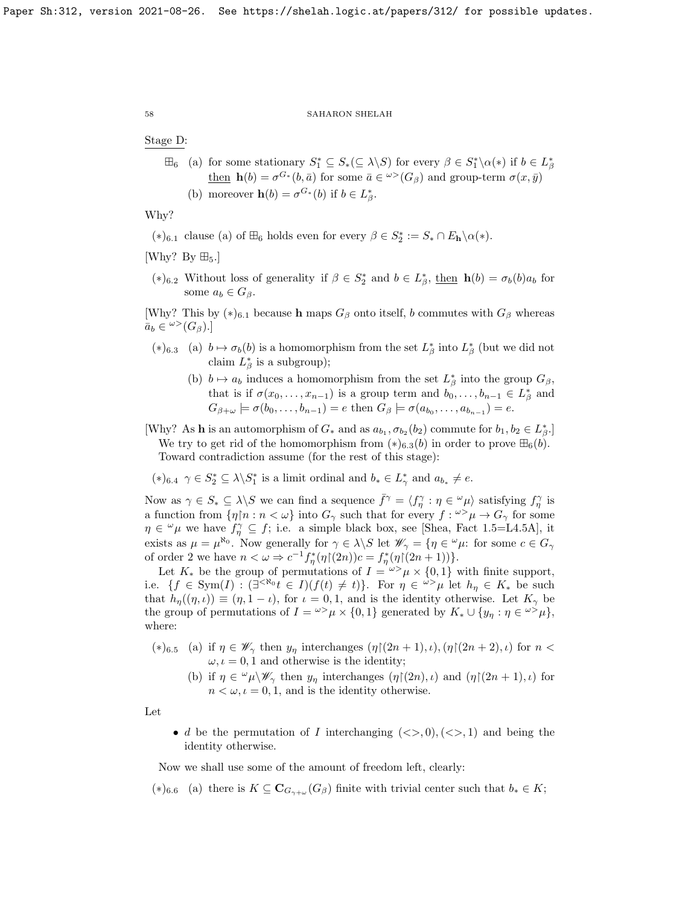# Stage D:

 $\boxplus_6$  (a) for some stationary  $S_1^* \subseteq S_*(\subseteq \lambda \backslash S)$  for every  $\beta \in S_1^* \backslash \alpha(*)$  if  $b \in L^*_{\beta}$  $\underline{\text{then}} \ \mathbf{h}(b) = \sigma^{G_*}(b, \bar{a})$  for some  $\bar{a} \in \omega^>(G_\beta)$  and group-term  $\sigma(x, \bar{y})$ (b) moreover  $h(b) = \sigma^{G_*}(b)$  if  $b \in L^*_{\beta}$ .

Why?

- (\*)<sub>6.1</sub> clause (a) of  $\mathbb{H}_6$  holds even for every  $\beta \in S_2^* := S_* \cap E_{\mathbf{h}} \setminus \alpha(*)$ .
- [Why? By  $\boxplus_5$ .]
- (\*)<sub>6.2</sub> Without loss of generality if  $β ∈ S_2^*$  and  $b ∈ L_β^*$ , <u>then</u> **h**(b) =  $σ_b(b)a_b$  for some  $a_b \in G_\beta$ .

[Why? This by  $(*)_{6.1}$  because h maps  $G_\beta$  onto itself, b commutes with  $G_\beta$  whereas  $\bar{a}_b \in {}^{\omega >}(G_{\beta}).$ 

- (\*)6.3 (a)  $b \mapsto \sigma_b(b)$  is a homomorphism from the set  $L^*_{\beta}$  into  $L^*_{\beta}$  (but we did not claim  $L^*_{\beta}$  is a subgroup);
	- (b)  $b \mapsto a_b$  induces a homomorphism from the set  $L^*_{\beta}$  into the group  $G_{\beta}$ , that is if  $\sigma(x_0, \ldots, x_{n-1})$  is a group term and  $b_0, \ldots, b_{n-1} \in L^*_{\beta}$  and  $G_{\beta+\omega} \models \sigma(b_0,\ldots,b_{n-1})=e \text{ then } G_{\beta} \models \sigma(a_{b_0},\ldots,a_{b_{n-1}})=e.$
- [Why? As **h** is an automorphism of  $G_*$  and as  $a_{b_1}, \sigma_{b_2}(b_2)$  commute for  $b_1, b_2 \in L^*_{\beta}$ .] We try to get rid of the homomorphism from  $(*)$ <sub>6.3</sub>(b) in order to prove  $\mathbb{H}_6(b)$ . Toward contradiction assume (for the rest of this stage):

 $(*)_{6.4} \gamma \in S_2^* \subseteq \lambda \backslash S_1^*$  is a limit ordinal and  $b_* \in L^*_{\gamma}$  and  $a_{b_*} \neq e$ .

Now as  $\gamma \in S_* \subseteq \lambda \backslash S$  we can find a sequence  $\bar{f}^\gamma = \langle f^\gamma_\eta : \eta \in \omega \mu \rangle$  satisfying  $f^\gamma_\eta$  is a function from  $\{\eta \, | \, n : n < \omega\}$  into  $G_\gamma$  such that for every  $f : \omega > \mu \to G_\gamma$  for some  $\eta \in \omega_{\mu}$  we have  $f_{\eta}^{\gamma} \subseteq f$ ; i.e. a simple black box, see [\[Shea,](#page-63-24) Fact 1.5=L4.5A], it exists as  $\mu = \mu^{\aleph_0}$ . Now generally for  $\gamma \in \lambda \backslash S$  let  $\mathscr{W}_{\gamma} = \{ \eta \in \mathscr{W} \mu$ : for some  $c \in G_{\gamma}$ of order 2 we have  $n < \omega \Rightarrow c^{-1} f_{\eta}^*(\eta)(2n))c = f_{\eta}^*(\eta)(2n+1))$ .

Let  $K_*$  be the group of permutations of  $I = \omega > \mu \times \{0, 1\}$  with finite support, i.e.  $\{f \in \text{Sym}(I) : (\exists^{<\aleph_0} t \in I)(f(t) \neq t)\}.$  For  $\eta \in \mathbb{Z}^{\geq \aleph_0}$  let  $h_{\eta} \in K_*$  be such that  $h_{\eta}((\eta,\iota)) \equiv (\eta,1-\iota)$ , for  $\iota = 0,1$ , and is the identity otherwise. Let  $K_{\gamma}$  be the group of permutations of  $I = \omega > \mu \times \{0, 1\}$  generated by  $K_* \cup \{y_\eta : \eta \in \omega > \mu\},$ where:

- (\*)<sub>6.5</sub> (a) if  $\eta \in \mathscr{W}_{\gamma}$  then  $y_{\eta}$  interchanges  $(\eta \mid (2n+1), \iota), (\eta \mid (2n+2), \iota)$  for  $n <$  $\omega, \iota = 0, 1$  and otherwise is the identity;
	- (b) if  $\eta \in \omega_{\mu} \backslash \mathscr{W}_{\gamma}$  then  $y_{\eta}$  interchanges  $(\eta|(2n), \iota)$  and  $(\eta|(2n+1), \iota)$  for  $n < \omega, \iota = 0, 1$ , and is the identity otherwise.

Let

• d be the permutation of I interchanging  $(\langle \rangle, 0), (\langle \rangle, 1)$  and being the identity otherwise.

Now we shall use some of the amount of freedom left, clearly:

(\*)6.6 (a) there is  $K \subseteq \mathbf{C}_{G_{\gamma+\omega}}(G_{\beta})$  finite with trivial center such that  $b_* \in K$ ;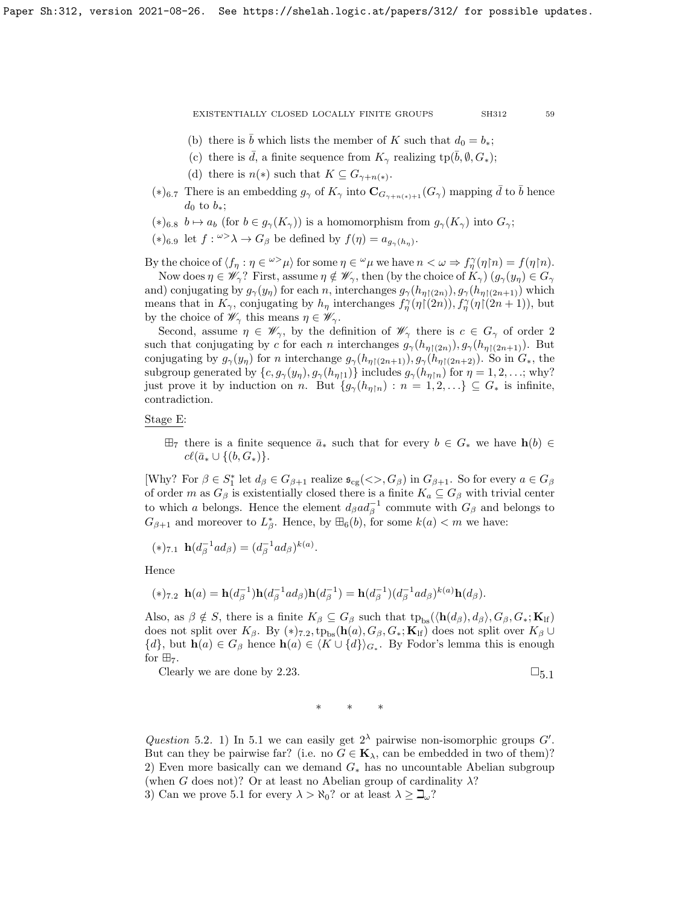- (b) there is  $\bar{b}$  which lists the member of K such that  $d_0 = b_*$ ;
- (c) there is  $\bar{d}$ , a finite sequence from  $K_{\gamma}$  realizing tp( $\bar{b}$ ,  $\emptyset$ ,  $G_*$ );
- (d) there is  $n(*)$  such that  $K \subseteq G_{\gamma+n(*)}$ .
- (\*)<sub>6.7</sub> There is an embedding  $g_{\gamma}$  of  $K_{\gamma}$  into  $\mathbf{C}_{G_{\gamma+n(*)+1}}(G_{\gamma})$  mapping  $\bar{d}$  to  $\bar{b}$  hence  $d_0$  to  $b_*$ ;
- $(*)_{6.8}$   $b \mapsto a_b$  (for  $b \in g_{\gamma}(K_{\gamma})$ ) is a homomorphism from  $g_{\gamma}(K_{\gamma})$  into  $G_{\gamma}$ ;

(\*)<sub>6.9</sub> let *f* : <sup>ω></sup>λ → *G*<sub>β</sub> be defined by  $f(\eta) = a_{g_\gamma(h_\eta)}$ .

By the choice of  $\langle f_\eta : \eta \in \infty^{\infty} \mu \rangle$  for some  $\eta \in \omega \mu$  we have  $n < \omega \Rightarrow f_\eta^{\gamma}(\eta \upharpoonright n) = f(\eta \upharpoonright n)$ . Now does  $\eta \in \mathscr{W}_{\gamma}$ ? First, assume  $\eta \notin \mathscr{W}_{\gamma}$ , then (by the choice of  $K_{\gamma}$ )  $(g_{\gamma}(y_{\eta}) \in G_{\gamma})$ 

and) conjugating by  $g_{\gamma}(y_{\eta})$  for each n, interchanges  $g_{\gamma}(h_{\eta\upharpoonright(2n)})$ ,  $g_{\gamma}(h_{\eta\upharpoonright(2n+1)})$  which means that in  $K_{\gamma}$ , conjugating by  $h_{\eta}$  interchanges  $f_{\eta}^{\gamma}(\eta)(2n))$ ,  $f_{\eta}^{\gamma}(\eta)(2n+1)$ , but by the choice of  $\mathscr{W}_{\gamma}$  this means  $\eta \in \mathscr{W}_{\gamma}$ .

Second, assume  $\eta \in \mathscr{W}_{\gamma}$ , by the definition of  $\mathscr{W}_{\gamma}$  there is  $c \in G_{\gamma}$  of order 2 such that conjugating by c for each n interchanges  $g_{\gamma}(h_{\eta\restriction (2n)}), g_{\gamma}(h_{\eta\restriction (2n+1)})$ . But conjugating by  $g_{\gamma}(y_{\eta})$  for n interchange  $g_{\gamma}(h_{\eta\restriction{(2n+1)}}), g_{\gamma}(h_{\eta\restriction{(2n+2)}})$ . So in  $G_*$ , the subgroup generated by  $\{c, g_{\gamma}(y_{\eta}), g_{\gamma}(h_{\eta\upharpoonright 1})\}$  includes  $g_{\gamma}(h_{\eta\upharpoonright n})$  for  $\eta = 1, 2, ...$ ; why? just prove it by induction on n. But  $\{g_{\gamma}(h_{\eta\upharpoonright n}) : n = 1, 2, \ldots\} \subseteq G_*$  is infinite, contradiction.

## Stage E:

 $\boxplus_7$  there is a finite sequence  $\bar{a}_*$  such that for every  $b \in G_*$  we have  $h(b) \in$  $c\ell(\bar{a}_* \cup \{(b, G_*)\}.$ 

[Why? For  $\beta \in S_1^*$  let  $d_{\beta} \in G_{\beta+1}$  realize  $\mathfrak{s}_{cg}(\ll\gt, G_{\beta})$  in  $G_{\beta+1}$ . So for every  $a \in G_{\beta}$ of order m as  $G_\beta$  is existentially closed there is a finite  $K_a \subseteq G_\beta$  with trivial center to which a belongs. Hence the element  $d_{\beta}ad_{\beta}^{-1}$  commute with  $G_{\beta}$  and belongs to  $G_{\beta+1}$  and moreover to  $L^*_{\beta}$ . Hence, by  $\boxplus_6(b)$ , for some  $k(a) < m$  we have:

$$
(*)_{7.1} \mathbf{h}(d_{\beta}^{-1}ad_{\beta}) = (d_{\beta}^{-1}ad_{\beta})^{k(a)}.
$$

Hence

$$
(*)_{7.2} \mathbf{h}(a) = \mathbf{h}(d_{\beta}^{-1})\mathbf{h}(d_{\beta}^{-1}ad_{\beta})\mathbf{h}(d_{\beta}^{-1}) = \mathbf{h}(d_{\beta}^{-1})(d_{\beta}^{-1}ad_{\beta})^{k(a)}\mathbf{h}(d_{\beta}).
$$

Also, as  $\beta \notin S$ , there is a finite  $K_{\beta} \subseteq G_{\beta}$  such that  $tp_{bs}(\langle h(d_{\beta}), d_{\beta} \rangle, G_{\beta}, G_*; \mathbf{K}_{\text{lf}})$ does not split over  $K_{\beta}$ . By  $(*)_{7.2}$ , tp<sub>bs</sub>(h(a),  $G_{\beta}$ ,  $G_*$ ; K<sub>If</sub>) does not split over  $K_{\beta} \cup$  $\{d\}$ , but  $h(a) \in G_\beta$  hence  $h(a) \in \langle K \cup \{d\}\rangle_{G_*}$ . By Fodor's lemma this is enough for  $\boxplus_7$ .

Clearly we are done by [2.23.](#page-36-0)  $\square$ 

$$
\ast\qquad \ast\qquad \ast
$$

<span id="page-58-0"></span>Question 5.2. 1) In [5.1](#page-50-0) we can easily get  $2^{\lambda}$  pairwise non-isomorphic groups G'. But can they be pairwise far? (i.e. no  $G \in \mathbf{K}_{\lambda}$ , can be embedded in two of them)? 2) Even more basically can we demand  $G_*$  has no uncountable Abelian subgroup (when G does not)? Or at least no Abelian group of cardinality  $\lambda$ ?

3) Can we prove [5.1](#page-50-0) for every  $\lambda > \aleph_0$ ? or at least  $\lambda \geq \beth_\omega$ ?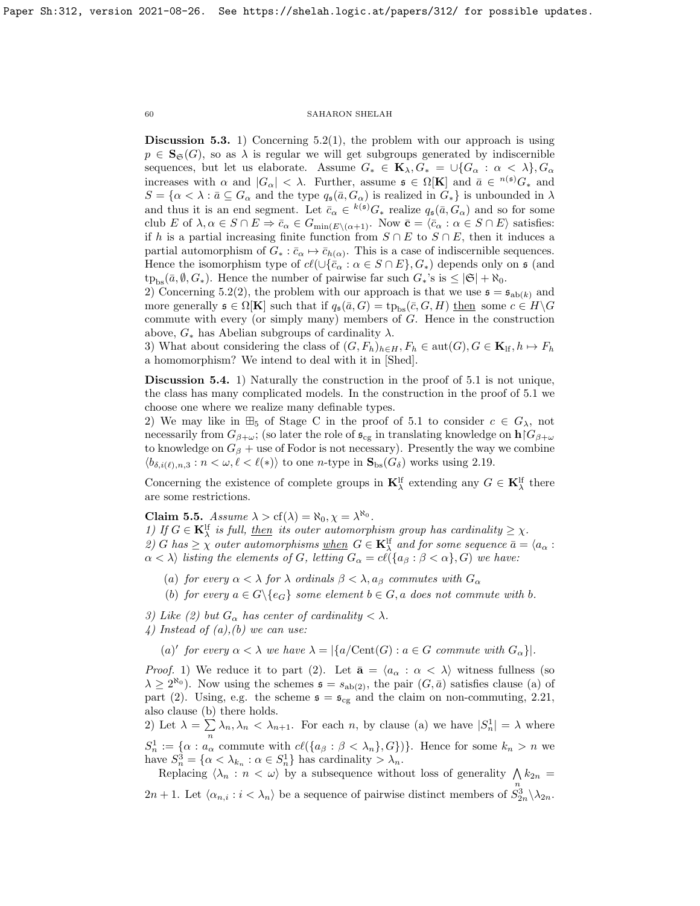**Discussion 5.3.** 1) Concerning [5.2\(](#page-58-0)1), the problem with our approach is using  $p \in \mathbf{S}_{\mathfrak{S}}(G)$ , so as  $\lambda$  is regular we will get subgroups generated by indiscernible sequences, but let us elaborate. Assume  $G_* \in \mathbf{K}_{\lambda}, G_* = \bigcup \{G_{\alpha} : \alpha < \lambda\}, G_{\alpha}$ increases with  $\alpha$  and  $|G_{\alpha}| < \lambda$ . Further, assume  $\mathfrak{s} \in \Omega[K]$  and  $\bar{a} \in {}^{n(\mathfrak{s})}G_{*}$  and  $S = \{\alpha < \lambda : \overline{a} \subseteq G_\alpha \text{ and the type } q_{\mathfrak{s}}(\overline{a}, G_\alpha) \text{ is realized in } G_*\}$  is unbounded in  $\lambda$ and thus it is an end segment. Let  $\bar{c}_{\alpha} \in {}^{k(\mathfrak{s})}G_*$  realize  $q_{\mathfrak{s}}(\bar{a}, G_{\alpha})$  and so for some club E of  $\lambda, \alpha \in S \cap E \Rightarrow \bar{c}_{\alpha} \in G_{\min(E \setminus (\alpha+1)})$ . Now  $\bar{\mathbf{c}} = \langle \bar{c}_{\alpha} : \alpha \in S \cap E \rangle$  satisfies: if h is a partial increasing finite function from  $S \cap E$  to  $S \cap E$ , then it induces a partial automorphism of  $G_* : \bar{c}_{\alpha} \mapsto \bar{c}_{h(\alpha)}$ . This is a case of indiscernible sequences. Hence the isomorphism type of  $c\ell(\cup{\bar{c}_\alpha : \alpha \in S \cap E}, G_*)$  depends only on  $\mathfrak s$  (and  $tp_{bs}(\bar{a}, \emptyset, G_*)$ . Hence the number of pairwise far such  $G_*$ 's is  $\leq |\mathfrak{S}| + \aleph_0$ .

2) Concerning [5.2\(](#page-58-0)2), the problem with our approach is that we use  $\mathfrak{s} = \mathfrak{s}_{ab(k)}$  and more generally  $\mathfrak{s} \in \Omega[\mathbf{K}]$  such that if  $q_{\mathfrak{s}}(\bar{a}, G) = \text{tp}_{\text{bs}}(\bar{c}, G, H)$  then some  $c \in H \backslash G$ commute with every (or simply many) members of G. Hence in the construction above,  $G_*$  has Abelian subgroups of cardinality  $\lambda$ .

3) What about considering the class of  $(G, F_h)_{h \in H}$ ,  $F_h \in \text{aut}(G)$ ,  $G \in \mathbf{K}_{\text{lf}}, h \mapsto F_h$ a homomorphism? We intend to deal with it in [\[Shed\]](#page-63-13).

Discussion 5.4. 1) Naturally the construction in the proof of [5.1](#page-50-0) is not unique, the class has many complicated models. In the construction in the proof of [5.1](#page-50-0) we choose one where we realize many definable types.

2) We may like in  $\mathbb{H}_5$  of Stage C in the proof of [5.1](#page-50-0) to consider  $c \in G_{\lambda}$ , not necessarily from  $G_{\beta+\omega}$ ; (so later the role of  $\mathfrak{s}_{cg}$  in translating knowledge on  $h|G_{\beta+\omega}$ to knowledge on  $G_\beta$  + use of Fodor is not necessary). Presently the way we combine  $\langle b_{\delta,i(\ell),n,3} : n < \omega, \ell < \ell(*) \rangle$  to one n-type in  $\mathbf{S}_{\text{bs}}(G_{\delta})$  works using [2.19.](#page-31-1)

Concerning the existence of complete groups in  $\mathbf{K}_{\lambda}^{\text{lf}}$  extending any  $G \in \mathbf{K}_{\lambda}^{\text{lf}}$  there are some restrictions.

<span id="page-59-0"></span>Claim 5.5. Assume  $\lambda > cf(\lambda) = \aleph_0, \chi = \lambda^{\aleph_0}$ .

1) If  $G \in \mathbf{K}_{\lambda}^{\text{lf}}$  is full, then its outer automorphism group has cardinality  $\geq \chi$ . 2) G has  $\geq \chi$  outer automorphisms <u>when</u>  $G \in \mathbf{K}_{\lambda}^{\text{lf}}$  and for some sequence  $\bar{a} = \langle a_{\alpha} :$  $\alpha < \lambda$ ) listing the elements of G, letting  $G_{\alpha} = cl({a_{\beta} : \beta < \alpha}, G)$  we have:

- (a) for every  $\alpha < \lambda$  for  $\lambda$  ordinals  $\beta < \lambda$ ,  $a_{\beta}$  commutes with  $G_{\alpha}$
- (b) for every  $a \in G \setminus \{e_G\}$  some element  $b \in G$ , a does not commute with b.
- 3) Like (2) but  $G_{\alpha}$  has center of cardinality  $\langle \lambda \rangle$ .
- 4) Instead of  $(a)$ ,  $(b)$  we can use:

(a)' for every  $\alpha < \lambda$  we have  $\lambda = |\{a/{\rm Cent}(G) : a \in G$  commute with  $G_{\alpha}\}|$ .

*Proof.* 1) We reduce it to part (2). Let  $\bar{a} = \langle a_{\alpha} : \alpha \langle \lambda \rangle$  witness fullness (so  $\lambda \geq 2^{\aleph_0}$ . Now using the schemes  $\mathfrak{s} = s_{\text{ab}(2)}$ , the pair  $(G, \bar{a})$  satisfies clause (a) of part (2). Using, e.g. the scheme  $\mathfrak{s} = \mathfrak{s}_{cg}$  and the claim on non-commuting, [2.21,](#page-33-0) also clause (b) there holds.

2) Let  $\lambda = \sum$  $\sum_{n} \lambda_n, \lambda_n < \lambda_{n+1}$ . For each *n*, by clause (a) we have  $|S_n^1| = \lambda$  where  $S_n^1 := {\alpha : a_\alpha \text{ commute with } cl({a_\beta : \beta < \lambda_n}, G)}$ . Hence for some  $k_n > n$  we have  $S_n^3 = \{ \alpha < \lambda_{k_n} : \alpha \in S_n^1 \}$  has cardinality  $> \lambda_n$ .

Replacing  $\langle \lambda_n : n \langle \omega \rangle$  by a subsequence without loss of generality  $\bigwedge k_{2n} =$ 2n + 1. Let  $\langle \alpha_{n,i} : i \langle \lambda_n \rangle$  be a sequence of pairwise distinct members of  $S_{2n}^{\alpha} \setminus \lambda_{2n}$ .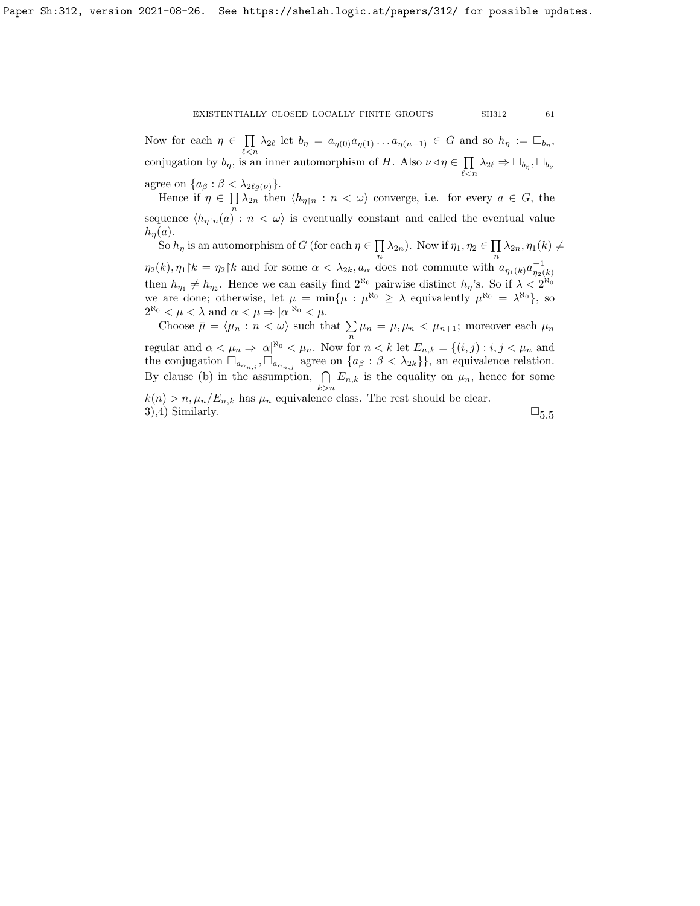Now for each  $\eta \in \prod_{i} \lambda_{2\ell}$  let  $b_{\eta} = a_{\eta(0)} a_{\eta(1)} \ldots a_{\eta(n-1)} \in G$  and so  $h_{\eta} := \Box_{b_{\eta}},$ conjugation by  $b_{\eta}$ , is an inner automorphism of H. Also  $\nu \triangleleft \eta \in \prod$  $\prod_{\ell < n} \lambda_{2\ell} \Rightarrow \Box_{b_{\eta}}, \Box_{b_{\nu}}$ 

agree on  $\{a_{\beta} : \beta < \lambda_{2\ell g(\nu)}\}.$ 

Hence if  $\eta \in \prod_{n} \lambda_{2n}$  then  $\langle h_{\eta} \rangle_n : n \langle \omega \rangle$  converge, i.e. for every  $a \in G$ , the sequence  $\langle h_{\eta\upharpoonright n}(a)$ :  $n < \omega$  is eventually constant and called the eventual value  $h_n(a)$ .

So  $h_{\eta}$  is an automorphism of G (for each  $\eta \in \prod$  $\prod_{n} \lambda_{2n}$ ). Now if  $\eta_1, \eta_2 \in \prod_{n}$  $\prod_{n} \lambda_{2n}, \eta_1(k) \neq$  $\eta_2(k), \eta_1[k] = \eta_2[k]$  and for some  $\alpha < \lambda_{2k}, a_\alpha$  does not commute with  $a_{\eta_1(k)} a_{\eta_2(k)}^{-1}$ then  $h_{\eta_1} \neq h_{\eta_2}$ . Hence we can easily find  $2^{\aleph_0}$  pairwise distinct  $h_{\eta}$ 's. So if  $\lambda < 2^{\aleph_0}$ we are done; otherwise, let  $\mu = \min{\{\mu : \mu^{\aleph_0} \geq \lambda \text{ equivalently } \mu^{\aleph_0} = \lambda^{\aleph_0}\}}$ , so  $2^{\aleph_0} < \mu < \lambda$  and  $\alpha < \mu \Rightarrow |\alpha|^{\aleph_0} < \mu$ .

Choose  $\bar{\mu} = \langle \mu_n : n \langle \omega \rangle$  such that  $\sum_{n} \mu_n = \mu, \mu_n \langle \mu_{n+1} \rangle$ ; moreover each  $\mu_n$ regular and  $\alpha < \mu_n \Rightarrow |\alpha|^{\aleph_0} < \mu_n$ . Now for  $n < k$  let  $E_{n,k} = \{(i,j) : i,j < \mu_n$  and the conjugation  $\Box_{a_{\alpha_{n,i}}}, \Box_{a_{\alpha_{n,j}}}$  agree on  $\{a_{\beta} : \beta < \lambda_{2k}\}\}$ , an equivalence relation. By clause (b) in the assumption,  $\bigcap E_{n,k}$  is the equality on  $\mu_n$ , hence for some  $k > n$  $k(n) > n, \mu_n/E_{n,k}$  has  $\mu_n$  equivalence class. The rest should be clear. 3),4) Similarly.  $\square_{5.5}$  $\square_{5.5}$  $\square_{5.5}$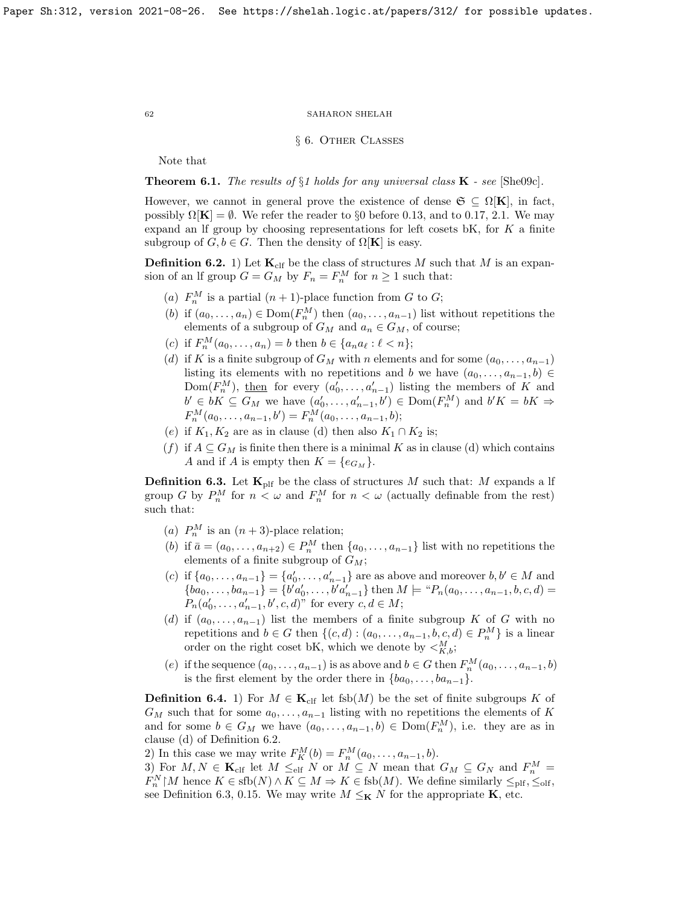# § 6. Other Classes

Note that

**Theorem 6.1.** The results of  $\S1$  holds for any universal class  $\mathbf{K}$  - see [\[She09c\]](#page-63-25).

However, we cannot in general prove the existence of dense  $\mathfrak{S} \subseteq \Omega[K]$ , in fact, possibly  $\Omega[\mathbf{K}] = \emptyset$ . We refer the reader to §0 before [0.13,](#page-6-1) and to [0.17,](#page-8-1) [2.1.](#page-23-1) We may expand an If group by choosing representations for left cosets bK, for  $K$  a finite subgroup of  $G, b \in G$ . Then the density of  $\Omega[K]$  is easy.

<span id="page-61-0"></span>**Definition 6.2.** 1) Let  $\mathbf{K}_{\text{clf}}$  be the class of structures M such that M is an expansion of an If group  $G = G_M$  by  $F_n = F_n^M$  for  $n \ge 1$  such that:

- (a)  $F_n^M$  is a partial  $(n+1)$ -place function from G to G;
- (b) if  $(a_0, \ldots, a_n) \in \text{Dom}(F_n^M)$  then  $(a_0, \ldots, a_{n-1})$  list without repetitions the elements of a subgroup of  $G_M$  and  $a_n \in G_M$ , of course;
- (c) if  $F_n^M(a_0, ..., a_n) = b$  then  $b \in \{a_n a_\ell : \ell < n\};$
- (d) if K is a finite subgroup of  $G_M$  with n elements and for some  $(a_0, \ldots, a_{n-1})$ listing its elements with no repetitions and b we have  $(a_0, \ldots, a_{n-1}, b) \in$ Dom $(F_n^M)$ , then for every  $(a'_0, \ldots, a'_{n-1})$  listing the members of K and  $b' \in bK \subseteq G_M$  we have  $(a'_0, \ldots, a'_{n-1}, b') \in \text{Dom}(F_n^M)$  and  $b'K = bK \Rightarrow$  $F_n^M(a_0,\ldots,a_{n-1},b')=F_n^M(a_0,\ldots,a_{n-1},b);$
- (e) if  $K_1, K_2$  are as in clause (d) then also  $K_1 \cap K_2$  is;
- (f) if  $A \subseteq G_M$  is finite then there is a minimal K as in clause (d) which contains A and if A is empty then  $K = \{e_{G_M}\}.$

<span id="page-61-1"></span>**Definition 6.3.** Let  $\mathbf{K}_{\text{plf}}$  be the class of structures M such that: M expands a lf group G by  $P_n^M$  for  $n < \omega$  and  $F_n^M$  for  $n < \omega$  (actually definable from the rest) such that:

- (a)  $P_n^M$  is an  $(n+3)$ -place relation;
- (b) if  $\bar{a} = (a_0, \ldots, a_{n+2}) \in P_n^M$  then  $\{a_0, \ldots, a_{n-1}\}$  list with no repetitions the elements of a finite subgroup of  $G_M$ ;
- (c) if  $\{a_0, ..., a_{n-1}\} = \{a'_0, ..., a'_{n-1}\}$  are as above and moreover  $b, b' \in M$  and  ${ba_0, \ldots, ba_{n-1}} = {b'a'_0, \ldots, b'a'_{n-1}}$  then  $M \models "P_n(a_0, \ldots, a_{n-1}, b, c, d) =$  $P_n(a'_0, \ldots, a'_{n-1}, b', c, d)^n$  for every  $c, d \in M$ ;
- (d) if  $(a_0, \ldots, a_{n-1})$  list the members of a finite subgroup K of G with no repetitions and  $b \in G$  then  $\{(c, d) : (a_0, \ldots, a_{n-1}, b, c, d) \in P_n^M\}$  is a linear order on the right coset bK, which we denote by  $\langle K_{,b}^{M}$ ;
- (e) if the sequence  $(a_0, \ldots, a_{n-1})$  is as above and  $b \in G$  then  $F_n^M(a_0, \ldots, a_{n-1}, b)$ is the first element by the order there in  ${ba_0, \ldots, ba_{n-1}}$ .

**Definition 6.4.** 1) For  $M \in \mathbf{K}_{\text{clf}}$  let fsb(M) be the set of finite subgroups K of  $G_M$  such that for some  $a_0, \ldots, a_{n-1}$  listing with no repetitions the elements of K and for some  $b \in G_M$  we have  $(a_0, \ldots, a_{n-1}, b) \in \text{Dom}(F_n^M)$ , i.e. they are as in clause (d) of Definition [6.2.](#page-61-0)

2) In this case we may write  $F_K^M(b) = F_n^M(a_0, ..., a_{n-1}, b)$ .

3) For  $M, N \in \mathbf{K}_{\text{clf}}$  let  $M \leq_{\text{elf}} N$  or  $M \subseteq N$  mean that  $G_M \subseteq G_N$  and  $F_n^M =$  $F_n^N \upharpoonright M$  hence  $K \in \text{sfb}(N) \wedge K \subseteq M \Rightarrow K \in \text{fsb}(M)$ . We define similarly  $\leq_{\text{plf}}, \leq_{\text{olf}},$ see Definition [6.3,](#page-61-1) [0.15.](#page-7-1) We may write  $M \leq_K N$  for the appropriate **K**, etc.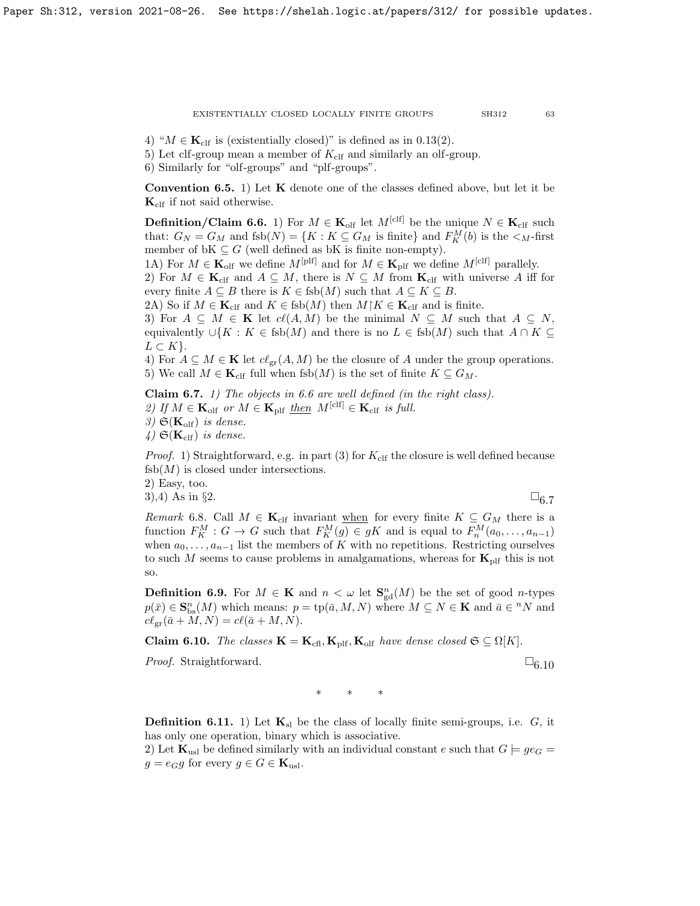4) " $M \in \mathbf{K}_{\text{clf}}$  is (existentially closed)" is defined as in [0.13\(](#page-6-1)2).

5) Let clf-group mean a member of  $K_{\text{clf}}$  and similarly an olf-group.

6) Similarly for "olf-groups" and "plf-groups".

**Convention 6.5.** 1) Let  $K$  denote one of the classes defined above, but let it be  $\mathbf{K}_{\text{clf}}$  if not said otherwise.

<span id="page-62-1"></span>**Definition/Claim 6.6.** 1) For  $M \in \mathbf{K}_{\text{off}}$  let  $M^{[\text{clf}]}$  be the unique  $N \in \mathbf{K}_{\text{clf}}$  such that:  $G_N = G_M$  and  $fsb(N) = \{K : K \subseteq G_M \text{ is finite}\}\$ and  $F_K^M(b)$  is the  $\lt_M$ -first member of bK  $\subseteq G$  (well defined as bK is finite non-empty).

1A) For  $M \in \mathbf{K}_{\text{olf}}$  we define  $M^{[\text{plf}]}$  and for  $M \in \mathbf{K}_{\text{plf}}$  we define  $M^{[\text{clf}]}$  parallely.

2) For  $M \in \mathbf{K}_{\text{clf}}$  and  $A \subseteq M$ , there is  $N \subseteq M$  from  $\mathbf{K}_{\text{clf}}$  with universe A iff for every finite  $A \subseteq B$  there is  $K \in \text{fsb}(M)$  such that  $A \subseteq K \subseteq B$ .

2A) So if  $M \in \mathbf{K}_{\text{clf}}$  and  $K \in \text{fsb}(M)$  then  $M \upharpoonright K \in \mathbf{K}_{\text{clf}}$  and is finite.

3) For  $A \subseteq M \in \mathbf{K}$  let  $cl(A, M)$  be the minimal  $N \subseteq M$  such that  $A \subseteq N$ , equivalently  $\cup \{K : K \in \text{fsb}(M) \text{ and there is no } L \in \text{fsb}(M) \text{ such that } A \cap K \subseteq$  $L \subset K$ .

4) For  $A \subseteq M \in \mathbf{K}$  let  $cl_{gr}(A, M)$  be the closure of A under the group operations. 5) We call  $M \in \mathbf{K}_{\text{clf}}$  full when fsb $(M)$  is the set of finite  $K \subseteq G_M$ .

<span id="page-62-0"></span>Claim 6.7. 1) The objects in [6.6](#page-62-1) are well defined (in the right class). 2) If  $M \in \mathbf{K}_{\text{olf}}$  or  $M \in \mathbf{K}_{\text{plf}}$  then  $M^{[\text{clf}]} \in \mathbf{K}_{\text{clf}}$  is full. 3)  $\mathfrak{S}(\mathbf{K}_{\text{olf}})$  is dense. 4)  $\mathfrak{S}(\mathbf{K}_{\text{clf}})$  is dense.

*Proof.* 1) Straightforward, e.g. in part (3) for  $K_{\text{clf}}$  the closure is well defined because  $f_{sb}(M)$  is closed under intersections.

2) Easy, too.

3),4) As in §2.  $\square_6$  7.

Remark 6.8. Call  $M \in \mathbf{K}_{\text{clf}}$  invariant when for every finite  $K \subseteq G_M$  there is a function  $F_K^M$ :  $G \to G$  such that  $F_K^M(g) \in gK$  and is equal to  $F_n^M(a_0, \ldots, a_{n-1})$ when  $a_0, \ldots, a_{n-1}$  list the members of K with no repetitions. Restricting ourselves to such M seems to cause problems in amalgamations, whereas for  $K_{\text{plf}}$  this is not so.

**Definition 6.9.** For  $M \in \mathbf{K}$  and  $n < \omega$  let  $\mathbf{S}_{gd}^n(M)$  be the set of good *n*-types  $p(\bar{x}) \in \mathbf{S}_{\text{bs}}^n(M)$  which means:  $p = \text{tp}(\bar{a}, M, N)$  where  $M \subseteq N \in \mathbf{K}$  and  $\bar{a} \in {}^n N$  and  $c\ell_{\rm gr}(\bar a + M, N) = c\ell(\bar a + M, N).$ 

<span id="page-62-2"></span>**Claim 6.10.** The classes  $\mathbf{K} = \mathbf{K}_{\text{cfl}}, \mathbf{K}_{\text{plf}}, \mathbf{K}_{\text{olf}}$  have dense closed  $\mathfrak{S} \subseteq \Omega[K]$ .

*Proof.* Straightforward.  $\square_{6.10}$  $\square_{6.10}$  $\square_{6.10}$ 

∗ ∗ ∗

**Definition 6.11.** 1) Let  $\mathbf{K}_{sl}$  be the class of locally finite semi-groups, i.e.  $G$ , it has only one operation, binary which is associative.

2) Let  $\mathbf{K}_{usl}$  be defined similarly with an individual constant e such that  $G \models \text{ge } G$  $g = e_G g$  for every  $g \in G \in \mathbf{K}_{\text{us}}$ .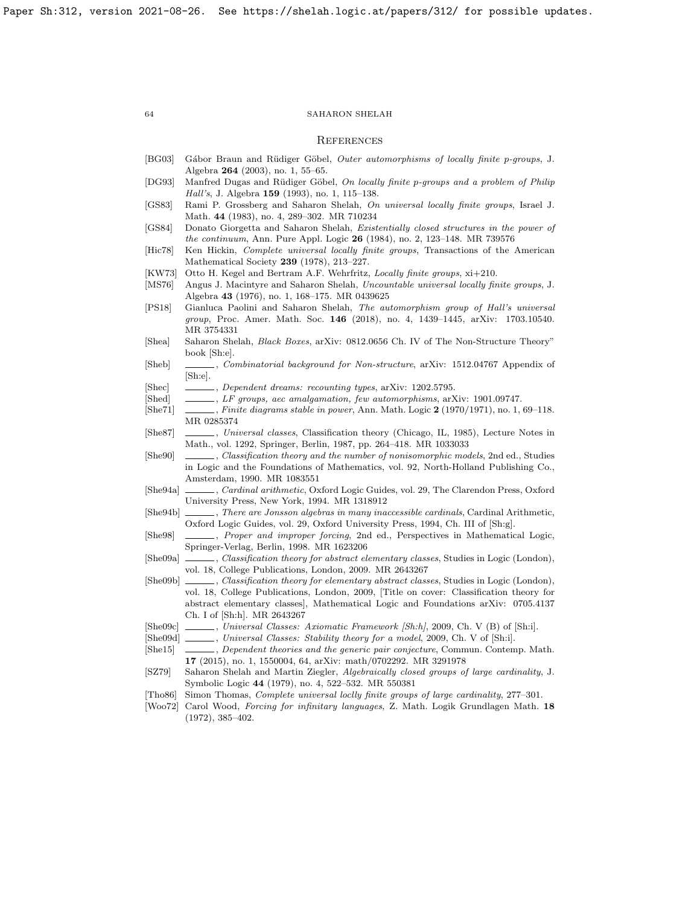#### **REFERENCES**

- <span id="page-63-10"></span>[BG03] Gábor Braun and Rüdiger Göbel, *Outer automorphisms of locally finite p-groups*, J. Algebra 264 (2003), no. 1, 55–65.
- <span id="page-63-9"></span>[DG93] Manfred Dugas and Rüdiger Göbel, On locally finite p-groups and a problem of Philip Hall's, J. Algebra 159 (1993), no. 1, 115–138.
- <span id="page-63-2"></span>[GS83] Rami P. Grossberg and Saharon Shelah, On universal locally finite groups, Israel J. Math. 44 (1983), no. 4, 289–302. MR 710234
- <span id="page-63-6"></span>[GS84] Donato Giorgetta and Saharon Shelah, Existentially closed structures in the power of the continuum, Ann. Pure Appl. Logic 26 (1984), no. 2, 123–148. MR 739576
- <span id="page-63-4"></span>[Hic78] Ken Hickin, Complete universal locally finite groups, Transactions of the American Mathematical Society 239 (1978), 213–227.
- <span id="page-63-0"></span>[KW73] Otto H. Kegel and Bertram A.F. Wehrfritz, Locally finite groups, xi+210.
- <span id="page-63-3"></span>[MS76] Angus J. Macintyre and Saharon Shelah, Uncountable universal locally finite groups, J. Algebra 43 (1976), no. 1, 168–175. MR 0439625
- <span id="page-63-21"></span>[PS18] Gianluca Paolini and Saharon Shelah, The automorphism group of Hall's universal group, Proc. Amer. Math. Soc. 146 (2018), no. 4, 1439–1445, [arXiv: 1703.10540.](https://arxiv.org/abs/1703.10540) MR 3754331
- <span id="page-63-24"></span>[Shea] Saharon Shelah, Black Boxes, [arXiv: 0812.0656](https://arxiv.org/abs/0812.0656) Ch. IV of The Non-Structure Theory" book [Sh:e].
- <span id="page-63-20"></span>[Sheb] , Combinatorial background for Non-structure, [arXiv: 1512.04767](https://arxiv.org/abs/1512.04767) Appendix of [Sh:e].
- <span id="page-63-19"></span>[Shec] , Dependent dreams: recounting types, [arXiv: 1202.5795.](https://arxiv.org/abs/1202.5795)
- <span id="page-63-13"></span>[Shed] , LF groups, aec amalgamation, few automorphisms, [arXiv: 1901.09747.](https://arxiv.org/abs/1901.09747)
- <span id="page-63-11"></span>[She71] , Finite diagrams stable in power, Ann. Math. Logic 2 (1970/1971), no. 1, 69–118. MR 0285374
- <span id="page-63-8"></span>[She87] , Universal classes, Classification theory (Chicago, IL, 1985), Lecture Notes in Math., vol. 1292, Springer, Berlin, 1987, pp. 264–418. MR 1033033
- <span id="page-63-15"></span>[She90] , Classification theory and the number of nonisomorphic models, 2nd ed., Studies in Logic and the Foundations of Mathematics, vol. 92, North-Holland Publishing Co., Amsterdam, 1990. MR 1083551
- <span id="page-63-22"></span>[She94a] , Cardinal arithmetic, Oxford Logic Guides, vol. 29, The Clarendon Press, Oxford University Press, New York, 1994. MR 1318912
- <span id="page-63-23"></span>[She94b] , There are Jonsson algebras in many inaccessible cardinals, Cardinal Arithmetic, Oxford Logic Guides, vol. 29, Oxford University Press, 1994, Ch. III of [Sh:g].
- <span id="page-63-18"></span>[She98] , Proper and improper forcing, 2nd ed., Perspectives in Mathematical Logic, Springer-Verlag, Berlin, 1998. MR 1623206
- <span id="page-63-16"></span>[She09a] , Classification theory for abstract elementary classes, Studies in Logic (London), vol. 18, College Publications, London, 2009. MR 2643267
- <span id="page-63-1"></span>[She09b] , Classification theory for elementary abstract classes, Studies in Logic (London), vol. 18, College Publications, London, 2009, [Title on cover: Classification theory for abstract elementary classes], Mathematical Logic and Foundations [arXiv: 0705.4137](https://arxiv.org/abs/0705.4137) Ch. I of [Sh:h]. MR 2643267
- <span id="page-63-25"></span>[She09c] , Universal Classes: Axiomatic Framework [Sh:h], 2009, Ch. V (B) of [Sh:i].
- <span id="page-63-12"></span>[She09d] , Universal Classes: Stability theory for a model, 2009, Ch. V of [Sh:i].
- <span id="page-63-17"></span>[She15] , Dependent theories and the generic pair conjecture, Commun. Contemp. Math. 17 (2015), no. 1, 1550004, 64, [arXiv: math/0702292.](https://arxiv.org/abs/math/0702292) MR 3291978
- <span id="page-63-7"></span>[SZ79] Saharon Shelah and Martin Ziegler, Algebraically closed groups of large cardinality, J. Symbolic Logic 44 (1979), no. 4, 522–532. MR 550381
- <span id="page-63-5"></span>[Tho86] Simon Thomas, Complete universal loclly finite groups of large cardinality, 277–301.
- <span id="page-63-14"></span>[Woo72] Carol Wood, Forcing for infinitary languages, Z. Math. Logik Grundlagen Math. 18 (1972), 385–402.